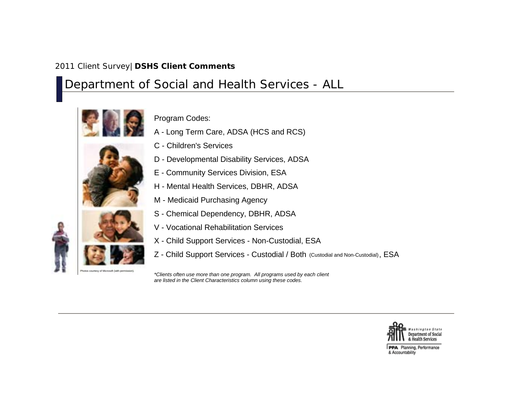## 2011 Client Survey| **DSHS Client Comments**

## Department of Social and Health Services - ALL



Program Codes:

- A Long Term Care, ADSA (HCS and RCS)
- C Children's Services
- D Developmental Disability Services, ADSA
- E Community Services Division, ESA
- H Mental Health Services, DBHR, ADSA
- M Medicaid Purchasing Agency
- S Chemical Dependency, DBHR, ADSA
- V Vocational Rehabilitation Services
- X Child Support Services Non-Custodial, ESA
- Z Child Support Services Custodial / Both (Custodial and Non-Custodial) , ESA

*\*Clients often use more than one program. All programs used by each client are listed in the Client Characteristics column using these codes.*



PPA Planning, Performance & Accountability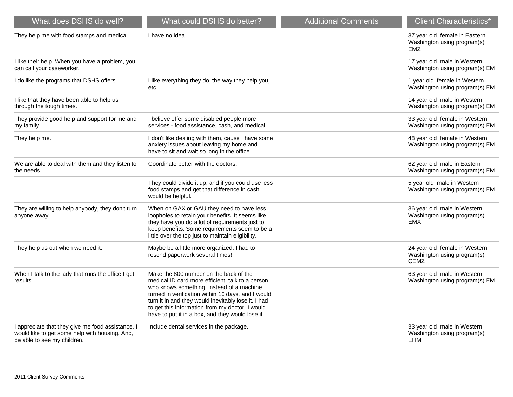| What does DSHS do well?                                                                                                            | What could DSHS do better?                                                                                                                                                                                                                                                                                                                                     | <b>Additional Comments</b> | <b>Client Characteristics*</b>                                              |
|------------------------------------------------------------------------------------------------------------------------------------|----------------------------------------------------------------------------------------------------------------------------------------------------------------------------------------------------------------------------------------------------------------------------------------------------------------------------------------------------------------|----------------------------|-----------------------------------------------------------------------------|
| They help me with food stamps and medical.                                                                                         | I have no idea.                                                                                                                                                                                                                                                                                                                                                |                            | 37 year old female in Eastern<br>Washington using program(s)<br>EMZ.        |
| I like their help. When you have a problem, you<br>can call your caseworker.                                                       |                                                                                                                                                                                                                                                                                                                                                                |                            | 17 year old male in Western<br>Washington using program(s) EM               |
| I do like the programs that DSHS offers.                                                                                           | I like everything they do, the way they help you,<br>etc.                                                                                                                                                                                                                                                                                                      |                            | 1 year old female in Western<br>Washington using program(s) EM              |
| I like that they have been able to help us<br>through the tough times.                                                             |                                                                                                                                                                                                                                                                                                                                                                |                            | 14 year old male in Western<br>Washington using program(s) EM               |
| They provide good help and support for me and<br>my family.                                                                        | I believe offer some disabled people more<br>services - food assistance, cash, and medical.                                                                                                                                                                                                                                                                    |                            | 33 year old female in Western<br>Washington using program(s) EM             |
| They help me.                                                                                                                      | I don't like dealing with them, cause I have some<br>anxiety issues about leaving my home and I<br>have to sit and wait so long in the office.                                                                                                                                                                                                                 |                            | 48 year old female in Western<br>Washington using program(s) EM             |
| We are able to deal with them and they listen to<br>the needs.                                                                     | Coordinate better with the doctors.                                                                                                                                                                                                                                                                                                                            |                            | 62 year old male in Eastern<br>Washington using program(s) EM               |
|                                                                                                                                    | They could divide it up, and if you could use less<br>food stamps and get that difference in cash<br>would be helpful.                                                                                                                                                                                                                                         |                            | 5 year old male in Western<br>Washington using program(s) EM                |
| They are willing to help anybody, they don't turn<br>anyone away.                                                                  | When on GAX or GAU they need to have less<br>loopholes to retain your benefits. It seems like<br>they have you do a lot of requirements just to<br>keep benefits. Some requirements seem to be a<br>little over the top just to maintain eligibility.                                                                                                          |                            | 36 year old male in Western<br>Washington using program(s)<br><b>EMX</b>    |
| They help us out when we need it.                                                                                                  | Maybe be a little more organized. I had to<br>resend paperwork several times!                                                                                                                                                                                                                                                                                  |                            | 24 year old female in Western<br>Washington using program(s)<br><b>CEMZ</b> |
| When I talk to the lady that runs the office I get<br>results.                                                                     | Make the 800 number on the back of the<br>medical ID card more efficient, talk to a person<br>who knows something, instead of a machine. I<br>turned in verification within 10 days, and I would<br>turn it in and they would inevitably lose it. I had<br>to get this information from my doctor. I would<br>have to put it in a box, and they would lose it. |                            | 63 year old male in Western<br>Washington using program(s) EM               |
| I appreciate that they give me food assistance. I<br>would like to get some help with housing. And,<br>be able to see my children. | Include dental services in the package.                                                                                                                                                                                                                                                                                                                        |                            | 33 year old male in Western<br>Washington using program(s)<br><b>EHM</b>    |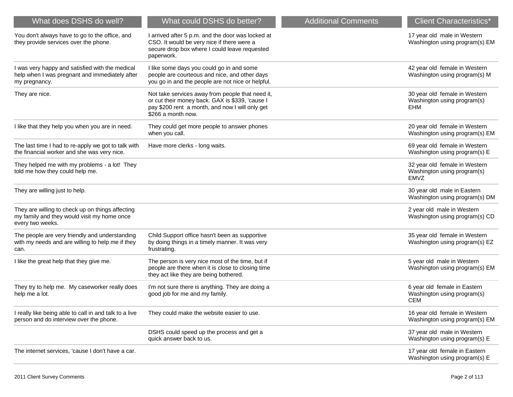| What does DSHS do well?                                                                                             | What could DSHS do better?                                                                                                                                                   | <b>Additional Comments</b> | <b>Client Characteristics*</b>                                              |
|---------------------------------------------------------------------------------------------------------------------|------------------------------------------------------------------------------------------------------------------------------------------------------------------------------|----------------------------|-----------------------------------------------------------------------------|
| You don't always have to go to the office, and<br>they provide services over the phone.                             | I arrived after 5 p.m. and the door was locked at<br>CSO. It would be very nice if there were a<br>secure drop box where I could leave requested<br>paperwork.               |                            | 17 year old male in Western<br>Washington using program(s) EM               |
| I was very happy and satisfied with the medical<br>help when I was pregnant and immediately after<br>my pregnancy.  | I like some days you could go in and some<br>people are courteous and nice, and other days<br>you go in and the people are not nice or helpful.                              |                            | 42 year old female in Western<br>Washington using program(s) M              |
| They are nice.                                                                                                      | Not take services away from people that need it,<br>or cut their money back. GAX is \$339, 'cause I<br>pay \$200 rent a month, and now I will only get<br>\$266 a month now. |                            | 30 year old female in Western<br>Washington using program(s)<br><b>EHM</b>  |
| I like that they help you when you are in need.                                                                     | They could get more people to answer phones<br>when you call.                                                                                                                |                            | 20 year old female in Western<br>Washington using program(s) EM             |
| The last time I had to re-apply we got to talk with<br>the financial worker and she was very nice.                  | Have more clerks - long waits.                                                                                                                                               |                            | 69 year old female in Western<br>Washington using program(s) E              |
| They helped me with my problems - a lot! They<br>told me how they could help me.                                    |                                                                                                                                                                              |                            | 32 year old female in Western<br>Washington using program(s)<br><b>EMVZ</b> |
| They are willing just to help.                                                                                      |                                                                                                                                                                              |                            | 30 year old male in Eastern<br>Washington using program(s) DM               |
| They are willing to check up on things affecting<br>my family and they would visit my home once<br>every two weeks. |                                                                                                                                                                              |                            | 2 year old male in Western<br>Washington using program(s) CD                |
| The people are very friendly and understanding<br>with my needs and are willing to help me if they<br>can.          | Child Support office hasn't been as supportive<br>by doing things in a timely manner. It was very<br>frustrating.                                                            |                            | 35 year old female in Western<br>Washington using program(s) EZ             |
| I like the great help that they give me.                                                                            | The person is very nice most of the time, but if<br>people are there when it is close to closing time<br>they act like they are being bothered.                              |                            | 5 year old male in Western<br>Washington using program(s) EM                |
| They try to help me. My caseworker really does<br>help me a lot.                                                    | I'm not sure there is anything. They are doing a<br>good job for me and my family.                                                                                           |                            | 6 year old female in Eastern<br>Washington using program(s)<br><b>CEM</b>   |
| I really like being able to call in and talk to a live<br>person and do interview over the phone.                   | They could make the website easier to use.                                                                                                                                   |                            | 16 year old female in Western<br>Washington using program(s) EM             |
|                                                                                                                     | DSHS could speed up the process and get a<br>quick answer back to us.                                                                                                        |                            | 37 year old male in Western<br>Washington using program(s) E                |
| The internet services, 'cause I don't have a car.                                                                   |                                                                                                                                                                              |                            | 17 year old female in Eastern<br>Washington using program(s) E              |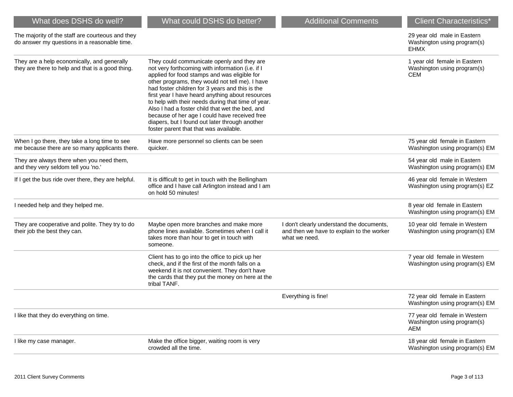| What does DSHS do well?                                                                          | What could DSHS do better?                                                                                                                                                                                                                                                                                                                                                                                                                                                                                                                                     | <b>Additional Comments</b>                                                                              | <b>Client Characteristics*</b>                                            |
|--------------------------------------------------------------------------------------------------|----------------------------------------------------------------------------------------------------------------------------------------------------------------------------------------------------------------------------------------------------------------------------------------------------------------------------------------------------------------------------------------------------------------------------------------------------------------------------------------------------------------------------------------------------------------|---------------------------------------------------------------------------------------------------------|---------------------------------------------------------------------------|
| The majority of the staff are courteous and they<br>do answer my questions in a reasonable time. |                                                                                                                                                                                                                                                                                                                                                                                                                                                                                                                                                                |                                                                                                         | 29 year old male in Eastern<br>Washington using program(s)<br><b>EHMX</b> |
| They are a help economically, and generally<br>they are there to help and that is a good thing.  | They could communicate openly and they are<br>not very forthcoming with information (i.e. if I<br>applied for food stamps and was eligible for<br>other programs, they would not tell me). I have<br>had foster children for 3 years and this is the<br>first year I have heard anything about resources<br>to help with their needs during that time of year.<br>Also I had a foster child that wet the bed, and<br>because of her age I could have received free<br>diapers, but I found out later through another<br>foster parent that that was available. |                                                                                                         | 1 year old female in Eastern<br>Washington using program(s)<br><b>CEM</b> |
| When I go there, they take a long time to see<br>me because there are so many applicants there.  | Have more personnel so clients can be seen<br>quicker.                                                                                                                                                                                                                                                                                                                                                                                                                                                                                                         |                                                                                                         | 75 year old female in Eastern<br>Washington using program(s) EM           |
| They are always there when you need them,<br>and they very seldom tell you 'no.'                 |                                                                                                                                                                                                                                                                                                                                                                                                                                                                                                                                                                |                                                                                                         | 54 year old male in Eastern<br>Washington using program(s) EM             |
| If I get the bus ride over there, they are helpful.                                              | It is difficult to get in touch with the Bellingham<br>office and I have call Arlington instead and I am<br>on hold 50 minutes!                                                                                                                                                                                                                                                                                                                                                                                                                                |                                                                                                         | 46 year old female in Western<br>Washington using program(s) EZ           |
| I needed help and they helped me.                                                                |                                                                                                                                                                                                                                                                                                                                                                                                                                                                                                                                                                |                                                                                                         | 8 year old female in Eastern<br>Washington using program(s) EM            |
| They are cooperative and polite. They try to do<br>their job the best they can.                  | Maybe open more branches and make more<br>phone lines available. Sometimes when I call it<br>takes more than hour to get in touch with<br>someone.                                                                                                                                                                                                                                                                                                                                                                                                             | I don't clearly understand the documents,<br>and then we have to explain to the worker<br>what we need. | 10 year old female in Western<br>Washington using program(s) EM           |
|                                                                                                  | Client has to go into the office to pick up her<br>check, and if the first of the month falls on a<br>weekend it is not convenient. They don't have<br>the cards that they put the money on here at the<br>tribal TANF.                                                                                                                                                                                                                                                                                                                                        |                                                                                                         | 7 year old female in Western<br>Washington using program(s) EM            |
|                                                                                                  |                                                                                                                                                                                                                                                                                                                                                                                                                                                                                                                                                                | Everything is fine!                                                                                     | 72 year old female in Eastern<br>Washington using program(s) EM           |
| I like that they do everything on time.                                                          |                                                                                                                                                                                                                                                                                                                                                                                                                                                                                                                                                                |                                                                                                         | 77 year old female in Western<br>Washington using program(s)<br>AEM       |
| I like my case manager.                                                                          | Make the office bigger, waiting room is very<br>crowded all the time.                                                                                                                                                                                                                                                                                                                                                                                                                                                                                          |                                                                                                         | 18 year old female in Eastern<br>Washington using program(s) EM           |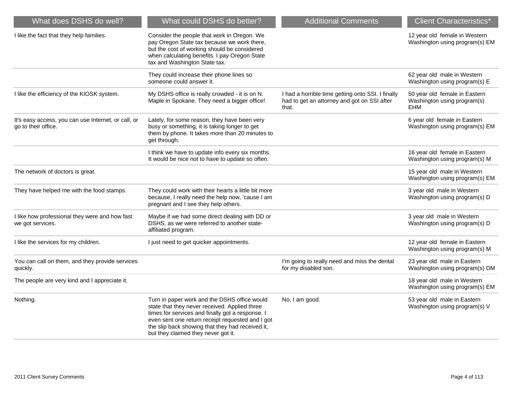| What does DSHS do well?                                                    | What could DSHS do better?                                                                                                                                                                                                                                                                       | <b>Additional Comments</b>                                                                                | <b>Client Characteristics*</b>                                      |
|----------------------------------------------------------------------------|--------------------------------------------------------------------------------------------------------------------------------------------------------------------------------------------------------------------------------------------------------------------------------------------------|-----------------------------------------------------------------------------------------------------------|---------------------------------------------------------------------|
| I like the fact that they help families.                                   | Consider the people that work in Oregon. We<br>pay Oregon State tax because we work there,<br>but the cost of working should be considered<br>when calculating benefits. I pay Oregon State<br>tax and Washington State tax.                                                                     |                                                                                                           | 12 year old female in Western<br>Washington using program(s) EM     |
|                                                                            | They could increase their phone lines so<br>someone could answer it.                                                                                                                                                                                                                             |                                                                                                           | 62 year old male in Western<br>Washington using program(s) E        |
| I like the efficiency of the KIOSK system.                                 | My DSHS office is really crowded - it is on N.<br>Maple in Spokane. They need a bigger office!                                                                                                                                                                                                   | I had a horrible time getting onto SSI. I finally<br>had to get an attorney and got on SSI after<br>that. | 50 year old female in Eastern<br>Washington using program(s)<br>EHM |
| It's easy access, you can use Internet, or call, or<br>go to their office. | Lately, for some reason, they have been very<br>busy or something, it is taking longer to get<br>them by phone. It takes more than 20 minutes to<br>get through.                                                                                                                                 |                                                                                                           | 6 year old female in Eastern<br>Washington using program(s) EM      |
|                                                                            | I think we have to update info every six months.<br>It would be nice not to have to update so often.                                                                                                                                                                                             |                                                                                                           | 16 year old female in Eastern<br>Washington using program(s) M      |
| The network of doctors is great.                                           |                                                                                                                                                                                                                                                                                                  |                                                                                                           | 15 year old male in Western<br>Washington using program(s) EM       |
| They have helped me with the food stamps.                                  | They could work with their hearts a little bit more<br>because, I really need the help now, 'cause I am<br>pregnant and I see they help others.                                                                                                                                                  |                                                                                                           | 3 year old male in Western<br>Washington using program(s) D         |
| I like how professional they were and how fast<br>we got services.         | Maybe if we had some direct dealing with DD or<br>DSHS, as we were referred to another state-<br>affiliated program.                                                                                                                                                                             |                                                                                                           | 3 year old male in Western<br>Washington using program(s) D         |
| I like the services for my children.                                       | I just need to get quicker appointments.                                                                                                                                                                                                                                                         |                                                                                                           | 12 year old female in Eastern<br>Washington using program(s) M      |
| You can call on them, and they provide services<br>quickly.                |                                                                                                                                                                                                                                                                                                  | I'm going to really need and miss the dental<br>for my disabled son.                                      | 23 year old male in Eastern<br>Washington using program(s) DM       |
| The people are very kind and I appreciate it.                              |                                                                                                                                                                                                                                                                                                  |                                                                                                           | 18 year old male in Western<br>Washington using program(s) EM       |
| Nothing.                                                                   | Turn in paper work and the DSHS office would<br>state that they never received. Applied three<br>times for services and finally got a response. I<br>even sent one return receipt requested and I got<br>the slip back showing that they had received it,<br>but they claimed they never got it. | No, I am good.                                                                                            | 53 year old male in Eastern<br>Washington using program(s) V        |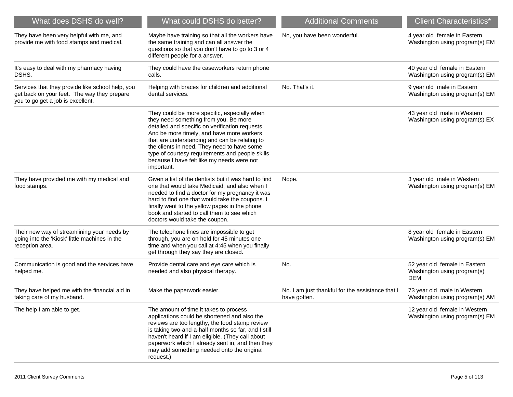| What does DSHS do well?                                                                                                              | What could DSHS do better?                                                                                                                                                                                                                                                                                                                                                                           | <b>Additional Comments</b>                                       | <b>Client Characteristics*</b>                                             |
|--------------------------------------------------------------------------------------------------------------------------------------|------------------------------------------------------------------------------------------------------------------------------------------------------------------------------------------------------------------------------------------------------------------------------------------------------------------------------------------------------------------------------------------------------|------------------------------------------------------------------|----------------------------------------------------------------------------|
| They have been very helpful with me, and<br>provide me with food stamps and medical.                                                 | Maybe have training so that all the workers have<br>the same training and can all answer the<br>questions so that you don't have to go to 3 or 4<br>different people for a answer.                                                                                                                                                                                                                   | No, you have been wonderful.                                     | 4 year old female in Eastern<br>Washington using program(s) EM             |
| It's easy to deal with my pharmacy having<br>DSHS.                                                                                   | They could have the caseworkers return phone<br>calls.                                                                                                                                                                                                                                                                                                                                               |                                                                  | 40 year old female in Eastern<br>Washington using program(s) EM            |
| Services that they provide like school help, you<br>get back on your feet. The way they prepare<br>you to go get a job is excellent. | Helping with braces for children and additional<br>dental services.                                                                                                                                                                                                                                                                                                                                  | No. That's it.                                                   | 9 year old male in Eastern<br>Washington using program(s) EM               |
|                                                                                                                                      | They could be more specific, especially when<br>they need something from you. Be more<br>detailed and specific on verification requests.<br>And be more timely, and have more workers<br>that are understanding and can be relating to<br>the clients in need. They need to have some<br>type of courtesy requirements and people skills<br>because I have felt like my needs were not<br>important. |                                                                  | 43 year old male in Western<br>Washington using program(s) EX              |
| They have provided me with my medical and<br>food stamps.                                                                            | Given a list of the dentists but it was hard to find<br>one that would take Medicaid, and also when I<br>needed to find a doctor for my pregnancy it was<br>hard to find one that would take the coupons. I<br>finally went to the yellow pages in the phone<br>book and started to call them to see which<br>doctors would take the coupon.                                                         | Nope.                                                            | 3 year old male in Western<br>Washington using program(s) EM               |
| Their new way of streamlining your needs by<br>going into the 'Kiosk' little machines in the<br>reception area.                      | The telephone lines are impossible to get<br>through, you are on hold for 45 minutes one<br>time and when you call at 4:45 when you finally<br>get through they say they are closed.                                                                                                                                                                                                                 |                                                                  | 8 year old female in Eastern<br>Washington using program(s) EM             |
| Communication is good and the services have<br>helped me.                                                                            | Provide dental care and eye care which is<br>needed and also physical therapy.                                                                                                                                                                                                                                                                                                                       | No.                                                              | 52 year old female in Eastern<br>Washington using program(s)<br><b>DEM</b> |
| They have helped me with the financial aid in<br>taking care of my husband.                                                          | Make the paperwork easier.                                                                                                                                                                                                                                                                                                                                                                           | No. I am just thankful for the assistance that I<br>have gotten. | 73 year old male in Western<br>Washington using program(s) AM              |
| The help I am able to get.                                                                                                           | The amount of time it takes to process<br>applications could be shortened and also the<br>reviews are too lengthy, the food stamp review<br>is taking two-and-a-half months so far, and I still<br>haven't heard if I am eligible. (They call about<br>paperwork which I already sent in, and then they<br>may add something needed onto the original<br>request.)                                   |                                                                  | 12 year old female in Western<br>Washington using program(s) EM            |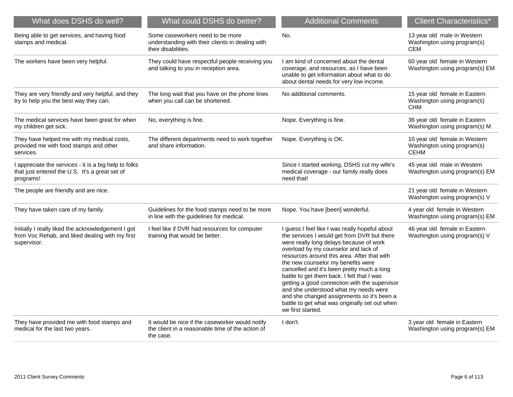| What does DSHS do well?                                                                                              | What could DSHS do better?                                                                                       | <b>Additional Comments</b>                                                                                                                                                                                                                                                                                                                                                                                                                                                                                                                                                       | <b>Client Characteristics*</b>                                              |
|----------------------------------------------------------------------------------------------------------------------|------------------------------------------------------------------------------------------------------------------|----------------------------------------------------------------------------------------------------------------------------------------------------------------------------------------------------------------------------------------------------------------------------------------------------------------------------------------------------------------------------------------------------------------------------------------------------------------------------------------------------------------------------------------------------------------------------------|-----------------------------------------------------------------------------|
| Being able to get services, and having food<br>stamps and medical.                                                   | Some caseworkers need to be more<br>understanding with their clients in dealing with<br>their disabilities.      | No.                                                                                                                                                                                                                                                                                                                                                                                                                                                                                                                                                                              | 13 year old male in Western<br>Washington using program(s)<br><b>CEM</b>    |
| The workers have been very helpful.                                                                                  | They could have respectful people receiving you<br>and talking to you in reception area.                         | I am kind of concerned about the dental<br>coverage, and resources, as I have been<br>unable to get information about what to do<br>about dental needs for very low income.                                                                                                                                                                                                                                                                                                                                                                                                      | 60 year old female in Western<br>Washington using program(s) EM             |
| They are very friendly and very helpful, and they<br>try to help you the best way they can.                          | The long wait that you have on the phone lines<br>when you call can be shortened.                                | No additional comments.                                                                                                                                                                                                                                                                                                                                                                                                                                                                                                                                                          | 15 year old female in Eastern<br>Washington using program(s)<br><b>CHM</b>  |
| The medical services have been great for when<br>my children get sick.                                               | No, everything is fine.                                                                                          | Nope. Everything is fine.                                                                                                                                                                                                                                                                                                                                                                                                                                                                                                                                                        | 36 year old female in Eastern<br>Washington using program(s) M              |
| They have helped me with my medical costs,<br>provided me with food stamps and other<br>services.                    | The different departments need to work together<br>and share information.                                        | Nope. Everything is OK.                                                                                                                                                                                                                                                                                                                                                                                                                                                                                                                                                          | 10 year old female in Western<br>Washington using program(s)<br><b>CEHM</b> |
| I appreciate the services - it is a big help to folks<br>that just entered the U.S. It's a great set of<br>programs! |                                                                                                                  | Since I started working, DSHS cut my wife's<br>medical coverage - our family really does<br>need that!                                                                                                                                                                                                                                                                                                                                                                                                                                                                           | 45 year old male in Western<br>Washington using program(s) EM               |
| The people are friendly and are nice.                                                                                |                                                                                                                  |                                                                                                                                                                                                                                                                                                                                                                                                                                                                                                                                                                                  | 21 year old female in Western<br>Washington using program(s) V              |
| They have taken care of my family.                                                                                   | Guidelines for the food stamps need to be more<br>in line with the guidelines for medical.                       | Nope. You have [been] wonderful.                                                                                                                                                                                                                                                                                                                                                                                                                                                                                                                                                 | 4 year old female in Western<br>Washington using program(s) EM              |
| Initially I really liked the acknowledgement I got<br>from Voc Rehab, and liked dealing with my first<br>supervisor. | I feel like if DVR had resources for computer<br>training that would be better.                                  | I guess I feel like I was really hopeful about<br>the services I would get from DVR but there<br>were really long delays because of work<br>overload by my counselor and lack of<br>resources around this area. After that with<br>the new counselor my benefits were<br>cancelled and it's been pretty much a long<br>battle to get them back. I felt that I was<br>getting a good connection with the supervisor<br>and she understood what my needs were<br>and she changed assignments so it's been a<br>battle to get what was originally set out when<br>we first started. | 46 year old female in Eastern<br>Washington using program(s) V              |
| They have provided me with food stamps and<br>medical for the last two years.                                        | It would be nice if the caseworker would notify<br>the client in a reasonable time of the action of<br>the case. | I don't.                                                                                                                                                                                                                                                                                                                                                                                                                                                                                                                                                                         | 3 year old female in Eastern<br>Washington using program(s) EM              |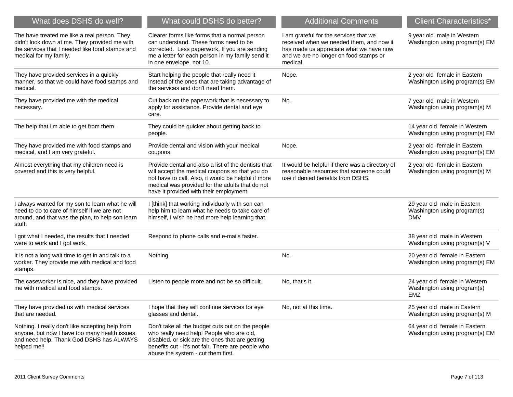| What does DSHS do well?                                                                                                                                                    | What could DSHS do better?                                                                                                                                                                                                                                 | <b>Additional Comments</b>                                                                                                                                                          | <b>Client Characteristics*</b>                                             |
|----------------------------------------------------------------------------------------------------------------------------------------------------------------------------|------------------------------------------------------------------------------------------------------------------------------------------------------------------------------------------------------------------------------------------------------------|-------------------------------------------------------------------------------------------------------------------------------------------------------------------------------------|----------------------------------------------------------------------------|
| The have treated me like a real person. They<br>didn't look down at me. They provided me with<br>the services that I needed like food stamps and<br>medical for my family. | Clearer forms like forms that a normal person<br>can understand. These forms need to be<br>corrected. Less paperwork. If you are sending<br>me a letter for each person in my family send it<br>in one envelope, not 10.                                   | I am grateful for the services that we<br>received when we needed them, and now it<br>has made us appreciate what we have now<br>and we are no longer on food stamps or<br>medical. | 9 year old male in Western<br>Washington using program(s) EM               |
| They have provided services in a quickly<br>manner, so that we could have food stamps and<br>medical.                                                                      | Start helping the people that really need it<br>instead of the ones that are taking advantage of<br>the services and don't need them.                                                                                                                      | Nope.                                                                                                                                                                               | 2 year old female in Eastern<br>Washington using program(s) EM             |
| They have provided me with the medical<br>necessary.                                                                                                                       | Cut back on the paperwork that is necessary to<br>apply for assistance. Provide dental and eye<br>care.                                                                                                                                                    | No.                                                                                                                                                                                 | 7 year old male in Western<br>Washington using program(s) M                |
| The help that I'm able to get from them.                                                                                                                                   | They could be quicker about getting back to<br>people.                                                                                                                                                                                                     |                                                                                                                                                                                     | 14 year old female in Western<br>Washington using program(s) EM            |
| They have provided me with food stamps and<br>medical, and I am very grateful.                                                                                             | Provide dental and vision with your medical<br>coupons.                                                                                                                                                                                                    | Nope.                                                                                                                                                                               | 2 year old female in Eastern<br>Washington using program(s) EM             |
| Almost everything that my children need is<br>covered and this is very helpful.                                                                                            | Provide dental and also a list of the dentists that<br>will accept the medical coupons so that you do<br>not have to call. Also, it would be helpful if more<br>medical was provided for the adults that do not<br>have it provided with their employment. | It would be helpful if there was a directory of<br>reasonable resources that someone could<br>use if denied benefits from DSHS.                                                     | 2 year old female in Eastern<br>Washington using program(s) M              |
| I always wanted for my son to learn what he will<br>need to do to care of himself if we are not<br>around, and that was the plan, to help son learn<br>stuff.              | I [think] that working individually with son can<br>help him to learn what he needs to take care of<br>himself, I wish he had more help learning that.                                                                                                     |                                                                                                                                                                                     | 29 year old male in Eastern<br>Washington using program(s)<br>DMV          |
| I got what I needed, the results that I needed<br>were to work and I got work.                                                                                             | Respond to phone calls and e-mails faster.                                                                                                                                                                                                                 |                                                                                                                                                                                     | 38 year old male in Western<br>Washington using program(s) V               |
| It is not a long wait time to get in and talk to a<br>worker. They provide me with medical and food<br>stamps.                                                             | Nothing.                                                                                                                                                                                                                                                   | No.                                                                                                                                                                                 | 20 year old female in Eastern<br>Washington using program(s) EM            |
| The caseworker is nice, and they have provided<br>me with medical and food stamps.                                                                                         | Listen to people more and not be so difficult.                                                                                                                                                                                                             | No, that's it.                                                                                                                                                                      | 24 year old female in Western<br>Washington using program(s)<br><b>EMZ</b> |
| They have provided us with medical services<br>that are needed.                                                                                                            | I hope that they will continue services for eye<br>glasses and dental.                                                                                                                                                                                     | No, not at this time.                                                                                                                                                               | 25 year old male in Eastern<br>Washington using program(s) M               |
| Nothing. I really don't like accepting help from<br>anyone, but now I have too many health issues<br>and need help. Thank God DSHS has ALWAYS<br>helped me!!               | Don't take all the budget cuts out on the people<br>who really need help! People who are old,<br>disabled, or sick are the ones that are getting<br>benefits cut - it's not fair. There are people who<br>abuse the system - cut them first.               |                                                                                                                                                                                     | 64 year old female in Eastern<br>Washington using program(s) EM            |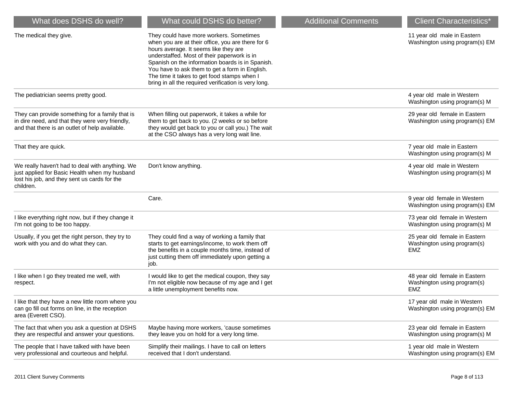| What does DSHS do well?                                                                                                                                       | What could DSHS do better?                                                                                                                                                                                                                                                                                                                                                                        | <b>Additional Comments</b> | <b>Client Characteristics*</b>                                             |
|---------------------------------------------------------------------------------------------------------------------------------------------------------------|---------------------------------------------------------------------------------------------------------------------------------------------------------------------------------------------------------------------------------------------------------------------------------------------------------------------------------------------------------------------------------------------------|----------------------------|----------------------------------------------------------------------------|
| The medical they give.                                                                                                                                        | They could have more workers. Sometimes<br>when you are at their office, you are there for 6<br>hours average. It seems like they are<br>understaffed. Most of their paperwork is in<br>Spanish on the information boards is in Spanish.<br>You have to ask them to get a form in English.<br>The time it takes to get food stamps when I<br>bring in all the required verification is very long. |                            | 11 year old male in Eastern<br>Washington using program(s) EM              |
| The pediatrician seems pretty good.                                                                                                                           |                                                                                                                                                                                                                                                                                                                                                                                                   |                            | 4 year old male in Western<br>Washington using program(s) M                |
| They can provide something for a family that is<br>in dire need, and that they were very friendly,<br>and that there is an outlet of help available.          | When filling out paperwork, it takes a while for<br>them to get back to you. (2 weeks or so before<br>they would get back to you or call you.) The wait<br>at the CSO always has a very long wait line.                                                                                                                                                                                           |                            | 29 year old female in Eastern<br>Washington using program(s) EM            |
| That they are quick.                                                                                                                                          |                                                                                                                                                                                                                                                                                                                                                                                                   |                            | 7 year old male in Eastern<br>Washington using program(s) M                |
| We really haven't had to deal with anything. We<br>just applied for Basic Health when my husband<br>lost his job, and they sent us cards for the<br>children. | Don't know anything.                                                                                                                                                                                                                                                                                                                                                                              |                            | 4 year old male in Western<br>Washington using program(s) M                |
|                                                                                                                                                               | Care.                                                                                                                                                                                                                                                                                                                                                                                             |                            | 9 year old female in Western<br>Washington using program(s) EM             |
| I like everything right now, but if they change it<br>I'm not going to be too happy.                                                                          |                                                                                                                                                                                                                                                                                                                                                                                                   |                            | 73 year old female in Western<br>Washington using program(s) M             |
| Usually, if you get the right person, they try to<br>work with you and do what they can.                                                                      | They could find a way of working a family that<br>starts to get earnings/income, to work them off<br>the benefits in a couple months time, instead of<br>just cutting them off immediately upon getting a<br>job.                                                                                                                                                                                 |                            | 25 year old female in Eastern<br>Washington using program(s)<br><b>EMZ</b> |
| I like when I go they treated me well, with<br>respect.                                                                                                       | I would like to get the medical coupon, they say<br>I'm not eligible now because of my age and I get<br>a little unemployment benefits now.                                                                                                                                                                                                                                                       |                            | 48 year old female in Eastern<br>Washington using program(s)<br><b>EMZ</b> |
| I like that they have a new little room where you<br>can go fill out forms on line, in the reception<br>area (Everett CSO).                                   |                                                                                                                                                                                                                                                                                                                                                                                                   |                            | 17 year old male in Western<br>Washington using program(s) EM              |
| The fact that when you ask a question at DSHS<br>they are respectful and answer your questions.                                                               | Maybe having more workers, 'cause sometimes<br>they leave you on hold for a very long time.                                                                                                                                                                                                                                                                                                       |                            | 23 year old female in Eastern<br>Washington using program(s) M             |
| The people that I have talked with have been<br>very professional and courteous and helpful.                                                                  | Simplify their mailings. I have to call on letters<br>received that I don't understand.                                                                                                                                                                                                                                                                                                           |                            | 1 year old male in Western<br>Washington using program(s) EM               |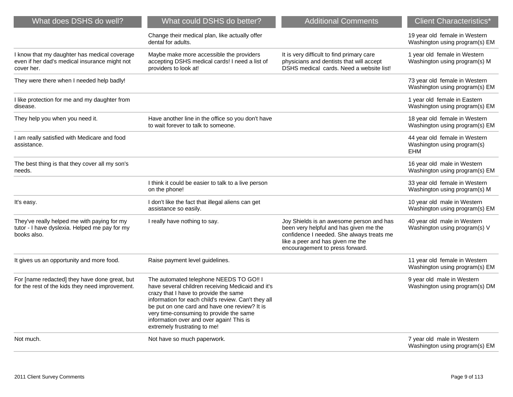| What does DSHS do well?                                                                                     | What could DSHS do better?                                                                                                                                                                                                                                                                                                                                            | <b>Additional Comments</b>                                                                                                                                                                             | <b>Client Characteristics*</b>                                             |
|-------------------------------------------------------------------------------------------------------------|-----------------------------------------------------------------------------------------------------------------------------------------------------------------------------------------------------------------------------------------------------------------------------------------------------------------------------------------------------------------------|--------------------------------------------------------------------------------------------------------------------------------------------------------------------------------------------------------|----------------------------------------------------------------------------|
|                                                                                                             | Change their medical plan, like actually offer<br>dental for adults.                                                                                                                                                                                                                                                                                                  |                                                                                                                                                                                                        | 19 year old female in Western<br>Washington using program(s) EM            |
| I know that my daughter has medical coverage<br>even if her dad's medical insurance might not<br>cover her. | Maybe make more accessible the providers<br>accepting DSHS medical cards! I need a list of<br>providers to look at!                                                                                                                                                                                                                                                   | It is very difficult to find primary care<br>physicians and dentists that will accept<br>DSHS medical cards. Need a website list!                                                                      | 1 year old female in Western<br>Washington using program(s) M              |
| They were there when I needed help badly!                                                                   |                                                                                                                                                                                                                                                                                                                                                                       |                                                                                                                                                                                                        | 73 year old female in Western<br>Washington using program(s) EM            |
| I like protection for me and my daughter from<br>disease.                                                   |                                                                                                                                                                                                                                                                                                                                                                       |                                                                                                                                                                                                        | 1 year old female in Eastern<br>Washington using program(s) EM             |
| They help you when you need it.                                                                             | Have another line in the office so you don't have<br>to wait forever to talk to someone.                                                                                                                                                                                                                                                                              |                                                                                                                                                                                                        | 18 year old female in Western<br>Washington using program(s) EM            |
| I am really satisfied with Medicare and food<br>assistance.                                                 |                                                                                                                                                                                                                                                                                                                                                                       |                                                                                                                                                                                                        | 44 year old female in Western<br>Washington using program(s)<br><b>EHM</b> |
| The best thing is that they cover all my son's<br>needs.                                                    |                                                                                                                                                                                                                                                                                                                                                                       |                                                                                                                                                                                                        | 16 year old male in Western<br>Washington using program(s) EM              |
|                                                                                                             | I think it could be easier to talk to a live person<br>on the phone!                                                                                                                                                                                                                                                                                                  |                                                                                                                                                                                                        | 33 year old female in Western<br>Washington using program(s) M             |
| It's easy.                                                                                                  | I don't like the fact that illegal aliens can get<br>assistance so easily.                                                                                                                                                                                                                                                                                            |                                                                                                                                                                                                        | 10 year old male in Western<br>Washington using program(s) EM              |
| They've really helped me with paying for my<br>tutor - I have dyslexia. Helped me pay for my<br>books also. | I really have nothing to say.                                                                                                                                                                                                                                                                                                                                         | Joy Shields is an awesome person and has<br>been very helpful and has given me the<br>confidence I needed. She always treats me<br>like a peer and has given me the<br>encouragement to press forward. | 40 year old male in Western<br>Washington using program(s) V               |
| It gives us an opportunity and more food.                                                                   | Raise payment level guidelines.                                                                                                                                                                                                                                                                                                                                       |                                                                                                                                                                                                        | 11 year old female in Western<br>Washington using program(s) EM            |
| For [name redacted] they have done great, but<br>for the rest of the kids they need improvement.            | The automated telephone NEEDS TO GO !! I<br>have several children receiving Medicaid and it's<br>crazy that I have to provide the same<br>information for each child's review. Can't they all<br>be put on one card and have one review? It is<br>very time-consuming to provide the same<br>information over and over again! This is<br>extremely frustrating to me! |                                                                                                                                                                                                        | 9 year old male in Western<br>Washington using program(s) DM               |
| Not much.                                                                                                   | Not have so much paperwork.                                                                                                                                                                                                                                                                                                                                           |                                                                                                                                                                                                        | 7 year old male in Western<br>Washington using program(s) EM               |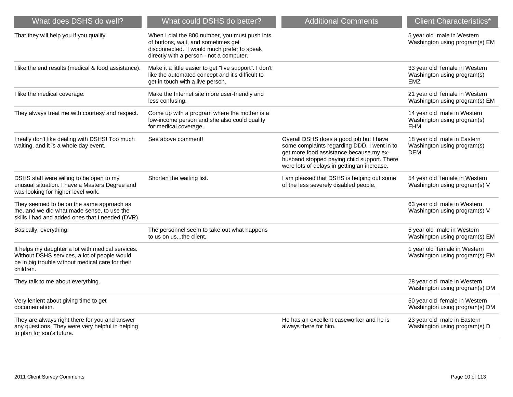| What does DSHS do well?                                                                                                                                            | What could DSHS do better?                                                                                                                                                      | <b>Additional Comments</b>                                                                                                                                                                                                      | <b>Client Characteristics*</b>                                             |
|--------------------------------------------------------------------------------------------------------------------------------------------------------------------|---------------------------------------------------------------------------------------------------------------------------------------------------------------------------------|---------------------------------------------------------------------------------------------------------------------------------------------------------------------------------------------------------------------------------|----------------------------------------------------------------------------|
| That they will help you if you qualify.                                                                                                                            | When I dial the 800 number, you must push lots<br>of buttons, wait, and sometimes get<br>disconnected. I would much prefer to speak<br>directly with a person - not a computer. |                                                                                                                                                                                                                                 | 5 year old male in Western<br>Washington using program(s) EM               |
| I like the end results (medical & food assistance).                                                                                                                | Make it a little easier to get "live support". I don't<br>like the automated concept and it's difficult to<br>get in touch with a live person.                                  |                                                                                                                                                                                                                                 | 33 year old female in Western<br>Washington using program(s)<br><b>EMZ</b> |
| I like the medical coverage.                                                                                                                                       | Make the Internet site more user-friendly and<br>less confusing.                                                                                                                |                                                                                                                                                                                                                                 | 21 year old female in Western<br>Washington using program(s) EM            |
| They always treat me with courtesy and respect.                                                                                                                    | Come up with a program where the mother is a<br>low-income person and she also could qualify<br>for medical coverage.                                                           |                                                                                                                                                                                                                                 | 14 year old male in Western<br>Washington using program(s)<br>EHM          |
| I really don't like dealing with DSHS! Too much<br>waiting, and it is a whole day event.                                                                           | See above comment!                                                                                                                                                              | Overall DSHS does a good job but I have<br>some complaints regarding DDD. I went in to<br>get more food assistance because my ex-<br>husband stopped paying child support. There<br>were lots of delays in getting an increase. | 18 year old male in Eastern<br>Washington using program(s)<br><b>DEM</b>   |
| DSHS staff were willing to be open to my<br>unusual situation. I have a Masters Degree and<br>was looking for higher level work.                                   | Shorten the waiting list.                                                                                                                                                       | I am pleased that DSHS is helping out some<br>of the less severely disabled people.                                                                                                                                             | 54 year old female in Western<br>Washington using program(s) V             |
| They seemed to be on the same approach as<br>me, and we did what made sense, to use the<br>skills I had and added ones that I needed (DVR).                        |                                                                                                                                                                                 |                                                                                                                                                                                                                                 | 63 year old male in Western<br>Washington using program(s) V               |
| Basically, everything!                                                                                                                                             | The personnel seem to take out what happens<br>to us on usthe client.                                                                                                           |                                                                                                                                                                                                                                 | 5 year old male in Western<br>Washington using program(s) EM               |
| It helps my daughter a lot with medical services.<br>Without DSHS services, a lot of people would<br>be in big trouble without medical care for their<br>children. |                                                                                                                                                                                 |                                                                                                                                                                                                                                 | 1 year old female in Western<br>Washington using program(s) EM             |
| They talk to me about everything.                                                                                                                                  |                                                                                                                                                                                 |                                                                                                                                                                                                                                 | 28 year old male in Western<br>Washington using program(s) DM              |
| Very lenient about giving time to get<br>documentation.                                                                                                            |                                                                                                                                                                                 |                                                                                                                                                                                                                                 | 50 year old female in Western<br>Washington using program(s) DM            |
| They are always right there for you and answer<br>any questions. They were very helpful in helping<br>to plan for son's future.                                    |                                                                                                                                                                                 | He has an excellent caseworker and he is<br>always there for him.                                                                                                                                                               | 23 year old male in Eastern<br>Washington using program(s) D               |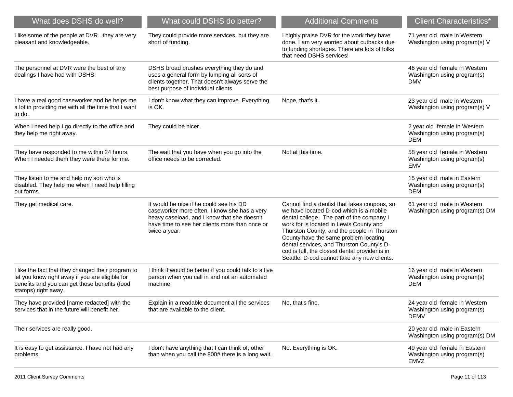| What does DSHS do well?                                                                                                                                                       | What could DSHS do better?                                                                                                                                                                                | <b>Additional Comments</b>                                                                                                                                                                                                                                                                                                                                                                                            | <b>Client Characteristics*</b>                                              |
|-------------------------------------------------------------------------------------------------------------------------------------------------------------------------------|-----------------------------------------------------------------------------------------------------------------------------------------------------------------------------------------------------------|-----------------------------------------------------------------------------------------------------------------------------------------------------------------------------------------------------------------------------------------------------------------------------------------------------------------------------------------------------------------------------------------------------------------------|-----------------------------------------------------------------------------|
| I like some of the people at DVRthey are very<br>pleasant and knowledgeable.                                                                                                  | They could provide more services, but they are<br>short of funding.                                                                                                                                       | I highly praise DVR for the work they have<br>done. I am very worried about cutbacks due<br>to funding shortages. There are lots of folks<br>that need DSHS services!                                                                                                                                                                                                                                                 | 71 year old male in Western<br>Washington using program(s) V                |
| The personnel at DVR were the best of any<br>dealings I have had with DSHS.                                                                                                   | DSHS broad brushes everything they do and<br>uses a general form by lumping all sorts of<br>clients together. That doesn't always serve the<br>best purpose of individual clients.                        |                                                                                                                                                                                                                                                                                                                                                                                                                       | 46 year old female in Western<br>Washington using program(s)<br><b>DMV</b>  |
| I have a real good caseworker and he helps me<br>a lot in providing me with all the time that I want<br>to do.                                                                | I don't know what they can improve. Everything<br>is OK.                                                                                                                                                  | Nope, that's it.                                                                                                                                                                                                                                                                                                                                                                                                      | 23 year old male in Western<br>Washington using program(s) V                |
| When I need help I go directly to the office and<br>they help me right away.                                                                                                  | They could be nicer.                                                                                                                                                                                      |                                                                                                                                                                                                                                                                                                                                                                                                                       | 2 year old female in Western<br>Washington using program(s)<br><b>DEM</b>   |
| They have responded to me within 24 hours.<br>When I needed them they were there for me.                                                                                      | The wait that you have when you go into the<br>office needs to be corrected.                                                                                                                              | Not at this time.                                                                                                                                                                                                                                                                                                                                                                                                     | 58 year old female in Western<br>Washington using program(s)<br><b>EMV</b>  |
| They listen to me and help my son who is<br>disabled. They help me when I need help filling<br>out forms.                                                                     |                                                                                                                                                                                                           |                                                                                                                                                                                                                                                                                                                                                                                                                       | 15 year old male in Eastern<br>Washington using program(s)<br><b>DEM</b>    |
| They get medical care.                                                                                                                                                        | It would be nice if he could see his DD<br>caseworker more often. I know she has a very<br>heavy caseload, and I know that she doesn't<br>have time to see her clients more than once or<br>twice a year. | Cannot find a dentist that takes coupons, so<br>we have located D-cod which is a mobile<br>dental college. The part of the company I<br>work for is located in Lewis County and<br>Thurston County, and the people in Thurston<br>County have the same problem locating<br>dental services, and Thurston County's D-<br>cod is full, the closest dental provider is in<br>Seattle. D-cod cannot take any new clients. | 61 year old male in Western<br>Washington using program(s) DM               |
| I like the fact that they changed their program to<br>let you know right away if you are eligible for<br>benefits and you can get those benefits (food<br>stamps) right away. | I think it would be better if you could talk to a live<br>person when you call in and not an automated<br>machine.                                                                                        |                                                                                                                                                                                                                                                                                                                                                                                                                       | 16 year old male in Western<br>Washington using program(s)<br><b>DEM</b>    |
| They have provided [name redacted] with the<br>services that in the future will benefit her.                                                                                  | Explain in a readable document all the services<br>that are available to the client.                                                                                                                      | No, that's fine.                                                                                                                                                                                                                                                                                                                                                                                                      | 24 year old female in Western<br>Washington using program(s)<br><b>DEMV</b> |
| Their services are really good.                                                                                                                                               |                                                                                                                                                                                                           |                                                                                                                                                                                                                                                                                                                                                                                                                       | 20 year old male in Eastern<br>Washington using program(s) DM               |
| It is easy to get assistance. I have not had any<br>problems.                                                                                                                 | I don't have anything that I can think of, other<br>than when you call the 800# there is a long wait.                                                                                                     | No. Everything is OK.                                                                                                                                                                                                                                                                                                                                                                                                 | 49 year old female in Eastern<br>Washington using program(s)<br><b>EMVZ</b> |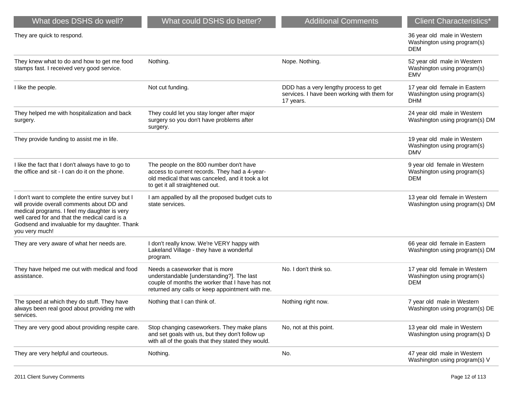| What does DSHS do well?                                                                                                                                                                                                                                            | What could DSHS do better?                                                                                                                                                         | <b>Additional Comments</b>                                                                        | <b>Client Characteristics*</b>                                             |
|--------------------------------------------------------------------------------------------------------------------------------------------------------------------------------------------------------------------------------------------------------------------|------------------------------------------------------------------------------------------------------------------------------------------------------------------------------------|---------------------------------------------------------------------------------------------------|----------------------------------------------------------------------------|
| They are quick to respond.                                                                                                                                                                                                                                         |                                                                                                                                                                                    |                                                                                                   | 36 year old male in Western<br>Washington using program(s)<br><b>DEM</b>   |
| They knew what to do and how to get me food<br>stamps fast. I received very good service.                                                                                                                                                                          | Nothing.                                                                                                                                                                           | Nope. Nothing.                                                                                    | 52 year old male in Western<br>Washington using program(s)<br><b>EMV</b>   |
| I like the people.                                                                                                                                                                                                                                                 | Not cut funding.                                                                                                                                                                   | DDD has a very lengthy process to get<br>services. I have been working with them for<br>17 years. | 17 year old female in Eastern<br>Washington using program(s)<br><b>DHM</b> |
| They helped me with hospitalization and back<br>surgery.                                                                                                                                                                                                           | They could let you stay longer after major<br>surgery so you don't have problems after<br>surgery.                                                                                 |                                                                                                   | 24 year old male in Western<br>Washington using program(s) DM              |
| They provide funding to assist me in life.                                                                                                                                                                                                                         |                                                                                                                                                                                    |                                                                                                   | 19 year old male in Western<br>Washington using program(s)<br><b>DMV</b>   |
| I like the fact that I don't always have to go to<br>the office and sit - I can do it on the phone.                                                                                                                                                                | The people on the 800 number don't have<br>access to current records. They had a 4-year-<br>old medical that was canceled, and it took a lot<br>to get it all straightened out.    |                                                                                                   | 9 year old female in Western<br>Washington using program(s)<br><b>DEM</b>  |
| I don't want to complete the entire survey but I<br>will provide overall comments about DD and<br>medical programs. I feel my daughter is very<br>well cared for and that the medical card is a<br>Godsend and invaluable for my daughter. Thank<br>you very much! | I am appalled by all the proposed budget cuts to<br>state services.                                                                                                                |                                                                                                   | 13 year old female in Western<br>Washington using program(s) DM            |
| They are very aware of what her needs are.                                                                                                                                                                                                                         | I don't really know. We're VERY happy with<br>Lakeland Village - they have a wonderful<br>program.                                                                                 |                                                                                                   | 66 year old female in Eastern<br>Washington using program(s) DM            |
| They have helped me out with medical and food<br>assistance.                                                                                                                                                                                                       | Needs a caseworker that is more<br>understandable [understanding?]. The last<br>couple of months the worker that I have has not<br>returned any calls or keep appointment with me. | No. I don't think so.                                                                             | 17 year old female in Western<br>Washington using program(s)<br><b>DEM</b> |
| The speed at which they do stuff. They have<br>always been real good about providing me with<br>services.                                                                                                                                                          | Nothing that I can think of.                                                                                                                                                       | Nothing right now.                                                                                | 7 year old male in Western<br>Washington using program(s) DE               |
| They are very good about providing respite care.                                                                                                                                                                                                                   | Stop changing caseworkers. They make plans<br>and set goals with us, but they don't follow up<br>with all of the goals that they stated they would.                                | No, not at this point.                                                                            | 13 year old male in Western<br>Washington using program(s) D               |
| They are very helpful and courteous.                                                                                                                                                                                                                               | Nothing.                                                                                                                                                                           | No.                                                                                               | 47 year old male in Western<br>Washington using program(s) V               |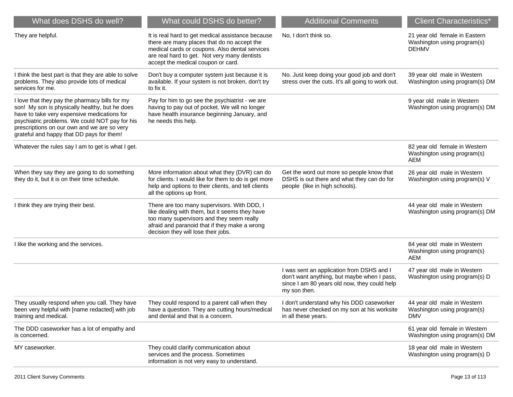| What does DSHS do well?                                                                                                                                                                                                                                                                       | What could DSHS do better?                                                                                                                                                                                                               | <b>Additional Comments</b>                                                                                                                               | <b>Client Characteristics*</b>                                               |
|-----------------------------------------------------------------------------------------------------------------------------------------------------------------------------------------------------------------------------------------------------------------------------------------------|------------------------------------------------------------------------------------------------------------------------------------------------------------------------------------------------------------------------------------------|----------------------------------------------------------------------------------------------------------------------------------------------------------|------------------------------------------------------------------------------|
| They are helpful.                                                                                                                                                                                                                                                                             | It is real hard to get medical assistance because<br>there are many places that do no accept the<br>medical cards or coupons. Also dental services<br>are real hard to get. Not very many dentists<br>accept the medical coupon or card. | No, I don't think so.                                                                                                                                    | 21 year old female in Eastern<br>Washington using program(s)<br><b>DEHMV</b> |
| I think the best part is that they are able to solve<br>problems. They also provide lots of medical<br>services for me.                                                                                                                                                                       | Don't buy a computer system just because it is<br>available. If your system is not broken, don't try<br>to fix it.                                                                                                                       | No. Just keep doing your good job and don't<br>stress over the cuts. It's all going to work out.                                                         | 39 year old male in Western<br>Washington using program(s) DM                |
| I love that they pay the pharmacy bills for my<br>son! My son is physically healthy, but he does<br>have to take very expensive medications for<br>psychiatric problems. We could NOT pay for his<br>prescriptions on our own and we are so very<br>grateful and happy that DD pays for them! | Pay for him to go see the psychiatrist - we are<br>having to pay out of pocket. We will no longer<br>have health insurance beginning January, and<br>he needs this help.                                                                 |                                                                                                                                                          | 9 year old male in Western<br>Washington using program(s) DM                 |
| Whatever the rules say I am to get is what I get.                                                                                                                                                                                                                                             |                                                                                                                                                                                                                                          |                                                                                                                                                          | 82 year old female in Western<br>Washington using program(s)<br>AEM          |
| When they say they are going to do something<br>they do it, but it is on their time schedule.                                                                                                                                                                                                 | More information about what they (DVR) can do<br>for clients. I would like for them to do is get more<br>help and options to their clients, and tell clients<br>all the options up front.                                                | Get the word out more so people know that<br>DSHS is out there and what they can do for<br>people (like in high schools).                                | 26 year old male in Western<br>Washington using program(s) V                 |
| I think they are trying their best.                                                                                                                                                                                                                                                           | There are too many supervisors. With DDD, I<br>like dealing with them, but it seems they have<br>too many supervisors and they seem really<br>afraid and paranoid that if they make a wrong<br>decision they will lose their jobs.       |                                                                                                                                                          | 44 year old male in Western<br>Washington using program(s) DM                |
| I like the working and the services.                                                                                                                                                                                                                                                          |                                                                                                                                                                                                                                          |                                                                                                                                                          | 84 year old male in Western<br>Washington using program(s)<br><b>AEM</b>     |
|                                                                                                                                                                                                                                                                                               |                                                                                                                                                                                                                                          | I was sent an application from DSHS and I<br>don't want anything, but maybe when I pass,<br>since I am 80 years old now, they could help<br>my son then. | 47 year old male in Western<br>Washington using program(s) D                 |
| They usually respond when you call. They have<br>been very helpful with [name redacted] with job<br>training and medical.                                                                                                                                                                     | They could respond to a parent call when they<br>have a question. They are cutting hours/medical<br>and dental and that is a concern.                                                                                                    | I don't understand why his DDD caseworker<br>has never checked on my son at his worksite<br>in all these years.                                          | 44 year old male in Western<br>Washington using program(s)<br><b>DMV</b>     |
| The DDD caseworker has a lot of empathy and<br>is concerned.                                                                                                                                                                                                                                  |                                                                                                                                                                                                                                          |                                                                                                                                                          | 61 year old female in Western<br>Washington using program(s) DM              |
| MY caseworker.                                                                                                                                                                                                                                                                                | They could clarify communication about<br>services and the process. Sometimes<br>information is not very easy to understand.                                                                                                             |                                                                                                                                                          | 18 year old male in Western<br>Washington using program(s) D                 |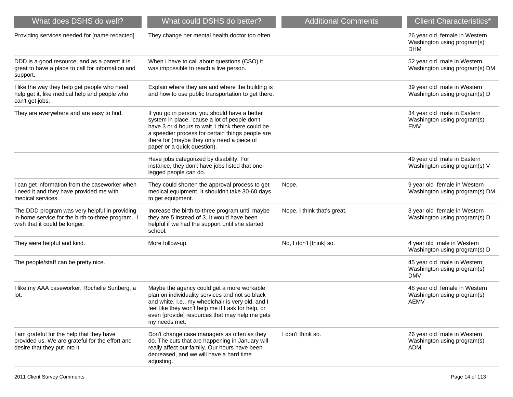| What does DSHS do well?                                                                                                             | What could DSHS do better?                                                                                                                                                                                                                                                           | <b>Additional Comments</b>  | <b>Client Characteristics*</b>                                              |
|-------------------------------------------------------------------------------------------------------------------------------------|--------------------------------------------------------------------------------------------------------------------------------------------------------------------------------------------------------------------------------------------------------------------------------------|-----------------------------|-----------------------------------------------------------------------------|
| Providing services needed for [name redacted].                                                                                      | They change her mental health doctor too often.                                                                                                                                                                                                                                      |                             | 26 year old female in Western<br>Washington using program(s)<br><b>DHM</b>  |
| DDD is a good resource, and as a parent it is<br>great to have a place to call for information and<br>support.                      | When I have to call about questions (CSO) it<br>was impossible to reach a live person.                                                                                                                                                                                               |                             | 52 year old male in Western<br>Washington using program(s) DM               |
| I like the way they help get people who need<br>help get it, like medical help and people who<br>can't get jobs.                    | Explain where they are and where the building is<br>and how to use public transportation to get there.                                                                                                                                                                               |                             | 39 year old male in Western<br>Washington using program(s) D                |
| They are everywhere and are easy to find.                                                                                           | If you go in person, you should have a better<br>system in place, 'cause a lot of people don't<br>have 3 or 4 hours to wait. I think there could be<br>a speedier process for certain things people are<br>there for (maybe they only need a piece of<br>paper or a quick question). |                             | 34 year old male in Eastern<br>Washington using program(s)<br><b>EMV</b>    |
|                                                                                                                                     | Have jobs categorized by disability. For<br>instance, they don't have jobs listed that one-<br>legged people can do.                                                                                                                                                                 |                             | 49 year old male in Eastern<br>Washington using program(s) V                |
| I can get information from the caseworker when<br>I need it and they have provided me with<br>medical services.                     | They could shorten the approval process to get<br>medical equipment. It shouldn't take 30-60 days<br>to get equipment.                                                                                                                                                               | Nope.                       | 9 year old female in Western<br>Washington using program(s) DM              |
| The DDD program was very helpful in providing<br>in-home service for the birth-to-three program. I<br>wish that it could be longer. | Increase the birth-to-three program until maybe<br>they are 5 instead of 3. It would have been<br>helpful if we had the support until she started<br>school.                                                                                                                         | Nope. I think that's great. | 3 year old female in Western<br>Washington using program(s) D               |
| They were helpful and kind.                                                                                                         | More follow-up.                                                                                                                                                                                                                                                                      | No, I don't [think] so.     | 4 year old male in Western<br>Washington using program(s) D                 |
| The people/staff can be pretty nice.                                                                                                |                                                                                                                                                                                                                                                                                      |                             | 45 year old male in Western<br>Washington using program(s)<br><b>DMV</b>    |
| I like my AAA caseworker, Rochelle Sunberg, a<br>lot.                                                                               | Maybe the agency could get a more workable<br>plan on individuality services and not so black<br>and white. I.e., my wheelchair is very old, and I<br>feel like they won't help me if I ask for help, or<br>even [provide] resources that may help me gets<br>my needs met.          |                             | 48 year old female in Western<br>Washington using program(s)<br><b>AEMV</b> |
| I am grateful for the help that they have<br>provided us. We are grateful for the effort and<br>desire that they put into it.       | Don't change case managers as often as they<br>do. The cuts that are happening in January will<br>really affect our family. Our hours have been<br>decreased, and we will have a hard time<br>adjusting.                                                                             | I don't think so.           | 26 year old male in Western<br>Washington using program(s)<br>ADM           |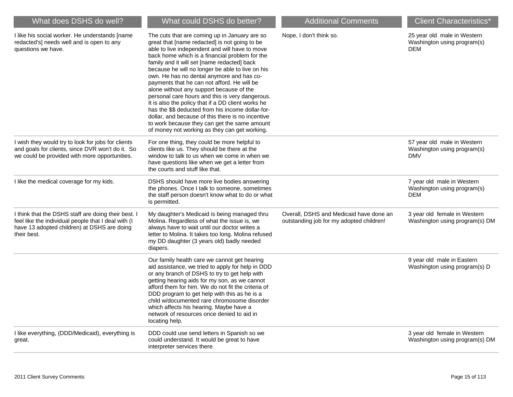| What does DSHS do well?                                                                                                                                                  | What could DSHS do better?                                                                                                                                                                                                                                                                                                                                                                                                                                                                                                                                                                                                                                                                                                                                        | <b>Additional Comments</b>                                                          | <b>Client Characteristics*</b>                                           |
|--------------------------------------------------------------------------------------------------------------------------------------------------------------------------|-------------------------------------------------------------------------------------------------------------------------------------------------------------------------------------------------------------------------------------------------------------------------------------------------------------------------------------------------------------------------------------------------------------------------------------------------------------------------------------------------------------------------------------------------------------------------------------------------------------------------------------------------------------------------------------------------------------------------------------------------------------------|-------------------------------------------------------------------------------------|--------------------------------------------------------------------------|
| I like his social worker. He understands [name<br>redacted's] needs well and is open to any<br>questions we have.                                                        | The cuts that are coming up in January are so<br>great that [name redacted] is not going to be<br>able to live independent and will have to move<br>back home which is a financial problem for the<br>family and it will set [name redacted] back<br>because he will no longer be able to live on his<br>own. He has no dental anymore and has co-<br>payments that he can not afford. He will be<br>alone without any support because of the<br>personal care hours and this is very dangerous.<br>It is also the policy that if a DD client works he<br>has the \$\$ deducted from his income dollar-for-<br>dollar, and because of this there is no incentive<br>to work because they can get the same amount<br>of money not working as they can get working. | Nope, I don't think so.                                                             | 25 year old male in Western<br>Washington using program(s)<br><b>DEM</b> |
| I wish they would try to look for jobs for clients<br>and goals for clients, since DVR won't do it. So<br>we could be provided with more opportunities.                  | For one thing, they could be more helpful to<br>clients like us. They should be there at the<br>window to talk to us when we come in when we<br>have questions like when we get a letter from<br>the courts and stuff like that.                                                                                                                                                                                                                                                                                                                                                                                                                                                                                                                                  |                                                                                     | 57 year old male in Western<br>Washington using program(s)<br><b>DMV</b> |
| I like the medical coverage for my kids.                                                                                                                                 | DSHS should have more live bodies answering<br>the phones. Once I talk to someone, sometimes<br>the staff person doesn't know what to do or what<br>is permitted.                                                                                                                                                                                                                                                                                                                                                                                                                                                                                                                                                                                                 |                                                                                     | 7 year old male in Western<br>Washington using program(s)<br><b>DEM</b>  |
| I think that the DSHS staff are doing their best. I<br>feel like the individual people that I deal with (I<br>have 13 adopted children) at DSHS are doing<br>their best. | My daughter's Medicaid is being managed thru<br>Molina. Regardless of what the issue is, we<br>always have to wait until our doctor writes a<br>letter to Molina. It takes too long. Molina refused<br>my DD daughter (3 years old) badly needed<br>diapers.                                                                                                                                                                                                                                                                                                                                                                                                                                                                                                      | Overall, DSHS and Medicaid have done an<br>outstanding job for my adopted children! | 3 year old female in Western<br>Washington using program(s) DM           |
|                                                                                                                                                                          | Our family health care we cannot get hearing<br>aid assistance, we tried to apply for help in DDD<br>or any branch of DSHS to try to get help with<br>getting hearing aids for my son, as we cannot<br>afford them for him. We do not fit the criteria of<br>DDD program to get help with this as he is a<br>child w/documented rare chromosome disorder<br>which affects his hearing. Maybe have a<br>network of resources once denied to aid in<br>locating help.                                                                                                                                                                                                                                                                                               |                                                                                     | 9 year old male in Eastern<br>Washington using program(s) D              |
| I like everything, (DDD/Medicaid), everything is<br>great.                                                                                                               | DDD could use send letters in Spanish so we<br>could understand. It would be great to have<br>interpreter services there.                                                                                                                                                                                                                                                                                                                                                                                                                                                                                                                                                                                                                                         |                                                                                     | 3 year old female in Western<br>Washington using program(s) DM           |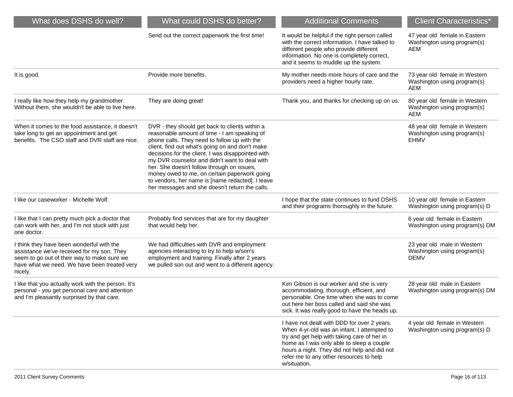| What does DSHS do well?                                                                                                                                                                           | What could DSHS do better?                                                                                                                                                                                                                                                                                                                                                                                                                                                                                  | <b>Additional Comments</b>                                                                                                                                                                                                                                                                        | <b>Client Characteristics*</b>                                              |
|---------------------------------------------------------------------------------------------------------------------------------------------------------------------------------------------------|-------------------------------------------------------------------------------------------------------------------------------------------------------------------------------------------------------------------------------------------------------------------------------------------------------------------------------------------------------------------------------------------------------------------------------------------------------------------------------------------------------------|---------------------------------------------------------------------------------------------------------------------------------------------------------------------------------------------------------------------------------------------------------------------------------------------------|-----------------------------------------------------------------------------|
|                                                                                                                                                                                                   | Send out the correct paperwork the first time!                                                                                                                                                                                                                                                                                                                                                                                                                                                              | It would be helpful if the right person called<br>with the correct information. I have talked to<br>different people who provide different<br>information. No one is completely correct,<br>and it seems to muddle up the system.                                                                 | 47 year old female in Eastern<br>Washington using program(s)<br>AEM         |
| It is good.                                                                                                                                                                                       | Provide more benefits.                                                                                                                                                                                                                                                                                                                                                                                                                                                                                      | My mother needs more hours of care and the<br>providers need a higher hourly rate.                                                                                                                                                                                                                | 73 year old female in Western<br>Washington using program(s)<br>AEM         |
| I really like how they help my grandmother.<br>Without them, she wouldn't be able to live here.                                                                                                   | They are doing great!                                                                                                                                                                                                                                                                                                                                                                                                                                                                                       | Thank you, and thanks for checking up on us.                                                                                                                                                                                                                                                      | 80 year old female in Western<br>Washington using program(s)<br>AEM         |
| When it comes to the food assistance, it doesn't<br>take long to get an appointment and get<br>benefits. The CSO staff and DVR staff are nice.                                                    | DVR - they should get back to clients within a<br>reasonable amount of time - I am speaking of<br>phone calls. They need to follow up with the<br>client, find out what's going on and don't make<br>decisions for the client. I was disappointed with<br>my DVR counselor and didn't want to deal with<br>her. She doesn't follow through on issues,<br>money owed to me, on certain paperwork going<br>to vendors, her name is [name redacted]. I leave<br>her messages and she doesn't return the calls. |                                                                                                                                                                                                                                                                                                   | 48 year old female in Western<br>Washington using program(s)<br><b>EHMV</b> |
| I like our caseworker - Michelle Wolf.                                                                                                                                                            |                                                                                                                                                                                                                                                                                                                                                                                                                                                                                                             | I hope that the state continues to fund DSHS<br>and their programs thoroughly in the future.                                                                                                                                                                                                      | 10 year old female in Eastern<br>Washington using program(s) D              |
| I like that I can pretty much pick a doctor that<br>can work with her, and I'm not stuck with just<br>one doctor.                                                                                 | Probably find services that are for my daughter<br>that would help her.                                                                                                                                                                                                                                                                                                                                                                                                                                     |                                                                                                                                                                                                                                                                                                   | 6 year old female in Eastern<br>Washington using program(s) DM              |
| I think they have been wonderful with the<br>assistance we've received for my son. They<br>seem to go out of their way to make sure we<br>have what we need. We have been treated very<br>nicely. | We had difficulties with DVR and employment<br>agencies interacting to try to help w/son's<br>employment and training. Finally after 2 years<br>we pulled son out and went to a different agency.                                                                                                                                                                                                                                                                                                           |                                                                                                                                                                                                                                                                                                   | 23 year old male in Western<br>Washington using program(s)<br><b>DEMV</b>   |
| I like that you actually work with the person. It's<br>personal - you get personal care and attention<br>and I'm pleasantly surprised by that care.                                               |                                                                                                                                                                                                                                                                                                                                                                                                                                                                                                             | Kim Gibson is our worker and she is very<br>accommodating, thorough, efficient, and<br>personable. One time when she was to come<br>out here her boss called and said she was<br>sick. It was really good to have the heads up.                                                                   | 28 year old male in Eastern<br>Washington using program(s) DM               |
|                                                                                                                                                                                                   |                                                                                                                                                                                                                                                                                                                                                                                                                                                                                                             | I have not dealt with DDD for over 2 years.<br>When 4-yr-old was an infant, I attempted to<br>try and get help with taking care of her in<br>home as I was only able to sleep a couple<br>hours a night. They did not help and did not<br>refer me to any other resources to help<br>w/situation. | 4 year old female in Western<br>Washington using program(s) D               |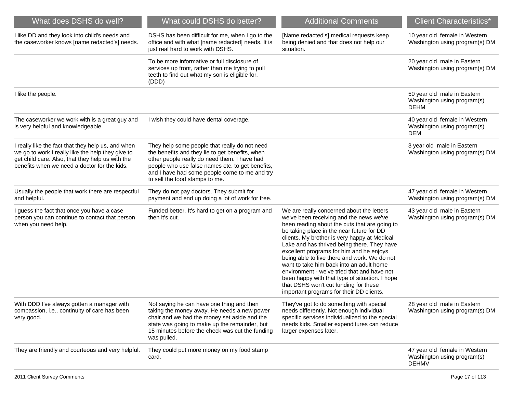| What does DSHS do well?                                                                                                                                                                                     | What could DSHS do better?                                                                                                                                                                                                                                                              | <b>Additional Comments</b>                                                                                                                                                                                                                                                                                                                                                                                                                                                                                                                                                                                      | <b>Client Characteristics*</b>                                               |
|-------------------------------------------------------------------------------------------------------------------------------------------------------------------------------------------------------------|-----------------------------------------------------------------------------------------------------------------------------------------------------------------------------------------------------------------------------------------------------------------------------------------|-----------------------------------------------------------------------------------------------------------------------------------------------------------------------------------------------------------------------------------------------------------------------------------------------------------------------------------------------------------------------------------------------------------------------------------------------------------------------------------------------------------------------------------------------------------------------------------------------------------------|------------------------------------------------------------------------------|
| I like DD and they look into child's needs and<br>the caseworker knows [name redacted's] needs.                                                                                                             | DSHS has been difficult for me, when I go to the<br>office and with what [name redacted] needs. It is<br>just real hard to work with DSHS.                                                                                                                                              | [Name redacted's] medical requests keep<br>being denied and that does not help our<br>situation.                                                                                                                                                                                                                                                                                                                                                                                                                                                                                                                | 10 year old female in Western<br>Washington using program(s) DM              |
|                                                                                                                                                                                                             | To be more informative or full disclosure of<br>services up front, rather than me trying to pull<br>teeth to find out what my son is eligible for.<br>(DDD)                                                                                                                             |                                                                                                                                                                                                                                                                                                                                                                                                                                                                                                                                                                                                                 | 20 year old male in Eastern<br>Washington using program(s) DM                |
| I like the people.                                                                                                                                                                                          |                                                                                                                                                                                                                                                                                         |                                                                                                                                                                                                                                                                                                                                                                                                                                                                                                                                                                                                                 | 50 year old male in Eastern<br>Washington using program(s)<br><b>DEHM</b>    |
| The caseworker we work with is a great guy and<br>is very helpful and knowledgeable.                                                                                                                        | I wish they could have dental coverage.                                                                                                                                                                                                                                                 |                                                                                                                                                                                                                                                                                                                                                                                                                                                                                                                                                                                                                 | 40 year old female in Western<br>Washington using program(s)<br><b>DEM</b>   |
| I really like the fact that they help us, and when<br>we go to work I really like the help they give to<br>get child care. Also, that they help us with the<br>benefits when we need a doctor for the kids. | They help some people that really do not need<br>the benefits and they lie to get benefits, when<br>other people really do need them. I have had<br>people who use false names etc. to get benefits,<br>and I have had some people come to me and try<br>to sell the food stamps to me. |                                                                                                                                                                                                                                                                                                                                                                                                                                                                                                                                                                                                                 | 3 year old male in Eastern<br>Washington using program(s) DM                 |
| Usually the people that work there are respectful<br>and helpful.                                                                                                                                           | They do not pay doctors. They submit for<br>payment and end up doing a lot of work for free.                                                                                                                                                                                            |                                                                                                                                                                                                                                                                                                                                                                                                                                                                                                                                                                                                                 | 47 year old female in Western<br>Washington using program(s) DM              |
| I guess the fact that once you have a case<br>person you can continue to contact that person<br>when you need help.                                                                                         | Funded better. It's hard to get on a program and<br>then it's cut.                                                                                                                                                                                                                      | We are really concerned about the letters<br>we've been receiving and the news we've<br>been reading about the cuts that are going to<br>be taking place in the near future for DD<br>clients. My brother is very happy at Medical<br>Lake and has thrived being there. They have<br>excellent programs for him and he enjoys<br>being able to live there and work. We do not<br>want to take him back into an adult home<br>environment - we've tried that and have not<br>been happy with that type of situation. I hope<br>that DSHS won't cut funding for these<br>important programs for their DD clients. | 43 year old male in Eastern<br>Washington using program(s) DM                |
| With DDD I've always gotten a manager with<br>compassion, i.e., continuity of care has been<br>very good.                                                                                                   | Not saying he can have one thing and then<br>taking the money away. He needs a new power<br>chair and we had the money set aside and the<br>state was going to make up the remainder, but<br>15 minutes before the check was cut the funding<br>was pulled.                             | They've got to do something with special<br>needs differently. Not enough individual<br>specific services individualized to the special<br>needs kids. Smaller expenditures can reduce<br>larger expenses later.                                                                                                                                                                                                                                                                                                                                                                                                | 28 year old male in Eastern<br>Washington using program(s) DM                |
| They are friendly and courteous and very helpful.                                                                                                                                                           | They could put more money on my food stamp<br>card.                                                                                                                                                                                                                                     |                                                                                                                                                                                                                                                                                                                                                                                                                                                                                                                                                                                                                 | 47 year old female in Western<br>Washington using program(s)<br><b>DEHMV</b> |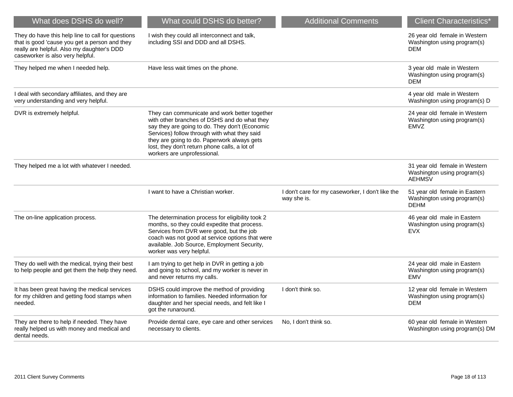| What does DSHS do well?                                                                                                                                                              | What could DSHS do better?                                                                                                                                                                                                                                                                                                     | <b>Additional Comments</b>                                      | <b>Client Characteristics*</b>                                                |
|--------------------------------------------------------------------------------------------------------------------------------------------------------------------------------------|--------------------------------------------------------------------------------------------------------------------------------------------------------------------------------------------------------------------------------------------------------------------------------------------------------------------------------|-----------------------------------------------------------------|-------------------------------------------------------------------------------|
| They do have this help line to call for questions<br>that is good 'cause you get a person and they<br>really are helpful. Also my daughter's DDD<br>caseworker is also very helpful. | I wish they could all interconnect and talk,<br>including SSI and DDD and all DSHS.                                                                                                                                                                                                                                            |                                                                 | 26 year old female in Western<br>Washington using program(s)<br><b>DEM</b>    |
| They helped me when I needed help.                                                                                                                                                   | Have less wait times on the phone.                                                                                                                                                                                                                                                                                             |                                                                 | 3 year old male in Western<br>Washington using program(s)<br><b>DEM</b>       |
| I deal with secondary affiliates, and they are<br>very understanding and very helpful.                                                                                               |                                                                                                                                                                                                                                                                                                                                |                                                                 | 4 year old male in Western<br>Washington using program(s) D                   |
| DVR is extremely helpful.                                                                                                                                                            | They can communicate and work better together<br>with other branches of DSHS and do what they<br>say they are going to do. They don't (Economic<br>Services) follow through with what they said<br>they are going to do. Paperwork always gets<br>lost, they don't return phone calls, a lot of<br>workers are unprofessional. |                                                                 | 24 year old female in Western<br>Washington using program(s)<br><b>EMVZ</b>   |
| They helped me a lot with whatever I needed.                                                                                                                                         |                                                                                                                                                                                                                                                                                                                                |                                                                 | 31 year old female in Western<br>Washington using program(s)<br><b>AEHMSV</b> |
|                                                                                                                                                                                      | I want to have a Christian worker.                                                                                                                                                                                                                                                                                             | I don't care for my caseworker, I don't like the<br>way she is. | 51 year old female in Eastern<br>Washington using program(s)<br><b>DEHM</b>   |
| The on-line application process.                                                                                                                                                     | The determination process for eligibility took 2<br>months, so they could expedite that process.<br>Services from DVR were good, but the job<br>coach was not good at service options that were<br>available. Job Source, Employment Security,<br>worker was very helpful.                                                     |                                                                 | 46 year old male in Eastern<br>Washington using program(s)<br><b>EVX</b>      |
| They do well with the medical, trying their best<br>to help people and get them the help they need.                                                                                  | I am trying to get help in DVR in getting a job<br>and going to school, and my worker is never in<br>and never returns my calls.                                                                                                                                                                                               |                                                                 | 24 year old male in Eastern<br>Washington using program(s)<br><b>EMV</b>      |
| It has been great having the medical services<br>for my children and getting food stamps when<br>needed.                                                                             | DSHS could improve the method of providing<br>information to families. Needed information for<br>daughter and her special needs, and felt like I<br>got the runaround.                                                                                                                                                         | I don't think so.                                               | 12 year old female in Western<br>Washington using program(s)<br><b>DEM</b>    |
| They are there to help if needed. They have<br>really helped us with money and medical and<br>dental needs.                                                                          | Provide dental care, eye care and other services<br>necessary to clients.                                                                                                                                                                                                                                                      | No, I don't think so.                                           | 60 year old female in Western<br>Washington using program(s) DM               |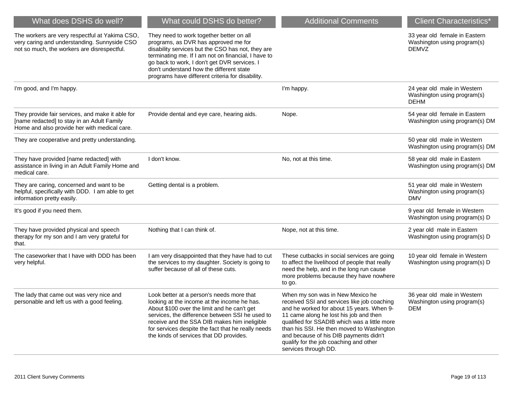| What does DSHS do well?                                                                                                                        | What could DSHS do better?                                                                                                                                                                                                                                                                                                                   | <b>Additional Comments</b>                                                                                                                                                                                                                                                                                                                                                      | <b>Client Characteristics*</b>                                               |
|------------------------------------------------------------------------------------------------------------------------------------------------|----------------------------------------------------------------------------------------------------------------------------------------------------------------------------------------------------------------------------------------------------------------------------------------------------------------------------------------------|---------------------------------------------------------------------------------------------------------------------------------------------------------------------------------------------------------------------------------------------------------------------------------------------------------------------------------------------------------------------------------|------------------------------------------------------------------------------|
| The workers are very respectful at Yakima CSO,<br>very caring and understanding. Sunnyside CSO<br>not so much, the workers are disrespectful.  | They need to work together better on all<br>programs, as DVR has approved me for<br>disability services but the CSO has not, they are<br>terminating me. If I am not on financial, I have to<br>go back to work, I don't get DVR services. I<br>don't understand how the different state<br>programs have different criteria for disability. |                                                                                                                                                                                                                                                                                                                                                                                 | 33 year old female in Eastern<br>Washington using program(s)<br><b>DEMVZ</b> |
| I'm good, and I'm happy.                                                                                                                       |                                                                                                                                                                                                                                                                                                                                              | I'm happy.                                                                                                                                                                                                                                                                                                                                                                      | 24 year old male in Western<br>Washington using program(s)<br><b>DEHM</b>    |
| They provide fair services, and make it able for<br>[name redacted] to stay in an Adult Family<br>Home and also provide her with medical care. | Provide dental and eye care, hearing aids.                                                                                                                                                                                                                                                                                                   | Nope.                                                                                                                                                                                                                                                                                                                                                                           | 54 year old female in Eastern<br>Washington using program(s) DM              |
| They are cooperative and pretty understanding.                                                                                                 |                                                                                                                                                                                                                                                                                                                                              |                                                                                                                                                                                                                                                                                                                                                                                 | 50 year old male in Western<br>Washington using program(s) DM                |
| They have provided [name redacted] with<br>assistance in living in an Adult Family Home and<br>medical care.                                   | I don't know.                                                                                                                                                                                                                                                                                                                                | No, not at this time.                                                                                                                                                                                                                                                                                                                                                           | 58 year old male in Eastern<br>Washington using program(s) DM                |
| They are caring, concerned and want to be<br>helpful, specifically with DDD. I am able to get<br>information pretty easily.                    | Getting dental is a problem.                                                                                                                                                                                                                                                                                                                 |                                                                                                                                                                                                                                                                                                                                                                                 | 51 year old male in Western<br>Washington using program(s)<br><b>DMV</b>     |
| It's good if you need them.                                                                                                                    |                                                                                                                                                                                                                                                                                                                                              |                                                                                                                                                                                                                                                                                                                                                                                 | 9 year old female in Western<br>Washington using program(s) D                |
| They have provided physical and speech<br>therapy for my son and I am very grateful for<br>that.                                               | Nothing that I can think of.                                                                                                                                                                                                                                                                                                                 | Nope, not at this time.                                                                                                                                                                                                                                                                                                                                                         | 2 year old male in Eastern<br>Washington using program(s) D                  |
| The caseworker that I have with DDD has been<br>very helpful.                                                                                  | I am very disappointed that they have had to cut<br>the services to my daughter. Society is going to<br>suffer because of all of these cuts.                                                                                                                                                                                                 | These cutbacks in social services are going<br>to affect the livelihood of people that really<br>need the help, and in the long run cause<br>more problems because they have nowhere<br>to go.                                                                                                                                                                                  | 10 year old female in Western<br>Washington using program(s) D               |
| The lady that came out was very nice and<br>personable and left us with a good feeling.                                                        | Look better at a person's needs more that<br>looking at the income at the income he has.<br>About \$100 over the limit and he can't get<br>services, the difference between SSI he used to<br>receive and the SSA DIB makes him ineligible<br>for services despite the fact that he really needs<br>the kinds of services that DD provides.  | When my son was in New Mexico he<br>received SSI and services like job coaching<br>and he worked for about 15 years. When 9-<br>11 came along he lost his job and then<br>qualified for SSADIB which was a little more<br>than his SSI. He then moved to Washington<br>and because of his DIB payments didn't<br>qualify for the job coaching and other<br>services through DD. | 36 year old male in Western<br>Washington using program(s)<br><b>DEM</b>     |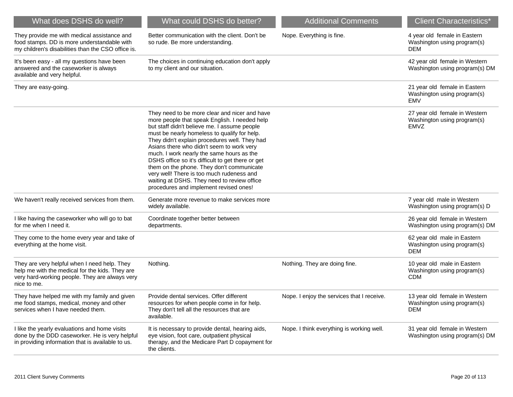| What does DSHS do well?                                                                                                                                          | What could DSHS do better?                                                                                                                                                                                                                                                                                                                                                                                                                                                                                                                                                        | <b>Additional Comments</b>                 | <b>Client Characteristics*</b>                                              |
|------------------------------------------------------------------------------------------------------------------------------------------------------------------|-----------------------------------------------------------------------------------------------------------------------------------------------------------------------------------------------------------------------------------------------------------------------------------------------------------------------------------------------------------------------------------------------------------------------------------------------------------------------------------------------------------------------------------------------------------------------------------|--------------------------------------------|-----------------------------------------------------------------------------|
| They provide me with medical assistance and<br>food stamps. DD is more understandable with<br>my children's disabilities than the CSO office is.                 | Better communication with the client. Don't be<br>so rude. Be more understanding.                                                                                                                                                                                                                                                                                                                                                                                                                                                                                                 | Nope. Everything is fine.                  | 4 year old female in Eastern<br>Washington using program(s)<br><b>DEM</b>   |
| It's been easy - all my questions have been<br>answered and the caseworker is always<br>available and very helpful.                                              | The choices in continuing education don't apply<br>to my client and our situation.                                                                                                                                                                                                                                                                                                                                                                                                                                                                                                |                                            | 42 year old female in Western<br>Washington using program(s) DM             |
| They are easy-going.                                                                                                                                             |                                                                                                                                                                                                                                                                                                                                                                                                                                                                                                                                                                                   |                                            | 21 year old female in Eastern<br>Washington using program(s)<br><b>EMV</b>  |
|                                                                                                                                                                  | They need to be more clear and nicer and have<br>more people that speak English. I needed help<br>but staff didn't believe me. I assume people<br>must be nearly homeless to qualify for help.<br>They didn't explain procedures well. They had<br>Asians there who didn't seem to work very<br>much. I work nearly the same hours as the<br>DSHS office so it's difficult to get there or get<br>them on the phone. They don't communicate<br>very well! There is too much rudeness and<br>waiting at DSHS. They need to review office<br>procedures and implement revised ones! |                                            | 27 year old female in Western<br>Washington using program(s)<br><b>EMVZ</b> |
| We haven't really received services from them.                                                                                                                   | Generate more revenue to make services more<br>widely available.                                                                                                                                                                                                                                                                                                                                                                                                                                                                                                                  |                                            | 7 year old male in Western<br>Washington using program(s) D                 |
| I like having the caseworker who will go to bat<br>for me when I need it.                                                                                        | Coordinate together better between<br>departments.                                                                                                                                                                                                                                                                                                                                                                                                                                                                                                                                |                                            | 26 year old female in Western<br>Washington using program(s) DM             |
| They come to the home every year and take of<br>everything at the home visit.                                                                                    |                                                                                                                                                                                                                                                                                                                                                                                                                                                                                                                                                                                   |                                            | 62 year old male in Eastern<br>Washington using program(s)<br><b>DEM</b>    |
| They are very helpful when I need help. They<br>help me with the medical for the kids. They are<br>very hard-working people. They are always very<br>nice to me. | Nothing.                                                                                                                                                                                                                                                                                                                                                                                                                                                                                                                                                                          | Nothing. They are doing fine.              | 10 year old male in Eastern<br>Washington using program(s)<br><b>CDM</b>    |
| They have helped me with my family and given<br>me food stamps, medical, money and other<br>services when I have needed them.                                    | Provide dental services. Offer different<br>resources for when people come in for help.<br>They don't tell all the resources that are<br>available.                                                                                                                                                                                                                                                                                                                                                                                                                               | Nope. I enjoy the services that I receive. | 13 year old female in Western<br>Washington using program(s)<br><b>DEM</b>  |
| I like the yearly evaluations and home visits<br>done by the DDD caseworker. He is very helpful<br>in providing information that is available to us.             | It is necessary to provide dental, hearing aids,<br>eye vision, foot care, outpatient physical<br>therapy, and the Medicare Part D copayment for<br>the clients.                                                                                                                                                                                                                                                                                                                                                                                                                  | Nope. I think everything is working well.  | 31 year old female in Western<br>Washington using program(s) DM             |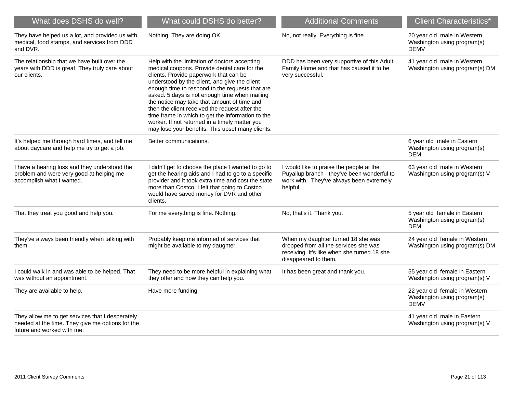| What does DSHS do well?                                                                                                            | What could DSHS do better?                                                                                                                                                                                                                                                                                                                                                                                                                                                                                                                               | <b>Additional Comments</b>                                                                                                                         | <b>Client Characteristics*</b>                                              |
|------------------------------------------------------------------------------------------------------------------------------------|----------------------------------------------------------------------------------------------------------------------------------------------------------------------------------------------------------------------------------------------------------------------------------------------------------------------------------------------------------------------------------------------------------------------------------------------------------------------------------------------------------------------------------------------------------|----------------------------------------------------------------------------------------------------------------------------------------------------|-----------------------------------------------------------------------------|
| They have helped us a lot, and provided us with<br>medical, food stamps, and services from DDD<br>and DVR.                         | Nothing. They are doing OK.                                                                                                                                                                                                                                                                                                                                                                                                                                                                                                                              | No, not really. Everything is fine.                                                                                                                | 20 year old male in Western<br>Washington using program(s)<br><b>DEMV</b>   |
| The relationship that we have built over the<br>years with DDD is great. They truly care about<br>our clients.                     | Help with the limitation of doctors accepting<br>medical coupons. Provide dental care for the<br>clients. Provide paperwork that can be<br>understood by the client, and give the client<br>enough time to respond to the requests that are<br>asked. 5 days is not enough time when mailing<br>the notice may take that amount of time and<br>then the client received the request after the<br>time frame in which to get the information to the<br>worker. If not returned in a timely matter you<br>may lose your benefits. This upset many clients. | DDD has been very supportive of this Adult<br>Family Home and that has caused it to be<br>very successful.                                         | 41 year old male in Western<br>Washington using program(s) DM               |
| It's helped me through hard times, and tell me<br>about daycare and help me try to get a job.                                      | Better communications.                                                                                                                                                                                                                                                                                                                                                                                                                                                                                                                                   |                                                                                                                                                    | 6 year old male in Eastern<br>Washington using program(s)<br><b>DEM</b>     |
| I have a hearing loss and they understood the<br>problem and were very good at helping me<br>accomplish what I wanted.             | I didn't get to choose the place I wanted to go to<br>get the hearing aids and I had to go to a specific<br>provider and it took extra time and cost the state<br>more than Costco. I felt that going to Costco<br>would have saved money for DVR and other<br>clients.                                                                                                                                                                                                                                                                                  | I would like to praise the people at the<br>Puyallup branch - they've been wonderful to<br>work with. They've always been extremely<br>helpful.    | 63 year old male in Western<br>Washington using program(s) V                |
| That they treat you good and help you.                                                                                             | For me everything is fine. Nothing.                                                                                                                                                                                                                                                                                                                                                                                                                                                                                                                      | No, that's it. Thank you.                                                                                                                          | 5 year old female in Eastern<br>Washington using program(s)<br><b>DEM</b>   |
| They've always been friendly when talking with<br>them.                                                                            | Probably keep me informed of services that<br>might be available to my daughter.                                                                                                                                                                                                                                                                                                                                                                                                                                                                         | When my daughter turned 18 she was<br>dropped from all the services she was<br>receiving. It's like when she turned 18 she<br>disappeared to them. | 24 year old female in Western<br>Washington using program(s) DM             |
| I could walk in and was able to be helped. That<br>was without an appointment.                                                     | They need to be more helpful in explaining what<br>they offer and how they can help you.                                                                                                                                                                                                                                                                                                                                                                                                                                                                 | It has been great and thank you.                                                                                                                   | 55 year old female in Eastern<br>Washington using program(s) V              |
| They are available to help.                                                                                                        | Have more funding.                                                                                                                                                                                                                                                                                                                                                                                                                                                                                                                                       |                                                                                                                                                    | 22 year old female in Western<br>Washington using program(s)<br><b>DEMV</b> |
| They allow me to get services that I desperately<br>needed at the time. They give me options for the<br>future and worked with me. |                                                                                                                                                                                                                                                                                                                                                                                                                                                                                                                                                          |                                                                                                                                                    | 41 year old male in Eastern<br>Washington using program(s) V                |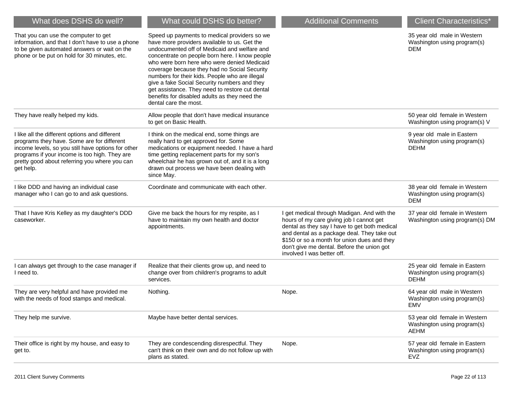| What does DSHS do well?                                                                                                                                                                                                                                           | What could DSHS do better?                                                                                                                                                                                                                                                                                                                                                                                                                                                                                                   | <b>Additional Comments</b>                                                                                                                                                                                                                                                                                         | <b>Client Characteristics*</b>                                              |
|-------------------------------------------------------------------------------------------------------------------------------------------------------------------------------------------------------------------------------------------------------------------|------------------------------------------------------------------------------------------------------------------------------------------------------------------------------------------------------------------------------------------------------------------------------------------------------------------------------------------------------------------------------------------------------------------------------------------------------------------------------------------------------------------------------|--------------------------------------------------------------------------------------------------------------------------------------------------------------------------------------------------------------------------------------------------------------------------------------------------------------------|-----------------------------------------------------------------------------|
| That you can use the computer to get<br>information, and that I don't have to use a phone<br>to be given automated answers or wait on the<br>phone or be put on hold for 30 minutes, etc.                                                                         | Speed up payments to medical providers so we<br>have more providers available to us. Get the<br>undocumented off of Medicaid and welfare and<br>concentrate on people born here. I know people<br>who were born here who were denied Medicaid<br>coverage because they had no Social Security<br>numbers for their kids. People who are illegal<br>give a fake Social Security numbers and they<br>get assistance. They need to restore cut dental<br>benefits for disabled adults as they need the<br>dental care the most. |                                                                                                                                                                                                                                                                                                                    | 35 year old male in Western<br>Washington using program(s)<br><b>DEM</b>    |
| They have really helped my kids.                                                                                                                                                                                                                                  | Allow people that don't have medical insurance<br>to get on Basic Health.                                                                                                                                                                                                                                                                                                                                                                                                                                                    |                                                                                                                                                                                                                                                                                                                    | 50 year old female in Western<br>Washington using program(s) V              |
| I like all the different options and different<br>programs they have. Some are for different<br>income levels, so you still have options for other<br>programs if your income is too high. They are<br>pretty good about referring you where you can<br>get help. | I think on the medical end, some things are<br>really hard to get approved for. Some<br>medications or equipment needed. I have a hard<br>time getting replacement parts for my son's<br>wheelchair he has grown out of, and it is a long<br>drawn out process we have been dealing with<br>since May.                                                                                                                                                                                                                       |                                                                                                                                                                                                                                                                                                                    | 9 year old male in Eastern<br>Washington using program(s)<br><b>DEHM</b>    |
| I like DDD and having an individual case<br>manager who I can go to and ask questions.                                                                                                                                                                            | Coordinate and communicate with each other.                                                                                                                                                                                                                                                                                                                                                                                                                                                                                  |                                                                                                                                                                                                                                                                                                                    | 38 year old female in Western<br>Washington using program(s)<br><b>DEM</b>  |
| That I have Kris Kelley as my daughter's DDD<br>caseworker.                                                                                                                                                                                                       | Give me back the hours for my respite, as I<br>have to maintain my own health and doctor<br>appointments.                                                                                                                                                                                                                                                                                                                                                                                                                    | I get medical through Madigan. And with the<br>hours of my care giving job I cannot get<br>dental as they say I have to get both medical<br>and dental as a package deal. They take out<br>\$150 or so a month for union dues and they<br>don't give me dental. Before the union got<br>involved I was better off. | 37 year old female in Western<br>Washington using program(s) DM             |
| I can always get through to the case manager if<br>I need to.                                                                                                                                                                                                     | Realize that their clients grow up, and need to<br>change over from children's programs to adult<br>services.                                                                                                                                                                                                                                                                                                                                                                                                                |                                                                                                                                                                                                                                                                                                                    | 25 year old female in Eastern<br>Washington using program(s)<br><b>DEHM</b> |
| They are very helpful and have provided me<br>with the needs of food stamps and medical.                                                                                                                                                                          | Nothing.                                                                                                                                                                                                                                                                                                                                                                                                                                                                                                                     | Nope.                                                                                                                                                                                                                                                                                                              | 64 year old male in Western<br>Washington using program(s)<br>EMV           |
| They help me survive.                                                                                                                                                                                                                                             | Maybe have better dental services.                                                                                                                                                                                                                                                                                                                                                                                                                                                                                           |                                                                                                                                                                                                                                                                                                                    | 53 year old female in Western<br>Washington using program(s)<br>AEHM        |
| Their office is right by my house, and easy to<br>get to.                                                                                                                                                                                                         | They are condescending disrespectful. They<br>can't think on their own and do not follow up with<br>plans as stated.                                                                                                                                                                                                                                                                                                                                                                                                         | Nope.                                                                                                                                                                                                                                                                                                              | 57 year old female in Eastern<br>Washington using program(s)<br><b>EVZ</b>  |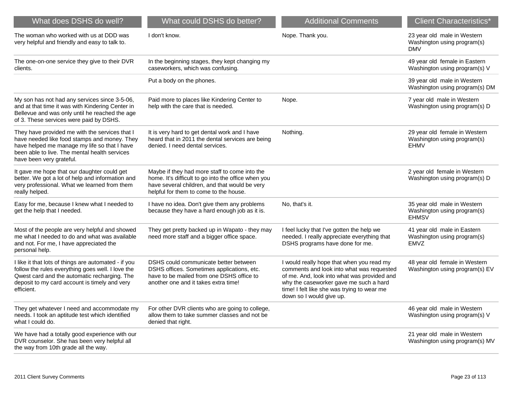| What does DSHS do well?                                                                                                                                                                                                     | What could DSHS do better?                                                                                                                                                                      | <b>Additional Comments</b>                                                                                                                                                                                                                                 | <b>Client Characteristics*</b>                                              |
|-----------------------------------------------------------------------------------------------------------------------------------------------------------------------------------------------------------------------------|-------------------------------------------------------------------------------------------------------------------------------------------------------------------------------------------------|------------------------------------------------------------------------------------------------------------------------------------------------------------------------------------------------------------------------------------------------------------|-----------------------------------------------------------------------------|
| The woman who worked with us at DDD was<br>very helpful and friendly and easy to talk to.                                                                                                                                   | I don't know.                                                                                                                                                                                   | Nope. Thank you.                                                                                                                                                                                                                                           | 23 year old male in Western<br>Washington using program(s)<br><b>DMV</b>    |
| The one-on-one service they give to their DVR<br>clients.                                                                                                                                                                   | In the beginning stages, they kept changing my<br>caseworkers, which was confusing.                                                                                                             |                                                                                                                                                                                                                                                            | 49 year old female in Eastern<br>Washington using program(s) V              |
|                                                                                                                                                                                                                             | Put a body on the phones.                                                                                                                                                                       |                                                                                                                                                                                                                                                            | 39 year old male in Western<br>Washington using program(s) DM               |
| My son has not had any services since 3-5-06,<br>and at that time it was with Kindering Center in<br>Bellevue and was only until he reached the age<br>of 3. These services were paid by DSHS.                              | Paid more to places like Kindering Center to<br>help with the care that is needed.                                                                                                              | Nope.                                                                                                                                                                                                                                                      | 7 year old male in Western<br>Washington using program(s) D                 |
| They have provided me with the services that I<br>have needed like food stamps and money. They<br>have helped me manage my life so that I have<br>been able to live. The mental health services<br>have been very grateful. | It is very hard to get dental work and I have<br>heard that in 2011 the dental services are being<br>denied. I need dental services.                                                            | Nothing.                                                                                                                                                                                                                                                   | 29 year old female in Western<br>Washington using program(s)<br><b>EHMV</b> |
| It gave me hope that our daughter could get<br>better. We got a lot of help and information and<br>very professional. What we learned from them<br>really helped.                                                           | Maybe if they had more staff to come into the<br>home. It's difficult to go into the office when you<br>have several children, and that would be very<br>helpful for them to come to the house. |                                                                                                                                                                                                                                                            | 2 year old female in Western<br>Washington using program(s) D               |
| Easy for me, because I knew what I needed to<br>get the help that I needed.                                                                                                                                                 | I have no idea. Don't give them any problems<br>because they have a hard enough job as it is.                                                                                                   | No, that's it.                                                                                                                                                                                                                                             | 35 year old male in Western<br>Washington using program(s)<br><b>EHMSV</b>  |
| Most of the people are very helpful and showed<br>me what I needed to do and what was available<br>and not. For me, I have appreciated the<br>personal help.                                                                | They get pretty backed up in Wapato - they may<br>need more staff and a bigger office space.                                                                                                    | I feel lucky that I've gotten the help we<br>needed. I really appreciate everything that<br>DSHS programs have done for me.                                                                                                                                | 41 year old male in Eastern<br>Washington using program(s)<br><b>EMVZ</b>   |
| I like it that lots of things are automated - if you<br>follow the rules everything goes well. I love the<br>Qwest card and the automatic recharging. The<br>deposit to my card account is timely and very<br>efficient.    | DSHS could communicate better between<br>DSHS offices. Sometimes applications, etc.<br>have to be mailed from one DSHS office to<br>another one and it takes extra time!                        | I would really hope that when you read my<br>comments and look into what was requested<br>of me. And, look into what was provided and<br>why the caseworker gave me such a hard<br>time! I felt like she was trying to wear me<br>down so I would give up. | 48 year old female in Western<br>Washington using program(s) EV             |
| They get whatever I need and accommodate my<br>needs. I took an aptitude test which identified<br>what I could do.                                                                                                          | For other DVR clients who are going to college,<br>allow them to take summer classes and not be<br>denied that right.                                                                           |                                                                                                                                                                                                                                                            | 46 year old male in Western<br>Washington using program(s) V                |
| We have had a totally good experience with our<br>DVR counselor. She has been very helpful all<br>the way from 10th grade all the way.                                                                                      |                                                                                                                                                                                                 |                                                                                                                                                                                                                                                            | 21 year old male in Western<br>Washington using program(s) MV               |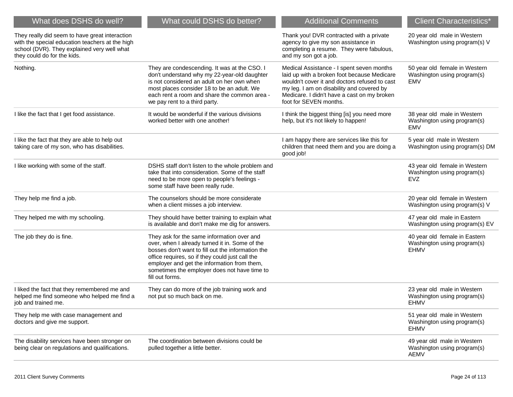| What does DSHS do well?                                                                                                                                                         | What could DSHS do better?                                                                                                                                                                                                                                                                                             | <b>Additional Comments</b>                                                                                                                                                                                                                                      | <b>Client Characteristics*</b>                                              |
|---------------------------------------------------------------------------------------------------------------------------------------------------------------------------------|------------------------------------------------------------------------------------------------------------------------------------------------------------------------------------------------------------------------------------------------------------------------------------------------------------------------|-----------------------------------------------------------------------------------------------------------------------------------------------------------------------------------------------------------------------------------------------------------------|-----------------------------------------------------------------------------|
| They really did seem to have great interaction<br>with the special education teachers at the high<br>school (DVR). They explained very well what<br>they could do for the kids. |                                                                                                                                                                                                                                                                                                                        | Thank you! DVR contracted with a private<br>agency to give my son assistance in<br>completing a resume. They were fabulous,<br>and my son got a job.                                                                                                            | 20 year old male in Western<br>Washington using program(s) V                |
| Nothing.                                                                                                                                                                        | They are condescending. It was at the CSO. I<br>don't understand why my 22-year-old daughter<br>is not considered an adult on her own when<br>most places consider 18 to be an adult. We<br>each rent a room and share the common area -<br>we pay rent to a third party.                                              | Medical Assistance - I spent seven months<br>laid up with a broken foot because Medicare<br>wouldn't cover it and doctors refused to cast<br>my leg. I am on disability and covered by<br>Medicare. I didn't have a cast on my broken<br>foot for SEVEN months. | 50 year old female in Western<br>Washington using program(s)<br>EMV         |
| I like the fact that I get food assistance.                                                                                                                                     | It would be wonderful if the various divisions<br>worked better with one another!                                                                                                                                                                                                                                      | I think the biggest thing [is] you need more<br>help, but it's not likely to happen!                                                                                                                                                                            | 38 year old male in Western<br>Washington using program(s)<br><b>EMV</b>    |
| I like the fact that they are able to help out<br>taking care of my son, who has disabilities.                                                                                  |                                                                                                                                                                                                                                                                                                                        | I am happy there are services like this for<br>children that need them and you are doing a<br>good job!                                                                                                                                                         | 5 year old male in Western<br>Washington using program(s) DM                |
| I like working with some of the staff.                                                                                                                                          | DSHS staff don't listen to the whole problem and<br>take that into consideration. Some of the staff<br>need to be more open to people's feelings -<br>some staff have been really rude.                                                                                                                                |                                                                                                                                                                                                                                                                 | 43 year old female in Western<br>Washington using program(s)<br><b>EVZ</b>  |
| They help me find a job.                                                                                                                                                        | The counselors should be more considerate<br>when a client misses a job interview.                                                                                                                                                                                                                                     |                                                                                                                                                                                                                                                                 | 20 year old female in Western<br>Washington using program(s) V              |
| They helped me with my schooling.                                                                                                                                               | They should have better training to explain what<br>is available and don't make me dig for answers.                                                                                                                                                                                                                    |                                                                                                                                                                                                                                                                 | 47 year old male in Eastern<br>Washington using program(s) EV               |
| The job they do is fine.                                                                                                                                                        | They ask for the same information over and<br>over, when I already turned it in. Some of the<br>bosses don't want to fill out the information the<br>office requires, so if they could just call the<br>employer and get the information from them,<br>sometimes the employer does not have time to<br>fill out forms. |                                                                                                                                                                                                                                                                 | 40 year old female in Eastern<br>Washington using program(s)<br><b>EHMV</b> |
| I liked the fact that they remembered me and<br>helped me find someone who helped me find a<br>job and trained me.                                                              | They can do more of the job training work and<br>not put so much back on me.                                                                                                                                                                                                                                           |                                                                                                                                                                                                                                                                 | 23 year old male in Western<br>Washington using program(s)<br><b>EHMV</b>   |
| They help me with case management and<br>doctors and give me support.                                                                                                           |                                                                                                                                                                                                                                                                                                                        |                                                                                                                                                                                                                                                                 | 51 year old male in Western<br>Washington using program(s)<br><b>EHMV</b>   |
| The disability services have been stronger on<br>being clear on regulations and qualifications.                                                                                 | The coordination between divisions could be<br>pulled together a little better.                                                                                                                                                                                                                                        |                                                                                                                                                                                                                                                                 | 49 year old male in Western<br>Washington using program(s)<br>AEMV          |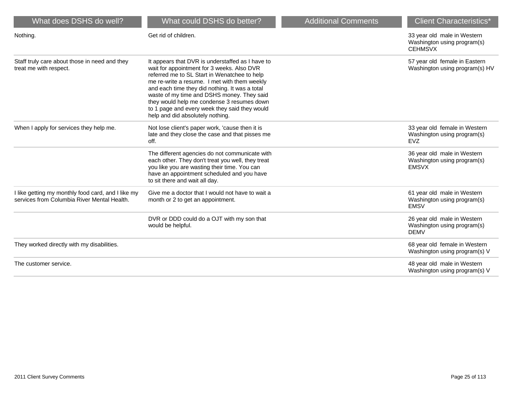| What does DSHS do well?                                                                           | What could DSHS do better?                                                                                                                                                                                                                                                                                                                                                                                                        | <b>Additional Comments</b> | <b>Client Characteristics*</b>                                               |
|---------------------------------------------------------------------------------------------------|-----------------------------------------------------------------------------------------------------------------------------------------------------------------------------------------------------------------------------------------------------------------------------------------------------------------------------------------------------------------------------------------------------------------------------------|----------------------------|------------------------------------------------------------------------------|
| Nothing.                                                                                          | Get rid of children.                                                                                                                                                                                                                                                                                                                                                                                                              |                            | 33 year old male in Western<br>Washington using program(s)<br><b>CEHMSVX</b> |
| Staff truly care about those in need and they<br>treat me with respect.                           | It appears that DVR is understaffed as I have to<br>wait for appointment for 3 weeks. Also DVR<br>referred me to SL Start in Wenatchee to help<br>me re-write a resume. I met with them weekly<br>and each time they did nothing. It was a total<br>waste of my time and DSHS money. They said<br>they would help me condense 3 resumes down<br>to 1 page and every week they said they would<br>help and did absolutely nothing. |                            | 57 year old female in Eastern<br>Washington using program(s) HV              |
| When I apply for services they help me.                                                           | Not lose client's paper work, 'cause then it is<br>late and they close the case and that pisses me<br>off.                                                                                                                                                                                                                                                                                                                        |                            | 33 year old female in Western<br>Washington using program(s)<br><b>EVZ</b>   |
|                                                                                                   | The different agencies do not communicate with<br>each other. They don't treat you well, they treat<br>you like you are wasting their time. You can<br>have an appointment scheduled and you have<br>to sit there and wait all day.                                                                                                                                                                                               |                            | 36 year old male in Western<br>Washington using program(s)<br><b>EMSVX</b>   |
| I like getting my monthly food card, and I like my<br>services from Columbia River Mental Health. | Give me a doctor that I would not have to wait a<br>month or 2 to get an appointment.                                                                                                                                                                                                                                                                                                                                             |                            | 61 year old male in Western<br>Washington using program(s)<br><b>EMSV</b>    |
|                                                                                                   | DVR or DDD could do a OJT with my son that<br>would be helpful.                                                                                                                                                                                                                                                                                                                                                                   |                            | 26 year old male in Western<br>Washington using program(s)<br><b>DEMV</b>    |
| They worked directly with my disabilities.                                                        |                                                                                                                                                                                                                                                                                                                                                                                                                                   |                            | 68 year old female in Western<br>Washington using program(s) V               |
| The customer service.                                                                             |                                                                                                                                                                                                                                                                                                                                                                                                                                   |                            | 48 year old male in Western<br>Washington using program(s) V                 |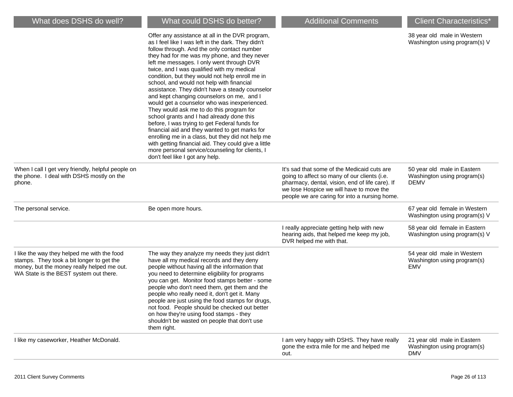| What does DSHS do well?                                                                                                                                                          | What could DSHS do better?                                                                                                                                                                                                                                                                                                                                                                                                                                                                                                                                                                                                                                                                                                                                                                                                                                                                                                                     | <b>Additional Comments</b>                                                                                                                                                                                                                  | <b>Client Characteristics*</b>                                            |
|----------------------------------------------------------------------------------------------------------------------------------------------------------------------------------|------------------------------------------------------------------------------------------------------------------------------------------------------------------------------------------------------------------------------------------------------------------------------------------------------------------------------------------------------------------------------------------------------------------------------------------------------------------------------------------------------------------------------------------------------------------------------------------------------------------------------------------------------------------------------------------------------------------------------------------------------------------------------------------------------------------------------------------------------------------------------------------------------------------------------------------------|---------------------------------------------------------------------------------------------------------------------------------------------------------------------------------------------------------------------------------------------|---------------------------------------------------------------------------|
|                                                                                                                                                                                  | Offer any assistance at all in the DVR program,<br>as I feel like I was left in the dark. They didn't<br>follow through. And the only contact number<br>they had for me was my phone, and they never<br>left me messages. I only went through DVR<br>twice, and I was qualified with my medical<br>condition, but they would not help enroll me in<br>school, and would not help with financial<br>assistance. They didn't have a steady counselor<br>and kept changing counselors on me, and I<br>would get a counselor who was inexperienced.<br>They would ask me to do this program for<br>school grants and I had already done this<br>before, I was trying to get Federal funds for<br>financial aid and they wanted to get marks for<br>enrolling me in a class, but they did not help me<br>with getting financial aid. They could give a little<br>more personal service/counseling for clients, I<br>don't feel like I got any help. |                                                                                                                                                                                                                                             | 38 year old male in Western<br>Washington using program(s) V              |
| When I call I get very friendly, helpful people on<br>the phone. I deal with DSHS mostly on the<br>phone.                                                                        |                                                                                                                                                                                                                                                                                                                                                                                                                                                                                                                                                                                                                                                                                                                                                                                                                                                                                                                                                | It's sad that some of the Medicaid cuts are<br>going to affect so many of our clients (i.e.<br>pharmacy, dental, vision, end of life care). If<br>we lose Hospice we will have to move the<br>people we are caring for into a nursing home. | 50 year old male in Eastern<br>Washington using program(s)<br><b>DEMV</b> |
| The personal service.                                                                                                                                                            | Be open more hours.                                                                                                                                                                                                                                                                                                                                                                                                                                                                                                                                                                                                                                                                                                                                                                                                                                                                                                                            |                                                                                                                                                                                                                                             | 67 year old female in Western<br>Washington using program(s) V            |
|                                                                                                                                                                                  |                                                                                                                                                                                                                                                                                                                                                                                                                                                                                                                                                                                                                                                                                                                                                                                                                                                                                                                                                | I really appreciate getting help with new<br>hearing aids, that helped me keep my job,<br>DVR helped me with that.                                                                                                                          | 58 year old female in Eastern<br>Washington using program(s) V            |
| I like the way they helped me with the food<br>stamps. They took a bit longer to get the<br>money, but the money really helped me out.<br>WA State is the BEST system out there. | The way they analyze my needs they just didn't<br>have all my medical records and they deny<br>people without having all the information that<br>you need to determine eligibility for programs<br>you can get. Monitor food stamps better - some<br>people who don't need them, get them and the<br>people who really need it, don't get it. Many<br>people are just using the food stamps for drugs,<br>not food. People should be checked out better<br>on how they're using food stamps - they<br>shouldn't be wasted on people that don't use<br>them right.                                                                                                                                                                                                                                                                                                                                                                              |                                                                                                                                                                                                                                             | 54 year old male in Western<br>Washington using program(s)<br><b>EMV</b>  |
| I like my caseworker, Heather McDonald.                                                                                                                                          |                                                                                                                                                                                                                                                                                                                                                                                                                                                                                                                                                                                                                                                                                                                                                                                                                                                                                                                                                | I am very happy with DSHS. They have really<br>gone the extra mile for me and helped me<br>out.                                                                                                                                             | 21 year old male in Eastern<br>Washington using program(s)<br><b>DMV</b>  |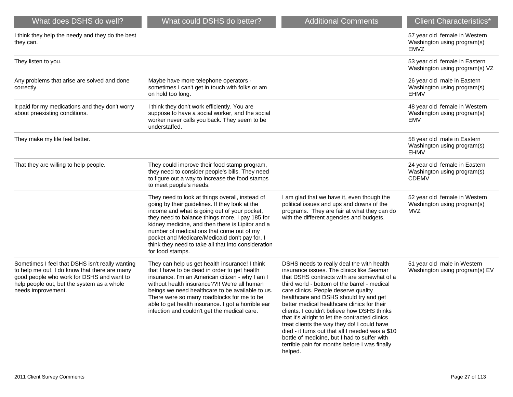| What does DSHS do well?                                                                                                                                                                                           | What could DSHS do better?                                                                                                                                                                                                                                                                                                                                                                                                        | <b>Additional Comments</b>                                                                                                                                                                                                                                                                                                                                                                                                                                                                                                                                                                                                             | <b>Client Characteristics*</b>                                               |
|-------------------------------------------------------------------------------------------------------------------------------------------------------------------------------------------------------------------|-----------------------------------------------------------------------------------------------------------------------------------------------------------------------------------------------------------------------------------------------------------------------------------------------------------------------------------------------------------------------------------------------------------------------------------|----------------------------------------------------------------------------------------------------------------------------------------------------------------------------------------------------------------------------------------------------------------------------------------------------------------------------------------------------------------------------------------------------------------------------------------------------------------------------------------------------------------------------------------------------------------------------------------------------------------------------------------|------------------------------------------------------------------------------|
| I think they help the needy and they do the best<br>they can.                                                                                                                                                     |                                                                                                                                                                                                                                                                                                                                                                                                                                   |                                                                                                                                                                                                                                                                                                                                                                                                                                                                                                                                                                                                                                        | 57 year old female in Western<br>Washington using program(s)<br><b>EMVZ</b>  |
| They listen to you.                                                                                                                                                                                               |                                                                                                                                                                                                                                                                                                                                                                                                                                   |                                                                                                                                                                                                                                                                                                                                                                                                                                                                                                                                                                                                                                        | 53 year old female in Eastern<br>Washington using program(s) VZ              |
| Any problems that arise are solved and done<br>correctly.                                                                                                                                                         | Maybe have more telephone operators -<br>sometimes I can't get in touch with folks or am<br>on hold too long.                                                                                                                                                                                                                                                                                                                     |                                                                                                                                                                                                                                                                                                                                                                                                                                                                                                                                                                                                                                        | 26 year old male in Eastern<br>Washington using program(s)<br><b>EHMV</b>    |
| It paid for my medications and they don't worry<br>about preexisting conditions.                                                                                                                                  | I think they don't work efficiently. You are<br>suppose to have a social worker, and the social<br>worker never calls you back. They seem to be<br>understaffed.                                                                                                                                                                                                                                                                  |                                                                                                                                                                                                                                                                                                                                                                                                                                                                                                                                                                                                                                        | 48 year old female in Western<br>Washington using program(s)<br><b>EMV</b>   |
| They make my life feel better.                                                                                                                                                                                    |                                                                                                                                                                                                                                                                                                                                                                                                                                   |                                                                                                                                                                                                                                                                                                                                                                                                                                                                                                                                                                                                                                        | 58 year old male in Eastern<br>Washington using program(s)<br><b>EHMV</b>    |
| That they are willing to help people.                                                                                                                                                                             | They could improve their food stamp program,<br>they need to consider people's bills. They need<br>to figure out a way to increase the food stamps<br>to meet people's needs.                                                                                                                                                                                                                                                     |                                                                                                                                                                                                                                                                                                                                                                                                                                                                                                                                                                                                                                        | 24 year old female in Eastern<br>Washington using program(s)<br><b>CDEMV</b> |
|                                                                                                                                                                                                                   | They need to look at things overall, instead of<br>going by their guidelines. If they look at the<br>income and what is going out of your pocket,<br>they need to balance things more. I pay 185 for<br>kidney medicine, and then there is Lipitor and a<br>number of medications that come out of my<br>pocket and Medicare/Medicaid don't pay for, I<br>think they need to take all that into consideration<br>for food stamps. | I am glad that we have it, even though the<br>political issues and ups and downs of the<br>programs. They are fair at what they can do<br>with the different agencies and budgets.                                                                                                                                                                                                                                                                                                                                                                                                                                                     | 52 year old female in Western<br>Washington using program(s)<br>MVZ          |
| Sometimes I feel that DSHS isn't really wanting<br>to help me out. I do know that there are many<br>good people who work for DSHS and want to<br>help people out, but the system as a whole<br>needs improvement. | They can help us get health insurance! I think<br>that I have to be dead in order to get health<br>insurance. I'm an American citizen - why I am I<br>without health insurance??!! We're all human<br>beings we need healthcare to be available to us.<br>There were so many roadblocks for me to be<br>able to get health insurance. I got a horrible ear<br>infection and couldn't get the medical care.                        | DSHS needs to really deal the with health<br>insurance issues. The clinics like Seamar<br>that DSHS contracts with are somewhat of a<br>third world - bottom of the barrel - medical<br>care clinics. People deserve quality<br>healthcare and DSHS should try and get<br>better medical healthcare clinics for their<br>clients. I couldn't believe how DSHS thinks<br>that it's alright to let the contracted clinics<br>treat clients the way they do! I could have<br>died - it turns out that all I needed was a \$10<br>bottle of medicine, but I had to suffer with<br>terrible pain for months before I was finally<br>helped. | 51 year old male in Western<br>Washington using program(s) EV                |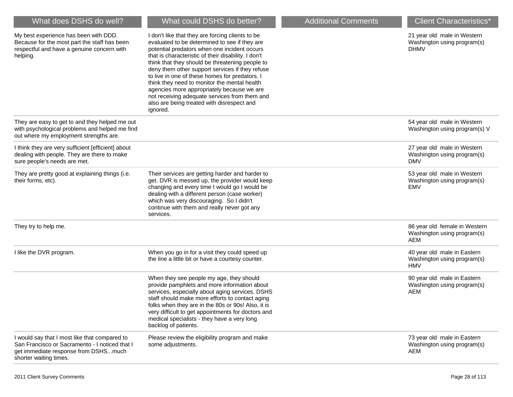| What does DSHS do well?                                                                                                                                           | What could DSHS do better?                                                                                                                                                                                                                                                                                                                                                                                                                                                                                                                                                | <b>Additional Comments</b> | <b>Client Characteristics*</b>                                            |
|-------------------------------------------------------------------------------------------------------------------------------------------------------------------|---------------------------------------------------------------------------------------------------------------------------------------------------------------------------------------------------------------------------------------------------------------------------------------------------------------------------------------------------------------------------------------------------------------------------------------------------------------------------------------------------------------------------------------------------------------------------|----------------------------|---------------------------------------------------------------------------|
| My best experience has been with DDD.<br>Because for the most part the staff has been<br>respectful and have a genuine concern with<br>helping.                   | I don't like that they are forcing clients to be<br>evaluated to be determined to see if they are<br>potential predators when one incident occurs<br>that is characteristic of their disability. I don't<br>think that they should be threatening people to<br>deny them other support services if they refuse<br>to live in one of these homes for predators. I<br>think they need to monitor the mental health<br>agencies more appropriately because we are<br>not receiving adequate services from them and<br>also are being treated with disrespect and<br>ignored. |                            | 21 year old male in Western<br>Washington using program(s)<br><b>DHMV</b> |
| They are easy to get to and they helped me out<br>with psychological problems and helped me find<br>out where my employment strengths are.                        |                                                                                                                                                                                                                                                                                                                                                                                                                                                                                                                                                                           |                            | 54 year old male in Western<br>Washington using program(s) V              |
| I think they are very sufficient [efficient] about<br>dealing with people. They are there to make<br>sure people's needs are met.                                 |                                                                                                                                                                                                                                                                                                                                                                                                                                                                                                                                                                           |                            | 27 year old male in Western<br>Washington using program(s)<br><b>DMV</b>  |
| They are pretty good at explaining things (i.e.<br>their forms, etc).                                                                                             | Their services are getting harder and harder to<br>get. DVR is messed up, the provider would keep<br>changing and every time I would go I would be<br>dealing with a different person (case worker)<br>which was very discouraging. So I didn't<br>continue with them and really never got any<br>services.                                                                                                                                                                                                                                                               |                            | 53 year old male in Western<br>Washington using program(s)<br><b>EMV</b>  |
| They try to help me.                                                                                                                                              |                                                                                                                                                                                                                                                                                                                                                                                                                                                                                                                                                                           |                            | 86 year old female in Western<br>Washington using program(s)<br>AEM       |
| I like the DVR program.                                                                                                                                           | When you go in for a visit they could speed up<br>the line a little bit or have a courtesy counter.                                                                                                                                                                                                                                                                                                                                                                                                                                                                       |                            | 40 year old male in Eastern<br>Washington using program(s)<br><b>HMV</b>  |
|                                                                                                                                                                   | When they see people my age, they should<br>provide pamphlets and more information about<br>services, especially about aging services. DSHS<br>staff should make more efforts to contact aging<br>folks when they are in the 80s or 90s! Also, it is<br>very difficult to get appointments for doctors and<br>medical specialists - they have a very long<br>backlog of patients.                                                                                                                                                                                         |                            | 90 year old male in Eastern<br>Washington using program(s)<br>AEM         |
| I would say that I most like that compared to<br>San Francisco or Sacramento - I noticed that I<br>get immediate response from DSHSmuch<br>shorter waiting times. | Please review the eligibility program and make<br>some adjustments.                                                                                                                                                                                                                                                                                                                                                                                                                                                                                                       |                            | 73 year old male in Eastern<br>Washington using program(s)<br>AEM         |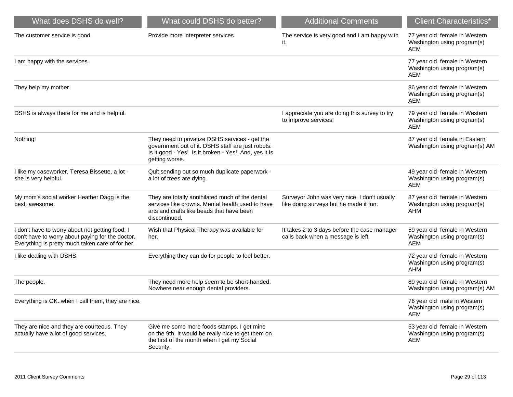| What does DSHS do well?                                                                                                                                 | What could DSHS do better?                                                                                                                                                    | <b>Additional Comments</b>                                                             | <b>Client Characteristics*</b>                                             |
|---------------------------------------------------------------------------------------------------------------------------------------------------------|-------------------------------------------------------------------------------------------------------------------------------------------------------------------------------|----------------------------------------------------------------------------------------|----------------------------------------------------------------------------|
| The customer service is good.                                                                                                                           | Provide more interpreter services.                                                                                                                                            | The service is very good and I am happy with<br>it.                                    | 77 year old female in Western<br>Washington using program(s)<br>AEM        |
| I am happy with the services.                                                                                                                           |                                                                                                                                                                               |                                                                                        | 77 year old female in Western<br>Washington using program(s)<br>AEM        |
| They help my mother.                                                                                                                                    |                                                                                                                                                                               |                                                                                        | 86 year old female in Western<br>Washington using program(s)<br>AEM        |
| DSHS is always there for me and is helpful.                                                                                                             |                                                                                                                                                                               | I appreciate you are doing this survey to try<br>to improve services!                  | 79 year old female in Western<br>Washington using program(s)<br><b>AEM</b> |
| Nothing!                                                                                                                                                | They need to privatize DSHS services - get the<br>government out of it. DSHS staff are just robots.<br>Is it good - Yes! Is it broken - Yes! And, yes it is<br>getting worse. |                                                                                        | 87 year old female in Eastern<br>Washington using program(s) AM            |
| I like my caseworker, Teresa Bissette, a lot -<br>she is very helpful.                                                                                  | Quit sending out so much duplicate paperwork -<br>a lot of trees are dying.                                                                                                   |                                                                                        | 49 year old female in Western<br>Washington using program(s)<br><b>AEM</b> |
| My mom's social worker Heather Dagg is the<br>best, awesome.                                                                                            | They are totally annihilated much of the dental<br>services like crowns. Mental health used to have<br>arts and crafts like beads that have been<br>discontinued.             | Surveyor John was very nice. I don't usually<br>like doing surveys but he made it fun. | 87 year old female in Western<br>Washington using program(s)<br><b>AHM</b> |
| I don't have to worry about not getting food; I<br>don't have to worry about paying for the doctor.<br>Everything is pretty much taken care of for her. | Wish that Physical Therapy was available for<br>her.                                                                                                                          | It takes 2 to 3 days before the case manager<br>calls back when a message is left.     | 59 year old female in Western<br>Washington using program(s)<br><b>AEM</b> |
| I like dealing with DSHS.                                                                                                                               | Everything they can do for people to feel better.                                                                                                                             |                                                                                        | 72 year old female in Western<br>Washington using program(s)<br><b>AHM</b> |
| The people.                                                                                                                                             | They need more help seem to be short-handed.<br>Nowhere near enough dental providers.                                                                                         |                                                                                        | 89 year old female in Western<br>Washington using program(s) AM            |
| Everything is OK. when I call them, they are nice.                                                                                                      |                                                                                                                                                                               |                                                                                        | 76 year old male in Western<br>Washington using program(s)<br>AEM          |
| They are nice and they are courteous. They<br>actually have a lot of good services.                                                                     | Give me some more foods stamps. I get mine<br>on the 9th. It would be really nice to get them on<br>the first of the month when I get my Social<br>Security.                  |                                                                                        | 53 year old female in Western<br>Washington using program(s)<br>AEM        |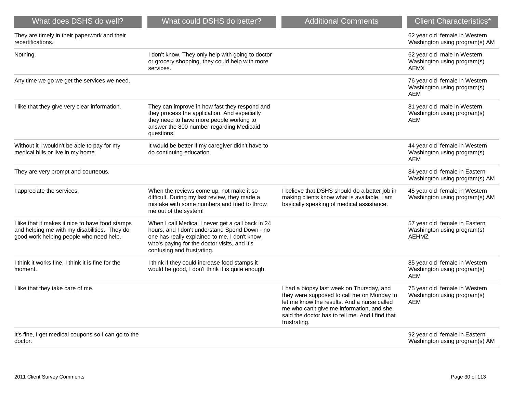| What does DSHS do well?                                                                                                                     | What could DSHS do better?                                                                                                                                                                                                       | <b>Additional Comments</b>                                                                                                                                                                                                                             | <b>Client Characteristics*</b>                                               |
|---------------------------------------------------------------------------------------------------------------------------------------------|----------------------------------------------------------------------------------------------------------------------------------------------------------------------------------------------------------------------------------|--------------------------------------------------------------------------------------------------------------------------------------------------------------------------------------------------------------------------------------------------------|------------------------------------------------------------------------------|
| They are timely in their paperwork and their<br>recertifications.                                                                           |                                                                                                                                                                                                                                  |                                                                                                                                                                                                                                                        | 62 year old female in Western<br>Washington using program(s) AM              |
| Nothing.                                                                                                                                    | I don't know. They only help with going to doctor<br>or grocery shopping, they could help with more<br>services.                                                                                                                 |                                                                                                                                                                                                                                                        | 62 year old male in Western<br>Washington using program(s)<br>AEMX           |
| Any time we go we get the services we need.                                                                                                 |                                                                                                                                                                                                                                  |                                                                                                                                                                                                                                                        | 76 year old female in Western<br>Washington using program(s)<br>AEM          |
| I like that they give very clear information.                                                                                               | They can improve in how fast they respond and<br>they process the application. And especially<br>they need to have more people working to<br>answer the 800 number regarding Medicaid<br>questions.                              |                                                                                                                                                                                                                                                        | 81 year old male in Western<br>Washington using program(s)<br>AEM            |
| Without it I wouldn't be able to pay for my<br>medical bills or live in my home.                                                            | It would be better if my caregiver didn't have to<br>do continuing education.                                                                                                                                                    |                                                                                                                                                                                                                                                        | 44 year old female in Western<br>Washington using program(s)<br>AEM          |
| They are very prompt and courteous.                                                                                                         |                                                                                                                                                                                                                                  |                                                                                                                                                                                                                                                        | 84 year old female in Eastern<br>Washington using program(s) AM              |
| I appreciate the services.                                                                                                                  | When the reviews come up, not make it so<br>difficult. During my last review, they made a<br>mistake with some numbers and tried to throw<br>me out of the system!                                                               | I believe that DSHS should do a better job in<br>making clients know what is available. I am<br>basically speaking of medical assistance.                                                                                                              | 45 year old female in Western<br>Washington using program(s) AM              |
| I like that it makes it nice to have food stamps<br>and helping me with my disabilities. They do<br>good work helping people who need help. | When I call Medical I never get a call back in 24<br>hours, and I don't understand Spend Down - no<br>one has really explained to me. I don't know<br>who's paying for the doctor visits, and it's<br>confusing and frustrating. |                                                                                                                                                                                                                                                        | 57 year old female in Eastern<br>Washington using program(s)<br><b>AEHMZ</b> |
| I think it works fine, I think it is fine for the<br>moment.                                                                                | I think if they could increase food stamps it<br>would be good, I don't think it is quite enough.                                                                                                                                |                                                                                                                                                                                                                                                        | 85 year old female in Western<br>Washington using program(s)<br><b>AEM</b>   |
| I like that they take care of me.                                                                                                           |                                                                                                                                                                                                                                  | I had a biopsy last week on Thursday, and<br>they were supposed to call me on Monday to<br>let me know the results. And a nurse called<br>me who can't give me information, and she<br>said the doctor has to tell me. And I find that<br>frustrating. | 75 year old female in Western<br>Washington using program(s)<br><b>AEM</b>   |
| It's fine, I get medical coupons so I can go to the<br>doctor.                                                                              |                                                                                                                                                                                                                                  |                                                                                                                                                                                                                                                        | 92 year old female in Eastern<br>Washington using program(s) AM              |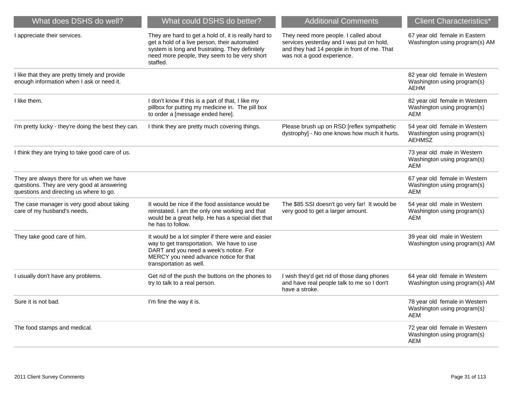| What does DSHS do well?                                                                                                            | What could DSHS do better?                                                                                                                                                                                          | <b>Additional Comments</b>                                                                                                                                      | <b>Client Characteristics*</b>                                                |
|------------------------------------------------------------------------------------------------------------------------------------|---------------------------------------------------------------------------------------------------------------------------------------------------------------------------------------------------------------------|-----------------------------------------------------------------------------------------------------------------------------------------------------------------|-------------------------------------------------------------------------------|
| I appreciate their services.                                                                                                       | They are hard to get a hold of, it is really hard to<br>get a hold of a live person, their automated<br>system is long and frustrating. They definitely<br>need more people, they seem to be very short<br>staffed. | They need more people. I called about<br>services yesterday and I was put on hold,<br>and they had 14 people in front of me. That<br>was not a good experience. | 67 year old female in Eastern<br>Washington using program(s) AM               |
| I like that they are pretty timely and provide<br>enough information when I ask or need it.                                        |                                                                                                                                                                                                                     |                                                                                                                                                                 | 82 year old female in Western<br>Washington using program(s)<br><b>AEHM</b>   |
| I like them.                                                                                                                       | I don't know if this is a part of that, I like my<br>pillbox for putting my medicine in. The pill box<br>to order a [message ended here].                                                                           |                                                                                                                                                                 | 82 year old female in Western<br>Washington using program(s)<br><b>AEM</b>    |
| I'm pretty lucky - they're doing the best they can.                                                                                | I think they are pretty much covering things.                                                                                                                                                                       | Please brush up on RSD [reflex sympathetic<br>dystrophy] - No one knows how much it hurts.                                                                      | 54 year old female in Western<br>Washington using program(s)<br><b>AEHMSZ</b> |
| I think they are trying to take good care of us.                                                                                   |                                                                                                                                                                                                                     |                                                                                                                                                                 | 73 year old male in Western<br>Washington using program(s)<br><b>AEM</b>      |
| They are always there for us when we have<br>questions. They are very good at answering<br>questions and directing us where to go. |                                                                                                                                                                                                                     |                                                                                                                                                                 | 67 year old female in Western<br>Washington using program(s)<br><b>AEM</b>    |
| The case manager is very good about taking<br>care of my husband's needs.                                                          | It would be nice if the food assistance would be<br>reinstated. I am the only one working and that<br>would be a great help. He has a special diet that<br>he has to follow.                                        | The \$85 SSI doesn't go very far! It would be<br>very good to get a larger amount.                                                                              | 54 year old male in Western<br>Washington using program(s)<br>AEM             |
| They take good care of him.                                                                                                        | It would be a lot simpler if there were and easier<br>way to get transportation. We have to use<br>DART and you need a week's notice. For<br>MERCY you need advance notice for that<br>transportation as well.      |                                                                                                                                                                 | 39 year old male in Western<br>Washington using program(s) AM                 |
| I usually don't have any problems.                                                                                                 | Get rid of the push the buttons on the phones to<br>try to talk to a real person.                                                                                                                                   | I wish they'd get rid of those dang phones<br>and have real people talk to me so I don't<br>have a stroke.                                                      | 64 year old female in Western<br>Washington using program(s) AM               |
| Sure it is not bad.                                                                                                                | I'm fine the way it is.                                                                                                                                                                                             |                                                                                                                                                                 | 78 year old female in Western<br>Washington using program(s)<br>AEM           |
| The food stamps and medical.                                                                                                       |                                                                                                                                                                                                                     |                                                                                                                                                                 | 72 year old female in Western<br>Washington using program(s)<br><b>AEM</b>    |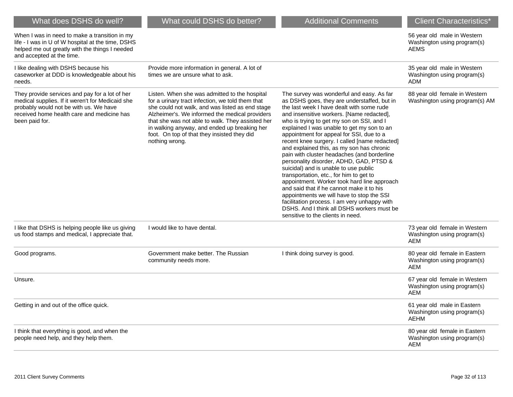| What does DSHS do well?                                                                                                                                                                                      | What could DSHS do better?                                                                                                                                                                                                                                                                                                                                                  | <b>Additional Comments</b>                                                                                                                                                                                                                                                                                                                                                                                                                                                                                                                                                                                                                                                                                                                                                                                                                                                        | <b>Client Characteristics*</b>                                             |
|--------------------------------------------------------------------------------------------------------------------------------------------------------------------------------------------------------------|-----------------------------------------------------------------------------------------------------------------------------------------------------------------------------------------------------------------------------------------------------------------------------------------------------------------------------------------------------------------------------|-----------------------------------------------------------------------------------------------------------------------------------------------------------------------------------------------------------------------------------------------------------------------------------------------------------------------------------------------------------------------------------------------------------------------------------------------------------------------------------------------------------------------------------------------------------------------------------------------------------------------------------------------------------------------------------------------------------------------------------------------------------------------------------------------------------------------------------------------------------------------------------|----------------------------------------------------------------------------|
| When I was in need to make a transition in my<br>life - I was in U of W hospital at the time, DSHS<br>helped me out greatly with the things I needed<br>and accepted at the time.                            |                                                                                                                                                                                                                                                                                                                                                                             |                                                                                                                                                                                                                                                                                                                                                                                                                                                                                                                                                                                                                                                                                                                                                                                                                                                                                   | 56 year old male in Western<br>Washington using program(s)<br><b>AEMS</b>  |
| I like dealing with DSHS because his<br>caseworker at DDD is knowledgeable about his<br>needs.                                                                                                               | Provide more information in general. A lot of<br>times we are unsure what to ask.                                                                                                                                                                                                                                                                                           |                                                                                                                                                                                                                                                                                                                                                                                                                                                                                                                                                                                                                                                                                                                                                                                                                                                                                   | 35 year old male in Western<br>Washington using program(s)<br>ADM          |
| They provide services and pay for a lot of her<br>medical supplies. If it weren't for Medicaid she<br>probably would not be with us. We have<br>received home health care and medicine has<br>been paid for. | Listen. When she was admitted to the hospital<br>for a urinary tract infection, we told them that<br>she could not walk, and was listed as end stage<br>Alzheimer's. We informed the medical providers<br>that she was not able to walk. They assisted her<br>in walking anyway, and ended up breaking her<br>foot. On top of that they insisted they did<br>nothing wrong. | The survey was wonderful and easy. As far<br>as DSHS goes, they are understaffed, but in<br>the last week I have dealt with some rude<br>and insensitive workers. [Name redacted],<br>who is trying to get my son on SSI, and I<br>explained I was unable to get my son to an<br>appointment for appeal for SSI, due to a<br>recent knee surgery. I called [name redacted]<br>and explained this, as my son has chronic<br>pain with cluster headaches (and borderline<br>personality disorder, ADHD, GAD, PTSD &<br>suicidal) and is unable to use public<br>transportation, etc., for him to get to<br>appointment. Worker took hard line approach<br>and said that if he cannot make it to his<br>appointments we will have to stop the SSI<br>facilitation process. I am very unhappy with<br>DSHS. And I think all DSHS workers must be<br>sensitive to the clients in need. | 88 year old female in Western<br>Washington using program(s) AM            |
| I like that DSHS is helping people like us giving<br>us food stamps and medical, I appreciate that.                                                                                                          | I would like to have dental.                                                                                                                                                                                                                                                                                                                                                |                                                                                                                                                                                                                                                                                                                                                                                                                                                                                                                                                                                                                                                                                                                                                                                                                                                                                   | 73 year old female in Western<br>Washington using program(s)<br><b>AEM</b> |
| Good programs.                                                                                                                                                                                               | Government make better. The Russian<br>community needs more.                                                                                                                                                                                                                                                                                                                | I think doing survey is good.                                                                                                                                                                                                                                                                                                                                                                                                                                                                                                                                                                                                                                                                                                                                                                                                                                                     | 80 year old female in Eastern<br>Washington using program(s)<br>AEM        |
| Unsure.                                                                                                                                                                                                      |                                                                                                                                                                                                                                                                                                                                                                             |                                                                                                                                                                                                                                                                                                                                                                                                                                                                                                                                                                                                                                                                                                                                                                                                                                                                                   | 67 year old female in Western<br>Washington using program(s)<br>AEM        |
| Getting in and out of the office quick.                                                                                                                                                                      |                                                                                                                                                                                                                                                                                                                                                                             |                                                                                                                                                                                                                                                                                                                                                                                                                                                                                                                                                                                                                                                                                                                                                                                                                                                                                   | 61 year old male in Eastern<br>Washington using program(s)<br><b>AEHM</b>  |
| I think that everything is good, and when the<br>people need help, and they help them.                                                                                                                       |                                                                                                                                                                                                                                                                                                                                                                             |                                                                                                                                                                                                                                                                                                                                                                                                                                                                                                                                                                                                                                                                                                                                                                                                                                                                                   | 80 year old female in Eastern<br>Washington using program(s)<br>AEM        |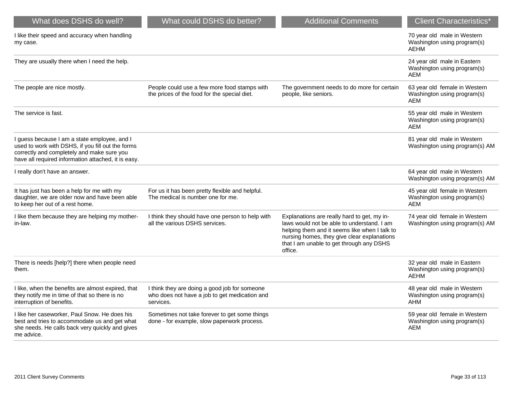| What does DSHS do well?                                                                                                                                                                                | What could DSHS do better?                                                                                  | <b>Additional Comments</b>                                                                                                                                                                                                                       | <b>Client Characteristics*</b>                                             |
|--------------------------------------------------------------------------------------------------------------------------------------------------------------------------------------------------------|-------------------------------------------------------------------------------------------------------------|--------------------------------------------------------------------------------------------------------------------------------------------------------------------------------------------------------------------------------------------------|----------------------------------------------------------------------------|
| I like their speed and accuracy when handling<br>my case.                                                                                                                                              |                                                                                                             |                                                                                                                                                                                                                                                  | 70 year old male in Western<br>Washington using program(s)<br><b>AEHM</b>  |
| They are usually there when I need the help.                                                                                                                                                           |                                                                                                             |                                                                                                                                                                                                                                                  | 24 year old male in Eastern<br>Washington using program(s)<br><b>AEM</b>   |
| The people are nice mostly.                                                                                                                                                                            | People could use a few more food stamps with<br>the prices of the food for the special diet.                | The government needs to do more for certain<br>people, like seniors.                                                                                                                                                                             | 63 year old female in Western<br>Washington using program(s)<br><b>AEM</b> |
| The service is fast.                                                                                                                                                                                   |                                                                                                             |                                                                                                                                                                                                                                                  | 55 year old male in Western<br>Washington using program(s)<br><b>AEM</b>   |
| I guess because I am a state employee, and I<br>used to work with DSHS, if you fill out the forms<br>correctly and completely and make sure you<br>have all required information attached, it is easy. |                                                                                                             |                                                                                                                                                                                                                                                  | 81 year old male in Western<br>Washington using program(s) AM              |
| I really don't have an answer.                                                                                                                                                                         |                                                                                                             |                                                                                                                                                                                                                                                  | 64 year old male in Western<br>Washington using program(s) AM              |
| It has just has been a help for me with my<br>daughter, we are older now and have been able<br>to keep her out of a rest home.                                                                         | For us it has been pretty flexible and helpful.<br>The medical is number one for me.                        |                                                                                                                                                                                                                                                  | 45 year old female in Western<br>Washington using program(s)<br><b>AEM</b> |
| I like them because they are helping my mother-<br>in-law.                                                                                                                                             | I think they should have one person to help with<br>all the various DSHS services.                          | Explanations are really hard to get, my in-<br>laws would not be able to understand. I am<br>helping them and it seems like when I talk to<br>nursing homes, they give clear explanations<br>that I am unable to get through any DSHS<br>office. | 74 year old female in Western<br>Washington using program(s) AM            |
| There is needs [help?] there when people need<br>them.                                                                                                                                                 |                                                                                                             |                                                                                                                                                                                                                                                  | 32 year old male in Eastern<br>Washington using program(s)<br>AEHM         |
| I like, when the benefits are almost expired, that<br>they notify me in time of that so there is no<br>interruption of benefits.                                                                       | I think they are doing a good job for someone<br>who does not have a job to get medication and<br>services. |                                                                                                                                                                                                                                                  | 48 year old male in Western<br>Washington using program(s)<br>AHM          |
| I like her caseworker, Paul Snow. He does his<br>best and tries to accommodate us and get what<br>she needs. He calls back very quickly and gives<br>me advice.                                        | Sometimes not take forever to get some things<br>done - for example, slow paperwork process.                |                                                                                                                                                                                                                                                  | 59 year old female in Western<br>Washington using program(s)<br>AEM        |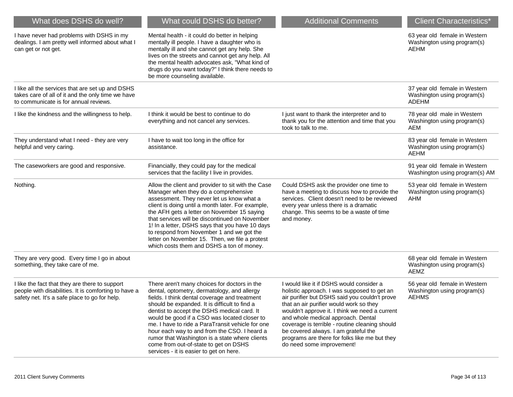| What does DSHS do well?                                                                                                                                 | What could DSHS do better?                                                                                                                                                                                                                                                                                                                                                                                                                                                                                                             | <b>Additional Comments</b>                                                                                                                                                                                                                                                                                                                                                                                                                          | <b>Client Characteristics*</b>                                               |
|---------------------------------------------------------------------------------------------------------------------------------------------------------|----------------------------------------------------------------------------------------------------------------------------------------------------------------------------------------------------------------------------------------------------------------------------------------------------------------------------------------------------------------------------------------------------------------------------------------------------------------------------------------------------------------------------------------|-----------------------------------------------------------------------------------------------------------------------------------------------------------------------------------------------------------------------------------------------------------------------------------------------------------------------------------------------------------------------------------------------------------------------------------------------------|------------------------------------------------------------------------------|
| I have never had problems with DSHS in my<br>dealings. I am pretty well informed about what I<br>can get or not get.                                    | Mental health - it could do better in helping<br>mentally ill people. I have a daughter who is<br>mentally ill and she cannot get any help. She<br>lives on the streets and cannot get any help. All<br>the mental health advocates ask, "What kind of<br>drugs do you want today?" I think there needs to<br>be more counseling available.                                                                                                                                                                                            |                                                                                                                                                                                                                                                                                                                                                                                                                                                     | 63 year old female in Western<br>Washington using program(s)<br>AEHM         |
| I like all the services that are set up and DSHS<br>takes care of all of it and the only time we have<br>to communicate is for annual reviews.          |                                                                                                                                                                                                                                                                                                                                                                                                                                                                                                                                        |                                                                                                                                                                                                                                                                                                                                                                                                                                                     | 37 year old female in Western<br>Washington using program(s)<br><b>ADEHM</b> |
| I like the kindness and the willingness to help.                                                                                                        | I think it would be best to continue to do<br>everything and not cancel any services.                                                                                                                                                                                                                                                                                                                                                                                                                                                  | I just want to thank the interpreter and to<br>thank you for the attention and time that you<br>took to talk to me.                                                                                                                                                                                                                                                                                                                                 | 78 year old male in Western<br>Washington using program(s)<br><b>AEM</b>     |
| They understand what I need - they are very<br>helpful and very caring.                                                                                 | I have to wait too long in the office for<br>assistance.                                                                                                                                                                                                                                                                                                                                                                                                                                                                               |                                                                                                                                                                                                                                                                                                                                                                                                                                                     | 83 year old female in Western<br>Washington using program(s)<br><b>AEHM</b>  |
| The caseworkers are good and responsive.                                                                                                                | Financially, they could pay for the medical<br>services that the facility I live in provides.                                                                                                                                                                                                                                                                                                                                                                                                                                          |                                                                                                                                                                                                                                                                                                                                                                                                                                                     | 91 year old female in Western<br>Washington using program(s) AM              |
| Nothing.                                                                                                                                                | Allow the client and provider to sit with the Case<br>Manager when they do a comprehensive<br>assessment. They never let us know what a<br>client is doing until a month later. For example,<br>the AFH gets a letter on November 15 saying<br>that services will be discontinued on November<br>1! In a letter, DSHS says that you have 10 days<br>to respond from November 1 and we got the<br>letter on November 15. Then, we file a protest<br>which costs them and DSHS a ton of money.                                           | Could DSHS ask the provider one time to<br>have a meeting to discuss how to provide the<br>services. Client doesn't need to be reviewed<br>every year unless there is a dramatic<br>change. This seems to be a waste of time<br>and money.                                                                                                                                                                                                          | 53 year old female in Western<br>Washington using program(s)<br>AHM          |
| They are very good. Every time I go in about<br>something, they take care of me.                                                                        |                                                                                                                                                                                                                                                                                                                                                                                                                                                                                                                                        |                                                                                                                                                                                                                                                                                                                                                                                                                                                     | 68 year old female in Western<br>Washington using program(s)<br>AEMZ         |
| I like the fact that they are there to support<br>people with disabilities. It is comforting to have a<br>safety net. It's a safe place to go for help. | There aren't many choices for doctors in the<br>dental, optometry, dermatology, and allergy<br>fields. I think dental coverage and treatment<br>should be expanded. It is difficult to find a<br>dentist to accept the DSHS medical card. It<br>would be good if a CSO was located closer to<br>me. I have to ride a ParaTransit vehicle for one<br>hour each way to and from the CSO. I heard a<br>rumor that Washington is a state where clients<br>come from out-of-state to get on DSHS<br>services - it is easier to get on here. | I would like it if DSHS would consider a<br>holistic approach. I was supposed to get an<br>air purifier but DSHS said you couldn't prove<br>that an air purifier would work so they<br>wouldn't approve it. I think we need a current<br>and whole medical approach. Dental<br>coverage is terrible - routine cleaning should<br>be covered always. I am grateful the<br>programs are there for folks like me but they<br>do need some improvement! | 56 year old female in Western<br>Washington using program(s)<br><b>AEHMS</b> |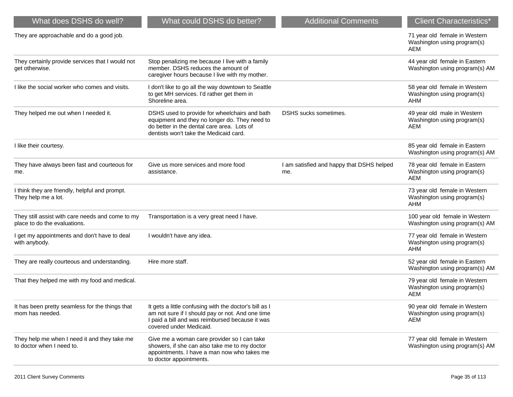| What does DSHS do well?                                                          | What could DSHS do better?                                                                                                                                                               | <b>Additional Comments</b>                       | <b>Client Characteristics*</b>                                             |
|----------------------------------------------------------------------------------|------------------------------------------------------------------------------------------------------------------------------------------------------------------------------------------|--------------------------------------------------|----------------------------------------------------------------------------|
| They are approachable and do a good job.                                         |                                                                                                                                                                                          |                                                  | 71 year old female in Western<br>Washington using program(s)<br>AEM        |
| They certainly provide services that I would not<br>get otherwise.               | Stop penalizing me because I live with a family<br>member. DSHS reduces the amount of<br>caregiver hours because I live with my mother.                                                  |                                                  | 44 year old female in Eastern<br>Washington using program(s) AM            |
| I like the social worker who comes and visits.                                   | I don't like to go all the way downtown to Seattle<br>to get MH services. I'd rather get them in<br>Shoreline area.                                                                      |                                                  | 58 year old female in Western<br>Washington using program(s)<br>AHM        |
| They helped me out when I needed it.                                             | DSHS used to provide for wheelchairs and bath<br>equipment and they no longer do. They need to<br>do better in the dental care area. Lots of<br>dentists won't take the Medicaid card.   | DSHS sucks sometimes.                            | 49 year old male in Western<br>Washington using program(s)<br>AEM          |
| I like their courtesy.                                                           |                                                                                                                                                                                          |                                                  | 85 year old female in Eastern<br>Washington using program(s) AM            |
| They have always been fast and courteous for<br>me.                              | Give us more services and more food<br>assistance.                                                                                                                                       | I am satisfied and happy that DSHS helped<br>me. | 78 year old female in Eastern<br>Washington using program(s)<br>AEM        |
| I think they are friendly, helpful and prompt.<br>They help me a lot.            |                                                                                                                                                                                          |                                                  | 73 year old female in Western<br>Washington using program(s)<br><b>AHM</b> |
| They still assist with care needs and come to my<br>place to do the evaluations. | Transportation is a very great need I have.                                                                                                                                              |                                                  | 100 year old female in Western<br>Washington using program(s) AM           |
| I get my appointments and don't have to deal<br>with anybody.                    | I wouldn't have any idea.                                                                                                                                                                |                                                  | 77 year old female in Western<br>Washington using program(s)<br>AHM        |
| They are really courteous and understanding.                                     | Hire more staff.                                                                                                                                                                         |                                                  | 52 year old female in Eastern<br>Washington using program(s) AM            |
| That they helped me with my food and medical.                                    |                                                                                                                                                                                          |                                                  | 79 year old female in Western<br>Washington using program(s)<br>AEM        |
| It has been pretty seamless for the things that<br>mom has needed.               | It gets a little confusing with the doctor's bill as I<br>am not sure if I should pay or not. And one time<br>I paid a bill and was reimbursed because it was<br>covered under Medicaid. |                                                  | 90 year old female in Western<br>Washington using program(s)<br><b>AEM</b> |
| They help me when I need it and they take me<br>to doctor when I need to.        | Give me a woman care provider so I can take<br>showers, if she can also take me to my doctor<br>appointments. I have a man now who takes me<br>to doctor appointments.                   |                                                  | 77 year old female in Western<br>Washington using program(s) AM            |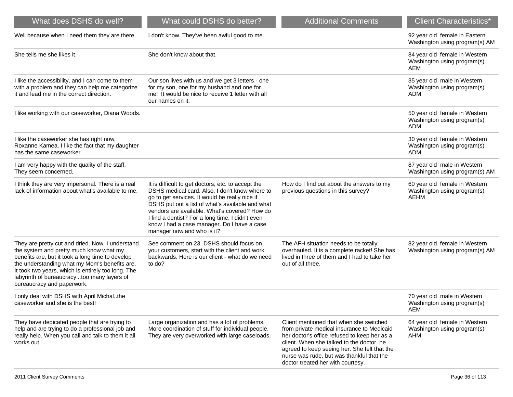| What does DSHS do well?                                                                                                                                                                                                                                                                                                            | What could DSHS do better?                                                                                                                                                                                                                                                                                                                                                                   | <b>Additional Comments</b>                                                                                                                                                                                                                                                                                           | <b>Client Characteristics*</b>                                              |
|------------------------------------------------------------------------------------------------------------------------------------------------------------------------------------------------------------------------------------------------------------------------------------------------------------------------------------|----------------------------------------------------------------------------------------------------------------------------------------------------------------------------------------------------------------------------------------------------------------------------------------------------------------------------------------------------------------------------------------------|----------------------------------------------------------------------------------------------------------------------------------------------------------------------------------------------------------------------------------------------------------------------------------------------------------------------|-----------------------------------------------------------------------------|
| Well because when I need them they are there.                                                                                                                                                                                                                                                                                      | I don't know. They've been awful good to me.                                                                                                                                                                                                                                                                                                                                                 |                                                                                                                                                                                                                                                                                                                      | 92 year old female in Eastern<br>Washington using program(s) AM             |
| She tells me she likes it.                                                                                                                                                                                                                                                                                                         | She don't know about that.                                                                                                                                                                                                                                                                                                                                                                   |                                                                                                                                                                                                                                                                                                                      | 84 year old female in Western<br>Washington using program(s)<br><b>AEM</b>  |
| I like the accessibility, and I can come to them<br>with a problem and they can help me categorize<br>it and lead me in the correct direction.                                                                                                                                                                                     | Our son lives with us and we get 3 letters - one<br>for my son, one for my husband and one for<br>me! It would be nice to receive 1 letter with all<br>our names on it.                                                                                                                                                                                                                      |                                                                                                                                                                                                                                                                                                                      | 35 year old male in Western<br>Washington using program(s)<br><b>ADM</b>    |
| I like working with our caseworker, Diana Woods.                                                                                                                                                                                                                                                                                   |                                                                                                                                                                                                                                                                                                                                                                                              |                                                                                                                                                                                                                                                                                                                      | 50 year old female in Western<br>Washington using program(s)<br><b>ADM</b>  |
| I like the caseworker she has right now,<br>Roxanne Kamea. I like the fact that my daughter<br>has the same caseworker.                                                                                                                                                                                                            |                                                                                                                                                                                                                                                                                                                                                                                              |                                                                                                                                                                                                                                                                                                                      | 30 year old female in Western<br>Washington using program(s)<br><b>ADM</b>  |
| I am very happy with the quality of the staff.<br>They seem concerned.                                                                                                                                                                                                                                                             |                                                                                                                                                                                                                                                                                                                                                                                              |                                                                                                                                                                                                                                                                                                                      | 87 year old male in Western<br>Washington using program(s) AM               |
| I think they are very impersonal. There is a real<br>lack of information about what's available to me.                                                                                                                                                                                                                             | It is difficult to get doctors, etc. to accept the<br>DSHS medical card. Also, I don't know where to<br>go to get services. It would be really nice if<br>DSHS put out a list of what's available and what<br>vendors are available. What's covered? How do<br>I find a dentist? For a long time, I didn't even<br>know I had a case manager. Do I have a case<br>manager now and who is it? | How do I find out about the answers to my<br>previous questions in this survey?                                                                                                                                                                                                                                      | 60 year old female in Western<br>Washington using program(s)<br><b>AEHM</b> |
| They are pretty cut and dried. Now, I understand<br>the system and pretty much know what my<br>benefits are, but it took a long time to develop<br>the understanding what my Mom's benefits are.<br>It took two years, which is entirely too long. The<br>labyrinth of bureaucracytoo many layers of<br>bureaucracy and paperwork. | See comment on 23. DSHS should focus on<br>your customers, start with the client and work<br>backwards. Here is our client - what do we need<br>to do?                                                                                                                                                                                                                                       | The AFH situation needs to be totally<br>overhauled. It is a complete racket! She has<br>lived in three of them and I had to take her<br>out of all three.                                                                                                                                                           | 82 year old female in Western<br>Washington using program(s) AM             |
| I only deal with DSHS with April Michalthe<br>caseworker and she is the best!                                                                                                                                                                                                                                                      |                                                                                                                                                                                                                                                                                                                                                                                              |                                                                                                                                                                                                                                                                                                                      | 70 year old male in Western<br>Washington using program(s)<br>AEM           |
| They have dedicated people that are trying to<br>help and are trying to do a professional job and<br>really help. When you call and talk to them it all<br>works out.                                                                                                                                                              | Large organization and has a lot of problems.<br>More coordination of stuff for individual people.<br>They are very overworked with large caseloads.                                                                                                                                                                                                                                         | Client mentioned that when she switched<br>from private medical insurance to Medicaid<br>her doctor's office refused to keep her as a<br>client. When she talked to the doctor, he<br>agreed to keep seeing her. She felt that the<br>nurse was rude, but was thankful that the<br>doctor treated her with courtesy. | 64 year old female in Western<br>Washington using program(s)<br><b>AHM</b>  |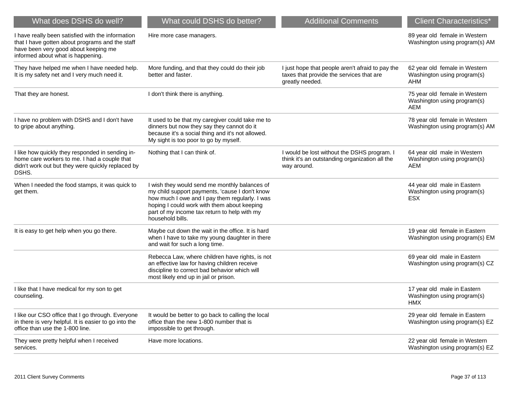| What does DSHS do well?                                                                                                                                                           | What could DSHS do better?                                                                                                                                                                                                                                           | <b>Additional Comments</b>                                                                                      | <b>Client Characteristics*</b>                                             |
|-----------------------------------------------------------------------------------------------------------------------------------------------------------------------------------|----------------------------------------------------------------------------------------------------------------------------------------------------------------------------------------------------------------------------------------------------------------------|-----------------------------------------------------------------------------------------------------------------|----------------------------------------------------------------------------|
| I have really been satisfied with the information<br>that I have gotten about programs and the staff<br>have been very good about keeping me<br>informed about what is happening. | Hire more case managers.                                                                                                                                                                                                                                             |                                                                                                                 | 89 year old female in Western<br>Washington using program(s) AM            |
| They have helped me when I have needed help.<br>It is my safety net and I very much need it.                                                                                      | More funding, and that they could do their job<br>better and faster.                                                                                                                                                                                                 | I just hope that people aren't afraid to pay the<br>taxes that provide the services that are<br>greatly needed. | 62 year old female in Western<br>Washington using program(s)<br><b>AHM</b> |
| That they are honest.                                                                                                                                                             | I don't think there is anything.                                                                                                                                                                                                                                     |                                                                                                                 | 75 year old female in Western<br>Washington using program(s)<br><b>AEM</b> |
| I have no problem with DSHS and I don't have<br>to gripe about anything.                                                                                                          | It used to be that my caregiver could take me to<br>dinners but now they say they cannot do it<br>because it's a social thing and it's not allowed.<br>My sight is too poor to go by myself.                                                                         |                                                                                                                 | 78 year old female in Western<br>Washington using program(s) AM            |
| I like how quickly they responded in sending in-<br>home care workers to me. I had a couple that<br>didn't work out but they were quickly replaced by<br>DSHS.                    | Nothing that I can think of.                                                                                                                                                                                                                                         | I would be lost without the DSHS program. I<br>think it's an outstanding organization all the<br>way around.    | 64 year old male in Western<br>Washington using program(s)<br>AEM          |
| When I needed the food stamps, it was quick to<br>get them.                                                                                                                       | I wish they would send me monthly balances of<br>my child support payments, 'cause I don't know<br>how much I owe and I pay them regularly. I was<br>hoping I could work with them about keeping<br>part of my income tax return to help with my<br>household bills. |                                                                                                                 | 44 year old male in Eastern<br>Washington using program(s)<br><b>ESX</b>   |
| It is easy to get help when you go there.                                                                                                                                         | Maybe cut down the wait in the office. It is hard<br>when I have to take my young daughter in there<br>and wait for such a long time.                                                                                                                                |                                                                                                                 | 19 year old female in Eastern<br>Washington using program(s) EM            |
|                                                                                                                                                                                   | Rebecca Law, where children have rights, is not<br>an effective law for having children receive<br>discipline to correct bad behavior which will<br>most likely end up in jail or prison.                                                                            |                                                                                                                 | 69 year old male in Eastern<br>Washington using program(s) CZ              |
| I like that I have medical for my son to get<br>counseling.                                                                                                                       |                                                                                                                                                                                                                                                                      |                                                                                                                 | 17 year old male in Eastern<br>Washington using program(s)<br>HMX          |
| I like our CSO office that I go through. Everyone<br>in there is very helpful. It is easier to go into the<br>office than use the 1-800 line.                                     | It would be better to go back to calling the local<br>office than the new 1-800 number that is<br>impossible to get through.                                                                                                                                         |                                                                                                                 | 29 year old female in Eastern<br>Washington using program(s) EZ            |
| They were pretty helpful when I received<br>services.                                                                                                                             | Have more locations.                                                                                                                                                                                                                                                 |                                                                                                                 | 22 year old female in Western<br>Washington using program(s) EZ            |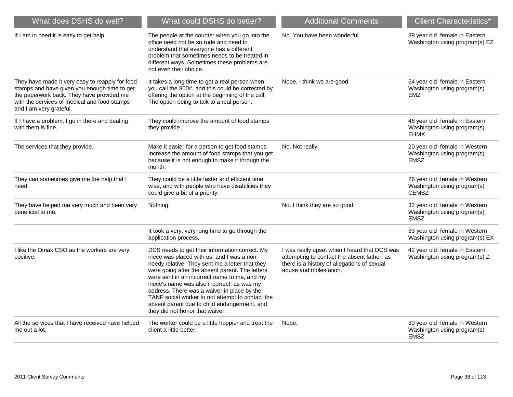| What does DSHS do well?                                                                                                                                                                                                 | What could DSHS do better?                                                                                                                                                                                                                                                                                                                                                                                                                                                             | <b>Additional Comments</b>                                                                                                                                           | <b>Client Characteristics*</b>                                               |
|-------------------------------------------------------------------------------------------------------------------------------------------------------------------------------------------------------------------------|----------------------------------------------------------------------------------------------------------------------------------------------------------------------------------------------------------------------------------------------------------------------------------------------------------------------------------------------------------------------------------------------------------------------------------------------------------------------------------------|----------------------------------------------------------------------------------------------------------------------------------------------------------------------|------------------------------------------------------------------------------|
| If I am in need it is easy to get help.                                                                                                                                                                                 | The people at the counter when you go into the<br>office need not be so rude and need to<br>understand that everyone has a different<br>problem that sometimes needs to be treated in<br>different ways. Sometimes these problems are<br>not even their choice.                                                                                                                                                                                                                        | No. You have been wonderful.                                                                                                                                         | 39 year old female in Eastern<br>Washington using program(s) EZ              |
| They have made it very easy to reapply for food<br>stamps and have given you enough time to get<br>the paperwork back. They have provided me<br>with the services of medical and food stamps<br>and I am very grateful. | It takes a long time to get a real person when<br>you call the 800#, and this could be corrected by<br>offering the option at the beginning of the call.<br>The option being to talk to a real person.                                                                                                                                                                                                                                                                                 | Nope, I think we are good.                                                                                                                                           | 54 year old female in Eastern<br>Washington using program(s)<br><b>EMZ</b>   |
| If I have a problem, I go in there and dealing<br>with them is fine.                                                                                                                                                    | They could improve the amount of food stamps<br>they provide.                                                                                                                                                                                                                                                                                                                                                                                                                          |                                                                                                                                                                      | 46 year old female in Eastern<br>Washington using program(s)<br><b>EHMX</b>  |
| The services that they provide.                                                                                                                                                                                         | Make it easier for a person to get food stamps.<br>Increase the amount of food stamps that you get<br>because it is not enough to make it through the<br>month.                                                                                                                                                                                                                                                                                                                        | No. Not really.                                                                                                                                                      | 20 year old female in Western<br>Washington using program(s)<br>EMSZ         |
| They can sometimes give me the help that I<br>need.                                                                                                                                                                     | They could be a little faster and efficient time<br>wise, and with people who have disabilities they<br>could give a bit of a priority.                                                                                                                                                                                                                                                                                                                                                |                                                                                                                                                                      | 26 year old female in Western<br>Washington using program(s)<br><b>CEMSZ</b> |
| They have helped me very much and been very<br>beneficial to me.                                                                                                                                                        | Nothing.                                                                                                                                                                                                                                                                                                                                                                                                                                                                               | No. I think they are so good.                                                                                                                                        | 32 year old female in Western<br>Washington using program(s)<br><b>EMSZ</b>  |
|                                                                                                                                                                                                                         | It took a very, very long time to go through the<br>application process.                                                                                                                                                                                                                                                                                                                                                                                                               |                                                                                                                                                                      | 33 year old female in Western<br>Washington using program(s) EX              |
| I like the Omak CSO as the workers are very<br>positive.                                                                                                                                                                | DCS needs to get their information correct. My<br>niece was placed with us, and I was a non-<br>needy relative. They sent me a letter that they<br>were going after the absent parent. The letters<br>were sent in an incorrect name to me, and my<br>niece's name was also incorrect, as was my<br>address. There was a waiver in place by the<br>TANF social worker to not attempt to contact the<br>absent parent due to child endangerment, and<br>they did not honor that waiver. | I was really upset when I heard that DCS was<br>attempting to contact the absent father, as<br>there is a history of allegations of sexual<br>abuse and molestation. | 42 year old female in Eastern<br>Washington using program(s) Z               |
| All the services that I have received have helped<br>me out a lot.                                                                                                                                                      | The worker could be a little happier and treat the<br>client a little better.                                                                                                                                                                                                                                                                                                                                                                                                          | Nope.                                                                                                                                                                | 30 year old female in Western<br>Washington using program(s)<br><b>EMSZ</b>  |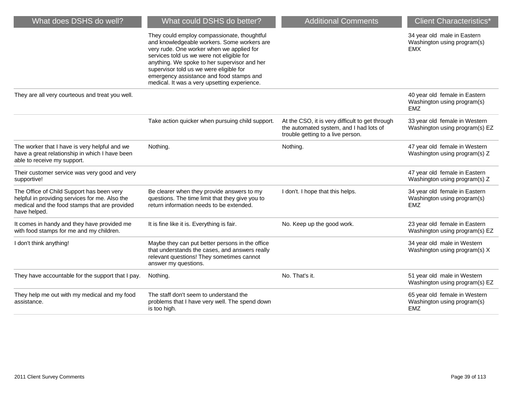| What does DSHS do well?                                                                                                                                      | What could DSHS do better?                                                                                                                                                                                                                                                                                                                                                  | <b>Additional Comments</b>                                                                                                      | <b>Client Characteristics*</b>                                             |
|--------------------------------------------------------------------------------------------------------------------------------------------------------------|-----------------------------------------------------------------------------------------------------------------------------------------------------------------------------------------------------------------------------------------------------------------------------------------------------------------------------------------------------------------------------|---------------------------------------------------------------------------------------------------------------------------------|----------------------------------------------------------------------------|
|                                                                                                                                                              | They could employ compassionate, thoughtful<br>and knowledgeable workers. Some workers are<br>very rude. One worker when we applied for<br>services told us we were not eligible for<br>anything. We spoke to her supervisor and her<br>supervisor told us we were eligible for<br>emergency assistance and food stamps and<br>medical. It was a very upsetting experience. |                                                                                                                                 | 34 year old male in Eastern<br>Washington using program(s)<br><b>EMX</b>   |
| They are all very courteous and treat you well.                                                                                                              |                                                                                                                                                                                                                                                                                                                                                                             |                                                                                                                                 | 40 year old female in Eastern<br>Washington using program(s)<br><b>EMZ</b> |
|                                                                                                                                                              | Take action quicker when pursuing child support.                                                                                                                                                                                                                                                                                                                            | At the CSO, it is very difficult to get through<br>the automated system, and I had lots of<br>trouble getting to a live person. | 33 year old female in Western<br>Washington using program(s) EZ            |
| The worker that I have is very helpful and we<br>have a great relationship in which I have been<br>able to receive my support.                               | Nothing.                                                                                                                                                                                                                                                                                                                                                                    | Nothing.                                                                                                                        | 47 year old female in Western<br>Washington using program(s) Z             |
| Their customer service was very good and very<br>supportive!                                                                                                 |                                                                                                                                                                                                                                                                                                                                                                             |                                                                                                                                 | 47 year old female in Eastern<br>Washington using program(s) Z             |
| The Office of Child Support has been very<br>helpful in providing services for me. Also the<br>medical and the food stamps that are provided<br>have helped. | Be clearer when they provide answers to my<br>questions. The time limit that they give you to<br>return information needs to be extended.                                                                                                                                                                                                                                   | I don't. I hope that this helps.                                                                                                | 34 year old female in Eastern<br>Washington using program(s)<br><b>EMZ</b> |
| It comes in handy and they have provided me<br>with food stamps for me and my children.                                                                      | It is fine like it is. Everything is fair.                                                                                                                                                                                                                                                                                                                                  | No. Keep up the good work.                                                                                                      | 23 year old female in Eastern<br>Washington using program(s) EZ            |
| I don't think anything!                                                                                                                                      | Maybe they can put better persons in the office<br>that understands the cases, and answers really<br>relevant questions! They sometimes cannot<br>answer my questions.                                                                                                                                                                                                      |                                                                                                                                 | 34 year old male in Western<br>Washington using program(s) X               |
| They have accountable for the support that I pay.                                                                                                            | Nothing.                                                                                                                                                                                                                                                                                                                                                                    | No. That's it.                                                                                                                  | 51 year old male in Western<br>Washington using program(s) EZ              |
| They help me out with my medical and my food<br>assistance.                                                                                                  | The staff don't seem to understand the<br>problems that I have very well. The spend down<br>is too high.                                                                                                                                                                                                                                                                    |                                                                                                                                 | 65 year old female in Western<br>Washington using program(s)<br><b>EMZ</b> |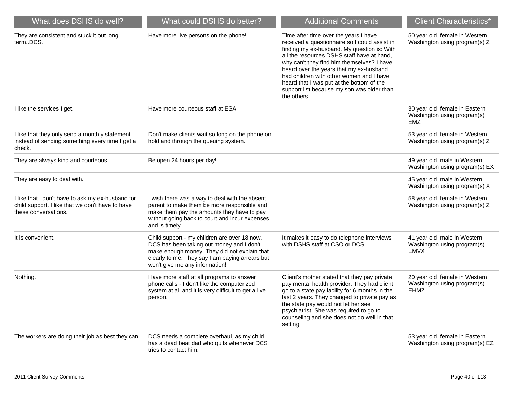| What does DSHS do well?                                                                                                       | What could DSHS do better?                                                                                                                                                                                                     | <b>Additional Comments</b>                                                                                                                                                                                                                                                                                                                                                                                                         | <b>Client Characteristics*</b>                                              |
|-------------------------------------------------------------------------------------------------------------------------------|--------------------------------------------------------------------------------------------------------------------------------------------------------------------------------------------------------------------------------|------------------------------------------------------------------------------------------------------------------------------------------------------------------------------------------------------------------------------------------------------------------------------------------------------------------------------------------------------------------------------------------------------------------------------------|-----------------------------------------------------------------------------|
| They are consistent and stuck it out long<br>termDCS.                                                                         | Have more live persons on the phone!                                                                                                                                                                                           | Time after time over the years I have<br>received a questionnaire so I could assist in<br>finding my ex-husband. My question is: With<br>all the resources DSHS staff have at hand,<br>why can't they find him themselves? I have<br>heard over the years that my ex-husband<br>had children with other women and I have<br>heard that I was put at the bottom of the<br>support list because my son was older than<br>the others. | 50 year old female in Western<br>Washington using program(s) Z              |
| I like the services I get.                                                                                                    | Have more courteous staff at ESA.                                                                                                                                                                                              |                                                                                                                                                                                                                                                                                                                                                                                                                                    | 30 year old female in Eastern<br>Washington using program(s)<br><b>EMZ</b>  |
| I like that they only send a monthly statement<br>instead of sending something every time I get a<br>check.                   | Don't make clients wait so long on the phone on<br>hold and through the queuing system.                                                                                                                                        |                                                                                                                                                                                                                                                                                                                                                                                                                                    | 53 year old female in Western<br>Washington using program(s) Z              |
| They are always kind and courteous.                                                                                           | Be open 24 hours per day!                                                                                                                                                                                                      |                                                                                                                                                                                                                                                                                                                                                                                                                                    | 49 year old male in Western<br>Washington using program(s) EX               |
| They are easy to deal with.                                                                                                   |                                                                                                                                                                                                                                |                                                                                                                                                                                                                                                                                                                                                                                                                                    | 45 year old male in Western<br>Washington using program(s) X                |
| I like that I don't have to ask my ex-husband for<br>child support. I like that we don't have to have<br>these conversations. | I wish there was a way to deal with the absent<br>parent to make them be more responsible and<br>make them pay the amounts they have to pay<br>without going back to court and incur expenses<br>and is timely.                |                                                                                                                                                                                                                                                                                                                                                                                                                                    | 58 year old female in Western<br>Washington using program(s) Z              |
| It is convenient.                                                                                                             | Child support - my children are over 18 now.<br>DCS has been taking out money and I don't<br>make enough money. They did not explain that<br>clearly to me. They say I am paying arrears but<br>won't give me any information! | It makes it easy to do telephone interviews<br>with DSHS staff at CSO or DCS.                                                                                                                                                                                                                                                                                                                                                      | 41 year old male in Western<br>Washington using program(s)<br><b>EMVX</b>   |
| Nothing.                                                                                                                      | Have more staff at all programs to answer<br>phone calls - I don't like the computerized<br>system at all and it is very difficult to get a live<br>person.                                                                    | Client's mother stated that they pay private<br>pay mental health provider. They had client<br>go to a state pay facility for 6 months in the<br>last 2 years. They changed to private pay as<br>the state pay would not let her see<br>psychiatrist. She was required to go to<br>counseling and she does not do well in that<br>setting.                                                                                         | 20 year old female in Western<br>Washington using program(s)<br><b>EHMZ</b> |
| The workers are doing their job as best they can.                                                                             | DCS needs a complete overhaul, as my child<br>has a dead beat dad who quits whenever DCS<br>tries to contact him.                                                                                                              |                                                                                                                                                                                                                                                                                                                                                                                                                                    | 53 year old female in Eastern<br>Washington using program(s) EZ             |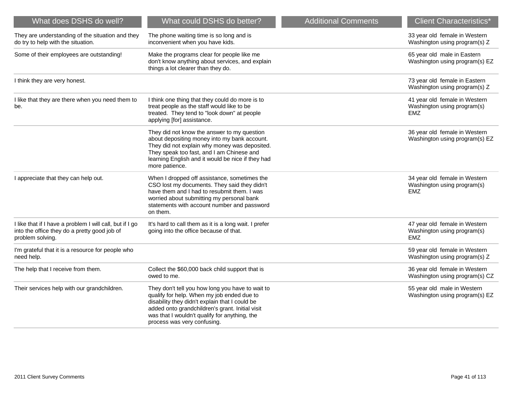| What does DSHS do well?                                                                                                      | What could DSHS do better?                                                                                                                                                                                                                                                          | <b>Additional Comments</b> | <b>Client Characteristics*</b>                                             |
|------------------------------------------------------------------------------------------------------------------------------|-------------------------------------------------------------------------------------------------------------------------------------------------------------------------------------------------------------------------------------------------------------------------------------|----------------------------|----------------------------------------------------------------------------|
| They are understanding of the situation and they<br>do try to help with the situation.                                       | The phone waiting time is so long and is<br>inconvenient when you have kids.                                                                                                                                                                                                        |                            | 33 year old female in Western<br>Washington using program(s) Z             |
| Some of their employees are outstanding!                                                                                     | Make the programs clear for people like me<br>don't know anything about services, and explain<br>things a lot clearer than they do.                                                                                                                                                 |                            | 65 year old male in Eastern<br>Washington using program(s) EZ              |
| I think they are very honest.                                                                                                |                                                                                                                                                                                                                                                                                     |                            | 73 year old female in Eastern<br>Washington using program(s) Z             |
| I like that they are there when you need them to<br>be.                                                                      | I think one thing that they could do more is to<br>treat people as the staff would like to be<br>treated. They tend to "look down" at people<br>applying [for] assistance.                                                                                                          |                            | 41 year old female in Western<br>Washington using program(s)<br>EMZ.       |
|                                                                                                                              | They did not know the answer to my question<br>about depositing money into my bank account.<br>They did not explain why money was deposited.<br>They speak too fast, and I am Chinese and<br>learning English and it would be nice if they had<br>more patience.                    |                            | 36 year old female in Western<br>Washington using program(s) EZ            |
| I appreciate that they can help out.                                                                                         | When I dropped off assistance, sometimes the<br>CSO lost my documents. They said they didn't<br>have them and I had to resubmit them. I was<br>worried about submitting my personal bank<br>statements with account number and password<br>on them.                                 |                            | 34 year old female in Western<br>Washington using program(s)<br><b>EMZ</b> |
| I like that if I have a problem I will call, but if I go<br>into the office they do a pretty good job of<br>problem solving. | It's hard to call them as it is a long wait. I prefer<br>going into the office because of that.                                                                                                                                                                                     |                            | 47 year old female in Western<br>Washington using program(s)<br>EMZ.       |
| I'm grateful that it is a resource for people who<br>need help.                                                              |                                                                                                                                                                                                                                                                                     |                            | 59 year old female in Western<br>Washington using program(s) Z             |
| The help that I receive from them.                                                                                           | Collect the \$60,000 back child support that is<br>owed to me.                                                                                                                                                                                                                      |                            | 36 year old female in Western<br>Washington using program(s) CZ            |
| Their services help with our grandchildren.                                                                                  | They don't tell you how long you have to wait to<br>qualify for help. When my job ended due to<br>disability they didn't explain that I could be<br>added onto grandchildren's grant. Initial visit<br>was that I wouldn't qualify for anything, the<br>process was very confusing. |                            | 55 year old male in Western<br>Washington using program(s) EZ              |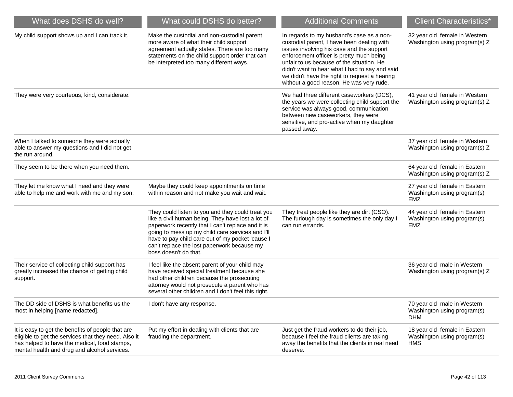| What does DSHS do well?                                                                                                                                                                                   | What could DSHS do better?                                                                                                                                                                                                                                                                                                                  | <b>Additional Comments</b>                                                                                                                                                                                                                                                                                                                                                   | <b>Client Characteristics*</b>                                             |
|-----------------------------------------------------------------------------------------------------------------------------------------------------------------------------------------------------------|---------------------------------------------------------------------------------------------------------------------------------------------------------------------------------------------------------------------------------------------------------------------------------------------------------------------------------------------|------------------------------------------------------------------------------------------------------------------------------------------------------------------------------------------------------------------------------------------------------------------------------------------------------------------------------------------------------------------------------|----------------------------------------------------------------------------|
| My child support shows up and I can track it.                                                                                                                                                             | Make the custodial and non-custodial parent<br>more aware of what their child support<br>agreement actually states. There are too many<br>statements on the child support order that can<br>be interpreted too many different ways.                                                                                                         | In regards to my husband's case as a non-<br>custodial parent, I have been dealing with<br>issues involving his case and the support<br>enforcement officer is pretty much being<br>unfair to us because of the situation. He<br>didn't want to hear what I had to say and said<br>we didn't have the right to request a hearing<br>without a good reason. He was very rude. | 32 year old female in Western<br>Washington using program(s) Z             |
| They were very courteous, kind, considerate.                                                                                                                                                              |                                                                                                                                                                                                                                                                                                                                             | We had three different caseworkers (DCS),<br>the years we were collecting child support the<br>service was always good, communication<br>between new caseworkers, they were<br>sensitive, and pro-active when my daughter<br>passed away.                                                                                                                                    | 41 year old female in Western<br>Washington using program(s) Z             |
| When I talked to someone they were actually<br>able to answer my questions and I did not get<br>the run around.                                                                                           |                                                                                                                                                                                                                                                                                                                                             |                                                                                                                                                                                                                                                                                                                                                                              | 37 year old female in Western<br>Washington using program(s) Z             |
| They seem to be there when you need them.                                                                                                                                                                 |                                                                                                                                                                                                                                                                                                                                             |                                                                                                                                                                                                                                                                                                                                                                              | 64 year old female in Eastern<br>Washington using program(s) Z             |
| They let me know what I need and they were<br>able to help me and work with me and my son.                                                                                                                | Maybe they could keep appointments on time<br>within reason and not make you wait and wait.                                                                                                                                                                                                                                                 |                                                                                                                                                                                                                                                                                                                                                                              | 27 year old female in Eastern<br>Washington using program(s)<br><b>EMZ</b> |
|                                                                                                                                                                                                           | They could listen to you and they could treat you<br>like a civil human being. They have lost a lot of<br>paperwork recently that I can't replace and it is<br>going to mess up my child care services and I'll<br>have to pay child care out of my pocket 'cause I<br>can't replace the lost paperwork because my<br>boss doesn't do that. | They treat people like they are dirt (CSO).<br>The furlough day is sometimes the only day I<br>can run errands.                                                                                                                                                                                                                                                              | 44 year old female in Eastern<br>Washington using program(s)<br><b>EMZ</b> |
| Their service of collecting child support has<br>greatly increased the chance of getting child<br>support.                                                                                                | I feel like the absent parent of your child may<br>have received special treatment because she<br>had other children because the prosecuting<br>attorney would not prosecute a parent who has<br>several other children and I don't feel this right.                                                                                        |                                                                                                                                                                                                                                                                                                                                                                              | 36 year old male in Western<br>Washington using program(s) Z               |
| The DD side of DSHS is what benefits us the<br>most in helping [name redacted].                                                                                                                           | I don't have any response.                                                                                                                                                                                                                                                                                                                  |                                                                                                                                                                                                                                                                                                                                                                              | 70 year old male in Western<br>Washington using program(s)<br><b>DHM</b>   |
| It is easy to get the benefits of people that are<br>eligible to get the services that they need. Also it<br>has helped to have the medical, food stamps,<br>mental health and drug and alcohol services. | Put my effort in dealing with clients that are<br>frauding the department.                                                                                                                                                                                                                                                                  | Just get the fraud workers to do their job,<br>because I feel the fraud clients are taking<br>away the benefits that the clients in real need<br>deserve.                                                                                                                                                                                                                    | 18 year old female in Eastern<br>Washington using program(s)<br><b>HMS</b> |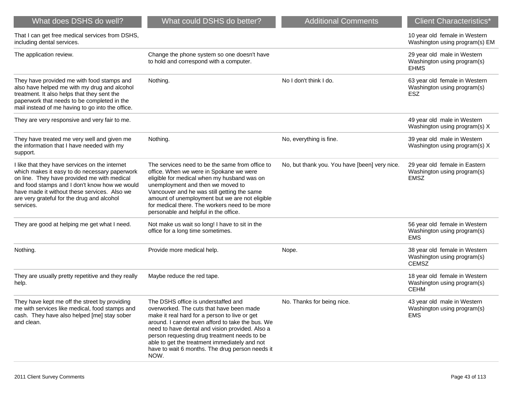| What does DSHS do well?                                                                                                                                                                                                                                                                                    | What could DSHS do better?                                                                                                                                                                                                                                                                                                                                                                          | <b>Additional Comments</b>                    | <b>Client Characteristics*</b>                                               |
|------------------------------------------------------------------------------------------------------------------------------------------------------------------------------------------------------------------------------------------------------------------------------------------------------------|-----------------------------------------------------------------------------------------------------------------------------------------------------------------------------------------------------------------------------------------------------------------------------------------------------------------------------------------------------------------------------------------------------|-----------------------------------------------|------------------------------------------------------------------------------|
| That I can get free medical services from DSHS,<br>including dental services.                                                                                                                                                                                                                              |                                                                                                                                                                                                                                                                                                                                                                                                     |                                               | 10 year old female in Western<br>Washington using program(s) EM              |
| The application review.                                                                                                                                                                                                                                                                                    | Change the phone system so one doesn't have<br>to hold and correspond with a computer.                                                                                                                                                                                                                                                                                                              |                                               | 29 year old male in Western<br>Washington using program(s)<br><b>EHMS</b>    |
| They have provided me with food stamps and<br>also have helped me with my drug and alcohol<br>treatment. It also helps that they sent the<br>paperwork that needs to be completed in the<br>mail instead of me having to go into the office.                                                               | Nothing.                                                                                                                                                                                                                                                                                                                                                                                            | No I don't think I do.                        | 63 year old female in Western<br>Washington using program(s)<br><b>ESZ</b>   |
| They are very responsive and very fair to me.                                                                                                                                                                                                                                                              |                                                                                                                                                                                                                                                                                                                                                                                                     |                                               | 49 year old male in Western<br>Washington using program(s) X                 |
| They have treated me very well and given me<br>the information that I have needed with my<br>support.                                                                                                                                                                                                      | Nothing.                                                                                                                                                                                                                                                                                                                                                                                            | No, everything is fine.                       | 39 year old male in Western<br>Washington using program(s) X                 |
| I like that they have services on the internet<br>which makes it easy to do necessary paperwork<br>on line. They have provided me with medical<br>and food stamps and I don't know how we would<br>have made it without these services. Also we<br>are very grateful for the drug and alcohol<br>services. | The services need to be the same from office to<br>office. When we were in Spokane we were<br>eligible for medical when my husband was on<br>unemployment and then we moved to<br>Vancouver and he was still getting the same<br>amount of unemployment but we are not eligible<br>for medical there. The workers need to be more<br>personable and helpful in the office.                          | No, but thank you. You have [been] very nice. | 29 year old female in Eastern<br>Washington using program(s)<br><b>EMSZ</b>  |
| They are good at helping me get what I need.                                                                                                                                                                                                                                                               | Not make us wait so long! I have to sit in the<br>office for a long time sometimes.                                                                                                                                                                                                                                                                                                                 |                                               | 56 year old female in Western<br>Washington using program(s)<br><b>EMS</b>   |
| Nothing.                                                                                                                                                                                                                                                                                                   | Provide more medical help.                                                                                                                                                                                                                                                                                                                                                                          | Nope.                                         | 38 year old female in Western<br>Washington using program(s)<br><b>CEMSZ</b> |
| They are usually pretty repetitive and they really<br>help.                                                                                                                                                                                                                                                | Maybe reduce the red tape.                                                                                                                                                                                                                                                                                                                                                                          |                                               | 18 year old female in Western<br>Washington using program(s)<br><b>CEHM</b>  |
| They have kept me off the street by providing<br>me with services like medical, food stamps and<br>cash. They have also helped [me] stay sober<br>and clean.                                                                                                                                               | The DSHS office is understaffed and<br>overworked. The cuts that have been made<br>make it real hard for a person to live or get<br>around. I cannot even afford to take the bus. We<br>need to have dental and vision provided. Also a<br>person requesting drug treatment needs to be<br>able to get the treatment immediately and not<br>have to wait 6 months. The drug person needs it<br>NOW. | No. Thanks for being nice.                    | 43 year old male in Western<br>Washington using program(s)<br><b>EMS</b>     |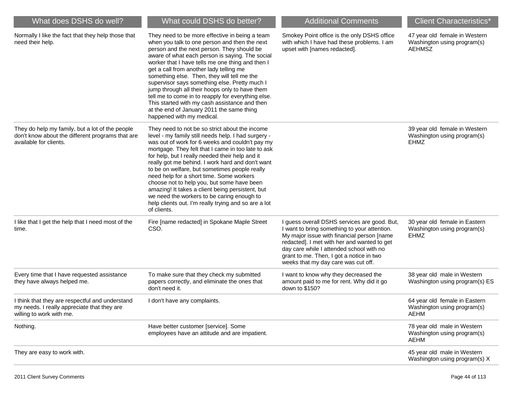| What does DSHS do well?                                                                                                       | What could DSHS do better?                                                                                                                                                                                                                                                                                                                                                                                                                                                                                                                                                                                                                | <b>Additional Comments</b>                                                                                                                                                                                                                                                                                               | <b>Client Characteristics*</b>                                                |
|-------------------------------------------------------------------------------------------------------------------------------|-------------------------------------------------------------------------------------------------------------------------------------------------------------------------------------------------------------------------------------------------------------------------------------------------------------------------------------------------------------------------------------------------------------------------------------------------------------------------------------------------------------------------------------------------------------------------------------------------------------------------------------------|--------------------------------------------------------------------------------------------------------------------------------------------------------------------------------------------------------------------------------------------------------------------------------------------------------------------------|-------------------------------------------------------------------------------|
| Normally I like the fact that they help those that<br>need their help.                                                        | They need to be more effective in being a team<br>when you talk to one person and then the next<br>person and the next person. They should be<br>aware of what each person is saying. The social<br>worker that I have tells me one thing and then I<br>get a call from another lady telling me<br>something else. Then, they will tell me the<br>supervisor says something else. Pretty much I<br>jump through all their hoops only to have them<br>tell me to come in to reapply for everything else.<br>This started with my cash assistance and then<br>at the end of January 2011 the same thing<br>happened with my medical.        | Smokey Point office is the only DSHS office<br>with which I have had these problems. I am<br>upset with [names redacted].                                                                                                                                                                                                | 47 year old female in Western<br>Washington using program(s)<br><b>AEHMSZ</b> |
| They do help my family, but a lot of the people<br>don't know about the different programs that are<br>available for clients. | They need to not be so strict about the income<br>level - my family still needs help. I had surgery -<br>was out of work for 6 weeks and couldn't pay my<br>mortgage. They felt that I came in too late to ask<br>for help, but I really needed their help and it<br>really got me behind. I work hard and don't want<br>to be on welfare, but sometimes people really<br>need help for a short time. Some workers<br>choose not to help you, but some have been<br>amazing! It takes a client being persistent, but<br>we need the workers to be caring enough to<br>help clients out. I'm really trying and so are a lot<br>of clients. |                                                                                                                                                                                                                                                                                                                          | 39 year old female in Western<br>Washington using program(s)<br><b>EHMZ</b>   |
| I like that I get the help that I need most of the<br>time.                                                                   | Fire [name redacted] in Spokane Maple Street<br>CSO.                                                                                                                                                                                                                                                                                                                                                                                                                                                                                                                                                                                      | I guess overall DSHS services are good. But,<br>I want to bring something to your attention.<br>My major issue with financial person [name<br>redacted]. I met with her and wanted to get<br>day care while I attended school with no<br>grant to me. Then, I got a notice in two<br>weeks that my day care was cut off. | 30 year old female in Eastern<br>Washington using program(s)<br><b>EHMZ</b>   |
| Every time that I have requested assistance<br>they have always helped me.                                                    | To make sure that they check my submitted<br>papers correctly, and eliminate the ones that<br>don't need it.                                                                                                                                                                                                                                                                                                                                                                                                                                                                                                                              | I want to know why they decreased the<br>amount paid to me for rent. Why did it go<br>down to \$150?                                                                                                                                                                                                                     | 38 year old male in Western<br>Washington using program(s) ES                 |
| I think that they are respectful and understand<br>my needs. I really appreciate that they are<br>willing to work with me.    | I don't have any complaints.                                                                                                                                                                                                                                                                                                                                                                                                                                                                                                                                                                                                              |                                                                                                                                                                                                                                                                                                                          | 64 year old female in Eastern<br>Washington using program(s)<br>AEHM          |
| Nothing.                                                                                                                      | Have better customer [service]. Some<br>employees have an attitude and are impatient.                                                                                                                                                                                                                                                                                                                                                                                                                                                                                                                                                     |                                                                                                                                                                                                                                                                                                                          | 78 year old male in Western<br>Washington using program(s)<br>AEHM            |
| They are easy to work with.                                                                                                   |                                                                                                                                                                                                                                                                                                                                                                                                                                                                                                                                                                                                                                           |                                                                                                                                                                                                                                                                                                                          | 45 year old male in Western<br>Washington using program(s) X                  |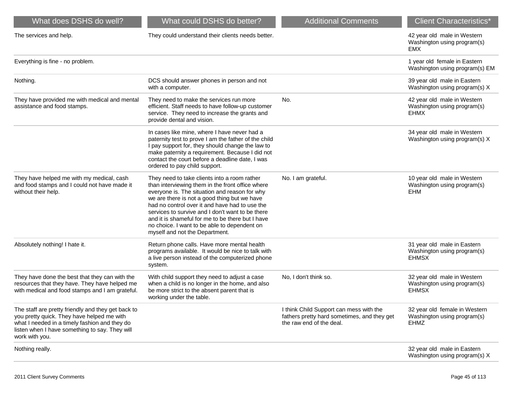| What does DSHS do well?                                                                                                                                                                                               | What could DSHS do better?                                                                                                                                                                                                                                                                                                                                                                                                                    | <b>Additional Comments</b>                                                                                         | <b>Client Characteristics*</b>                                              |
|-----------------------------------------------------------------------------------------------------------------------------------------------------------------------------------------------------------------------|-----------------------------------------------------------------------------------------------------------------------------------------------------------------------------------------------------------------------------------------------------------------------------------------------------------------------------------------------------------------------------------------------------------------------------------------------|--------------------------------------------------------------------------------------------------------------------|-----------------------------------------------------------------------------|
| The services and help.                                                                                                                                                                                                | They could understand their clients needs better.                                                                                                                                                                                                                                                                                                                                                                                             |                                                                                                                    | 42 year old male in Western<br>Washington using program(s)<br><b>EMX</b>    |
| Everything is fine - no problem.                                                                                                                                                                                      |                                                                                                                                                                                                                                                                                                                                                                                                                                               |                                                                                                                    | 1 year old female in Eastern<br>Washington using program(s) EM              |
| Nothing.                                                                                                                                                                                                              | DCS should answer phones in person and not<br>with a computer.                                                                                                                                                                                                                                                                                                                                                                                |                                                                                                                    | 39 year old male in Eastern<br>Washington using program(s) X                |
| They have provided me with medical and mental<br>assistance and food stamps.                                                                                                                                          | They need to make the services run more<br>efficient. Staff needs to have follow-up customer<br>service. They need to increase the grants and<br>provide dental and vision.                                                                                                                                                                                                                                                                   | No.                                                                                                                | 42 year old male in Western<br>Washington using program(s)<br><b>EHMX</b>   |
|                                                                                                                                                                                                                       | In cases like mine, where I have never had a<br>paternity test to prove I am the father of the child<br>I pay support for, they should change the law to<br>make paternity a requirement. Because I did not<br>contact the court before a deadline date, I was<br>ordered to pay child support.                                                                                                                                               |                                                                                                                    | 34 year old male in Western<br>Washington using program(s) X                |
| They have helped me with my medical, cash<br>and food stamps and I could not have made it<br>without their help.                                                                                                      | They need to take clients into a room rather<br>than interviewing them in the front office where<br>everyone is. The situation and reason for why<br>we are there is not a good thing but we have<br>had no control over it and have had to use the<br>services to survive and I don't want to be there<br>and it is shameful for me to be there but I have<br>no choice. I want to be able to dependent on<br>myself and not the Department. | No. I am grateful.                                                                                                 | 10 year old male in Western<br>Washington using program(s)<br><b>EHM</b>    |
| Absolutely nothing! I hate it.                                                                                                                                                                                        | Return phone calls. Have more mental health<br>programs available. It would be nice to talk with<br>a live person instead of the computerized phone<br>system.                                                                                                                                                                                                                                                                                |                                                                                                                    | 31 year old male in Eastern<br>Washington using program(s)<br><b>EHMSX</b>  |
| They have done the best that they can with the<br>resources that they have. They have helped me<br>with medical and food stamps and I am grateful.                                                                    | With child support they need to adjust a case<br>when a child is no longer in the home, and also<br>be more strict to the absent parent that is<br>working under the table.                                                                                                                                                                                                                                                                   | No, I don't think so.                                                                                              | 32 year old male in Western<br>Washington using program(s)<br><b>EHMSX</b>  |
| The staff are pretty friendly and they get back to<br>you pretty quick. They have helped me with<br>what I needed in a timely fashion and they do<br>listen when I have something to say. They will<br>work with you. |                                                                                                                                                                                                                                                                                                                                                                                                                                               | I think Child Support can mess with the<br>fathers pretty hard sometimes, and they get<br>the raw end of the deal. | 32 year old female in Western<br>Washington using program(s)<br><b>EHMZ</b> |
| Nothing really.                                                                                                                                                                                                       |                                                                                                                                                                                                                                                                                                                                                                                                                                               |                                                                                                                    | 32 year old male in Eastern<br>Washington using program(s) X                |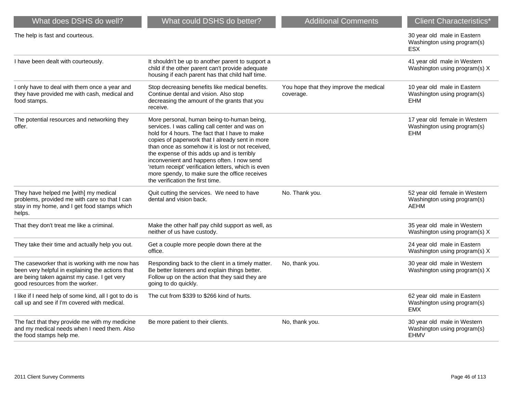| What does DSHS do well?                                                                                                                                                              | What could DSHS do better?                                                                                                                                                                                                                                                                                                                                                                                                                                                                      | <b>Additional Comments</b>                          | <b>Client Characteristics*</b>                                             |
|--------------------------------------------------------------------------------------------------------------------------------------------------------------------------------------|-------------------------------------------------------------------------------------------------------------------------------------------------------------------------------------------------------------------------------------------------------------------------------------------------------------------------------------------------------------------------------------------------------------------------------------------------------------------------------------------------|-----------------------------------------------------|----------------------------------------------------------------------------|
| The help is fast and courteous.                                                                                                                                                      |                                                                                                                                                                                                                                                                                                                                                                                                                                                                                                 |                                                     | 30 year old male in Eastern<br>Washington using program(s)<br><b>ESX</b>   |
| I have been dealt with courteously.                                                                                                                                                  | It shouldn't be up to another parent to support a<br>child if the other parent can't provide adequate<br>housing if each parent has that child half time.                                                                                                                                                                                                                                                                                                                                       |                                                     | 41 year old male in Western<br>Washington using program(s) X               |
| I only have to deal with them once a year and<br>they have provided me with cash, medical and<br>food stamps.                                                                        | Stop decreasing benefits like medical benefits.<br>Continue dental and vision. Also stop<br>decreasing the amount of the grants that you<br>receive.                                                                                                                                                                                                                                                                                                                                            | You hope that they improve the medical<br>coverage. | 10 year old male in Eastern<br>Washington using program(s)<br><b>EHM</b>   |
| The potential resources and networking they<br>offer.                                                                                                                                | More personal, human being-to-human being,<br>services. I was calling call center and was on<br>hold for 4 hours. The fact that I have to make<br>copies of paperwork that I already sent in more<br>than once as somehow it is lost or not received,<br>the expense of this adds up and is terribly<br>inconvenient and happens often. I now send<br>'return receipt' verification letters, which is even<br>more spendy, to make sure the office receives<br>the verification the first time. |                                                     | 17 year old female in Western<br>Washington using program(s)<br><b>EHM</b> |
| They have helped me [with] my medical<br>problems, provided me with care so that I can<br>stay in my home, and I get food stamps which<br>helps.                                     | Quit cutting the services. We need to have<br>dental and vision back.                                                                                                                                                                                                                                                                                                                                                                                                                           | No. Thank you.                                      | 52 year old female in Western<br>Washington using program(s)<br>AEHM       |
| That they don't treat me like a criminal.                                                                                                                                            | Make the other half pay child support as well, as<br>neither of us have custody.                                                                                                                                                                                                                                                                                                                                                                                                                |                                                     | 35 year old male in Western<br>Washington using program(s) X               |
| They take their time and actually help you out.                                                                                                                                      | Get a couple more people down there at the<br>office.                                                                                                                                                                                                                                                                                                                                                                                                                                           |                                                     | 24 year old male in Eastern<br>Washington using program(s) X               |
| The caseworker that is working with me now has<br>been very helpful in explaining the actions that<br>are being taken against my case. I get very<br>good resources from the worker. | Responding back to the client in a timely matter.<br>Be better listeners and explain things better.<br>Follow up on the action that they said they are<br>going to do quickly.                                                                                                                                                                                                                                                                                                                  | No, thank you.                                      | 30 year old male in Western<br>Washington using program(s) X               |
| I like if I need help of some kind, all I got to do is<br>call up and see if I'm covered with medical.                                                                               | The cut from \$339 to \$266 kind of hurts.                                                                                                                                                                                                                                                                                                                                                                                                                                                      |                                                     | 62 year old male in Eastern<br>Washington using program(s)<br>EMX          |
| The fact that they provide me with my medicine<br>and my medical needs when I need them. Also<br>the food stamps help me.                                                            | Be more patient to their clients.                                                                                                                                                                                                                                                                                                                                                                                                                                                               | No, thank you.                                      | 30 year old male in Western<br>Washington using program(s)<br><b>EHMV</b>  |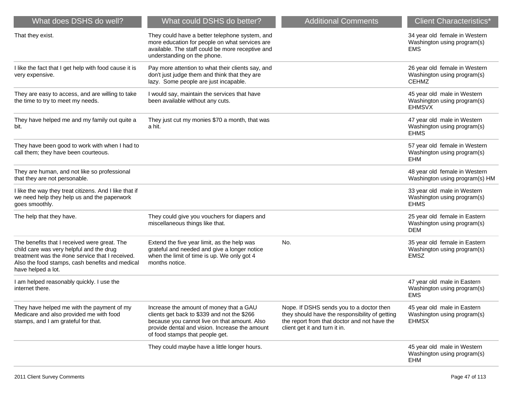| What does DSHS do well?                                                                                                                                                                                              | What could DSHS do better?                                                                                                                                                                                                  | <b>Additional Comments</b>                                                                                                                                                  | <b>Client Characteristics*</b>                                               |
|----------------------------------------------------------------------------------------------------------------------------------------------------------------------------------------------------------------------|-----------------------------------------------------------------------------------------------------------------------------------------------------------------------------------------------------------------------------|-----------------------------------------------------------------------------------------------------------------------------------------------------------------------------|------------------------------------------------------------------------------|
| That they exist.                                                                                                                                                                                                     | They could have a better telephone system, and<br>more education for people on what services are<br>available. The staff could be more receptive and<br>understanding on the phone.                                         |                                                                                                                                                                             | 34 year old female in Western<br>Washington using program(s)<br>EMS          |
| I like the fact that I get help with food cause it is<br>very expensive.                                                                                                                                             | Pay more attention to what their clients say, and<br>don't just judge them and think that they are<br>lazy. Some people are just incapable.                                                                                 |                                                                                                                                                                             | 26 year old female in Western<br>Washington using program(s)<br><b>CEHMZ</b> |
| They are easy to access, and are willing to take<br>the time to try to meet my needs.                                                                                                                                | I would say, maintain the services that have<br>been available without any cuts.                                                                                                                                            |                                                                                                                                                                             | 45 year old male in Western<br>Washington using program(s)<br><b>EHMSVX</b>  |
| They have helped me and my family out quite a<br>bit.                                                                                                                                                                | They just cut my monies \$70 a month, that was<br>a hit.                                                                                                                                                                    |                                                                                                                                                                             | 47 year old male in Western<br>Washington using program(s)<br><b>EHMS</b>    |
| They have been good to work with when I had to<br>call them; they have been courteous.                                                                                                                               |                                                                                                                                                                                                                             |                                                                                                                                                                             | 57 year old female in Western<br>Washington using program(s)<br>EHM          |
| They are human, and not like so professional<br>that they are not personable.                                                                                                                                        |                                                                                                                                                                                                                             |                                                                                                                                                                             | 48 year old female in Western<br>Washington using program(s) HM              |
| I like the way they treat citizens. And I like that if<br>we need help they help us and the paperwork<br>goes smoothly.                                                                                              |                                                                                                                                                                                                                             |                                                                                                                                                                             | 33 year old male in Western<br>Washington using program(s)<br><b>EHMS</b>    |
| The help that they have.                                                                                                                                                                                             | They could give you vouchers for diapers and<br>miscellaneous things like that.                                                                                                                                             |                                                                                                                                                                             | 25 year old female in Eastern<br>Washington using program(s)<br><b>DEM</b>   |
| The benefits that I received were great. The<br>child care was very helpful and the drug<br>treatment was the #one service that I received.<br>Also the food stamps, cash benefits and medical<br>have helped a lot. | Extend the five year limit, as the help was<br>grateful and needed and give a longer notice<br>when the limit of time is up. We only got 4<br>months notice.                                                                | No.                                                                                                                                                                         | 35 year old female in Eastern<br>Washington using program(s)<br><b>EMSZ</b>  |
| I am helped reasonably quickly. I use the<br>internet there.                                                                                                                                                         |                                                                                                                                                                                                                             |                                                                                                                                                                             | 47 year old male in Eastern<br>Washington using program(s)<br><b>EMS</b>     |
| They have helped me with the payment of my<br>Medicare and also provided me with food<br>stamps, and I am grateful for that.                                                                                         | Increase the amount of money that a GAU<br>clients get back to \$339 and not the \$266<br>because you cannot live on that amount. Also<br>provide dental and vision. Increase the amount<br>of food stamps that people get. | Nope. If DSHS sends you to a doctor then<br>they should have the responsibility of getting<br>the report from that doctor and not have the<br>client get it and turn it in. | 45 year old male in Eastern<br>Washington using program(s)<br><b>EHMSX</b>   |
|                                                                                                                                                                                                                      | They could maybe have a little longer hours.                                                                                                                                                                                |                                                                                                                                                                             | 45 year old male in Western<br>Washington using program(s)<br><b>EHM</b>     |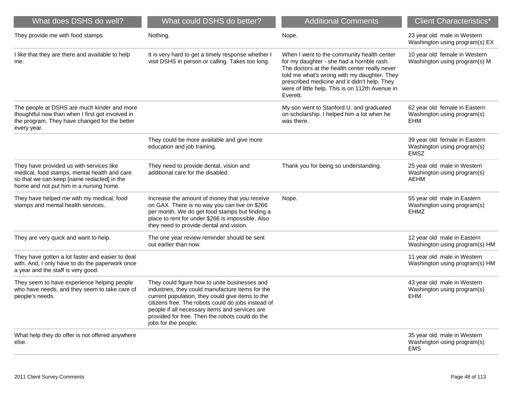| What does DSHS do well?                                                                                                                                                           | What could DSHS do better?                                                                                                                                                                                                                                                                                                               | <b>Additional Comments</b>                                                                                                                                                                                                                                                                              | <b>Client Characteristics*</b>                                              |
|-----------------------------------------------------------------------------------------------------------------------------------------------------------------------------------|------------------------------------------------------------------------------------------------------------------------------------------------------------------------------------------------------------------------------------------------------------------------------------------------------------------------------------------|---------------------------------------------------------------------------------------------------------------------------------------------------------------------------------------------------------------------------------------------------------------------------------------------------------|-----------------------------------------------------------------------------|
| They provide me with food stamps.                                                                                                                                                 | Nothing.                                                                                                                                                                                                                                                                                                                                 | Nope.                                                                                                                                                                                                                                                                                                   | 23 year old male in Western<br>Washington using program(s) EX               |
| I like that they are there and available to help<br>me.                                                                                                                           | It is very hard to get a timely response whether I<br>visit DSHS in person or calling. Takes too long.                                                                                                                                                                                                                                   | When I went to the community health center<br>for my daughter - she had a horrible rash.<br>The doctors at the health center really never<br>told me what's wrong with my daughter. They<br>prescribed medicine and it didn't help. They<br>were of little help. This is on 112th Avenue in<br>Everett. | 10 year old female in Western<br>Washington using program(s) M              |
| The people at DSHS are much kinder and more<br>thoughtful now than when I first got involved in<br>the program. They have changed for the better<br>every year.                   |                                                                                                                                                                                                                                                                                                                                          | My son went to Stanford U. and graduated<br>on scholarship. I helped him a lot when he<br>was there.                                                                                                                                                                                                    | 62 year old female in Eastern<br>Washington using program(s)<br><b>EHM</b>  |
|                                                                                                                                                                                   | They could be more available and give more<br>education and job training.                                                                                                                                                                                                                                                                |                                                                                                                                                                                                                                                                                                         | 39 year old female in Eastern<br>Washington using program(s)<br><b>EMSZ</b> |
| They have provided us with services like<br>medical, food stamps, mental health and care<br>so that we can keep [name redacted] in the<br>home and not put him in a nursing home. | They need to provide dental, vision and<br>additional care for the disabled.                                                                                                                                                                                                                                                             | Thank you for being so understanding.                                                                                                                                                                                                                                                                   | 25 year old male in Western<br>Washington using program(s)<br><b>AEHM</b>   |
| They have helped me with my medical, food<br>stamps and mental health services.                                                                                                   | Increase the amount of money that you receive<br>on GAX. There is no way you can live on \$266<br>per month. We do get food stamps but finding a<br>place to rent for under \$266 is impossible. Also<br>they need to provide dental and vision.                                                                                         | Nope.                                                                                                                                                                                                                                                                                                   | 55 year old male in Eastern<br>Washington using program(s)<br><b>EHMZ</b>   |
| They are very quick and want to help.                                                                                                                                             | The one year review reminder should be sent<br>out earlier than now.                                                                                                                                                                                                                                                                     |                                                                                                                                                                                                                                                                                                         | 12 year old male in Eastern<br>Washington using program(s) HM               |
| They have gotten a lot faster and easier to deal<br>with. And, I only have to do the paperwork once<br>a year and the staff is very good.                                         |                                                                                                                                                                                                                                                                                                                                          |                                                                                                                                                                                                                                                                                                         | 11 year old male in Western<br>Washington using program(s) HM               |
| They seem to have experience helping people<br>who have needs, and they seem to take care of<br>people's needs.                                                                   | They could figure how to unite businesses and<br>industries, they could manufacture items for the<br>current population, they could give items to the<br>citizens free. The robots could do jobs instead of<br>people if all necessary items and services are<br>provided for free. Then the robots could do the<br>jobs for the people. |                                                                                                                                                                                                                                                                                                         | 43 year old male in Western<br>Washington using program(s)<br>EHM           |
| What help they do offer is not offered anywhere<br>else.                                                                                                                          |                                                                                                                                                                                                                                                                                                                                          |                                                                                                                                                                                                                                                                                                         | 35 year old male in Western<br>Washington using program(s)<br><b>EMS</b>    |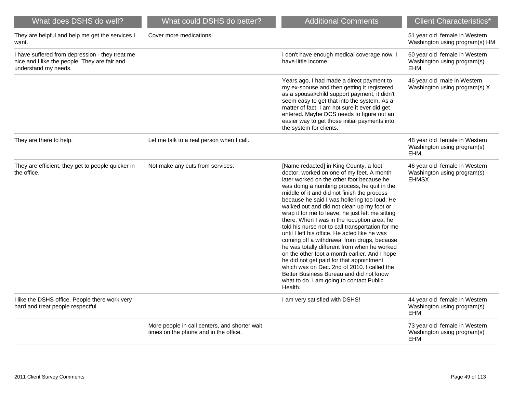| What does DSHS do well?                                                                                                  | What could DSHS do better?                                                             | <b>Additional Comments</b>                                                                                                                                                                                                                                                                                                                                                                                                                                                                                                                                                                                                                                                                                                                                                                                                                                                        | <b>Client Characteristics*</b>                                               |
|--------------------------------------------------------------------------------------------------------------------------|----------------------------------------------------------------------------------------|-----------------------------------------------------------------------------------------------------------------------------------------------------------------------------------------------------------------------------------------------------------------------------------------------------------------------------------------------------------------------------------------------------------------------------------------------------------------------------------------------------------------------------------------------------------------------------------------------------------------------------------------------------------------------------------------------------------------------------------------------------------------------------------------------------------------------------------------------------------------------------------|------------------------------------------------------------------------------|
| They are helpful and help me get the services I<br>want.                                                                 | Cover more medications!                                                                |                                                                                                                                                                                                                                                                                                                                                                                                                                                                                                                                                                                                                                                                                                                                                                                                                                                                                   | 51 year old female in Western<br>Washington using program(s) HM              |
| I have suffered from depression - they treat me<br>nice and I like the people. They are fair and<br>understand my needs. |                                                                                        | I don't have enough medical coverage now. I<br>have little income.                                                                                                                                                                                                                                                                                                                                                                                                                                                                                                                                                                                                                                                                                                                                                                                                                | 60 year old female in Western<br>Washington using program(s)<br>EHM          |
|                                                                                                                          |                                                                                        | Years ago, I had made a direct payment to<br>my ex-spouse and then getting it registered<br>as a spousal/child support payment, it didn't<br>seem easy to get that into the system. As a<br>matter of fact, I am not sure it ever did get<br>entered. Maybe DCS needs to figure out an<br>easier way to get those initial payments into<br>the system for clients.                                                                                                                                                                                                                                                                                                                                                                                                                                                                                                                | 46 year old male in Western<br>Washington using program(s) X                 |
| They are there to help.                                                                                                  | Let me talk to a real person when I call.                                              |                                                                                                                                                                                                                                                                                                                                                                                                                                                                                                                                                                                                                                                                                                                                                                                                                                                                                   | 48 year old female in Western<br>Washington using program(s)<br><b>EHM</b>   |
| They are efficient, they get to people quicker in<br>the office.                                                         | Not make any cuts from services.                                                       | [Name redacted] in King County, a foot<br>doctor, worked on one of my feet. A month<br>later worked on the other foot because he<br>was doing a numbing process, he quit in the<br>middle of it and did not finish the process<br>because he said I was hollering too loud. He<br>walked out and did not clean up my foot or<br>wrap it for me to leave, he just left me sitting<br>there. When I was in the reception area, he<br>told his nurse not to call transportation for me<br>until I left his office. He acted like he was<br>coming off a withdrawal from drugs, because<br>he was totally different from when he worked<br>on the other foot a month earlier. And I hope<br>he did not get paid for that appointment<br>which was on Dec. 2nd of 2010. I called the<br>Better Business Bureau and did not know<br>what to do. I am going to contact Public<br>Health. | 46 year old female in Western<br>Washington using program(s)<br><b>EHMSX</b> |
| I like the DSHS office. People there work very<br>hard and treat people respectful.                                      |                                                                                        | I am very satisfied with DSHS!                                                                                                                                                                                                                                                                                                                                                                                                                                                                                                                                                                                                                                                                                                                                                                                                                                                    | 44 year old female in Western<br>Washington using program(s)<br><b>EHM</b>   |
|                                                                                                                          | More people in call centers, and shorter wait<br>times on the phone and in the office. |                                                                                                                                                                                                                                                                                                                                                                                                                                                                                                                                                                                                                                                                                                                                                                                                                                                                                   | 73 year old female in Western<br>Washington using program(s)<br><b>EHM</b>   |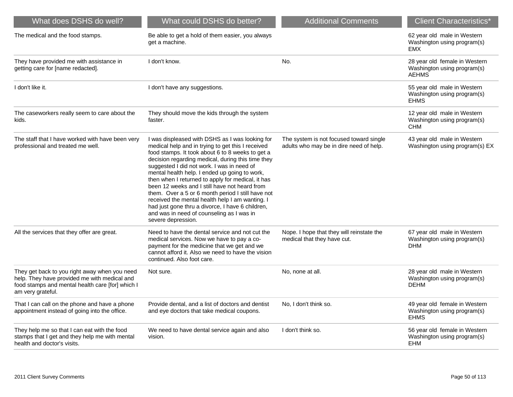| What does DSHS do well?                                                                                                                                                | What could DSHS do better?                                                                                                                                                                                                                                                                                                                                                                                                                                                                                                                                                                                                                        | <b>Additional Comments</b>                                                         | <b>Client Characteristics*</b>                                               |
|------------------------------------------------------------------------------------------------------------------------------------------------------------------------|---------------------------------------------------------------------------------------------------------------------------------------------------------------------------------------------------------------------------------------------------------------------------------------------------------------------------------------------------------------------------------------------------------------------------------------------------------------------------------------------------------------------------------------------------------------------------------------------------------------------------------------------------|------------------------------------------------------------------------------------|------------------------------------------------------------------------------|
| The medical and the food stamps.                                                                                                                                       | Be able to get a hold of them easier, you always<br>get a machine.                                                                                                                                                                                                                                                                                                                                                                                                                                                                                                                                                                                |                                                                                    | 62 year old male in Western<br>Washington using program(s)<br><b>EMX</b>     |
| They have provided me with assistance in<br>getting care for [name redacted].                                                                                          | I don't know.                                                                                                                                                                                                                                                                                                                                                                                                                                                                                                                                                                                                                                     | No.                                                                                | 28 year old female in Western<br>Washington using program(s)<br><b>AEHMS</b> |
| I don't like it.                                                                                                                                                       | I don't have any suggestions.                                                                                                                                                                                                                                                                                                                                                                                                                                                                                                                                                                                                                     |                                                                                    | 55 year old male in Western<br>Washington using program(s)<br><b>EHMS</b>    |
| The caseworkers really seem to care about the<br>kids.                                                                                                                 | They should move the kids through the system<br>faster.                                                                                                                                                                                                                                                                                                                                                                                                                                                                                                                                                                                           |                                                                                    | 12 year old male in Western<br>Washington using program(s)<br><b>CHM</b>     |
| The staff that I have worked with have been very<br>professional and treated me well.                                                                                  | I was displeased with DSHS as I was looking for<br>medical help and in trying to get this I received<br>food stamps. It took about 6 to 8 weeks to get a<br>decision regarding medical, during this time they<br>suggested I did not work. I was in need of<br>mental health help. I ended up going to work,<br>then when I returned to apply for medical, it has<br>been 12 weeks and I still have not heard from<br>them. Over a 5 or 6 month period I still have not<br>received the mental health help I am wanting. I<br>had just gone thru a divorce, I have 6 children,<br>and was in need of counseling as I was in<br>severe depression. | The system is not focused toward single<br>adults who may be in dire need of help. | 43 year old male in Western<br>Washington using program(s) EX                |
| All the services that they offer are great.                                                                                                                            | Need to have the dental service and not cut the<br>medical services. Now we have to pay a co-<br>payment for the medicine that we get and we<br>cannot afford it. Also we need to have the vision<br>continued. Also foot care.                                                                                                                                                                                                                                                                                                                                                                                                                   | Nope. I hope that they will reinstate the<br>medical that they have cut.           | 67 year old male in Western<br>Washington using program(s)<br><b>DHM</b>     |
| They get back to you right away when you need<br>help. They have provided me with medical and<br>food stamps and mental health care [for] which I<br>am very grateful. | Not sure.                                                                                                                                                                                                                                                                                                                                                                                                                                                                                                                                                                                                                                         | No, none at all.                                                                   | 28 year old male in Western<br>Washington using program(s)<br><b>DEHM</b>    |
| That I can call on the phone and have a phone<br>appointment instead of going into the office.                                                                         | Provide dental, and a list of doctors and dentist<br>and eye doctors that take medical coupons.                                                                                                                                                                                                                                                                                                                                                                                                                                                                                                                                                   | No, I don't think so.                                                              | 49 year old female in Western<br>Washington using program(s)<br><b>EHMS</b>  |
| They help me so that I can eat with the food<br>stamps that I get and they help me with mental<br>health and doctor's visits.                                          | We need to have dental service again and also<br>vision.                                                                                                                                                                                                                                                                                                                                                                                                                                                                                                                                                                                          | I don't think so.                                                                  | 56 year old female in Western<br>Washington using program(s)<br><b>EHM</b>   |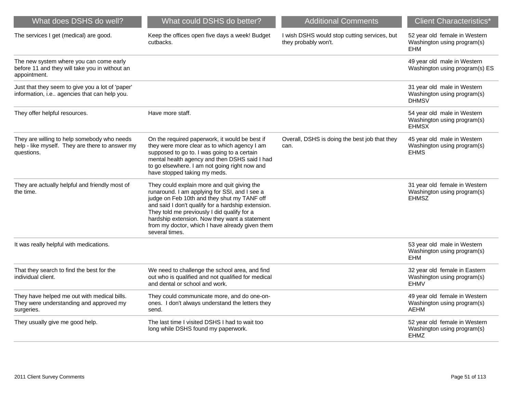| What does DSHS do well?                                                                                      | What could DSHS do better?                                                                                                                                                                                                                                                                                                                                             | <b>Additional Comments</b>                                           | <b>Client Characteristics*</b>                                               |
|--------------------------------------------------------------------------------------------------------------|------------------------------------------------------------------------------------------------------------------------------------------------------------------------------------------------------------------------------------------------------------------------------------------------------------------------------------------------------------------------|----------------------------------------------------------------------|------------------------------------------------------------------------------|
| The services I get (medical) are good.                                                                       | Keep the offices open five days a week! Budget<br>cutbacks.                                                                                                                                                                                                                                                                                                            | I wish DSHS would stop cutting services, but<br>they probably won't. | 52 year old female in Western<br>Washington using program(s)<br><b>EHM</b>   |
| The new system where you can come early<br>before 11 and they will take you in without an<br>appointment.    |                                                                                                                                                                                                                                                                                                                                                                        |                                                                      | 49 year old male in Western<br>Washington using program(s) ES                |
| Just that they seem to give you a lot of 'paper'<br>information, i.e agencies that can help you.             |                                                                                                                                                                                                                                                                                                                                                                        |                                                                      | 31 year old male in Western<br>Washington using program(s)<br><b>DHMSV</b>   |
| They offer helpful resources.                                                                                | Have more staff.                                                                                                                                                                                                                                                                                                                                                       |                                                                      | 54 year old male in Western<br>Washington using program(s)<br><b>EHMSX</b>   |
| They are willing to help somebody who needs<br>help - like myself. They are there to answer my<br>questions. | On the required paperwork, it would be best if<br>they were more clear as to which agency I am<br>supposed to go to. I was going to a certain<br>mental health agency and then DSHS said I had<br>to go elsewhere. I am not going right now and<br>have stopped taking my meds.                                                                                        | Overall, DSHS is doing the best job that they<br>can.                | 45 year old male in Western<br>Washington using program(s)<br><b>EHMS</b>    |
| They are actually helpful and friendly most of<br>the time.                                                  | They could explain more and quit giving the<br>runaround. I am applying for SSI, and I see a<br>judge on Feb 10th and they shut my TANF off<br>and said I don't qualify for a hardship extension.<br>They told me previously I did qualify for a<br>hardship extension. Now they want a statement<br>from my doctor, which I have already given them<br>several times. |                                                                      | 31 year old female in Western<br>Washington using program(s)<br><b>EHMSZ</b> |
| It was really helpful with medications.                                                                      |                                                                                                                                                                                                                                                                                                                                                                        |                                                                      | 53 year old male in Western<br>Washington using program(s)<br><b>EHM</b>     |
| That they search to find the best for the<br>individual client.                                              | We need to challenge the school area, and find<br>out who is qualified and not qualified for medical<br>and dental or school and work.                                                                                                                                                                                                                                 |                                                                      | 32 year old female in Eastern<br>Washington using program(s)<br><b>EHMV</b>  |
| They have helped me out with medical bills.<br>They were understanding and approved my<br>surgeries.         | They could communicate more, and do one-on-<br>ones. I don't always understand the letters they<br>send.                                                                                                                                                                                                                                                               |                                                                      | 49 year old female in Western<br>Washington using program(s)<br>AEHM         |
| They usually give me good help.                                                                              | The last time I visited DSHS I had to wait too<br>long while DSHS found my paperwork.                                                                                                                                                                                                                                                                                  |                                                                      | 52 year old female in Western<br>Washington using program(s)<br>EHMZ         |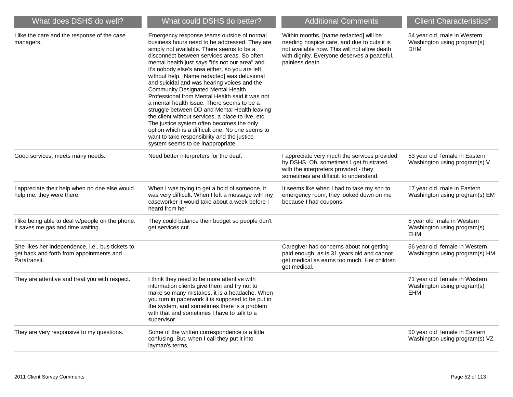| What does DSHS do well?                                                                                      | What could DSHS do better?                                                                                                                                                                                                                                                                                                                                                                                                                                                                                                                                                                                                                                                                                                                                                                                                             | <b>Additional Comments</b>                                                                                                                                                                              | <b>Client Characteristics*</b>                                             |
|--------------------------------------------------------------------------------------------------------------|----------------------------------------------------------------------------------------------------------------------------------------------------------------------------------------------------------------------------------------------------------------------------------------------------------------------------------------------------------------------------------------------------------------------------------------------------------------------------------------------------------------------------------------------------------------------------------------------------------------------------------------------------------------------------------------------------------------------------------------------------------------------------------------------------------------------------------------|---------------------------------------------------------------------------------------------------------------------------------------------------------------------------------------------------------|----------------------------------------------------------------------------|
| I like the care and the response of the case<br>managers.                                                    | Emergency response teams outside of normal<br>business hours need to be addressed. They are<br>simply not available. There seems to be a<br>disconnect between services areas. So often<br>mental health just says "It's not our area" and<br>it's nobody else's area either, so you are left<br>without help. [Name redacted] was delusional<br>and suicidal and was hearing voices and the<br><b>Community Designated Mental Health</b><br>Professional from Mental Health said it was not<br>a mental health issue. There seems to be a<br>struggle between DD and Mental Health leaving<br>the client without services, a place to live, etc.<br>The justice system often becomes the only<br>option which is a difficult one. No one seems to<br>want to take responsibility and the justice<br>system seems to be inappropriate. | Within months, [name redacted] will be<br>needing hospice care, and due to cuts it is<br>not available now. This will not allow death<br>with dignity. Everyone deserves a peaceful,<br>painless death. | 54 year old male in Western<br>Washington using program(s)<br><b>DHM</b>   |
| Good services, meets many needs.                                                                             | Need better interpreters for the deaf.                                                                                                                                                                                                                                                                                                                                                                                                                                                                                                                                                                                                                                                                                                                                                                                                 | I appreciate very much the services provided<br>by DSHS. Oh, sometimes I get frustrated<br>with the interpreters provided - they<br>sometimes are difficult to understand.                              | 53 year old female in Eastern<br>Washington using program(s) V             |
| I appreciate their help when no one else would<br>help me, they were there.                                  | When I was trying to get a hold of someone, it<br>was very difficult. When I left a message with my<br>caseworker it would take about a week before I<br>heard from her.                                                                                                                                                                                                                                                                                                                                                                                                                                                                                                                                                                                                                                                               | It seems like when I had to take my son to<br>emergency room, they looked down on me<br>because I had coupons.                                                                                          | 17 year old male in Eastern<br>Washington using program(s) EM              |
| I like being able to deal w/people on the phone.<br>It saves me gas and time waiting.                        | They could balance their budget so people don't<br>get services cut.                                                                                                                                                                                                                                                                                                                                                                                                                                                                                                                                                                                                                                                                                                                                                                   |                                                                                                                                                                                                         | 5 year old male in Western<br>Washington using program(s)<br><b>EHM</b>    |
| She likes her independence, i.e., bus tickets to<br>get back and forth from appointments and<br>Paratransit. |                                                                                                                                                                                                                                                                                                                                                                                                                                                                                                                                                                                                                                                                                                                                                                                                                                        | Caregiver had concerns about not getting<br>paid enough, as is 31 years old and cannot<br>get medical as earns too much. Her children<br>get medical.                                                   | 56 year old female in Western<br>Washington using program(s) HM            |
| They are attentive and treat you with respect.                                                               | I think they need to be more attentive with<br>information clients give them and try not to<br>make so many mistakes, it is a headache. When<br>you turn in paperwork it is supposed to be put in<br>the system, and sometimes there is a problem<br>with that and sometimes I have to talk to a<br>supervisor.                                                                                                                                                                                                                                                                                                                                                                                                                                                                                                                        |                                                                                                                                                                                                         | 71 year old female in Western<br>Washington using program(s)<br><b>EHM</b> |
| They are very responsive to my questions.                                                                    | Some of the written correspondence is a little<br>confusing. But, when I call they put it into<br>layman's terms.                                                                                                                                                                                                                                                                                                                                                                                                                                                                                                                                                                                                                                                                                                                      |                                                                                                                                                                                                         | 50 year old female in Eastern<br>Washington using program(s) VZ            |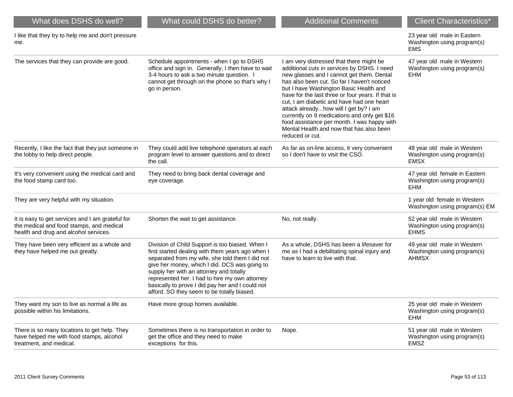| What does DSHS do well?                                                                                                               | What could DSHS do better?                                                                                                                                                                                                                                                                                                                                                                             | <b>Additional Comments</b>                                                                                                                                                                                                                                                                                                                                                                                                                                                                                                             | <b>Client Characteristics*</b>                                             |
|---------------------------------------------------------------------------------------------------------------------------------------|--------------------------------------------------------------------------------------------------------------------------------------------------------------------------------------------------------------------------------------------------------------------------------------------------------------------------------------------------------------------------------------------------------|----------------------------------------------------------------------------------------------------------------------------------------------------------------------------------------------------------------------------------------------------------------------------------------------------------------------------------------------------------------------------------------------------------------------------------------------------------------------------------------------------------------------------------------|----------------------------------------------------------------------------|
| I like that they try to help me and don't pressure<br>me.                                                                             |                                                                                                                                                                                                                                                                                                                                                                                                        |                                                                                                                                                                                                                                                                                                                                                                                                                                                                                                                                        | 23 year old male in Eastern<br>Washington using program(s)<br><b>EMS</b>   |
| The services that they can provide are good.                                                                                          | Schedule appointments - when I go to DSHS<br>office and sign in. Generally, I then have to wait<br>3-4 hours to ask a two minute question. I<br>cannot get through on the phone so that's why I<br>go in person.                                                                                                                                                                                       | I am very distressed that there might be<br>additional cuts in services by DSHS. I need<br>new glasses and I cannot get them. Dental<br>has also been cut. So far I haven't noticed<br>but I have Washington Basic Health and<br>have for the last three or four years. If that is<br>cut, I am diabetic and have had one heart<br>attack alreadyhow will I get by? I am<br>currently on 9 medications and only get \$16<br>food assistance per month. I was happy with<br>Mental Health and now that has also been<br>reduced or cut. | 47 year old male in Western<br>Washington using program(s)<br><b>EHM</b>   |
| Recently, I like the fact that they put someone in<br>the lobby to help direct people.                                                | They could add live telephone operators at each<br>program level to answer questions and to direct<br>the call.                                                                                                                                                                                                                                                                                        | As far as on-line access, it very convenient<br>so I don't have to visit the CSO.                                                                                                                                                                                                                                                                                                                                                                                                                                                      | 48 year old male in Western<br>Washington using program(s)<br><b>EMSX</b>  |
| It's very convenient using the medical card and<br>the food stamp card too.                                                           | They need to bring back dental coverage and<br>eye coverage.                                                                                                                                                                                                                                                                                                                                           |                                                                                                                                                                                                                                                                                                                                                                                                                                                                                                                                        | 47 year old female in Eastern<br>Washington using program(s)<br><b>EHM</b> |
| They are very helpful with my situation.                                                                                              |                                                                                                                                                                                                                                                                                                                                                                                                        |                                                                                                                                                                                                                                                                                                                                                                                                                                                                                                                                        | 1 year old female in Western<br>Washington using program(s) EM             |
| It is easy to get services and I am grateful for<br>the medical and food stamps, and medical<br>health and drug and alcohol services. | Shorten the wait to get assistance.                                                                                                                                                                                                                                                                                                                                                                    | No, not really.                                                                                                                                                                                                                                                                                                                                                                                                                                                                                                                        | 52 year old male in Western<br>Washington using program(s)<br><b>EHMS</b>  |
| They have been very efficient as a whole and<br>they have helped me out greatly.                                                      | Division of Child Support is too biased. When I<br>first started dealing with them years ago when I<br>separated from my wife, she told them I did not<br>give her money, which I did. DCS was going to<br>supply her with an attorney and totally<br>represented her. I had to hire my own attorney<br>basically to prove I did pay her and I could not<br>afford. SO they seem to be totally biased. | As a whole, DSHS has been a lifesaver for<br>me as I had a debilitating spinal injury and<br>have to learn to live with that.                                                                                                                                                                                                                                                                                                                                                                                                          | 49 year old male in Western<br>Washington using program(s)<br><b>AHMSX</b> |
| They want my son to live as normal a life as<br>possible within his limitations.                                                      | Have more group homes available.                                                                                                                                                                                                                                                                                                                                                                       |                                                                                                                                                                                                                                                                                                                                                                                                                                                                                                                                        | 25 year old male in Western<br>Washington using program(s)<br><b>EHM</b>   |
| There is so many locations to get help. They<br>have helped me with food stamps, alcohol<br>treatment, and medical.                   | Sometimes there is no transportation in order to<br>get the office and they need to make<br>exceptions for this.                                                                                                                                                                                                                                                                                       | Nope.                                                                                                                                                                                                                                                                                                                                                                                                                                                                                                                                  | 51 year old male in Western<br>Washington using program(s)<br><b>EMSZ</b>  |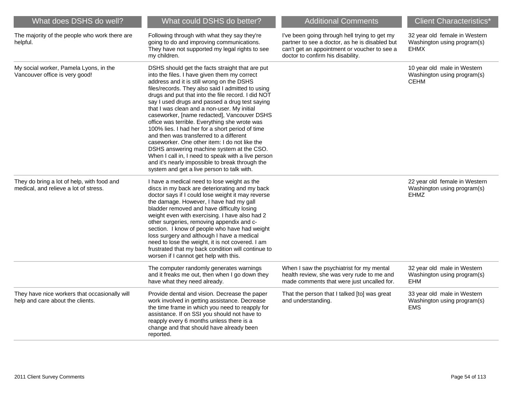| What does DSHS do well?                                                             | What could DSHS do better?                                                                                                                                                                                                                                                                                                                                                                                                                                                                                                                                                                                                                                                                                                                                                                                  | <b>Additional Comments</b>                                                                                                                                                           | <b>Client Characteristics*</b>                                              |
|-------------------------------------------------------------------------------------|-------------------------------------------------------------------------------------------------------------------------------------------------------------------------------------------------------------------------------------------------------------------------------------------------------------------------------------------------------------------------------------------------------------------------------------------------------------------------------------------------------------------------------------------------------------------------------------------------------------------------------------------------------------------------------------------------------------------------------------------------------------------------------------------------------------|--------------------------------------------------------------------------------------------------------------------------------------------------------------------------------------|-----------------------------------------------------------------------------|
| The majority of the people who work there are<br>helpful.                           | Following through with what they say they're<br>going to do and improving communications.<br>They have not supported my legal rights to see<br>my children.                                                                                                                                                                                                                                                                                                                                                                                                                                                                                                                                                                                                                                                 | I've been going through hell trying to get my<br>partner to see a doctor, as he is disabled but<br>can't get an appointment or voucher to see a<br>doctor to confirm his disability. | 32 year old female in Western<br>Washington using program(s)<br><b>EHMX</b> |
| My social worker, Pamela Lyons, in the<br>Vancouver office is very good!            | DSHS should get the facts straight that are put<br>into the files. I have given them my correct<br>address and it is still wrong on the DSHS<br>files/records. They also said I admitted to using<br>drugs and put that into the file record. I did NOT<br>say I used drugs and passed a drug test saying<br>that I was clean and a non-user. My initial<br>caseworker, [name redacted], Vancouver DSHS<br>office was terrible. Everything she wrote was<br>100% lies. I had her for a short period of time<br>and then was transferred to a different<br>caseworker. One other item: I do not like the<br>DSHS answering machine system at the CSO.<br>When I call in, I need to speak with a live person<br>and it's nearly impossible to break through the<br>system and get a live person to talk with. |                                                                                                                                                                                      | 10 year old male in Western<br>Washington using program(s)<br><b>CEHM</b>   |
| They do bring a lot of help, with food and<br>medical, and relieve a lot of stress. | I have a medical need to lose weight as the<br>discs in my back are deteriorating and my back<br>doctor says if I could lose weight it may reverse<br>the damage. However, I have had my gall<br>bladder removed and have difficulty losing<br>weight even with exercising. I have also had 2<br>other surgeries, removing appendix and c-<br>section. I know of people who have had weight<br>loss surgery and although I have a medical<br>need to lose the weight, it is not covered. I am<br>frustrated that my back condition will continue to<br>worsen if I cannot get help with this.                                                                                                                                                                                                               |                                                                                                                                                                                      | 22 year old female in Western<br>Washington using program(s)<br><b>EHMZ</b> |
|                                                                                     | The computer randomly generates warnings<br>and it freaks me out, then when I go down they<br>have what they need already.                                                                                                                                                                                                                                                                                                                                                                                                                                                                                                                                                                                                                                                                                  | When I saw the psychiatrist for my mental<br>health review, she was very rude to me and<br>made comments that were just uncalled for.                                                | 32 year old male in Western<br>Washington using program(s)<br><b>EHM</b>    |
| They have nice workers that occasionally will<br>help and care about the clients.   | Provide dental and vision. Decrease the paper<br>work involved in getting assistance. Decrease<br>the time frame in which you need to reapply for<br>assistance. If on SSI you should not have to<br>reapply every 6 months unless there is a<br>change and that should have already been<br>reported.                                                                                                                                                                                                                                                                                                                                                                                                                                                                                                      | That the person that I talked [to] was great<br>and understanding.                                                                                                                   | 33 year old male in Western<br>Washington using program(s)<br><b>EMS</b>    |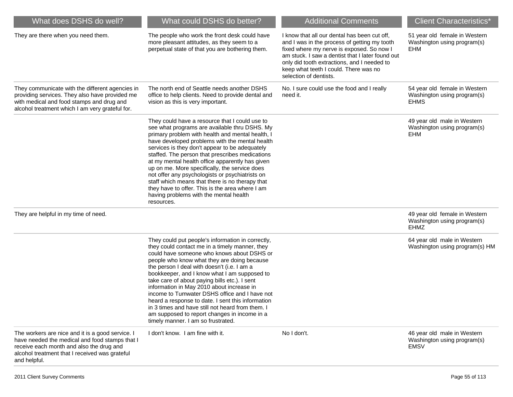| What does DSHS do well?                                                                                                                                                                                          | What could DSHS do better?                                                                                                                                                                                                                                                                                                                                                                                                                                                                                                                                                                                                                    | <b>Additional Comments</b>                                                                                                                                                                                                                                                                                      | <b>Client Characteristics*</b>                                              |
|------------------------------------------------------------------------------------------------------------------------------------------------------------------------------------------------------------------|-----------------------------------------------------------------------------------------------------------------------------------------------------------------------------------------------------------------------------------------------------------------------------------------------------------------------------------------------------------------------------------------------------------------------------------------------------------------------------------------------------------------------------------------------------------------------------------------------------------------------------------------------|-----------------------------------------------------------------------------------------------------------------------------------------------------------------------------------------------------------------------------------------------------------------------------------------------------------------|-----------------------------------------------------------------------------|
| They are there when you need them.                                                                                                                                                                               | The people who work the front desk could have<br>more pleasant attitudes, as they seem to a<br>perpetual state of that you are bothering them.                                                                                                                                                                                                                                                                                                                                                                                                                                                                                                | I know that all our dental has been cut off,<br>and I was in the process of getting my tooth<br>fixed where my nerve is exposed. So now I<br>am stuck. I saw a dentist that I later found out<br>only did tooth extractions, and I needed to<br>keep what teeth I could. There was no<br>selection of dentists. | 51 year old female in Western<br>Washington using program(s)<br>EHM         |
| They communicate with the different agencies in<br>providing services. They also have provided me<br>with medical and food stamps and drug and<br>alcohol treatment which I am very grateful for.                | The north end of Seattle needs another DSHS<br>office to help clients. Need to provide dental and<br>vision as this is very important.                                                                                                                                                                                                                                                                                                                                                                                                                                                                                                        | No. I sure could use the food and I really<br>need it.                                                                                                                                                                                                                                                          | 54 year old female in Western<br>Washington using program(s)<br><b>EHMS</b> |
|                                                                                                                                                                                                                  | They could have a resource that I could use to<br>see what programs are available thru DSHS. My<br>primary problem with health and mental health, I<br>have developed problems with the mental health<br>services is they don't appear to be adequately<br>staffed. The person that prescribes medications<br>at my mental health office apparently has given<br>up on me. More specifically, the service does<br>not offer any psychologists or psychiatrists on<br>staff which means that there is no therapy that<br>they have to offer. This is the area where I am<br>having problems with the mental health<br>resources.               |                                                                                                                                                                                                                                                                                                                 | 49 year old male in Western<br>Washington using program(s)<br><b>EHM</b>    |
| They are helpful in my time of need.                                                                                                                                                                             |                                                                                                                                                                                                                                                                                                                                                                                                                                                                                                                                                                                                                                               |                                                                                                                                                                                                                                                                                                                 | 49 year old female in Western<br>Washington using program(s)<br><b>EHMZ</b> |
|                                                                                                                                                                                                                  | They could put people's information in correctly,<br>they could contact me in a timely manner, they<br>could have someone who knows about DSHS or<br>people who know what they are doing because<br>the person I deal with doesn't (i.e. I am a<br>bookkeeper, and I know what I am supposed to<br>take care of about paying bills etc.). I sent<br>information in May 2010 about increase in<br>income to Tumwater DSHS office and I have not<br>heard a response to date. I sent this information<br>in 3 times and have still not heard from them. I<br>am supposed to report changes in income in a<br>timely manner. I am so frustrated. |                                                                                                                                                                                                                                                                                                                 | 64 year old male in Western<br>Washington using program(s) HM               |
| The workers are nice and it is a good service. I<br>have needed the medical and food stamps that I<br>receive each month and also the drug and<br>alcohol treatment that I received was grateful<br>and helpful. | I don't know. I am fine with it.                                                                                                                                                                                                                                                                                                                                                                                                                                                                                                                                                                                                              | No I don't.                                                                                                                                                                                                                                                                                                     | 46 year old male in Western<br>Washington using program(s)<br><b>EMSV</b>   |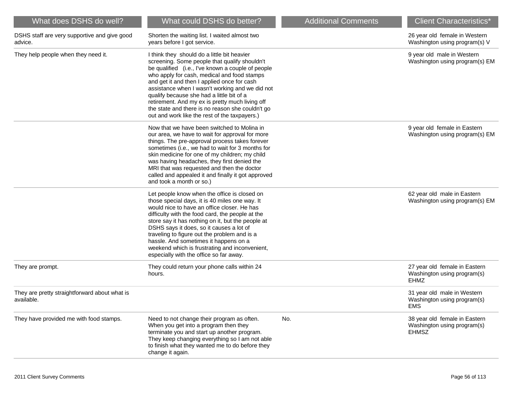| What does DSHS do well?                                     | What could DSHS do better?                                                                                                                                                                                                                                                                                                                                                                                                                                                                              | <b>Additional Comments</b> | <b>Client Characteristics*</b>                                               |
|-------------------------------------------------------------|---------------------------------------------------------------------------------------------------------------------------------------------------------------------------------------------------------------------------------------------------------------------------------------------------------------------------------------------------------------------------------------------------------------------------------------------------------------------------------------------------------|----------------------------|------------------------------------------------------------------------------|
| DSHS staff are very supportive and give good<br>advice.     | Shorten the waiting list. I waited almost two<br>years before I got service.                                                                                                                                                                                                                                                                                                                                                                                                                            |                            | 26 year old female in Western<br>Washington using program(s) V               |
| They help people when they need it.                         | I think they should do a little bit heavier<br>screening. Some people that qualify shouldn't<br>be qualified (i.e., I've known a couple of people<br>who apply for cash, medical and food stamps<br>and get it and then I applied once for cash<br>assistance when I wasn't working and we did not<br>qualify because she had a little bit of a<br>retirement. And my ex is pretty much living off<br>the state and there is no reason she couldn't go<br>out and work like the rest of the taxpayers.) |                            | 9 year old male in Western<br>Washington using program(s) EM                 |
|                                                             | Now that we have been switched to Molina in<br>our area, we have to wait for approval for more<br>things. The pre-approval process takes forever<br>sometimes (i.e., we had to wait for 3 months for<br>skin medicine for one of my children; my child<br>was having headaches, they first denied the<br>MRI that was requested and then the doctor<br>called and appealed it and finally it got approved<br>and took a month or so.)                                                                   |                            | 9 year old female in Eastern<br>Washington using program(s) EM               |
|                                                             | Let people know when the office is closed on<br>those special days, it is 40 miles one way. It<br>would nice to have an office closer. He has<br>difficulty with the food card, the people at the<br>store say it has nothing on it, but the people at<br>DSHS says it does, so it causes a lot of<br>traveling to figure out the problem and is a<br>hassle. And sometimes it happens on a<br>weekend which is frustrating and inconvenient,<br>especially with the office so far away.                |                            | 62 year old male in Eastern<br>Washington using program(s) EM                |
| They are prompt.                                            | They could return your phone calls within 24<br>hours.                                                                                                                                                                                                                                                                                                                                                                                                                                                  |                            | 27 year old female in Eastern<br>Washington using program(s)<br><b>EHMZ</b>  |
| They are pretty straightforward about what is<br>available. |                                                                                                                                                                                                                                                                                                                                                                                                                                                                                                         |                            | 31 year old male in Western<br>Washington using program(s)<br><b>EMS</b>     |
| They have provided me with food stamps.                     | Need to not change their program as often.<br>When you get into a program then they<br>terminate you and start up another program.<br>They keep changing everything so I am not able<br>to finish what they wanted me to do before they<br>change it again.                                                                                                                                                                                                                                             | No.                        | 38 year old female in Eastern<br>Washington using program(s)<br><b>EHMSZ</b> |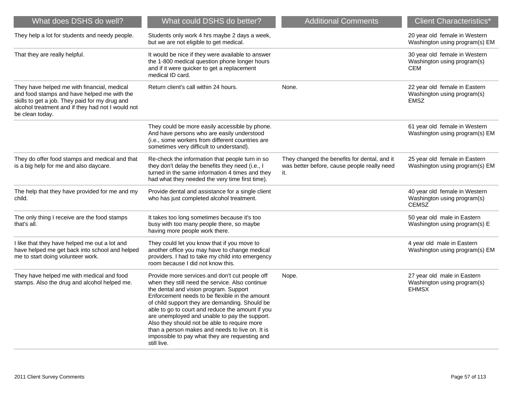| What does DSHS do well?                                                                                                                                                                                              | What could DSHS do better?                                                                                                                                                                                                                                                                                                                                                                                                                                                                                               | <b>Additional Comments</b>                                                                         | <b>Client Characteristics*</b>                                               |
|----------------------------------------------------------------------------------------------------------------------------------------------------------------------------------------------------------------------|--------------------------------------------------------------------------------------------------------------------------------------------------------------------------------------------------------------------------------------------------------------------------------------------------------------------------------------------------------------------------------------------------------------------------------------------------------------------------------------------------------------------------|----------------------------------------------------------------------------------------------------|------------------------------------------------------------------------------|
| They help a lot for students and needy people.                                                                                                                                                                       | Students only work 4 hrs maybe 2 days a week,<br>but we are not eligible to get medical.                                                                                                                                                                                                                                                                                                                                                                                                                                 |                                                                                                    | 20 year old female in Western<br>Washington using program(s) EM              |
| That they are really helpful.                                                                                                                                                                                        | It would be nice if they were available to answer<br>the 1-800 medical question phone longer hours<br>and if it were quicker to get a replacement<br>medical ID card.                                                                                                                                                                                                                                                                                                                                                    |                                                                                                    | 30 year old female in Western<br>Washington using program(s)<br><b>CEM</b>   |
| They have helped me with financial, medical<br>and food stamps and have helped me with the<br>skills to get a job. They paid for my drug and<br>alcohol treatment and if they had not I would not<br>be clean today. | Return client's call within 24 hours.                                                                                                                                                                                                                                                                                                                                                                                                                                                                                    | None.                                                                                              | 22 year old female in Eastern<br>Washington using program(s)<br><b>EMSZ</b>  |
|                                                                                                                                                                                                                      | They could be more easily accessible by phone.<br>And have persons who are easily understood<br>(i.e., some workers from different countries are<br>sometimes very difficult to understand).                                                                                                                                                                                                                                                                                                                             |                                                                                                    | 61 year old female in Western<br>Washington using program(s) EM              |
| They do offer food stamps and medical and that<br>is a big help for me and also daycare.                                                                                                                             | Re-check the information that people turn in so<br>they don't delay the benefits they need (i.e., I<br>turned in the same information 4 times and they<br>had what they needed the very time first time).                                                                                                                                                                                                                                                                                                                | They changed the benefits for dental, and it<br>was better before, cause people really need<br>it. | 25 year old female in Eastern<br>Washington using program(s) EM              |
| The help that they have provided for me and my<br>child.                                                                                                                                                             | Provide dental and assistance for a single client<br>who has just completed alcohol treatment.                                                                                                                                                                                                                                                                                                                                                                                                                           |                                                                                                    | 40 year old female in Western<br>Washington using program(s)<br><b>CEMSZ</b> |
| The only thing I receive are the food stamps<br>that's all.                                                                                                                                                          | It takes too long sometimes because it's too<br>busy with too many people there, so maybe<br>having more people work there.                                                                                                                                                                                                                                                                                                                                                                                              |                                                                                                    | 50 year old male in Eastern<br>Washington using program(s) E                 |
| I like that they have helped me out a lot and<br>have helped me get back into school and helped<br>me to start doing volunteer work.                                                                                 | They could let you know that if you move to<br>another office you may have to change medical<br>providers. I had to take my child into emergency<br>room because I did not know this.                                                                                                                                                                                                                                                                                                                                    |                                                                                                    | 4 year old male in Eastern<br>Washington using program(s) EM                 |
| They have helped me with medical and food<br>stamps. Also the drug and alcohol helped me.                                                                                                                            | Provide more services and don't cut people off<br>when they still need the service. Also continue<br>the dental and vision program. Support<br>Enforcement needs to be flexible in the amount<br>of child support they are demanding. Should be<br>able to go to court and reduce the amount if you<br>are unemployed and unable to pay the support.<br>Also they should not be able to require more<br>than a person makes and needs to live on. It is<br>impossible to pay what they are requesting and<br>still live. | Nope.                                                                                              | 27 year old male in Eastern<br>Washington using program(s)<br><b>EHMSX</b>   |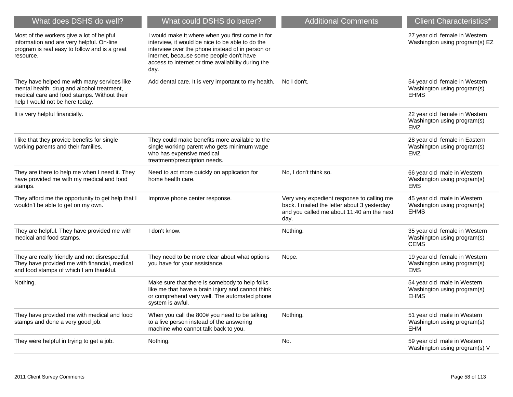| What does DSHS do well?                                                                                                                                                     | What could DSHS do better?                                                                                                                                                                                                                                         | <b>Additional Comments</b>                                                                                                                     | <b>Client Characteristics*</b>                                              |
|-----------------------------------------------------------------------------------------------------------------------------------------------------------------------------|--------------------------------------------------------------------------------------------------------------------------------------------------------------------------------------------------------------------------------------------------------------------|------------------------------------------------------------------------------------------------------------------------------------------------|-----------------------------------------------------------------------------|
| Most of the workers give a lot of helpful<br>information and are very helpful. On-line<br>program is real easy to follow and is a great<br>resource.                        | I would make it where when you first come in for<br>interview, it would be nice to be able to do the<br>interview over the phone instead of in person or<br>internet, because some people don't have<br>access to internet or time availability during the<br>day. |                                                                                                                                                | 27 year old female in Western<br>Washington using program(s) EZ             |
| They have helped me with many services like<br>mental health, drug and alcohol treatment,<br>medical care and food stamps. Without their<br>help I would not be here today. | Add dental care. It is very important to my health.                                                                                                                                                                                                                | No I don't.                                                                                                                                    | 54 year old female in Western<br>Washington using program(s)<br><b>EHMS</b> |
| It is very helpful financially.                                                                                                                                             |                                                                                                                                                                                                                                                                    |                                                                                                                                                | 22 year old female in Western<br>Washington using program(s)<br><b>EMZ</b>  |
| I like that they provide benefits for single<br>working parents and their families.                                                                                         | They could make benefits more available to the<br>single working parent who gets minimum wage<br>who has expensive medical<br>treatment/prescription needs.                                                                                                        |                                                                                                                                                | 28 year old female in Eastern<br>Washington using program(s)<br>EMZ         |
| They are there to help me when I need it. They<br>have provided me with my medical and food<br>stamps.                                                                      | Need to act more quickly on application for<br>home health care.                                                                                                                                                                                                   | No, I don't think so.                                                                                                                          | 66 year old male in Western<br>Washington using program(s)<br><b>EMS</b>    |
| They afford me the opportunity to get help that I<br>wouldn't be able to get on my own.                                                                                     | Improve phone center response.                                                                                                                                                                                                                                     | Very very expedient response to calling me<br>back. I mailed the letter about 3 yesterday<br>and you called me about 11:40 am the next<br>day. | 45 year old male in Western<br>Washington using program(s)<br><b>EHMS</b>   |
| They are helpful. They have provided me with<br>medical and food stamps.                                                                                                    | I don't know.                                                                                                                                                                                                                                                      | Nothing.                                                                                                                                       | 35 year old female in Western<br>Washington using program(s)<br><b>CEMS</b> |
| They are really friendly and not disrespectful.<br>They have provided me with financial, medical<br>and food stamps of which I am thankful.                                 | They need to be more clear about what options<br>you have for your assistance.                                                                                                                                                                                     | Nope.                                                                                                                                          | 19 year old female in Western<br>Washington using program(s)<br><b>EMS</b>  |
| Nothing.                                                                                                                                                                    | Make sure that there is somebody to help folks<br>like me that have a brain injury and cannot think<br>or comprehend very well. The automated phone<br>system is awful.                                                                                            |                                                                                                                                                | 54 year old male in Western<br>Washington using program(s)<br><b>EHMS</b>   |
| They have provided me with medical and food<br>stamps and done a very good job.                                                                                             | When you call the 800# you need to be talking<br>to a live person instead of the answering<br>machine who cannot talk back to you.                                                                                                                                 | Nothing.                                                                                                                                       | 51 year old male in Western<br>Washington using program(s)<br>EHM           |
| They were helpful in trying to get a job.                                                                                                                                   | Nothing.                                                                                                                                                                                                                                                           | No.                                                                                                                                            | 59 year old male in Western<br>Washington using program(s) V                |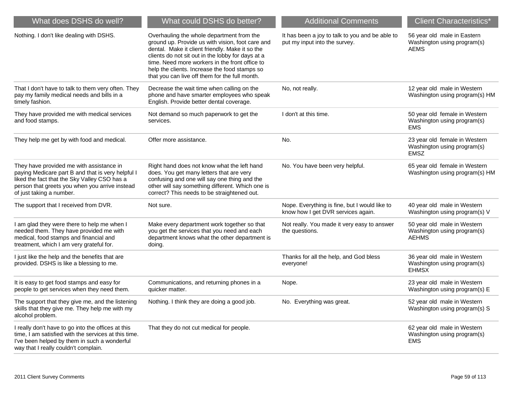| What does DSHS do well?                                                                                                                                                                                                     | What could DSHS do better?                                                                                                                                                                                                                                                                                                                                 | <b>Additional Comments</b>                                                          | <b>Client Characteristics*</b>                                              |
|-----------------------------------------------------------------------------------------------------------------------------------------------------------------------------------------------------------------------------|------------------------------------------------------------------------------------------------------------------------------------------------------------------------------------------------------------------------------------------------------------------------------------------------------------------------------------------------------------|-------------------------------------------------------------------------------------|-----------------------------------------------------------------------------|
| Nothing. I don't like dealing with DSHS.                                                                                                                                                                                    | Overhauling the whole department from the<br>ground up. Provide us with vision, foot care and<br>dental. Make it client friendly. Make it so the<br>clients do not sit out in the lobby for days at a<br>time. Need more workers in the front office to<br>help the clients. Increase the food stamps so<br>that you can live off them for the full month. | It has been a joy to talk to you and be able to<br>put my input into the survey.    | 56 year old male in Eastern<br>Washington using program(s)<br><b>AEMS</b>   |
| That I don't have to talk to them very often. They<br>pay my family medical needs and bills in a<br>timely fashion.                                                                                                         | Decrease the wait time when calling on the<br>phone and have smarter employees who speak<br>English. Provide better dental coverage.                                                                                                                                                                                                                       | No, not really.                                                                     | 12 year old male in Western<br>Washington using program(s) HM               |
| They have provided me with medical services<br>and food stamps.                                                                                                                                                             | Not demand so much paperwork to get the<br>services.                                                                                                                                                                                                                                                                                                       | I don't at this time.                                                               | 50 year old female in Western<br>Washington using program(s)<br><b>EMS</b>  |
| They help me get by with food and medical.                                                                                                                                                                                  | Offer more assistance.                                                                                                                                                                                                                                                                                                                                     | No.                                                                                 | 23 year old female in Western<br>Washington using program(s)<br><b>EMSZ</b> |
| They have provided me with assistance in<br>paying Medicare part B and that is very helpful I<br>liked the fact that the Sky Valley CSO has a<br>person that greets you when you arrive instead<br>of just taking a number. | Right hand does not know what the left hand<br>does. You get many letters that are very<br>confusing and one will say one thing and the<br>other will say something different. Which one is<br>correct? This needs to be straightened out.                                                                                                                 | No. You have been very helpful.                                                     | 65 year old female in Western<br>Washington using program(s) HM             |
| The support that I received from DVR.                                                                                                                                                                                       | Not sure.                                                                                                                                                                                                                                                                                                                                                  | Nope. Everything is fine, but I would like to<br>know how I get DVR services again. | 40 year old male in Western<br>Washington using program(s) V                |
| I am glad they were there to help me when I<br>needed them. They have provided me with<br>medical, food stamps and financial and<br>treatment, which I am very grateful for.                                                | Make every department work together so that<br>you get the services that you need and each<br>department knows what the other department is<br>doing.                                                                                                                                                                                                      | Not really. You made it very easy to answer<br>the questions.                       | 50 year old male in Western<br>Washington using program(s)<br><b>AEHMS</b>  |
| I just like the help and the benefits that are<br>provided. DSHS is like a blessing to me.                                                                                                                                  |                                                                                                                                                                                                                                                                                                                                                            | Thanks for all the help, and God bless<br>everyone!                                 | 36 year old male in Western<br>Washington using program(s)<br><b>EHMSX</b>  |
| It is easy to get food stamps and easy for<br>people to get services when they need them.                                                                                                                                   | Communications, and returning phones in a<br>quicker matter.                                                                                                                                                                                                                                                                                               | Nope.                                                                               | 23 year old male in Western<br>Washington using program(s) E                |
| The support that they give me, and the listening<br>skills that they give me. They help me with my<br>alcohol problem.                                                                                                      | Nothing. I think they are doing a good job.                                                                                                                                                                                                                                                                                                                | No. Everything was great.                                                           | 52 year old male in Western<br>Washington using program(s) S                |
| I really don't have to go into the offices at this<br>time, I am satisfied with the services at this time.<br>I've been helped by them in such a wonderful<br>way that I really couldn't complain.                          | That they do not cut medical for people.                                                                                                                                                                                                                                                                                                                   |                                                                                     | 62 year old male in Western<br>Washington using program(s)<br><b>EMS</b>    |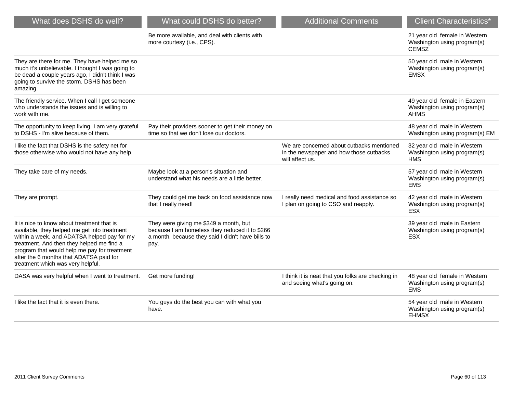| What does DSHS do well?                                                                                                                                                                                                                                                                                                | What could DSHS do better?                                                                                                                            | <b>Additional Comments</b>                                                                              | <b>Client Characteristics*</b>                                               |
|------------------------------------------------------------------------------------------------------------------------------------------------------------------------------------------------------------------------------------------------------------------------------------------------------------------------|-------------------------------------------------------------------------------------------------------------------------------------------------------|---------------------------------------------------------------------------------------------------------|------------------------------------------------------------------------------|
|                                                                                                                                                                                                                                                                                                                        | Be more available, and deal with clients with<br>more courtesy (i.e., CPS).                                                                           |                                                                                                         | 21 year old female in Western<br>Washington using program(s)<br><b>CEMSZ</b> |
| They are there for me. They have helped me so<br>much it's unbelievable. I thought I was going to<br>be dead a couple years ago, I didn't think I was<br>going to survive the storm. DSHS has been<br>amazing.                                                                                                         |                                                                                                                                                       |                                                                                                         | 50 year old male in Western<br>Washington using program(s)<br><b>EMSX</b>    |
| The friendly service. When I call I get someone<br>who understands the issues and is willing to<br>work with me.                                                                                                                                                                                                       |                                                                                                                                                       |                                                                                                         | 49 year old female in Eastern<br>Washington using program(s)<br><b>AHMS</b>  |
| The opportunity to keep living. I am very grateful<br>to DSHS - I'm alive because of them.                                                                                                                                                                                                                             | Pay their providers sooner to get their money on<br>time so that we don't lose our doctors.                                                           |                                                                                                         | 48 year old male in Western<br>Washington using program(s) EM                |
| I like the fact that DSHS is the safety net for<br>those otherwise who would not have any help.                                                                                                                                                                                                                        |                                                                                                                                                       | We are concerned about cutbacks mentioned<br>in the newspaper and how those cutbacks<br>will affect us. | 32 year old male in Western<br>Washington using program(s)<br><b>HMS</b>     |
| They take care of my needs.                                                                                                                                                                                                                                                                                            | Maybe look at a person's situation and<br>understand what his needs are a little better.                                                              |                                                                                                         | 57 year old male in Western<br>Washington using program(s)<br><b>EMS</b>     |
| They are prompt.                                                                                                                                                                                                                                                                                                       | They could get me back on food assistance now<br>that I really need!                                                                                  | I really need medical and food assistance so<br>I plan on going to CSO and reapply.                     | 42 year old male in Western<br>Washington using program(s)<br><b>ESX</b>     |
| It is nice to know about treatment that is<br>available, they helped me get into treatment<br>within a week, and ADATSA helped pay for my<br>treatment. And then they helped me find a<br>program that would help me pay for treatment<br>after the 6 months that ADATSA paid for<br>treatment which was very helpful. | They were giving me \$349 a month, but<br>because I am homeless they reduced it to \$266<br>a month, because they said I didn't have bills to<br>pay. |                                                                                                         | 39 year old male in Eastern<br>Washington using program(s)<br><b>ESX</b>     |
| DASA was very helpful when I went to treatment.                                                                                                                                                                                                                                                                        | Get more funding!                                                                                                                                     | I think it is neat that you folks are checking in<br>and seeing what's going on.                        | 48 year old female in Western<br>Washington using program(s)<br><b>EMS</b>   |
| I like the fact that it is even there.                                                                                                                                                                                                                                                                                 | You guys do the best you can with what you<br>have.                                                                                                   |                                                                                                         | 54 year old male in Western<br>Washington using program(s)<br><b>EHMSX</b>   |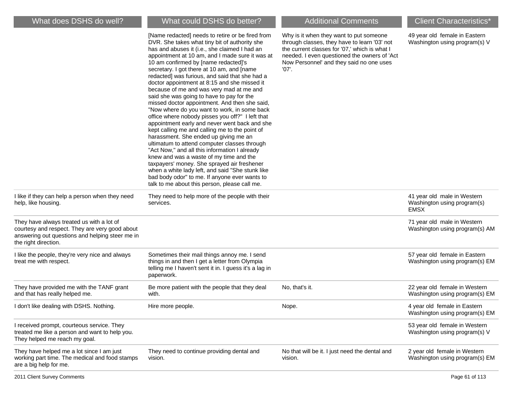| What does DSHS do well?                                                                                                                                                | What could DSHS do better?                                                                                                                                                                                                                                                                                                                                                                                                                                                                                                                                                                                                                                                                                                                                                                                                                                                                                                                                                                                                                                                                                                               | <b>Additional Comments</b>                                                                                                                                                                                                                    | <b>Client Characteristics*</b>                                            |
|------------------------------------------------------------------------------------------------------------------------------------------------------------------------|------------------------------------------------------------------------------------------------------------------------------------------------------------------------------------------------------------------------------------------------------------------------------------------------------------------------------------------------------------------------------------------------------------------------------------------------------------------------------------------------------------------------------------------------------------------------------------------------------------------------------------------------------------------------------------------------------------------------------------------------------------------------------------------------------------------------------------------------------------------------------------------------------------------------------------------------------------------------------------------------------------------------------------------------------------------------------------------------------------------------------------------|-----------------------------------------------------------------------------------------------------------------------------------------------------------------------------------------------------------------------------------------------|---------------------------------------------------------------------------|
|                                                                                                                                                                        | [Name redacted] needs to retire or be fired from<br>DVR. She takes what tiny bit of authority she<br>has and abuses it (i.e., she claimed I had an<br>appointment at 10 am, and I made sure it was at<br>10 am confirmed by [name redacted]'s<br>secretary. I got there at 10 am, and [name<br>redacted] was furious, and said that she had a<br>doctor appointment at 8:15 and she missed it<br>because of me and was very mad at me and<br>said she was going to have to pay for the<br>missed doctor appointment. And then she said,<br>"Now where do you want to work, in some back<br>office where nobody pisses you off?" I left that<br>appointment early and never went back and she<br>kept calling me and calling me to the point of<br>harassment. She ended up giving me an<br>ultimatum to attend computer classes through<br>"Act Now," and all this information I already<br>knew and was a waste of my time and the<br>taxpayers' money. She sprayed air freshener<br>when a white lady left, and said "She stunk like<br>bad body odor" to me. If anyone ever wants to<br>talk to me about this person, please call me. | Why is it when they want to put someone<br>through classes, they have to learn '03' not<br>the current classes for '07,' which is what I<br>needed. I even questioned the owners of 'Act<br>Now Personnel' and they said no one uses<br>'07'. | 49 year old female in Eastern<br>Washington using program(s) V            |
| I like if they can help a person when they need<br>help, like housing.                                                                                                 | They need to help more of the people with their<br>services.                                                                                                                                                                                                                                                                                                                                                                                                                                                                                                                                                                                                                                                                                                                                                                                                                                                                                                                                                                                                                                                                             |                                                                                                                                                                                                                                               | 41 year old male in Western<br>Washington using program(s)<br><b>EMSX</b> |
| They have always treated us with a lot of<br>courtesy and respect. They are very good about<br>answering out questions and helping steer me in<br>the right direction. |                                                                                                                                                                                                                                                                                                                                                                                                                                                                                                                                                                                                                                                                                                                                                                                                                                                                                                                                                                                                                                                                                                                                          |                                                                                                                                                                                                                                               | 71 year old male in Western<br>Washington using program(s) AM             |
| I like the people, they're very nice and always<br>treat me with respect.                                                                                              | Sometimes their mail things annoy me. I send<br>things in and then I get a letter from Olympia<br>telling me I haven't sent it in. I guess it's a lag in<br>paperwork.                                                                                                                                                                                                                                                                                                                                                                                                                                                                                                                                                                                                                                                                                                                                                                                                                                                                                                                                                                   |                                                                                                                                                                                                                                               | 57 year old female in Eastern<br>Washington using program(s) EM           |
| They have provided me with the TANF grant<br>and that has really helped me.                                                                                            | Be more patient with the people that they deal<br>with.                                                                                                                                                                                                                                                                                                                                                                                                                                                                                                                                                                                                                                                                                                                                                                                                                                                                                                                                                                                                                                                                                  | No, that's it.                                                                                                                                                                                                                                | 22 year old female in Western<br>Washington using program(s) EM           |
| I don't like dealing with DSHS. Nothing.                                                                                                                               | Hire more people.                                                                                                                                                                                                                                                                                                                                                                                                                                                                                                                                                                                                                                                                                                                                                                                                                                                                                                                                                                                                                                                                                                                        | Nope.                                                                                                                                                                                                                                         | 4 year old female in Eastern<br>Washington using program(s) EM            |
| I received prompt, courteous service. They<br>treated me like a person and want to help you.<br>They helped me reach my goal.                                          |                                                                                                                                                                                                                                                                                                                                                                                                                                                                                                                                                                                                                                                                                                                                                                                                                                                                                                                                                                                                                                                                                                                                          |                                                                                                                                                                                                                                               | 53 year old female in Western<br>Washington using program(s) V            |
| They have helped me a lot since I am just<br>working part time. The medical and food stamps<br>are a big help for me.                                                  | They need to continue providing dental and<br>vision.                                                                                                                                                                                                                                                                                                                                                                                                                                                                                                                                                                                                                                                                                                                                                                                                                                                                                                                                                                                                                                                                                    | No that will be it. I just need the dental and<br>vision.                                                                                                                                                                                     | 2 year old female in Western<br>Washington using program(s) EM            |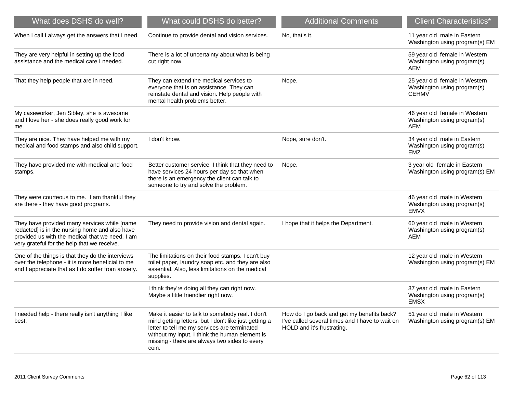| What does DSHS do well?                                                                                                                                                                          | What could DSHS do better?                                                                                                                                                                                                                                            | <b>Additional Comments</b>                                                                                                  | <b>Client Characteristics*</b>                                               |
|--------------------------------------------------------------------------------------------------------------------------------------------------------------------------------------------------|-----------------------------------------------------------------------------------------------------------------------------------------------------------------------------------------------------------------------------------------------------------------------|-----------------------------------------------------------------------------------------------------------------------------|------------------------------------------------------------------------------|
| When I call I always get the answers that I need.                                                                                                                                                | Continue to provide dental and vision services.                                                                                                                                                                                                                       | No, that's it.                                                                                                              | 11 year old male in Eastern<br>Washington using program(s) EM                |
| They are very helpful in setting up the food<br>assistance and the medical care I needed.                                                                                                        | There is a lot of uncertainty about what is being<br>cut right now.                                                                                                                                                                                                   |                                                                                                                             | 59 year old female in Western<br>Washington using program(s)<br>AEM          |
| That they help people that are in need.                                                                                                                                                          | They can extend the medical services to<br>everyone that is on assistance. They can<br>reinstate dental and vision. Help people with<br>mental health problems better.                                                                                                | Nope.                                                                                                                       | 25 year old female in Western<br>Washington using program(s)<br><b>CEHMV</b> |
| My caseworker, Jen Sibley, she is awesome<br>and I love her - she does really good work for<br>me.                                                                                               |                                                                                                                                                                                                                                                                       |                                                                                                                             | 46 year old female in Western<br>Washington using program(s)<br>AEM          |
| They are nice. They have helped me with my<br>medical and food stamps and also child support.                                                                                                    | I don't know.                                                                                                                                                                                                                                                         | Nope, sure don't.                                                                                                           | 34 year old male in Eastern<br>Washington using program(s)<br><b>EMZ</b>     |
| They have provided me with medical and food<br>stamps.                                                                                                                                           | Better customer service. I think that they need to<br>have services 24 hours per day so that when<br>there is an emergency the client can talk to<br>someone to try and solve the problem.                                                                            | Nope.                                                                                                                       | 3 year old female in Eastern<br>Washington using program(s) EM               |
| They were courteous to me. I am thankful they<br>are there - they have good programs.                                                                                                            |                                                                                                                                                                                                                                                                       |                                                                                                                             | 46 year old male in Western<br>Washington using program(s)<br><b>EMVX</b>    |
| They have provided many services while [name<br>redacted] is in the nursing home and also have<br>provided us with the medical that we need. I am<br>very grateful for the help that we receive. | They need to provide vision and dental again.                                                                                                                                                                                                                         | I hope that it helps the Department.                                                                                        | 60 year old male in Western<br>Washington using program(s)<br>AEM            |
| One of the things is that they do the interviews<br>over the telephone - it is more beneficial to me<br>and I appreciate that as I do suffer from anxiety.                                       | The limitations on their food stamps. I can't buy<br>toilet paper, laundry soap etc. and they are also<br>essential. Also, less limitations on the medical<br>supplies.                                                                                               |                                                                                                                             | 12 year old male in Western<br>Washington using program(s) EM                |
|                                                                                                                                                                                                  | I think they're doing all they can right now.<br>Maybe a little friendlier right now.                                                                                                                                                                                 |                                                                                                                             | 37 year old male in Eastern<br>Washington using program(s)<br><b>EMSX</b>    |
| I needed help - there really isn't anything I like<br>best.                                                                                                                                      | Make it easier to talk to somebody real. I don't<br>mind getting letters, but I don't like just getting a<br>letter to tell me my services are terminated<br>without my input. I think the human element is<br>missing - there are always two sides to every<br>coin. | How do I go back and get my benefits back?<br>I've called several times and I have to wait on<br>HOLD and it's frustrating. | 51 year old male in Western<br>Washington using program(s) EM                |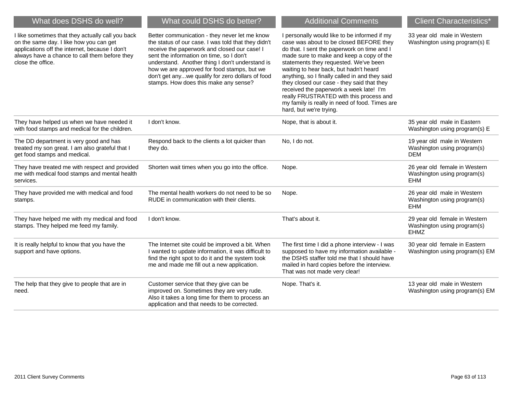| What does DSHS do well?                                                                                                                                                                                              | What could DSHS do better?                                                                                                                                                                                                                                                                                                                                                                      | <b>Additional Comments</b>                                                                                                                                                                                                                                                                                                                                                                                                                                                                                                               | <b>Client Characteristics*</b>                                              |
|----------------------------------------------------------------------------------------------------------------------------------------------------------------------------------------------------------------------|-------------------------------------------------------------------------------------------------------------------------------------------------------------------------------------------------------------------------------------------------------------------------------------------------------------------------------------------------------------------------------------------------|------------------------------------------------------------------------------------------------------------------------------------------------------------------------------------------------------------------------------------------------------------------------------------------------------------------------------------------------------------------------------------------------------------------------------------------------------------------------------------------------------------------------------------------|-----------------------------------------------------------------------------|
| I like sometimes that they actually call you back<br>on the same day. I like how you can get<br>applications off the internet, because I don't<br>always have a chance to call them before they<br>close the office. | Better communication - they never let me know<br>the status of our case. I was told that they didn't<br>receive the paperwork and closed our case! I<br>sent the information on time, so I don't<br>understand. Another thing I don't understand is<br>how we are approved for food stamps, but we<br>don't get anywe qualify for zero dollars of food<br>stamps. How does this make any sense? | I personally would like to be informed if my<br>case was about to be closed BEFORE they<br>do that. I sent the paperwork on time and I<br>made sure to make and keep a copy of the<br>statements they requested. We've been<br>waiting to hear back, but hadn't heard<br>anything, so I finally called in and they said<br>they closed our case - they said that they<br>received the paperwork a week late! I'm<br>really FRUSTRATED with this process and<br>my family is really in need of food. Times are<br>hard, but we're trying. | 33 year old male in Western<br>Washington using program(s) E                |
| They have helped us when we have needed it<br>with food stamps and medical for the children.                                                                                                                         | I don't know.                                                                                                                                                                                                                                                                                                                                                                                   | Nope, that is about it.                                                                                                                                                                                                                                                                                                                                                                                                                                                                                                                  | 35 year old male in Eastern<br>Washington using program(s) E                |
| The DD department is very good and has<br>treated my son great. I am also grateful that I<br>get food stamps and medical.                                                                                            | Respond back to the clients a lot quicker than<br>they do.                                                                                                                                                                                                                                                                                                                                      | No, I do not.                                                                                                                                                                                                                                                                                                                                                                                                                                                                                                                            | 19 year old male in Western<br>Washington using program(s)<br><b>DEM</b>    |
| They have treated me with respect and provided<br>me with medical food stamps and mental health<br>services.                                                                                                         | Shorten wait times when you go into the office.                                                                                                                                                                                                                                                                                                                                                 | Nope.                                                                                                                                                                                                                                                                                                                                                                                                                                                                                                                                    | 26 year old female in Western<br>Washington using program(s)<br>EHM         |
| They have provided me with medical and food<br>stamps.                                                                                                                                                               | The mental health workers do not need to be so<br>RUDE in communication with their clients.                                                                                                                                                                                                                                                                                                     | Nope.                                                                                                                                                                                                                                                                                                                                                                                                                                                                                                                                    | 26 year old male in Western<br>Washington using program(s)<br>EHM           |
| They have helped me with my medical and food<br>stamps. They helped me feed my family.                                                                                                                               | I don't know.                                                                                                                                                                                                                                                                                                                                                                                   | That's about it.                                                                                                                                                                                                                                                                                                                                                                                                                                                                                                                         | 29 year old female in Western<br>Washington using program(s)<br><b>EHMZ</b> |
| It is really helpful to know that you have the<br>support and have options.                                                                                                                                          | The Internet site could be improved a bit. When<br>I wanted to update information, it was difficult to<br>find the right spot to do it and the system took<br>me and made me fill out a new application.                                                                                                                                                                                        | The first time I did a phone interview - I was<br>supposed to have my information available -<br>the DSHS staffer told me that I should have<br>mailed in hard copies before the interview.<br>That was not made very clear!                                                                                                                                                                                                                                                                                                             | 30 year old female in Eastern<br>Washington using program(s) EM             |
| The help that they give to people that are in<br>need.                                                                                                                                                               | Customer service that they give can be<br>improved on. Sometimes they are very rude.<br>Also it takes a long time for them to process an<br>application and that needs to be corrected.                                                                                                                                                                                                         | Nope. That's it.                                                                                                                                                                                                                                                                                                                                                                                                                                                                                                                         | 13 year old male in Western<br>Washington using program(s) EM               |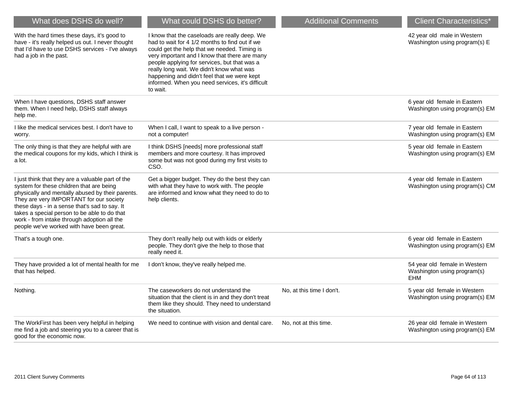| What does DSHS do well?                                                                                                                                                                                                                                                                                                                                                                   | What could DSHS do better?                                                                                                                                                                                                                                                                                                                                                                                   | <b>Additional Comments</b> | <b>Client Characteristics*</b>                                             |
|-------------------------------------------------------------------------------------------------------------------------------------------------------------------------------------------------------------------------------------------------------------------------------------------------------------------------------------------------------------------------------------------|--------------------------------------------------------------------------------------------------------------------------------------------------------------------------------------------------------------------------------------------------------------------------------------------------------------------------------------------------------------------------------------------------------------|----------------------------|----------------------------------------------------------------------------|
| With the hard times these days, it's good to<br>have - it's really helped us out. I never thought<br>that I'd have to use DSHS services - I've always<br>had a job in the past.                                                                                                                                                                                                           | I know that the caseloads are really deep. We<br>had to wait for 4 1/2 months to find out if we<br>could get the help that we needed. Timing is<br>very important and I know that there are many<br>people applying for services, but that was a<br>really long wait. We didn't know what was<br>happening and didn't feel that we were kept<br>informed. When you need services, it's difficult<br>to wait. |                            | 42 year old male in Western<br>Washington using program(s) E               |
| When I have questions, DSHS staff answer<br>them. When I need help, DSHS staff always<br>help me.                                                                                                                                                                                                                                                                                         |                                                                                                                                                                                                                                                                                                                                                                                                              |                            | 6 year old female in Eastern<br>Washington using program(s) EM             |
| I like the medical services best. I don't have to<br>worry.                                                                                                                                                                                                                                                                                                                               | When I call, I want to speak to a live person -<br>not a computer!                                                                                                                                                                                                                                                                                                                                           |                            | 7 year old female in Eastern<br>Washington using program(s) EM             |
| The only thing is that they are helpful with are<br>the medical coupons for my kids, which I think is<br>a lot.                                                                                                                                                                                                                                                                           | I think DSHS [needs] more professional staff<br>members and more courtesy. It has improved<br>some but was not good during my first visits to<br>CSO.                                                                                                                                                                                                                                                        |                            | 5 year old female in Eastern<br>Washington using program(s) EM             |
| I just think that they are a valuable part of the<br>system for these children that are being<br>physically and mentally abused by their parents.<br>They are very IMPORTANT for our society<br>these days - in a sense that's sad to say. It<br>takes a special person to be able to do that<br>work - from intake through adoption all the<br>people we've worked with have been great. | Get a bigger budget. They do the best they can<br>with what they have to work with. The people<br>are informed and know what they need to do to<br>help clients.                                                                                                                                                                                                                                             |                            | 4 year old female in Eastern<br>Washington using program(s) CM             |
| That's a tough one.                                                                                                                                                                                                                                                                                                                                                                       | They don't really help out with kids or elderly<br>people. They don't give the help to those that<br>really need it.                                                                                                                                                                                                                                                                                         |                            | 6 year old female in Eastern<br>Washington using program(s) EM             |
| They have provided a lot of mental health for me<br>that has helped.                                                                                                                                                                                                                                                                                                                      | I don't know, they've really helped me.                                                                                                                                                                                                                                                                                                                                                                      |                            | 54 year old female in Western<br>Washington using program(s)<br><b>EHM</b> |
| Nothing.                                                                                                                                                                                                                                                                                                                                                                                  | The caseworkers do not understand the<br>situation that the client is in and they don't treat<br>them like they should. They need to understand<br>the situation.                                                                                                                                                                                                                                            | No, at this time I don't.  | 5 year old female in Western<br>Washington using program(s) EM             |
| The WorkFirst has been very helpful in helping<br>me find a job and steering you to a career that is<br>good for the economic now.                                                                                                                                                                                                                                                        | We need to continue with vision and dental care.                                                                                                                                                                                                                                                                                                                                                             | No, not at this time.      | 26 year old female in Western<br>Washington using program(s) EM            |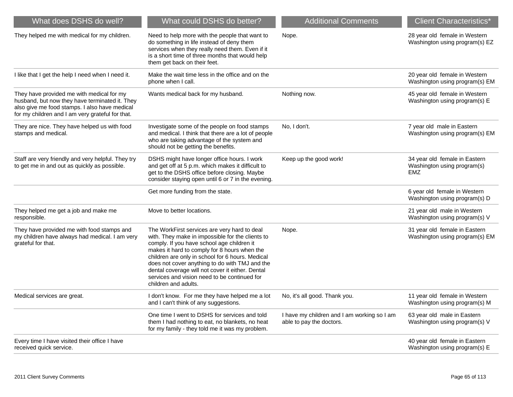| What does DSHS do well?                                                                                                                                                                          | What could DSHS do better?                                                                                                                                                                                                                                                                                                                                                                                                       | <b>Additional Comments</b>                                              | <b>Client Characteristics*</b>                                             |
|--------------------------------------------------------------------------------------------------------------------------------------------------------------------------------------------------|----------------------------------------------------------------------------------------------------------------------------------------------------------------------------------------------------------------------------------------------------------------------------------------------------------------------------------------------------------------------------------------------------------------------------------|-------------------------------------------------------------------------|----------------------------------------------------------------------------|
| They helped me with medical for my children.                                                                                                                                                     | Need to help more with the people that want to<br>do something in life instead of deny them<br>services when they really need them. Even if it<br>is a short time of three months that would help<br>them get back on their feet.                                                                                                                                                                                                | Nope.                                                                   | 28 year old female in Western<br>Washington using program(s) EZ            |
| I like that I get the help I need when I need it.                                                                                                                                                | Make the wait time less in the office and on the<br>phone when I call.                                                                                                                                                                                                                                                                                                                                                           |                                                                         | 20 year old female in Western<br>Washington using program(s) EM            |
| They have provided me with medical for my<br>husband, but now they have terminated it. They<br>also give me food stamps. I also have medical<br>for my children and I am very grateful for that. | Wants medical back for my husband.                                                                                                                                                                                                                                                                                                                                                                                               | Nothing now.                                                            | 45 year old female in Western<br>Washington using program(s) E             |
| They are nice. They have helped us with food<br>stamps and medical.                                                                                                                              | Investigate some of the people on food stamps<br>and medical. I think that there are a lot of people<br>who are taking advantage of the system and<br>should not be getting the benefits.                                                                                                                                                                                                                                        | No, I don't.                                                            | 7 year old male in Eastern<br>Washington using program(s) EM               |
| Staff are very friendly and very helpful. They try<br>to get me in and out as quickly as possible.                                                                                               | DSHS might have longer office hours. I work<br>and get off at 5 p.m. which makes it difficult to<br>get to the DSHS office before closing. Maybe<br>consider staying open until 6 or 7 in the evening.                                                                                                                                                                                                                           | Keep up the good work!                                                  | 34 year old female in Eastern<br>Washington using program(s)<br><b>EMZ</b> |
|                                                                                                                                                                                                  | Get more funding from the state.                                                                                                                                                                                                                                                                                                                                                                                                 |                                                                         | 6 year old female in Western<br>Washington using program(s) D              |
| They helped me get a job and make me<br>responsible.                                                                                                                                             | Move to better locations.                                                                                                                                                                                                                                                                                                                                                                                                        |                                                                         | 21 year old male in Western<br>Washington using program(s) V               |
| They have provided me with food stamps and<br>my children have always had medical. I am very<br>grateful for that.                                                                               | The WorkFirst services are very hard to deal<br>with. They make in impossible for the clients to<br>comply. If you have school age children it<br>makes it hard to comply for 8 hours when the<br>children are only in school for 6 hours. Medical<br>does not cover anything to do with TMJ and the<br>dental coverage will not cover it either. Dental<br>services and vision need to be continued for<br>children and adults. | Nope.                                                                   | 31 year old female in Eastern<br>Washington using program(s) EM            |
| Medical services are great.                                                                                                                                                                      | I don't know. For me they have helped me a lot<br>and I can't think of any suggestions.                                                                                                                                                                                                                                                                                                                                          | No, it's all good. Thank you.                                           | 11 year old female in Western<br>Washington using program(s) M             |
|                                                                                                                                                                                                  | One time I went to DSHS for services and told<br>them I had nothing to eat, no blankets, no heat<br>for my family - they told me it was my problem.                                                                                                                                                                                                                                                                              | I have my children and I am working so I am<br>able to pay the doctors. | 63 year old male in Eastern<br>Washington using program(s) V               |
| Every time I have visited their office I have<br>received quick service.                                                                                                                         |                                                                                                                                                                                                                                                                                                                                                                                                                                  |                                                                         | 40 year old female in Eastern<br>Washington using program(s) E             |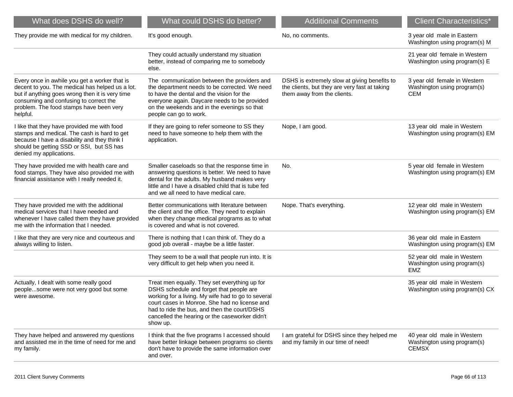| What does DSHS do well?                                                                                                                                                                                                                              | What could DSHS do better?                                                                                                                                                                                                                                                                                     | <b>Additional Comments</b>                                                                                                   | <b>Client Characteristics*</b>                                             |
|------------------------------------------------------------------------------------------------------------------------------------------------------------------------------------------------------------------------------------------------------|----------------------------------------------------------------------------------------------------------------------------------------------------------------------------------------------------------------------------------------------------------------------------------------------------------------|------------------------------------------------------------------------------------------------------------------------------|----------------------------------------------------------------------------|
| They provide me with medical for my children.                                                                                                                                                                                                        | It's good enough.                                                                                                                                                                                                                                                                                              | No, no comments.                                                                                                             | 3 year old male in Eastern<br>Washington using program(s) M                |
|                                                                                                                                                                                                                                                      | They could actually understand my situation<br>better, instead of comparing me to somebody<br>else.                                                                                                                                                                                                            |                                                                                                                              | 21 year old female in Western<br>Washington using program(s) E             |
| Every once in awhile you get a worker that is<br>decent to you. The medical has helped us a lot.<br>but if anything goes wrong then it is very time<br>consuming and confusing to correct the<br>problem. The food stamps have been very<br>helpful. | The communication between the providers and<br>the department needs to be corrected. We need<br>to have the dental and the vision for the<br>everyone again. Daycare needs to be provided<br>on the weekends and in the evenings so that<br>people can go to work.                                             | DSHS is extremely slow at giving benefits to<br>the clients, but they are very fast at taking<br>them away from the clients. | 3 year old female in Western<br>Washington using program(s)<br><b>CEM</b>  |
| I like that they have provided me with food<br>stamps and medical. The cash is hard to get<br>because I have a disability and they think I<br>should be getting SSD or SSI, but SS has<br>denied my applications.                                    | If they are going to refer someone to SS they<br>need to have someone to help them with the<br>application.                                                                                                                                                                                                    | Nope, I am good.                                                                                                             | 13 year old male in Western<br>Washington using program(s) EM              |
| They have provided me with health care and<br>food stamps. They have also provided me with<br>financial assistance with I really needed it.                                                                                                          | Smaller caseloads so that the response time in<br>answering questions is better. We need to have<br>dental for the adults. My husband makes very<br>little and I have a disabled child that is tube fed<br>and we all need to have medical care.                                                               | No.                                                                                                                          | 5 year old female in Western<br>Washington using program(s) EM             |
| They have provided me with the additional<br>medical services that I have needed and<br>whenever I have called them they have provided<br>me with the information that I needed.                                                                     | Better communications with literature between<br>the client and the office. They need to explain<br>when they change medical programs as to what<br>is covered and what is not covered.                                                                                                                        | Nope. That's everything.                                                                                                     | 12 year old male in Western<br>Washington using program(s) EM              |
| I like that they are very nice and courteous and<br>always willing to listen.                                                                                                                                                                        | There is nothing that I can think of. They do a<br>good job overall - maybe be a little faster.                                                                                                                                                                                                                |                                                                                                                              | 36 year old male in Eastern<br>Washington using program(s) EM              |
|                                                                                                                                                                                                                                                      | They seem to be a wall that people run into. It is<br>very difficult to get help when you need it.                                                                                                                                                                                                             |                                                                                                                              | 52 year old male in Western<br>Washington using program(s)<br>EMZ          |
| Actually, I dealt with some really good<br>peoplesome were not very good but some<br>were awesome.                                                                                                                                                   | Treat men equally. They set everything up for<br>DSHS schedule and forget that people are<br>working for a living. My wife had to go to several<br>court cases in Monroe. She had no license and<br>had to ride the bus, and then the court/DSHS<br>cancelled the hearing or the caseworker didn't<br>show up. |                                                                                                                              | 35 year old male in Western<br>Washington using program(s) CX              |
| They have helped and answered my questions<br>and assisted me in the time of need for me and<br>my family.                                                                                                                                           | I think that the five programs I accessed should<br>have better linkage between programs so clients<br>don't have to provide the same information over<br>and over.                                                                                                                                            | I am grateful for DSHS since they helped me<br>and my family in our time of need!                                            | 40 year old male in Western<br>Washington using program(s)<br><b>CEMSX</b> |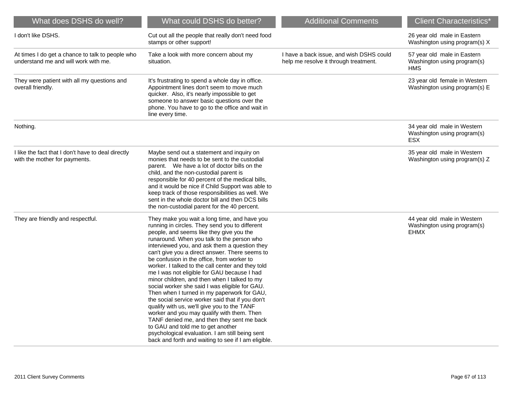| What does DSHS do well?                                                                  | What could DSHS do better?                                                                                                                                                                                                                                                                                                                                                                                                                                                                                                                                                                                                                                                                                                                                                                                                                                                                                                                   | <b>Additional Comments</b>                                                        | <b>Client Characteristics*</b>                                            |
|------------------------------------------------------------------------------------------|----------------------------------------------------------------------------------------------------------------------------------------------------------------------------------------------------------------------------------------------------------------------------------------------------------------------------------------------------------------------------------------------------------------------------------------------------------------------------------------------------------------------------------------------------------------------------------------------------------------------------------------------------------------------------------------------------------------------------------------------------------------------------------------------------------------------------------------------------------------------------------------------------------------------------------------------|-----------------------------------------------------------------------------------|---------------------------------------------------------------------------|
| I don't like DSHS.                                                                       | Cut out all the people that really don't need food<br>stamps or other support!                                                                                                                                                                                                                                                                                                                                                                                                                                                                                                                                                                                                                                                                                                                                                                                                                                                               |                                                                                   | 26 year old male in Eastern<br>Washington using program(s) X              |
| At times I do get a chance to talk to people who<br>understand me and will work with me. | Take a look with more concern about my<br>situation.                                                                                                                                                                                                                                                                                                                                                                                                                                                                                                                                                                                                                                                                                                                                                                                                                                                                                         | I have a back issue, and wish DSHS could<br>help me resolve it through treatment. | 57 year old male in Eastern<br>Washington using program(s)<br><b>HMS</b>  |
| They were patient with all my questions and<br>overall friendly.                         | It's frustrating to spend a whole day in office.<br>Appointment lines don't seem to move much<br>quicker. Also, it's nearly impossible to get<br>someone to answer basic questions over the<br>phone. You have to go to the office and wait in<br>line every time.                                                                                                                                                                                                                                                                                                                                                                                                                                                                                                                                                                                                                                                                           |                                                                                   | 23 year old female in Western<br>Washington using program(s) E            |
| Nothing.                                                                                 |                                                                                                                                                                                                                                                                                                                                                                                                                                                                                                                                                                                                                                                                                                                                                                                                                                                                                                                                              |                                                                                   | 34 year old male in Western<br>Washington using program(s)<br><b>ESX</b>  |
| I like the fact that I don't have to deal directly<br>with the mother for payments.      | Maybe send out a statement and inquiry on<br>monies that needs to be sent to the custodial<br>parent. We have a lot of doctor bills on the<br>child, and the non-custodial parent is<br>responsible for 40 percent of the medical bills,<br>and it would be nice if Child Support was able to<br>keep track of those responsibilities as well. We<br>sent in the whole doctor bill and then DCS bills<br>the non-custodial parent for the 40 percent.                                                                                                                                                                                                                                                                                                                                                                                                                                                                                        |                                                                                   | 35 year old male in Western<br>Washington using program(s) Z              |
| They are friendly and respectful.                                                        | They make you wait a long time, and have you<br>running in circles. They send you to different<br>people, and seems like they give you the<br>runaround. When you talk to the person who<br>interviewed you, and ask them a question they<br>can't give you a direct answer. There seems to<br>be confusion in the office, from worker to<br>worker. I talked to the call center and they told<br>me I was not eligible for GAU because I had<br>minor children, and then when I talked to my<br>social worker she said I was eligible for GAU.<br>Then when I turned in my paperwork for GAU,<br>the social service worker said that if you don't<br>qualify with us, we'll give you to the TANF<br>worker and you may qualify with them. Then<br>TANF denied me, and then they sent me back<br>to GAU and told me to get another<br>psychological evaluation. I am still being sent<br>back and forth and waiting to see if I am eligible. |                                                                                   | 44 year old male in Western<br>Washington using program(s)<br><b>EHMX</b> |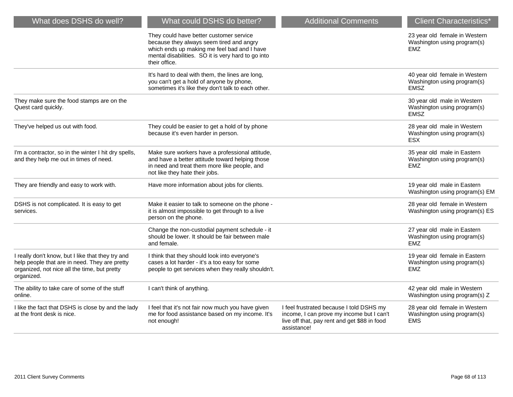| What does DSHS do well?                                                                                                                                          | What could DSHS do better?                                                                                                                                                                                | <b>Additional Comments</b>                                                                                                                           | <b>Client Characteristics*</b>                                              |
|------------------------------------------------------------------------------------------------------------------------------------------------------------------|-----------------------------------------------------------------------------------------------------------------------------------------------------------------------------------------------------------|------------------------------------------------------------------------------------------------------------------------------------------------------|-----------------------------------------------------------------------------|
|                                                                                                                                                                  | They could have better customer service<br>because they always seem tired and angry<br>which ends up making me feel bad and I have<br>mental disabilities. SO it is very hard to go into<br>their office. |                                                                                                                                                      | 23 year old female in Western<br>Washington using program(s)<br><b>EMZ</b>  |
|                                                                                                                                                                  | It's hard to deal with them, the lines are long,<br>you can't get a hold of anyone by phone,<br>sometimes it's like they don't talk to each other.                                                        |                                                                                                                                                      | 40 year old female in Western<br>Washington using program(s)<br><b>EMSZ</b> |
| They make sure the food stamps are on the<br>Quest card quickly.                                                                                                 |                                                                                                                                                                                                           |                                                                                                                                                      | 30 year old male in Western<br>Washington using program(s)<br><b>EMSZ</b>   |
| They've helped us out with food.                                                                                                                                 | They could be easier to get a hold of by phone<br>because it's even harder in person.                                                                                                                     |                                                                                                                                                      | 28 year old male in Western<br>Washington using program(s)<br><b>ESX</b>    |
| I'm a contractor, so in the winter I hit dry spells,<br>and they help me out in times of need.                                                                   | Make sure workers have a professional attitude,<br>and have a better attitude toward helping those<br>in need and treat them more like people, and<br>not like they hate their jobs.                      |                                                                                                                                                      | 35 year old male in Eastern<br>Washington using program(s)<br><b>EMZ</b>    |
| They are friendly and easy to work with.                                                                                                                         | Have more information about jobs for clients.                                                                                                                                                             |                                                                                                                                                      | 19 year old male in Eastern<br>Washington using program(s) EM               |
| DSHS is not complicated. It is easy to get<br>services.                                                                                                          | Make it easier to talk to someone on the phone -<br>it is almost impossible to get through to a live<br>person on the phone.                                                                              |                                                                                                                                                      | 28 year old female in Western<br>Washington using program(s) ES             |
|                                                                                                                                                                  | Change the non-custodial payment schedule - it<br>should be lower. It should be fair between male<br>and female.                                                                                          |                                                                                                                                                      | 27 year old male in Eastern<br>Washington using program(s)<br><b>EMZ</b>    |
| I really don't know, but I like that they try and<br>help people that are in need. They are pretty<br>organized, not nice all the time, but pretty<br>organized. | I think that they should look into everyone's<br>cases a lot harder - it's a too easy for some<br>people to get services when they really shouldn't.                                                      |                                                                                                                                                      | 19 year old female in Eastern<br>Washington using program(s)<br><b>EMZ</b>  |
| The ability to take care of some of the stuff<br>online.                                                                                                         | I can't think of anything.                                                                                                                                                                                |                                                                                                                                                      | 42 year old male in Western<br>Washington using program(s) Z                |
| I like the fact that DSHS is close by and the lady<br>at the front desk is nice.                                                                                 | I feel that it's not fair now much you have given<br>me for food assistance based on my income. It's<br>not enough!                                                                                       | I feel frustrated because I told DSHS my<br>income, I can prove my income but I can't<br>live off that, pay rent and get \$88 in food<br>assistance! | 28 year old female in Western<br>Washington using program(s)<br><b>EMS</b>  |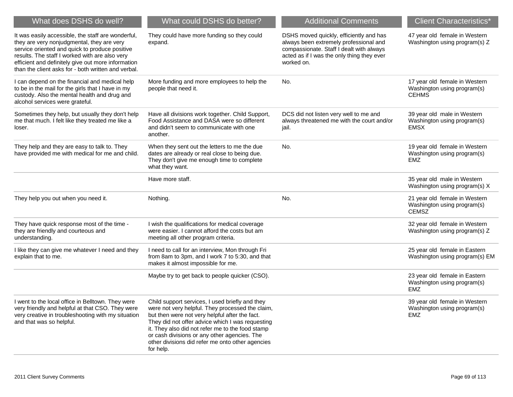| What does DSHS do well?                                                                                                                                                                                                                                                                                           | What could DSHS do better?                                                                                                                                                                                                                                                                                                                                                     | <b>Additional Comments</b>                                                                                                                                                                | <b>Client Characteristics*</b>                                               |
|-------------------------------------------------------------------------------------------------------------------------------------------------------------------------------------------------------------------------------------------------------------------------------------------------------------------|--------------------------------------------------------------------------------------------------------------------------------------------------------------------------------------------------------------------------------------------------------------------------------------------------------------------------------------------------------------------------------|-------------------------------------------------------------------------------------------------------------------------------------------------------------------------------------------|------------------------------------------------------------------------------|
| It was easily accessible, the staff are wonderful,<br>they are very nonjudgmental, they are very<br>service oriented and quick to produce positive<br>results. The staff I worked with are also very<br>efficient and definitely give out more information<br>than the client asks for - both written and verbal. | They could have more funding so they could<br>expand.                                                                                                                                                                                                                                                                                                                          | DSHS moved quickly, efficiently and has<br>always been extremely professional and<br>compassionate. Staff I dealt with always<br>acted as if I was the only thing they ever<br>worked on. | 47 year old female in Western<br>Washington using program(s) Z               |
| I can depend on the financial and medical help<br>to be in the mail for the girls that I have in my<br>custody. Also the mental health and drug and<br>alcohol services were grateful.                                                                                                                            | More funding and more employees to help the<br>people that need it.                                                                                                                                                                                                                                                                                                            | No.                                                                                                                                                                                       | 17 year old female in Western<br>Washington using program(s)<br><b>CEHMS</b> |
| Sometimes they help, but usually they don't help<br>me that much. I felt like they treated me like a<br>loser.                                                                                                                                                                                                    | Have all divisions work together. Child Support,<br>Food Assistance and DASA were so different<br>and didn't seem to communicate with one<br>another.                                                                                                                                                                                                                          | DCS did not listen very well to me and<br>always threatened me with the court and/or<br>jail.                                                                                             | 39 year old male in Western<br>Washington using program(s)<br><b>EMSX</b>    |
| They help and they are easy to talk to. They<br>have provided me with medical for me and child.                                                                                                                                                                                                                   | When they sent out the letters to me the due<br>dates are already or real close to being due.<br>They don't give me enough time to complete<br>what they want.                                                                                                                                                                                                                 | No.                                                                                                                                                                                       | 19 year old female in Western<br>Washington using program(s)<br><b>EMZ</b>   |
|                                                                                                                                                                                                                                                                                                                   | Have more staff.                                                                                                                                                                                                                                                                                                                                                               |                                                                                                                                                                                           | 35 year old male in Western<br>Washington using program(s) X                 |
| They help you out when you need it.                                                                                                                                                                                                                                                                               | Nothing.                                                                                                                                                                                                                                                                                                                                                                       | No.                                                                                                                                                                                       | 21 year old female in Western<br>Washington using program(s)<br><b>CEMSZ</b> |
| They have quick response most of the time -<br>they are friendly and courteous and<br>understanding.                                                                                                                                                                                                              | I wish the qualifications for medical coverage<br>were easier. I cannot afford the costs but am<br>meeting all other program criteria.                                                                                                                                                                                                                                         |                                                                                                                                                                                           | 32 year old female in Western<br>Washington using program(s) Z               |
| I like they can give me whatever I need and they<br>explain that to me.                                                                                                                                                                                                                                           | I need to call for an interview, Mon through Fri<br>from 8am to 3pm, and I work 7 to 5:30, and that<br>makes it almost impossible for me.                                                                                                                                                                                                                                      |                                                                                                                                                                                           | 25 year old female in Eastern<br>Washington using program(s) EM              |
|                                                                                                                                                                                                                                                                                                                   | Maybe try to get back to people quicker (CSO).                                                                                                                                                                                                                                                                                                                                 |                                                                                                                                                                                           | 23 year old female in Eastern<br>Washington using program(s)<br><b>EMZ</b>   |
| I went to the local office in Belltown. They were<br>very friendly and helpful at that CSO. They were<br>very creative in troubleshooting with my situation<br>and that was so helpful.                                                                                                                           | Child support services, I used briefly and they<br>were not very helpful. They processed the claim,<br>but then were not very helpful after the fact.<br>They did not offer advice which I was requesting<br>it. They also did not refer me to the food stamp<br>or cash divisions or any other agencies. The<br>other divisions did refer me onto other agencies<br>for help. |                                                                                                                                                                                           | 39 year old female in Western<br>Washington using program(s)<br>EMZ.         |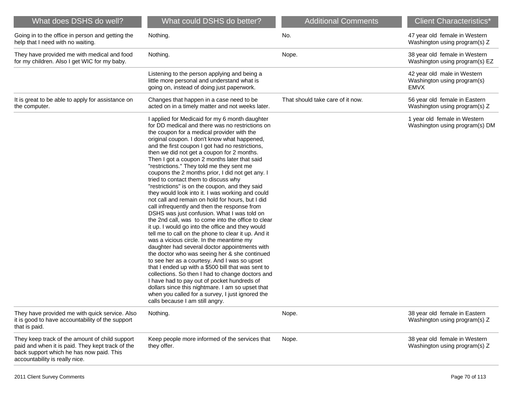| What does DSHS do well?                                                                                                                                                          | What could DSHS do better?                                                                                                                                                                                                                                                                                                                                                                                                                                                                                                                                                                                                                                                                                                                                                                                                                                                                                                                                                                                                                                                                                                                                                                                                                                                                                                                                                                                            | <b>Additional Comments</b>       | <b>Client Characteristics*</b>                                            |
|----------------------------------------------------------------------------------------------------------------------------------------------------------------------------------|-----------------------------------------------------------------------------------------------------------------------------------------------------------------------------------------------------------------------------------------------------------------------------------------------------------------------------------------------------------------------------------------------------------------------------------------------------------------------------------------------------------------------------------------------------------------------------------------------------------------------------------------------------------------------------------------------------------------------------------------------------------------------------------------------------------------------------------------------------------------------------------------------------------------------------------------------------------------------------------------------------------------------------------------------------------------------------------------------------------------------------------------------------------------------------------------------------------------------------------------------------------------------------------------------------------------------------------------------------------------------------------------------------------------------|----------------------------------|---------------------------------------------------------------------------|
| Going in to the office in person and getting the<br>help that I need with no waiting.                                                                                            | Nothing.                                                                                                                                                                                                                                                                                                                                                                                                                                                                                                                                                                                                                                                                                                                                                                                                                                                                                                                                                                                                                                                                                                                                                                                                                                                                                                                                                                                                              | No.                              | 47 year old female in Western<br>Washington using program(s) Z            |
| They have provided me with medical and food<br>for my children. Also I get WIC for my baby.                                                                                      | Nothing.                                                                                                                                                                                                                                                                                                                                                                                                                                                                                                                                                                                                                                                                                                                                                                                                                                                                                                                                                                                                                                                                                                                                                                                                                                                                                                                                                                                                              | Nope.                            | 38 year old female in Western<br>Washington using program(s) EZ           |
|                                                                                                                                                                                  | Listening to the person applying and being a<br>little more personal and understand what is<br>going on, instead of doing just paperwork.                                                                                                                                                                                                                                                                                                                                                                                                                                                                                                                                                                                                                                                                                                                                                                                                                                                                                                                                                                                                                                                                                                                                                                                                                                                                             |                                  | 42 year old male in Western<br>Washington using program(s)<br><b>EMVX</b> |
| It is great to be able to apply for assistance on<br>the computer.                                                                                                               | Changes that happen in a case need to be<br>acted on in a timely matter and not weeks later.                                                                                                                                                                                                                                                                                                                                                                                                                                                                                                                                                                                                                                                                                                                                                                                                                                                                                                                                                                                                                                                                                                                                                                                                                                                                                                                          | That should take care of it now. | 56 year old female in Eastern<br>Washington using program(s) Z            |
|                                                                                                                                                                                  | I applied for Medicaid for my 6 month daughter<br>for DD medical and there was no restrictions on<br>the coupon for a medical provider with the<br>original coupon. I don't know what happened,<br>and the first coupon I got had no restrictions,<br>then we did not get a coupon for 2 months.<br>Then I got a coupon 2 months later that said<br>"restrictions." They told me they sent me<br>coupons the 2 months prior, I did not get any. I<br>tried to contact them to discuss why<br>"restrictions" is on the coupon, and they said<br>they would look into it. I was working and could<br>not call and remain on hold for hours, but I did<br>call infrequently and then the response from<br>DSHS was just confusion. What I was told on<br>the 2nd call, was to come into the office to clear<br>it up. I would go into the office and they would<br>tell me to call on the phone to clear it up. And it<br>was a vicious circle. In the meantime my<br>daughter had several doctor appointments with<br>the doctor who was seeing her & she continued<br>to see her as a courtesy. And I was so upset<br>that I ended up with a \$500 bill that was sent to<br>collections. So then I had to change doctors and<br>I have had to pay out of pocket hundreds of<br>dollars since this nightmare. I am so upset that<br>when you called for a survey, I just ignored the<br>calls because I am still angry. |                                  | 1 year old female in Western<br>Washington using program(s) DM            |
| They have provided me with quick service. Also<br>it is good to have accountability of the support<br>that is paid.                                                              | Nothing.                                                                                                                                                                                                                                                                                                                                                                                                                                                                                                                                                                                                                                                                                                                                                                                                                                                                                                                                                                                                                                                                                                                                                                                                                                                                                                                                                                                                              | Nope.                            | 38 year old female in Eastern<br>Washington using program(s) Z            |
| They keep track of the amount of child support<br>paid and when it is paid. They kept track of the<br>back support which he has now paid. This<br>accountability is really nice. | Keep people more informed of the services that<br>they offer.                                                                                                                                                                                                                                                                                                                                                                                                                                                                                                                                                                                                                                                                                                                                                                                                                                                                                                                                                                                                                                                                                                                                                                                                                                                                                                                                                         | Nope.                            | 38 year old female in Western<br>Washington using program(s) Z            |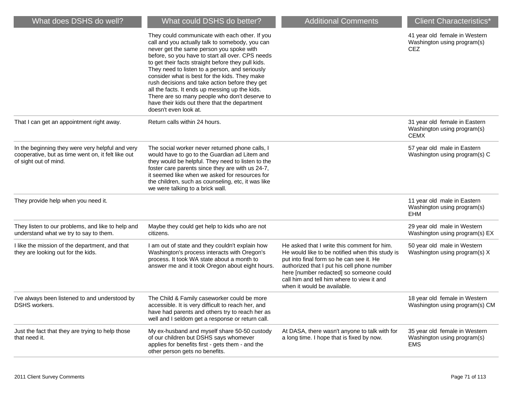| What does DSHS do well?                                                                                                         | What could DSHS do better?                                                                                                                                                                                                                                                                                                                                                                                                                                                                                                                                                                | <b>Additional Comments</b>                                                                                                                                                                                                                                                                                        | <b>Client Characteristics*</b>                                              |
|---------------------------------------------------------------------------------------------------------------------------------|-------------------------------------------------------------------------------------------------------------------------------------------------------------------------------------------------------------------------------------------------------------------------------------------------------------------------------------------------------------------------------------------------------------------------------------------------------------------------------------------------------------------------------------------------------------------------------------------|-------------------------------------------------------------------------------------------------------------------------------------------------------------------------------------------------------------------------------------------------------------------------------------------------------------------|-----------------------------------------------------------------------------|
|                                                                                                                                 | They could communicate with each other. If you<br>call and you actually talk to somebody, you can<br>never get the same person you spoke with<br>before, so you have to start all over. CPS needs<br>to get their facts straight before they pull kids.<br>They need to listen to a person, and seriously<br>consider what is best for the kids. They make<br>rush decisions and take action before they get<br>all the facts. It ends up messing up the kids.<br>There are so many people who don't deserve to<br>have their kids out there that the department<br>doesn't even look at. |                                                                                                                                                                                                                                                                                                                   | 41 year old female in Western<br>Washington using program(s)<br>CEZ.        |
| That I can get an appointment right away.                                                                                       | Return calls within 24 hours.                                                                                                                                                                                                                                                                                                                                                                                                                                                                                                                                                             |                                                                                                                                                                                                                                                                                                                   | 31 year old female in Eastern<br>Washington using program(s)<br><b>CEMX</b> |
| In the beginning they were very helpful and very<br>cooperative, but as time went on, it felt like out<br>of sight out of mind. | The social worker never returned phone calls, I<br>would have to go to the Guardian ad Litem and<br>they would be helpful. They need to listen to the<br>foster care parents since they are with us 24-7,<br>it seemed like when we asked for resources for<br>the children, such as counseling, etc, it was like<br>we were talking to a brick wall.                                                                                                                                                                                                                                     |                                                                                                                                                                                                                                                                                                                   | 57 year old male in Eastern<br>Washington using program(s) C                |
| They provide help when you need it.                                                                                             |                                                                                                                                                                                                                                                                                                                                                                                                                                                                                                                                                                                           |                                                                                                                                                                                                                                                                                                                   | 11 year old male in Eastern<br>Washington using program(s)<br><b>EHM</b>    |
| They listen to our problems, and like to help and<br>understand what we try to say to them.                                     | Maybe they could get help to kids who are not<br>citizens.                                                                                                                                                                                                                                                                                                                                                                                                                                                                                                                                |                                                                                                                                                                                                                                                                                                                   | 29 year old male in Western<br>Washington using program(s) EX               |
| I like the mission of the department, and that<br>they are looking out for the kids.                                            | I am out of state and they couldn't explain how<br>Washington's process interacts with Oregon's<br>process. It took WA state about a month to<br>answer me and it took Oregon about eight hours.                                                                                                                                                                                                                                                                                                                                                                                          | He asked that I write this comment for him.<br>He would like to be notified when this study is<br>put into final form so he can see it. He<br>authorized that I put his cell phone number<br>here [number redacted] so someone could<br>call him and tell him where to view it and<br>when it would be available. | 50 year old male in Western<br>Washington using program(s) X                |
| I've always been listened to and understood by<br>DSHS workers.                                                                 | The Child & Family caseworker could be more<br>accessible. It is very difficult to reach her, and<br>have had parents and others try to reach her as<br>well and I seldom get a response or return call.                                                                                                                                                                                                                                                                                                                                                                                  |                                                                                                                                                                                                                                                                                                                   | 18 year old female in Western<br>Washington using program(s) CM             |
| Just the fact that they are trying to help those<br>that need it.                                                               | My ex-husband and myself share 50-50 custody<br>of our children but DSHS says whomever<br>applies for benefits first - gets them - and the<br>other person gets no benefits.                                                                                                                                                                                                                                                                                                                                                                                                              | At DASA, there wasn't anyone to talk with for<br>a long time. I hope that is fixed by now.                                                                                                                                                                                                                        | 35 year old female in Western<br>Washington using program(s)<br><b>EMS</b>  |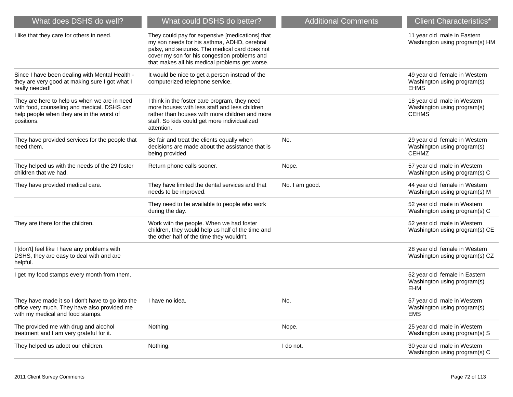| What does DSHS do well?                                                                                                                                | What could DSHS do better?                                                                                                                                                                                                                         | <b>Additional Comments</b> | <b>Client Characteristics*</b>                                               |
|--------------------------------------------------------------------------------------------------------------------------------------------------------|----------------------------------------------------------------------------------------------------------------------------------------------------------------------------------------------------------------------------------------------------|----------------------------|------------------------------------------------------------------------------|
| I like that they care for others in need.                                                                                                              | They could pay for expensive [medications] that<br>my son needs for his asthma, ADHD, cerebral<br>palsy, and seizures. The medical card does not<br>cover my son for his congestion problems and<br>that makes all his medical problems get worse. |                            | 11 year old male in Eastern<br>Washington using program(s) HM                |
| Since I have been dealing with Mental Health -<br>they are very good at making sure I got what I<br>really needed!                                     | It would be nice to get a person instead of the<br>computerized telephone service.                                                                                                                                                                 |                            | 49 year old female in Western<br>Washington using program(s)<br><b>EHMS</b>  |
| They are here to help us when we are in need<br>with food, counseling and medical. DSHS can<br>help people when they are in the worst of<br>positions. | I think in the foster care program, they need<br>more houses with less staff and less children<br>rather than houses with more children and more<br>staff. So kids could get more individualized<br>attention.                                     |                            | 18 year old male in Western<br>Washington using program(s)<br><b>CEHMS</b>   |
| They have provided services for the people that<br>need them.                                                                                          | Be fair and treat the clients equally when<br>decisions are made about the assistance that is<br>being provided.                                                                                                                                   | No.                        | 29 year old female in Western<br>Washington using program(s)<br><b>CEHMZ</b> |
| They helped us with the needs of the 29 foster<br>children that we had.                                                                                | Return phone calls sooner.                                                                                                                                                                                                                         | Nope.                      | 57 year old male in Western<br>Washington using program(s) C                 |
| They have provided medical care.                                                                                                                       | They have limited the dental services and that<br>needs to be improved.                                                                                                                                                                            | No. I am good.             | 44 year old female in Western<br>Washington using program(s) M               |
|                                                                                                                                                        | They need to be available to people who work<br>during the day.                                                                                                                                                                                    |                            | 52 year old male in Western<br>Washington using program(s) C                 |
| They are there for the children.                                                                                                                       | Work with the people. When we had foster<br>children, they would help us half of the time and<br>the other half of the time they wouldn't.                                                                                                         |                            | 52 year old male in Western<br>Washington using program(s) CE                |
| I [don't] feel like I have any problems with<br>DSHS, they are easy to deal with and are<br>helpful.                                                   |                                                                                                                                                                                                                                                    |                            | 28 year old female in Western<br>Washington using program(s) CZ              |
| I get my food stamps every month from them.                                                                                                            |                                                                                                                                                                                                                                                    |                            | 52 year old female in Eastern<br>Washington using program(s)<br><b>EHM</b>   |
| They have made it so I don't have to go into the<br>office very much. They have also provided me<br>with my medical and food stamps.                   | I have no idea.                                                                                                                                                                                                                                    | No.                        | 57 year old male in Western<br>Washington using program(s)<br><b>EMS</b>     |
| The provided me with drug and alcohol<br>treatment and I am very grateful for it.                                                                      | Nothing.                                                                                                                                                                                                                                           | Nope.                      | 25 year old male in Western<br>Washington using program(s) S                 |
| They helped us adopt our children.                                                                                                                     | Nothing.                                                                                                                                                                                                                                           | I do not.                  | 30 year old male in Western<br>Washington using program(s) C                 |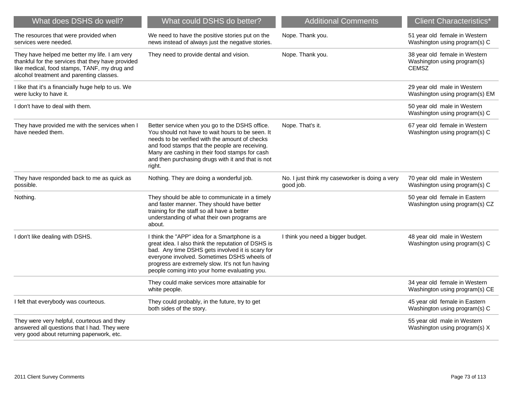| What does DSHS do well?                                                                                                                                                                        | What could DSHS do better?                                                                                                                                                                                                                                                                                              | <b>Additional Comments</b>                                  | <b>Client Characteristics*</b>                                               |
|------------------------------------------------------------------------------------------------------------------------------------------------------------------------------------------------|-------------------------------------------------------------------------------------------------------------------------------------------------------------------------------------------------------------------------------------------------------------------------------------------------------------------------|-------------------------------------------------------------|------------------------------------------------------------------------------|
| The resources that were provided when<br>services were needed.                                                                                                                                 | We need to have the positive stories put on the<br>news instead of always just the negative stories.                                                                                                                                                                                                                    | Nope. Thank you.                                            | 51 year old female in Western<br>Washington using program(s) C               |
| They have helped me better my life. I am very<br>thankful for the services that they have provided<br>like medical, food stamps, TANF, my drug and<br>alcohol treatment and parenting classes. | They need to provide dental and vision.                                                                                                                                                                                                                                                                                 | Nope. Thank you.                                            | 38 year old female in Western<br>Washington using program(s)<br><b>CEMSZ</b> |
| I like that it's a financially huge help to us. We<br>were lucky to have it.                                                                                                                   |                                                                                                                                                                                                                                                                                                                         |                                                             | 29 year old male in Western<br>Washington using program(s) EM                |
| I don't have to deal with them.                                                                                                                                                                |                                                                                                                                                                                                                                                                                                                         |                                                             | 50 year old male in Western<br>Washington using program(s) C                 |
| They have provided me with the services when I<br>have needed them.                                                                                                                            | Better service when you go to the DSHS office.<br>You should not have to wait hours to be seen. It<br>needs to be verified with the amount of checks<br>and food stamps that the people are receiving.<br>Many are cashing in their food stamps for cash<br>and then purchasing drugs with it and that is not<br>right. | Nope. That's it.                                            | 67 year old female in Western<br>Washington using program(s) C               |
| They have responded back to me as quick as<br>possible.                                                                                                                                        | Nothing. They are doing a wonderful job.                                                                                                                                                                                                                                                                                | No. I just think my caseworker is doing a very<br>good job. | 70 year old male in Western<br>Washington using program(s) C                 |
| Nothing.                                                                                                                                                                                       | They should be able to communicate in a timely<br>and faster manner. They should have better<br>training for the staff so all have a better<br>understanding of what their own programs are<br>about.                                                                                                                   |                                                             | 50 year old female in Eastern<br>Washington using program(s) CZ              |
| I don't like dealing with DSHS.                                                                                                                                                                | I think the "APP" idea for a Smartphone is a<br>great idea. I also think the reputation of DSHS is<br>bad. Any time DSHS gets involved it is scary for<br>everyone involved. Sometimes DSHS wheels of<br>progress are extremely slow. It's not fun having<br>people coming into your home evaluating you.               | I think you need a bigger budget.                           | 48 year old male in Western<br>Washington using program(s) C                 |
|                                                                                                                                                                                                | They could make services more attainable for<br>white people.                                                                                                                                                                                                                                                           |                                                             | 34 year old female in Western<br>Washington using program(s) CE              |
| I felt that everybody was courteous.                                                                                                                                                           | They could probably, in the future, try to get<br>both sides of the story.                                                                                                                                                                                                                                              |                                                             | 45 year old female in Eastern<br>Washington using program(s) C               |
| They were very helpful, courteous and they<br>answered all questions that I had. They were<br>very good about returning paperwork, etc.                                                        |                                                                                                                                                                                                                                                                                                                         |                                                             | 55 year old male in Western<br>Washington using program(s) X                 |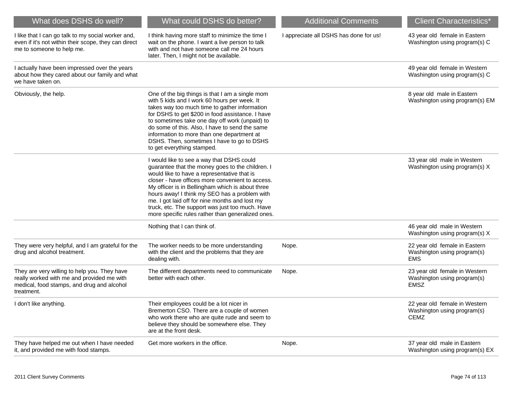| What does DSHS do well?                                                                                                                                | What could DSHS do better?                                                                                                                                                                                                                                                                                                                                                                                                                                      | <b>Additional Comments</b>             | <b>Client Characteristics*</b>                                              |
|--------------------------------------------------------------------------------------------------------------------------------------------------------|-----------------------------------------------------------------------------------------------------------------------------------------------------------------------------------------------------------------------------------------------------------------------------------------------------------------------------------------------------------------------------------------------------------------------------------------------------------------|----------------------------------------|-----------------------------------------------------------------------------|
| I like that I can go talk to my social worker and,<br>even if it's not within their scope, they can direct<br>me to someone to help me.                | I think having more staff to minimize the time I<br>wait on the phone. I want a live person to talk<br>with and not have someone call me 24 hours<br>later. Then, I might not be available.                                                                                                                                                                                                                                                                     | I appreciate all DSHS has done for us! | 43 year old female in Eastern<br>Washington using program(s) C              |
| I actually have been impressed over the years<br>about how they cared about our family and what<br>we have taken on.                                   |                                                                                                                                                                                                                                                                                                                                                                                                                                                                 |                                        | 49 year old female in Western<br>Washington using program(s) C              |
| Obviously, the help.                                                                                                                                   | One of the big things is that I am a single mom<br>with 5 kids and I work 60 hours per week. It<br>takes way too much time to gather information<br>for DSHS to get \$200 in food assistance. I have<br>to sometimes take one day off work (unpaid) to<br>do some of this. Also, I have to send the same<br>information to more than one department at<br>DSHS. Then, sometimes I have to go to DSHS<br>to get everything stamped.                              |                                        | 8 year old male in Eastern<br>Washington using program(s) EM                |
|                                                                                                                                                        | I would like to see a way that DSHS could<br>guarantee that the money goes to the children. I<br>would like to have a representative that is<br>closer - have offices more convenient to access.<br>My officer is in Bellingham which is about three<br>hours away! I think my SEO has a problem with<br>me. I got laid off for nine months and lost my<br>truck, etc. The support was just too much. Have<br>more specific rules rather than generalized ones. |                                        | 33 year old male in Western<br>Washington using program(s) X                |
|                                                                                                                                                        | Nothing that I can think of.                                                                                                                                                                                                                                                                                                                                                                                                                                    |                                        | 46 year old male in Western<br>Washington using program(s) X                |
| They were very helpful, and I am grateful for the<br>drug and alcohol treatment.                                                                       | The worker needs to be more understanding<br>with the client and the problems that they are<br>dealing with.                                                                                                                                                                                                                                                                                                                                                    | Nope.                                  | 22 year old female in Eastern<br>Washington using program(s)<br><b>EMS</b>  |
| They are very willing to help you. They have<br>really worked with me and provided me with<br>medical, food stamps, and drug and alcohol<br>treatment. | The different departments need to communicate<br>better with each other.                                                                                                                                                                                                                                                                                                                                                                                        | Nope.                                  | 23 year old female in Western<br>Washington using program(s)<br><b>EMSZ</b> |
| I don't like anything.                                                                                                                                 | Their employees could be a lot nicer in<br>Bremerton CSO. There are a couple of women<br>who work there who are quite rude and seem to<br>believe they should be somewhere else. They<br>are at the front desk.                                                                                                                                                                                                                                                 |                                        | 22 year old female in Western<br>Washington using program(s)<br><b>CEMZ</b> |
| They have helped me out when I have needed<br>it, and provided me with food stamps.                                                                    | Get more workers in the office.                                                                                                                                                                                                                                                                                                                                                                                                                                 | Nope.                                  | 37 year old male in Eastern<br>Washington using program(s) EX               |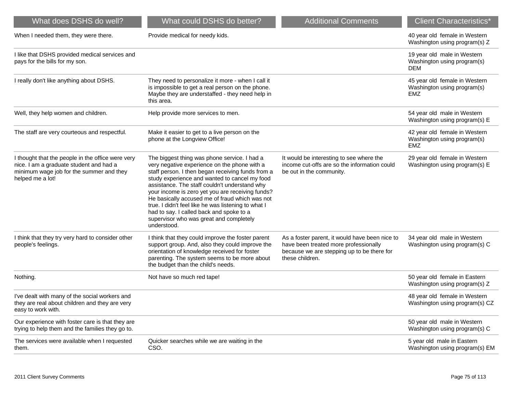| What does DSHS do well?                                                                                                                                      | What could DSHS do better?                                                                                                                                                                                                                                                                                                                                                                                                                                                                                             | <b>Additional Comments</b>                                                                                                                               | <b>Client Characteristics*</b>                                             |
|--------------------------------------------------------------------------------------------------------------------------------------------------------------|------------------------------------------------------------------------------------------------------------------------------------------------------------------------------------------------------------------------------------------------------------------------------------------------------------------------------------------------------------------------------------------------------------------------------------------------------------------------------------------------------------------------|----------------------------------------------------------------------------------------------------------------------------------------------------------|----------------------------------------------------------------------------|
| When I needed them, they were there.                                                                                                                         | Provide medical for needy kids.                                                                                                                                                                                                                                                                                                                                                                                                                                                                                        |                                                                                                                                                          | 40 year old female in Western<br>Washington using program(s) Z             |
| I like that DSHS provided medical services and<br>pays for the bills for my son.                                                                             |                                                                                                                                                                                                                                                                                                                                                                                                                                                                                                                        |                                                                                                                                                          | 19 year old male in Western<br>Washington using program(s)<br><b>DEM</b>   |
| I really don't like anything about DSHS.                                                                                                                     | They need to personalize it more - when I call it<br>is impossible to get a real person on the phone.<br>Maybe they are understaffed - they need help in<br>this area.                                                                                                                                                                                                                                                                                                                                                 |                                                                                                                                                          | 45 year old female in Western<br>Washington using program(s)<br><b>EMZ</b> |
| Well, they help women and children.                                                                                                                          | Help provide more services to men.                                                                                                                                                                                                                                                                                                                                                                                                                                                                                     |                                                                                                                                                          | 54 year old male in Western<br>Washington using program(s) E               |
| The staff are very courteous and respectful.                                                                                                                 | Make it easier to get to a live person on the<br>phone at the Longview Office!                                                                                                                                                                                                                                                                                                                                                                                                                                         |                                                                                                                                                          | 42 year old female in Western<br>Washington using program(s)<br>EMZ        |
| I thought that the people in the office were very<br>nice. I am a graduate student and had a<br>minimum wage job for the summer and they<br>helped me a lot! | The biggest thing was phone service. I had a<br>very negative experience on the phone with a<br>staff person. I then began receiving funds from a<br>study experience and wanted to cancel my food<br>assistance. The staff couldn't understand why<br>your income is zero yet you are receiving funds?<br>He basically accused me of fraud which was not<br>true. I didn't feel like he was listening to what I<br>had to say. I called back and spoke to a<br>supervisor who was great and completely<br>understood. | It would be interesting to see where the<br>income cut-offs are so the information could<br>be out in the community.                                     | 29 year old female in Western<br>Washington using program(s) E             |
| I think that they try very hard to consider other<br>people's feelings.                                                                                      | I think that they could improve the foster parent<br>support group. And, also they could improve the<br>orientation of knowledge received for foster<br>parenting. The system seems to be more about<br>the budget than the child's needs.                                                                                                                                                                                                                                                                             | As a foster parent, it would have been nice to<br>have been treated more professionally<br>because we are stepping up to be there for<br>these children. | 34 year old male in Western<br>Washington using program(s) C               |
| Nothing.                                                                                                                                                     | Not have so much red tape!                                                                                                                                                                                                                                                                                                                                                                                                                                                                                             |                                                                                                                                                          | 50 year old female in Eastern<br>Washington using program(s) Z             |
| I've dealt with many of the social workers and<br>they are real about children and they are very<br>easy to work with.                                       |                                                                                                                                                                                                                                                                                                                                                                                                                                                                                                                        |                                                                                                                                                          | 48 year old female in Western<br>Washington using program(s) CZ            |
| Our experience with foster care is that they are<br>trying to help them and the families they go to.                                                         |                                                                                                                                                                                                                                                                                                                                                                                                                                                                                                                        |                                                                                                                                                          | 50 year old male in Western<br>Washington using program(s) C               |
| The services were available when I requested<br>them.                                                                                                        | Quicker searches while we are waiting in the<br>CSO.                                                                                                                                                                                                                                                                                                                                                                                                                                                                   |                                                                                                                                                          | 5 year old male in Eastern<br>Washington using program(s) EM               |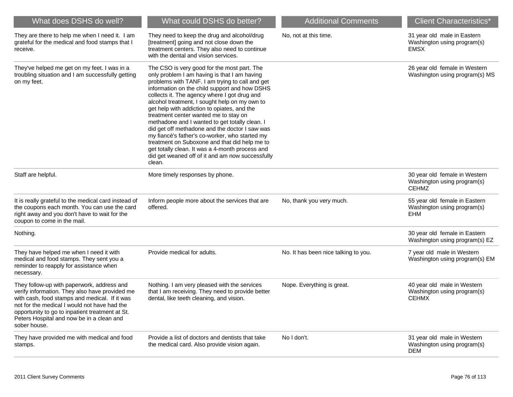| What does DSHS do well?                                                                                                                                                                                                                                                                                       | What could DSHS do better?                                                                                                                                                                                                                                                                                                                                                                                                                                                                                                                                                                                                                                                                                       | <b>Additional Comments</b>           | <b>Client Characteristics*</b>                                               |
|---------------------------------------------------------------------------------------------------------------------------------------------------------------------------------------------------------------------------------------------------------------------------------------------------------------|------------------------------------------------------------------------------------------------------------------------------------------------------------------------------------------------------------------------------------------------------------------------------------------------------------------------------------------------------------------------------------------------------------------------------------------------------------------------------------------------------------------------------------------------------------------------------------------------------------------------------------------------------------------------------------------------------------------|--------------------------------------|------------------------------------------------------------------------------|
| They are there to help me when I need it. I am<br>grateful for the medical and food stamps that I<br>receive.                                                                                                                                                                                                 | They need to keep the drug and alcohol/drug<br>[treatment] going and not close down the<br>treatment centers. They also need to continue<br>with the dental and vision services.                                                                                                                                                                                                                                                                                                                                                                                                                                                                                                                                 | No. not at this time.                | 31 year old male in Eastern<br>Washington using program(s)<br><b>EMSX</b>    |
| They've helped me get on my feet. I was in a<br>troubling situation and I am successfully getting<br>on my feet.                                                                                                                                                                                              | The CSO is very good for the most part. The<br>only problem I am having is that I am having<br>problems with TANF. I am trying to call and get<br>information on the child support and how DSHS<br>collects it. The agency where I got drug and<br>alcohol treatment, I sought help on my own to<br>get help with addiction to opiates, and the<br>treatment center wanted me to stay on<br>methadone and I wanted to get totally clean. I<br>did get off methadone and the doctor I saw was<br>my fiancé's father's co-worker, who started my<br>treatment on Suboxone and that did help me to<br>get totally clean. It was a 4-month process and<br>did get weaned off of it and am now successfully<br>clean. |                                      | 26 year old female in Western<br>Washington using program(s) MS              |
| Staff are helpful.                                                                                                                                                                                                                                                                                            | More timely responses by phone.                                                                                                                                                                                                                                                                                                                                                                                                                                                                                                                                                                                                                                                                                  |                                      | 30 year old female in Western<br>Washington using program(s)<br><b>CEHMZ</b> |
| It is really grateful to the medical card instead of<br>the coupons each month. You can use the card<br>right away and you don't have to wait for the<br>coupon to come in the mail.                                                                                                                          | Inform people more about the services that are<br>offered.                                                                                                                                                                                                                                                                                                                                                                                                                                                                                                                                                                                                                                                       | No, thank you very much.             | 55 year old female in Eastern<br>Washington using program(s)<br><b>EHM</b>   |
| Nothing.                                                                                                                                                                                                                                                                                                      |                                                                                                                                                                                                                                                                                                                                                                                                                                                                                                                                                                                                                                                                                                                  |                                      | 30 year old female in Eastern<br>Washington using program(s) EZ              |
| They have helped me when I need it with<br>medical and food stamps. They sent you a<br>reminder to reapply for assistance when<br>necessary.                                                                                                                                                                  | Provide medical for adults.                                                                                                                                                                                                                                                                                                                                                                                                                                                                                                                                                                                                                                                                                      | No. It has been nice talking to you. | 7 year old male in Western<br>Washington using program(s) EM                 |
| They follow-up with paperwork, address and<br>verify information. They also have provided me<br>with cash, food stamps and medical. If it was<br>not for the medical I would not have had the<br>opportunity to go to inpatient treatment at St.<br>Peters Hospital and now be in a clean and<br>sober house. | Nothing. I am very pleased with the services<br>that I am receiving. They need to provide better<br>dental, like teeth cleaning, and vision.                                                                                                                                                                                                                                                                                                                                                                                                                                                                                                                                                                     | Nope. Everything is great.           | 40 year old male in Western<br>Washington using program(s)<br><b>CEHMX</b>   |
| They have provided me with medical and food<br>stamps.                                                                                                                                                                                                                                                        | Provide a list of doctors and dentists that take<br>the medical card. Also provide vision again.                                                                                                                                                                                                                                                                                                                                                                                                                                                                                                                                                                                                                 | No I don't.                          | 31 year old male in Western<br>Washington using program(s)<br><b>DEM</b>     |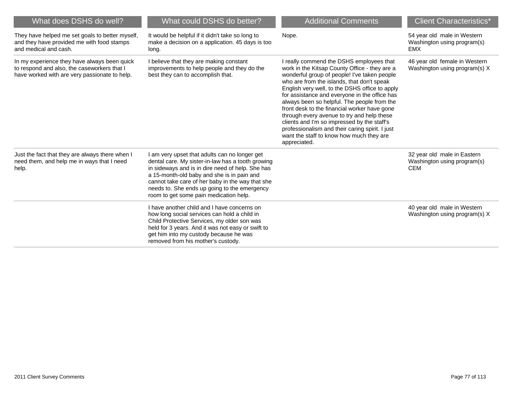| What does DSHS do well?                                                                                                                      | What could DSHS do better?                                                                                                                                                                                                                                                                                                                         | <b>Additional Comments</b>                                                                                                                                                                                                                                                                                                                                                                                                                                                                                                                                                                            | <b>Client Characteristics*</b>                                           |
|----------------------------------------------------------------------------------------------------------------------------------------------|----------------------------------------------------------------------------------------------------------------------------------------------------------------------------------------------------------------------------------------------------------------------------------------------------------------------------------------------------|-------------------------------------------------------------------------------------------------------------------------------------------------------------------------------------------------------------------------------------------------------------------------------------------------------------------------------------------------------------------------------------------------------------------------------------------------------------------------------------------------------------------------------------------------------------------------------------------------------|--------------------------------------------------------------------------|
| They have helped me set goals to better myself,<br>and they have provided me with food stamps<br>and medical and cash.                       | It would be helpful if it didn't take so long to<br>make a decision on a application. 45 days is too<br>long.                                                                                                                                                                                                                                      | Nope.                                                                                                                                                                                                                                                                                                                                                                                                                                                                                                                                                                                                 | 54 year old male in Western<br>Washington using program(s)<br><b>EMX</b> |
| In my experience they have always been quick<br>to respond and also, the caseworkers that I<br>have worked with are very passionate to help. | I believe that they are making constant<br>improvements to help people and they do the<br>best they can to accomplish that.                                                                                                                                                                                                                        | I really commend the DSHS employees that<br>work in the Kitsap County Office - they are a<br>wonderful group of people! I've taken people<br>who are from the islands, that don't speak<br>English very well, to the DSHS office to apply<br>for assistance and everyone in the office has<br>always been so helpful. The people from the<br>front desk to the financial worker have gone<br>through every avenue to try and help these<br>clients and I'm so impressed by the staff's<br>professionalism and their caring spirit. I just<br>want the staff to know how much they are<br>appreciated. | 46 year old female in Western<br>Washington using program(s) X           |
| Just the fact that they are always there when I<br>need them, and help me in ways that I need<br>help.                                       | I am very upset that adults can no longer get<br>dental care. My sister-in-law has a tooth growing<br>in sideways and is in dire need of help. She has<br>a 15-month-old baby and she is in pain and<br>cannot take care of her baby in the way that she<br>needs to. She ends up going to the emergency<br>room to get some pain medication help. |                                                                                                                                                                                                                                                                                                                                                                                                                                                                                                                                                                                                       | 32 year old male in Eastern<br>Washington using program(s)<br><b>CEM</b> |
|                                                                                                                                              | I have another child and I have concerns on<br>how long social services can hold a child in<br>Child Protective Services, my older son was<br>held for 3 years. And it was not easy or swift to<br>get him into my custody because he was<br>removed from his mother's custody.                                                                    |                                                                                                                                                                                                                                                                                                                                                                                                                                                                                                                                                                                                       | 40 year old male in Western<br>Washington using program(s) X             |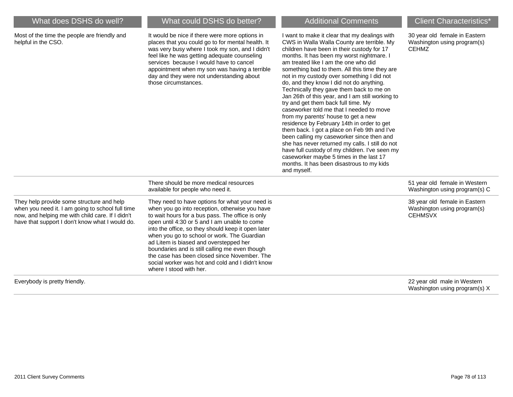| What does DSHS do well?                                                                                                                                                                              | What could DSHS do better?                                                                                                                                                                                                                                                                                                                                                                                                                                                                                                            | <b>Additional Comments</b>                                                                                                                                                                                                                                                                                                                                                                                                                                                                                                                                                                                                                                                                                                                                                                                                                                                                                                                                 | <b>Client Characteristics*</b>                                                 |
|------------------------------------------------------------------------------------------------------------------------------------------------------------------------------------------------------|---------------------------------------------------------------------------------------------------------------------------------------------------------------------------------------------------------------------------------------------------------------------------------------------------------------------------------------------------------------------------------------------------------------------------------------------------------------------------------------------------------------------------------------|------------------------------------------------------------------------------------------------------------------------------------------------------------------------------------------------------------------------------------------------------------------------------------------------------------------------------------------------------------------------------------------------------------------------------------------------------------------------------------------------------------------------------------------------------------------------------------------------------------------------------------------------------------------------------------------------------------------------------------------------------------------------------------------------------------------------------------------------------------------------------------------------------------------------------------------------------------|--------------------------------------------------------------------------------|
| Most of the time the people are friendly and<br>helpful in the CSO.                                                                                                                                  | It would be nice if there were more options in<br>places that you could go to for mental health. It<br>was very busy where I took my son, and I didn't<br>feel like he was getting adequate counseling<br>services because I would have to cancel<br>appointment when my son was having a terrible<br>day and they were not understanding about<br>those circumstances.                                                                                                                                                               | I want to make it clear that my dealings with<br>CWS in Walla Walla County are terrible. My<br>children have been in their custody for 17<br>months. It has been my worst nightmare. I<br>am treated like I am the one who did<br>something bad to them. All this time they are<br>not in my custody over something I did not<br>do, and they know I did not do anything.<br>Technically they gave them back to me on<br>Jan 26th of this year, and I am still working to<br>try and get them back full time. My<br>caseworker told me that I needed to move<br>from my parents' house to get a new<br>residence by February 14th in order to get<br>them back. I got a place on Feb 9th and I've<br>been calling my caseworker since then and<br>she has never returned my calls. I still do not<br>have full custody of my children. I've seen my<br>caseworker maybe 5 times in the last 17<br>months. It has been disastrous to my kids<br>and myself. | 30 year old female in Eastern<br>Washington using program(s)<br><b>CEHMZ</b>   |
|                                                                                                                                                                                                      | There should be more medical resources<br>available for people who need it.                                                                                                                                                                                                                                                                                                                                                                                                                                                           |                                                                                                                                                                                                                                                                                                                                                                                                                                                                                                                                                                                                                                                                                                                                                                                                                                                                                                                                                            | 51 year old female in Western<br>Washington using program(s) C                 |
| They help provide some structure and help<br>when you need it. I am going to school full time<br>now, and helping me with child care. If I didn't<br>have that support I don't know what I would do. | They need to have options for what your need is<br>when you go into reception, otherwise you have<br>to wait hours for a bus pass. The office is only<br>open until 4:30 or 5 and I am unable to come<br>into the office, so they should keep it open later<br>when you go to school or work. The Guardian<br>ad Litem is biased and overstepped her<br>boundaries and is still calling me even though<br>the case has been closed since November. The<br>social worker was hot and cold and I didn't know<br>where I stood with her. |                                                                                                                                                                                                                                                                                                                                                                                                                                                                                                                                                                                                                                                                                                                                                                                                                                                                                                                                                            | 38 year old female in Eastern<br>Washington using program(s)<br><b>CEHMSVX</b> |
| Everybody is pretty friendly.                                                                                                                                                                        |                                                                                                                                                                                                                                                                                                                                                                                                                                                                                                                                       |                                                                                                                                                                                                                                                                                                                                                                                                                                                                                                                                                                                                                                                                                                                                                                                                                                                                                                                                                            | 22 year old male in Western<br>Washington using program(s) X                   |

-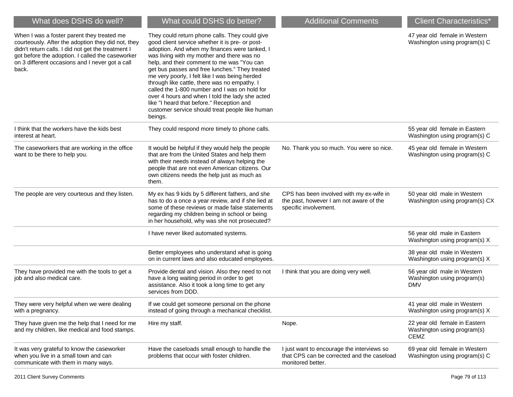| What does DSHS do well?                                                                                                                                                                                                                                                | What could DSHS do better?                                                                                                                                                                                                                                                                                                                                                                                                                                                                                                                                                                                        | <b>Additional Comments</b>                                                                                    | <b>Client Characteristics</b> *                                             |
|------------------------------------------------------------------------------------------------------------------------------------------------------------------------------------------------------------------------------------------------------------------------|-------------------------------------------------------------------------------------------------------------------------------------------------------------------------------------------------------------------------------------------------------------------------------------------------------------------------------------------------------------------------------------------------------------------------------------------------------------------------------------------------------------------------------------------------------------------------------------------------------------------|---------------------------------------------------------------------------------------------------------------|-----------------------------------------------------------------------------|
| When I was a foster parent they treated me<br>courteously. After the adoption they did not, they<br>didn't return calls. I did not get the treatment I<br>got before the adoption. I called the caseworker<br>on 3 different occasions and I never got a call<br>back. | They could return phone calls. They could give<br>good client service whether it is pre- or post-<br>adoption. And when my finances were tanked, I<br>was living with my mother and there was no<br>help, and their comment to me was "You can<br>get bus passes and free lunches." They treated<br>me very poorly, I felt like I was being herded<br>through like cattle, there was no empathy. I<br>called the 1-800 number and I was on hold for<br>over 4 hours and when I told the lady she acted<br>like "I heard that before." Reception and<br>customer service should treat people like human<br>beings. |                                                                                                               | 47 year old female in Western<br>Washington using program(s) C              |
| I think that the workers have the kids best<br>interest at heart.                                                                                                                                                                                                      | They could respond more timely to phone calls.                                                                                                                                                                                                                                                                                                                                                                                                                                                                                                                                                                    |                                                                                                               | 55 year old female in Eastern<br>Washington using program(s) C              |
| The caseworkers that are working in the office<br>want to be there to help you.                                                                                                                                                                                        | It would be helpful if they would help the people<br>that are from the United States and help them<br>with their needs instead of always helping the<br>people that are not even American citizens. Our<br>own citizens needs the help just as much as<br>them.                                                                                                                                                                                                                                                                                                                                                   | No. Thank you so much. You were so nice.                                                                      | 45 year old female in Western<br>Washington using program(s) C              |
| The people are very courteous and they listen.                                                                                                                                                                                                                         | My ex has 9 kids by 5 different fathers, and she<br>has to do a once a year review, and if she lied at<br>some of these reviews or made false statements<br>regarding my children being in school or being<br>in her household, why was she not prosecuted?                                                                                                                                                                                                                                                                                                                                                       | CPS has been involved with my ex-wife in<br>the past, however I am not aware of the<br>specific involvement.  | 50 year old male in Western<br>Washington using program(s) CX               |
|                                                                                                                                                                                                                                                                        | I have never liked automated systems.                                                                                                                                                                                                                                                                                                                                                                                                                                                                                                                                                                             |                                                                                                               | 56 year old male in Eastern<br>Washington using program(s) X                |
|                                                                                                                                                                                                                                                                        | Better employees who understand what is going<br>on in current laws and also educated employees.                                                                                                                                                                                                                                                                                                                                                                                                                                                                                                                  |                                                                                                               | 38 year old male in Western<br>Washington using program(s) X                |
| They have provided me with the tools to get a<br>job and also medical care.                                                                                                                                                                                            | Provide dental and vision. Also they need to not<br>have a long waiting period in order to get<br>assistance. Also it took a long time to get any<br>services from DDD.                                                                                                                                                                                                                                                                                                                                                                                                                                           | I think that you are doing very well.                                                                         | 56 year old male in Western<br>Washington using program(s)<br><b>DMV</b>    |
| They were very helpful when we were dealing<br>with a pregnancy.                                                                                                                                                                                                       | If we could get someone personal on the phone<br>instead of going through a mechanical checklist.                                                                                                                                                                                                                                                                                                                                                                                                                                                                                                                 |                                                                                                               | 41 year old male in Western<br>Washington using program(s) X                |
| They have given me the help that I need for me<br>and my children, like medical and food stamps.                                                                                                                                                                       | Hire my staff.                                                                                                                                                                                                                                                                                                                                                                                                                                                                                                                                                                                                    | Nope.                                                                                                         | 22 year old female in Eastern<br>Washington using program(s)<br><b>CEMZ</b> |
| It was very grateful to know the caseworker<br>when you live in a small town and can<br>communicate with them in many ways.                                                                                                                                            | Have the caseloads small enough to handle the<br>problems that occur with foster children.                                                                                                                                                                                                                                                                                                                                                                                                                                                                                                                        | I just want to encourage the interviews so<br>that CPS can be corrected and the caseload<br>monitored better. | 69 year old female in Western<br>Washington using program(s) C              |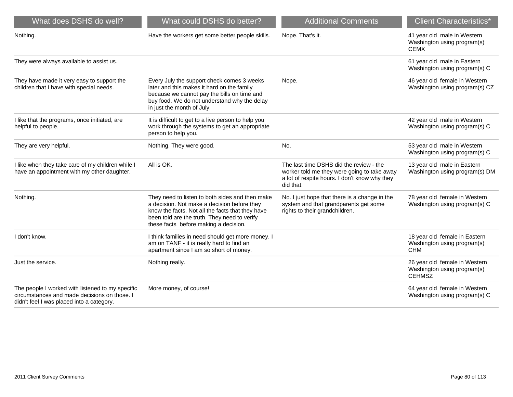| What does DSHS do well?                                                                                                                       | What could DSHS do better?                                                                                                                                                                                                                  | <b>Additional Comments</b>                                                                                                                           | <b>Client Characteristics*</b>                                                |
|-----------------------------------------------------------------------------------------------------------------------------------------------|---------------------------------------------------------------------------------------------------------------------------------------------------------------------------------------------------------------------------------------------|------------------------------------------------------------------------------------------------------------------------------------------------------|-------------------------------------------------------------------------------|
| Nothing.                                                                                                                                      | Have the workers get some better people skills.                                                                                                                                                                                             | Nope. That's it.                                                                                                                                     | 41 year old male in Western<br>Washington using program(s)<br><b>CEMX</b>     |
| They were always available to assist us.                                                                                                      |                                                                                                                                                                                                                                             |                                                                                                                                                      | 61 year old male in Eastern<br>Washington using program(s) C                  |
| They have made it very easy to support the<br>children that I have with special needs.                                                        | Every July the support check comes 3 weeks<br>later and this makes it hard on the family<br>because we cannot pay the bills on time and<br>buy food. We do not understand why the delay<br>in just the month of July.                       | Nope.                                                                                                                                                | 46 year old female in Western<br>Washington using program(s) CZ               |
| I like that the programs, once initiated, are<br>helpful to people.                                                                           | It is difficult to get to a live person to help you<br>work through the systems to get an appropriate<br>person to help you.                                                                                                                |                                                                                                                                                      | 42 year old male in Western<br>Washington using program(s) C                  |
| They are very helpful.                                                                                                                        | Nothing. They were good.                                                                                                                                                                                                                    | No.                                                                                                                                                  | 53 year old male in Western<br>Washington using program(s) C                  |
| I like when they take care of my children while I<br>have an appointment with my other daughter.                                              | All is OK.                                                                                                                                                                                                                                  | The last time DSHS did the review - the<br>worker told me they were going to take away<br>a lot of respite hours. I don't know why they<br>did that. | 13 year old male in Eastern<br>Washington using program(s) DM                 |
| Nothing.                                                                                                                                      | They need to listen to both sides and then make<br>a decision. Not make a decision before they<br>know the facts. Not all the facts that they have<br>been told are the truth. They need to verify<br>these facts before making a decision. | No. I just hope that there is a change in the<br>system and that grandparents get some<br>rights to their grandchildren.                             | 78 year old female in Western<br>Washington using program(s) C                |
| I don't know.                                                                                                                                 | I think families in need should get more money. I<br>am on TANF - it is really hard to find an<br>apartment since I am so short of money.                                                                                                   |                                                                                                                                                      | 18 year old female in Eastern<br>Washington using program(s)<br><b>CHM</b>    |
| Just the service.                                                                                                                             | Nothing really.                                                                                                                                                                                                                             |                                                                                                                                                      | 26 year old female in Western<br>Washington using program(s)<br><b>CEHMSZ</b> |
| The people I worked with listened to my specific<br>circumstances and made decisions on those. I<br>didn't feel I was placed into a category. | More money, of course!                                                                                                                                                                                                                      |                                                                                                                                                      | 64 year old female in Western<br>Washington using program(s) C                |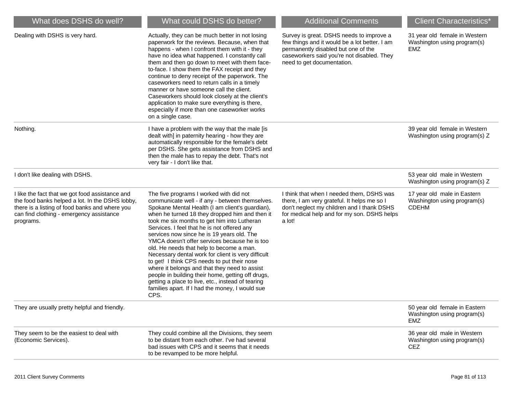| What does DSHS do well?                                                                                                                                                                                       | What could DSHS do better?                                                                                                                                                                                                                                                                                                                                                                                                                                                                                                                                                                                                                                                                                                                                          | <b>Additional Comments</b>                                                                                                                                                                                   | <b>Client Characteristics*</b>                                             |
|---------------------------------------------------------------------------------------------------------------------------------------------------------------------------------------------------------------|---------------------------------------------------------------------------------------------------------------------------------------------------------------------------------------------------------------------------------------------------------------------------------------------------------------------------------------------------------------------------------------------------------------------------------------------------------------------------------------------------------------------------------------------------------------------------------------------------------------------------------------------------------------------------------------------------------------------------------------------------------------------|--------------------------------------------------------------------------------------------------------------------------------------------------------------------------------------------------------------|----------------------------------------------------------------------------|
| Dealing with DSHS is very hard.                                                                                                                                                                               | Actually, they can be much better in not losing<br>paperwork for the reviews. Because, when that<br>happens - when I confront them with it - they<br>have no idea what happened. I constantly call<br>them and then go down to meet with them face-<br>to-face. I show them the FAX receipt and they<br>continue to deny receipt of the paperwork. The<br>caseworkers need to return calls in a timely<br>manner or have someone call the client.<br>Caseworkers should look closely at the client's<br>application to make sure everything is there,<br>especially if more than one caseworker works<br>on a single case.                                                                                                                                          | Survey is great. DSHS needs to improve a<br>few things and it would be a lot better. I am<br>permanently disabled but one of the<br>caseworkers said you're not disabled. They<br>need to get documentation. | 31 year old female in Western<br>Washington using program(s)<br><b>EMZ</b> |
| Nothing.                                                                                                                                                                                                      | I have a problem with the way that the male [is<br>dealt with] in paternity hearing - how they are<br>automatically responsible for the female's debt<br>per DSHS. She gets assistance from DSHS and<br>then the male has to repay the debt. That's not<br>very fair - I don't like that.                                                                                                                                                                                                                                                                                                                                                                                                                                                                           |                                                                                                                                                                                                              | 39 year old female in Western<br>Washington using program(s) Z             |
| I don't like dealing with DSHS.                                                                                                                                                                               |                                                                                                                                                                                                                                                                                                                                                                                                                                                                                                                                                                                                                                                                                                                                                                     |                                                                                                                                                                                                              | 53 year old male in Western<br>Washington using program(s) Z               |
| I like the fact that we got food assistance and<br>the food banks helped a lot. In the DSHS lobby,<br>there is a listing of food banks and where you<br>can find clothing - emergency assistance<br>programs. | The five programs I worked with did not<br>communicate well - if any - between themselves.<br>Spokane Mental Health (I am client's guardian),<br>when he turned 18 they dropped him and then it<br>took me six months to get him into Lutheran<br>Services. I feel that he is not offered any<br>services now since he is 19 years old. The<br>YMCA doesn't offer services because he is too<br>old. He needs that help to become a man.<br>Necessary dental work for client is very difficult<br>to get! I think CPS needs to put their nose<br>where it belongs and that they need to assist<br>people in building their home, getting off drugs,<br>getting a place to live, etc., instead of tearing<br>families apart. If I had the money, I would sue<br>CPS. | I think that when I needed them, DSHS was<br>there, I am very grateful. It helps me so I<br>don't neglect my children and I thank DSHS<br>for medical help and for my son. DSHS helps<br>a lot!              | 17 year old male in Eastern<br>Washington using program(s)<br><b>CDEHM</b> |
| They are usually pretty helpful and friendly.                                                                                                                                                                 |                                                                                                                                                                                                                                                                                                                                                                                                                                                                                                                                                                                                                                                                                                                                                                     |                                                                                                                                                                                                              | 50 year old female in Eastern<br>Washington using program(s)<br><b>EMZ</b> |
| They seem to be the easiest to deal with<br>(Economic Services).                                                                                                                                              | They could combine all the Divisions, they seem<br>to be distant from each other. I've had several<br>bad issues with CPS and it seems that it needs<br>to be revamped to be more helpful.                                                                                                                                                                                                                                                                                                                                                                                                                                                                                                                                                                          |                                                                                                                                                                                                              | 36 year old male in Western<br>Washington using program(s)<br><b>CEZ</b>   |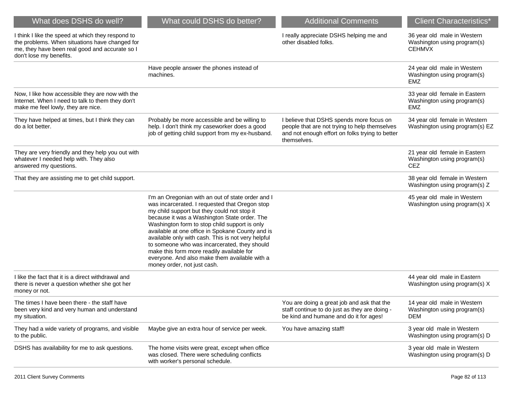| What does DSHS do well?                                                                                                                                                          | What could DSHS do better?                                                                                                                                                                                                                                                                                                                                                                                                                                                                                                                 | <b>Additional Comments</b>                                                                                                                                  | <b>Client Characteristics*</b>                                              |
|----------------------------------------------------------------------------------------------------------------------------------------------------------------------------------|--------------------------------------------------------------------------------------------------------------------------------------------------------------------------------------------------------------------------------------------------------------------------------------------------------------------------------------------------------------------------------------------------------------------------------------------------------------------------------------------------------------------------------------------|-------------------------------------------------------------------------------------------------------------------------------------------------------------|-----------------------------------------------------------------------------|
| I think I like the speed at which they respond to<br>the problems. When situations have changed for<br>me, they have been real good and accurate so I<br>don't lose my benefits. |                                                                                                                                                                                                                                                                                                                                                                                                                                                                                                                                            | I really appreciate DSHS helping me and<br>other disabled folks.                                                                                            | 36 year old male in Western<br>Washington using program(s)<br><b>CEHMVX</b> |
|                                                                                                                                                                                  | Have people answer the phones instead of<br>machines.                                                                                                                                                                                                                                                                                                                                                                                                                                                                                      |                                                                                                                                                             | 24 year old male in Western<br>Washington using program(s)<br><b>EMZ</b>    |
| Now, I like how accessible they are now with the<br>Internet. When I need to talk to them they don't<br>make me feel lowly, they are nice.                                       |                                                                                                                                                                                                                                                                                                                                                                                                                                                                                                                                            |                                                                                                                                                             | 33 year old female in Eastern<br>Washington using program(s)<br>EMZ         |
| They have helped at times, but I think they can<br>do a lot better.                                                                                                              | Probably be more accessible and be willing to<br>help. I don't think my caseworker does a good<br>job of getting child support from my ex-husband.                                                                                                                                                                                                                                                                                                                                                                                         | I believe that DSHS spends more focus on<br>people that are not trying to help themselves<br>and not enough effort on folks trying to better<br>themselves. | 34 year old female in Western<br>Washington using program(s) EZ             |
| They are very friendly and they help you out with<br>whatever I needed help with. They also<br>answered my questions.                                                            |                                                                                                                                                                                                                                                                                                                                                                                                                                                                                                                                            |                                                                                                                                                             | 21 year old female in Eastern<br>Washington using program(s)<br><b>CEZ</b>  |
| That they are assisting me to get child support.                                                                                                                                 |                                                                                                                                                                                                                                                                                                                                                                                                                                                                                                                                            |                                                                                                                                                             | 38 year old female in Western<br>Washington using program(s) Z              |
|                                                                                                                                                                                  | I'm an Oregonian with an out of state order and I<br>was incarcerated. I requested that Oregon stop<br>my child support but they could not stop it<br>because it was a Washington State order. The<br>Washington form to stop child support is only<br>available at one office in Spokane County and is<br>available only with cash. This is not very helpful<br>to someone who was incarcerated, they should<br>make this form more readily available for<br>everyone. And also make them available with a<br>money order, not just cash. |                                                                                                                                                             | 45 year old male in Western<br>Washington using program(s) X                |
| I like the fact that it is a direct withdrawal and<br>there is never a question whether she got her<br>money or not.                                                             |                                                                                                                                                                                                                                                                                                                                                                                                                                                                                                                                            |                                                                                                                                                             | 44 year old male in Eastern<br>Washington using program(s) X                |
| The times I have been there - the staff have<br>been very kind and very human and understand<br>my situation.                                                                    |                                                                                                                                                                                                                                                                                                                                                                                                                                                                                                                                            | You are doing a great job and ask that the<br>staff continue to do just as they are doing -<br>be kind and humane and do it for ages!                       | 14 year old male in Western<br>Washington using program(s)<br>DEM           |
| They had a wide variety of programs, and visible<br>to the public.                                                                                                               | Maybe give an extra hour of service per week.                                                                                                                                                                                                                                                                                                                                                                                                                                                                                              | You have amazing staff!                                                                                                                                     | 3 year old male in Western<br>Washington using program(s) D                 |
| DSHS has availability for me to ask questions.                                                                                                                                   | The home visits were great, except when office<br>was closed. There were scheduling conflicts<br>with worker's personal schedule.                                                                                                                                                                                                                                                                                                                                                                                                          |                                                                                                                                                             | 3 year old male in Western<br>Washington using program(s) D                 |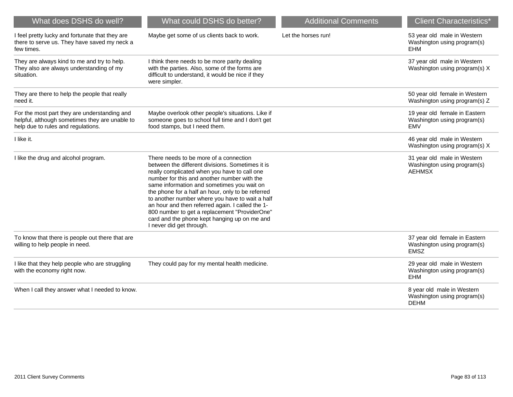| What does DSHS do well?                                                                                                              | What could DSHS do better?                                                                                                                                                                                                                                                                                                                                                                                                                                                                                                       | <b>Additional Comments</b> | <b>Client Characteristics*</b>                                              |
|--------------------------------------------------------------------------------------------------------------------------------------|----------------------------------------------------------------------------------------------------------------------------------------------------------------------------------------------------------------------------------------------------------------------------------------------------------------------------------------------------------------------------------------------------------------------------------------------------------------------------------------------------------------------------------|----------------------------|-----------------------------------------------------------------------------|
| I feel pretty lucky and fortunate that they are<br>there to serve us. They have saved my neck a<br>few times.                        | Maybe get some of us clients back to work.                                                                                                                                                                                                                                                                                                                                                                                                                                                                                       | Let the horses run!        | 53 year old male in Western<br>Washington using program(s)<br><b>EHM</b>    |
| They are always kind to me and try to help.<br>They also are always understanding of my<br>situation.                                | I think there needs to be more parity dealing<br>with the parties. Also, some of the forms are<br>difficult to understand, it would be nice if they<br>were simpler.                                                                                                                                                                                                                                                                                                                                                             |                            | 37 year old male in Western<br>Washington using program(s) X                |
| They are there to help the people that really<br>need it.                                                                            |                                                                                                                                                                                                                                                                                                                                                                                                                                                                                                                                  |                            | 50 year old female in Western<br>Washington using program(s) Z              |
| For the most part they are understanding and<br>helpful, although sometimes they are unable to<br>help due to rules and regulations. | Maybe overlook other people's situations. Like if<br>someone goes to school full time and I don't get<br>food stamps, but I need them.                                                                                                                                                                                                                                                                                                                                                                                           |                            | 19 year old female in Eastern<br>Washington using program(s)<br><b>EMV</b>  |
| I like it.                                                                                                                           |                                                                                                                                                                                                                                                                                                                                                                                                                                                                                                                                  |                            | 46 year old male in Western<br>Washington using program(s) X                |
| I like the drug and alcohol program.                                                                                                 | There needs to be more of a connection<br>between the different divisions. Sometimes it is<br>really complicated when you have to call one<br>number for this and another number with the<br>same information and sometimes you wait on<br>the phone for a half an hour, only to be referred<br>to another number where you have to wait a half<br>an hour and then referred again. I called the 1-<br>800 number to get a replacement "ProviderOne"<br>card and the phone kept hanging up on me and<br>I never did get through. |                            | 31 year old male in Western<br>Washington using program(s)<br><b>AEHMSX</b> |
| To know that there is people out there that are<br>willing to help people in need.                                                   |                                                                                                                                                                                                                                                                                                                                                                                                                                                                                                                                  |                            | 37 year old female in Eastern<br>Washington using program(s)<br><b>EMSZ</b> |
| I like that they help people who are struggling<br>with the economy right now.                                                       | They could pay for my mental health medicine.                                                                                                                                                                                                                                                                                                                                                                                                                                                                                    |                            | 29 year old male in Western<br>Washington using program(s)<br><b>EHM</b>    |
| When I call they answer what I needed to know.                                                                                       |                                                                                                                                                                                                                                                                                                                                                                                                                                                                                                                                  |                            | 8 year old male in Western<br>Washington using program(s)<br><b>DEHM</b>    |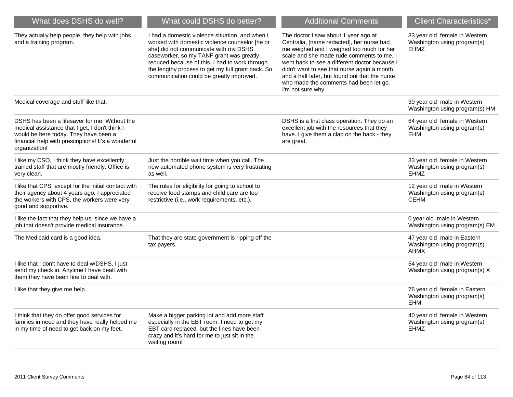| What does DSHS do well?                                                                                                                                                                                          | What could DSHS do better?                                                                                                                                                                                                                                                                                                                | <b>Additional Comments</b>                                                                                                                                                                                                                                                                                                                                                                   | <b>Client Characteristics*</b>                                              |
|------------------------------------------------------------------------------------------------------------------------------------------------------------------------------------------------------------------|-------------------------------------------------------------------------------------------------------------------------------------------------------------------------------------------------------------------------------------------------------------------------------------------------------------------------------------------|----------------------------------------------------------------------------------------------------------------------------------------------------------------------------------------------------------------------------------------------------------------------------------------------------------------------------------------------------------------------------------------------|-----------------------------------------------------------------------------|
| They actually help people, they help with jobs<br>and a training program.                                                                                                                                        | I had a domestic violence situation, and when I<br>worked with domestic violence counselor [he or<br>she] did not communicate with my DSHS<br>caseworker, so my TANF grant was greatly<br>reduced because of this. I had to work through<br>the lengthy process to get my full grant back. So<br>communication could be greatly improved. | The doctor I saw about 1 year ago at<br>Centralia, [name redacted], her nurse had<br>me weighed and I weighed too much for her<br>scale and she made rude comments to me. I<br>went back to see a different doctor because I<br>didn't want to see that nurse again a month<br>and a half later, but found out that the nurse<br>who made the comments had been let go.<br>I'm not sure why. | 33 year old female in Western<br>Washington using program(s)<br><b>EHMZ</b> |
| Medical coverage and stuff like that.                                                                                                                                                                            |                                                                                                                                                                                                                                                                                                                                           |                                                                                                                                                                                                                                                                                                                                                                                              | 39 year old male in Western<br>Washington using program(s) HM               |
| DSHS has been a lifesaver for me. Without the<br>medical assistance that I get, I don't think I<br>would be here today. They have been a<br>financial help with prescriptions! It's a wonderful<br>organization! |                                                                                                                                                                                                                                                                                                                                           | DSHS is a first class operation. They do an<br>excellent job with the resources that they<br>have. I give them a clap on the back - they<br>are great.                                                                                                                                                                                                                                       | 64 year old female in Western<br>Washington using program(s)<br><b>EHM</b>  |
| I like my CSO, I think they have excellently<br>trained staff that are mostly friendly. Office is<br>very clean.                                                                                                 | Just the horrible wait time when you call. The<br>new automated phone system is very frustrating<br>as well.                                                                                                                                                                                                                              |                                                                                                                                                                                                                                                                                                                                                                                              | 33 year old female in Western<br>Washington using program(s)<br><b>EHMZ</b> |
| I like that CPS, except for the initial contact with<br>their agency about 4 years ago, I appreciated<br>the workers with CPS, the workers were very<br>good and supportive.                                     | The rules for eligibility for going to school to<br>receive food stamps and child care are too<br>restrictive (i.e., work requirements, etc.).                                                                                                                                                                                            |                                                                                                                                                                                                                                                                                                                                                                                              | 12 year old male in Western<br>Washington using program(s)<br><b>CEHM</b>   |
| I like the fact that they help us, since we have a<br>job that doesn't provide medical insurance.                                                                                                                |                                                                                                                                                                                                                                                                                                                                           |                                                                                                                                                                                                                                                                                                                                                                                              | 0 year old male in Western<br>Washington using program(s) EM                |
| The Medicaid card is a good idea.                                                                                                                                                                                | That they are state government is ripping off the<br>tax payers.                                                                                                                                                                                                                                                                          |                                                                                                                                                                                                                                                                                                                                                                                              | 47 year old male in Eastern<br>Washington using program(s)<br><b>AHMX</b>   |
| I like that I don't have to deal w/DSHS, I just<br>send my check in. Anytime I have dealt with<br>them they have been fine to deal with.                                                                         |                                                                                                                                                                                                                                                                                                                                           |                                                                                                                                                                                                                                                                                                                                                                                              | 54 year old male in Western<br>Washington using program(s) X                |
| I like that they give me help.                                                                                                                                                                                   |                                                                                                                                                                                                                                                                                                                                           |                                                                                                                                                                                                                                                                                                                                                                                              | 76 year old female in Eastern<br>Washington using program(s)<br><b>EHM</b>  |
| I think that they do offer good services for<br>families in need and they have really helped me<br>in my time of need to get back on my feet.                                                                    | Make a bigger parking lot and add more staff<br>especially in the EBT room. I need to get my<br>EBT card replaced, but the lines have been<br>crazy and it's hard for me to just sit in the<br>waiting room!                                                                                                                              |                                                                                                                                                                                                                                                                                                                                                                                              | 40 year old female in Western<br>Washington using program(s)<br><b>EHMZ</b> |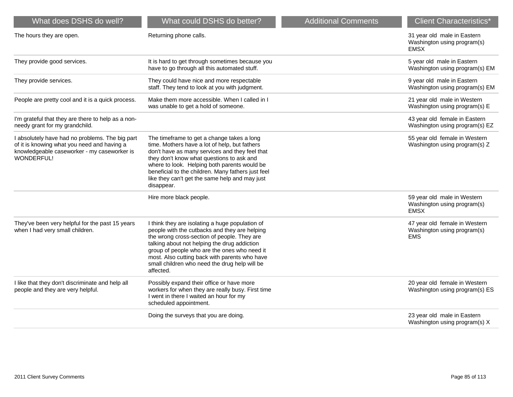| What does DSHS do well?                                                                                                                                     | What could DSHS do better?                                                                                                                                                                                                                                                                                                                                       | <b>Additional Comments</b> | <b>Client Characteristics*</b>                                             |
|-------------------------------------------------------------------------------------------------------------------------------------------------------------|------------------------------------------------------------------------------------------------------------------------------------------------------------------------------------------------------------------------------------------------------------------------------------------------------------------------------------------------------------------|----------------------------|----------------------------------------------------------------------------|
| The hours they are open.                                                                                                                                    | Returning phone calls.                                                                                                                                                                                                                                                                                                                                           |                            | 31 year old male in Eastern<br>Washington using program(s)<br><b>EMSX</b>  |
| They provide good services.                                                                                                                                 | It is hard to get through sometimes because you<br>have to go through all this automated stuff.                                                                                                                                                                                                                                                                  |                            | 5 year old male in Eastern<br>Washington using program(s) EM               |
| They provide services.                                                                                                                                      | They could have nice and more respectable<br>staff. They tend to look at you with judgment.                                                                                                                                                                                                                                                                      |                            | 9 year old male in Eastern<br>Washington using program(s) EM               |
| People are pretty cool and it is a quick process.                                                                                                           | Make them more accessible. When I called in I<br>was unable to get a hold of someone.                                                                                                                                                                                                                                                                            |                            | 21 year old male in Western<br>Washington using program(s) E               |
| I'm grateful that they are there to help as a non-<br>needy grant for my grandchild.                                                                        |                                                                                                                                                                                                                                                                                                                                                                  |                            | 43 year old female in Eastern<br>Washington using program(s) EZ            |
| I absolutely have had no problems. The big part<br>of it is knowing what you need and having a<br>knowledgeable caseworker - my caseworker is<br>WONDERFUL! | The timeframe to get a change takes a long<br>time. Mothers have a lot of help, but fathers<br>don't have as many services and they feel that<br>they don't know what questions to ask and<br>where to look. Helping both parents would be<br>beneficial to the children. Many fathers just feel<br>like they can't get the same help and may just<br>disappear. |                            | 55 year old female in Western<br>Washington using program(s) Z             |
|                                                                                                                                                             | Hire more black people.                                                                                                                                                                                                                                                                                                                                          |                            | 59 year old male in Western<br>Washington using program(s)<br><b>EMSX</b>  |
| They've been very helpful for the past 15 years<br>when I had very small children.                                                                          | I think they are isolating a huge population of<br>people with the cutbacks and they are helping<br>the wrong cross-section of people. They are<br>talking about not helping the drug addiction<br>group of people who are the ones who need it<br>most. Also cutting back with parents who have<br>small children who need the drug help will be<br>affected.   |                            | 47 year old female in Western<br>Washington using program(s)<br><b>EMS</b> |
| I like that they don't discriminate and help all<br>people and they are very helpful.                                                                       | Possibly expand their office or have more<br>workers for when they are really busy. First time<br>I went in there I waited an hour for my<br>scheduled appointment.                                                                                                                                                                                              |                            | 20 year old female in Western<br>Washington using program(s) ES            |
|                                                                                                                                                             | Doing the surveys that you are doing.                                                                                                                                                                                                                                                                                                                            |                            | 23 year old male in Eastern<br>Washington using program(s) X               |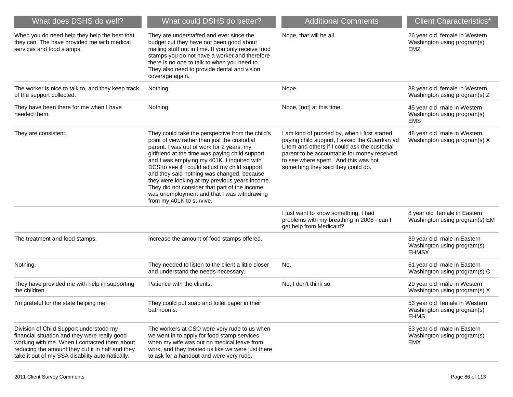| What does DSHS do well?                                                                                                                                                                                                                         | What could DSHS do better?                                                                                                                                                                                                                                                                                                                                                                                                                                                                                                   | <b>Additional Comments</b>                                                                                                                                                                                                                                                   | <b>Client Characteristics*</b>                                              |
|-------------------------------------------------------------------------------------------------------------------------------------------------------------------------------------------------------------------------------------------------|------------------------------------------------------------------------------------------------------------------------------------------------------------------------------------------------------------------------------------------------------------------------------------------------------------------------------------------------------------------------------------------------------------------------------------------------------------------------------------------------------------------------------|------------------------------------------------------------------------------------------------------------------------------------------------------------------------------------------------------------------------------------------------------------------------------|-----------------------------------------------------------------------------|
| When you do need help they help the best that<br>they can. The have provided me with medical<br>services and food stamps.                                                                                                                       | They are understaffed and ever since the<br>budget cut they have not been good about<br>mailing stuff out in time. If you only receive food<br>stamps you do not have a worker and therefore<br>there is no one to talk to when you need to.<br>They also need to provide dental and vision<br>coverage again.                                                                                                                                                                                                               | Nope, that will be all.                                                                                                                                                                                                                                                      | 26 year old female in Western<br>Washington using program(s)<br><b>EMZ</b>  |
| The worker is nice to talk to, and they keep track<br>of the support collected.                                                                                                                                                                 | Nothing.                                                                                                                                                                                                                                                                                                                                                                                                                                                                                                                     | Nope.                                                                                                                                                                                                                                                                        | 38 year old female in Western<br>Washington using program(s) Z              |
| They have been there for me when I have<br>needed them.                                                                                                                                                                                         | Nothing.                                                                                                                                                                                                                                                                                                                                                                                                                                                                                                                     | Nope, [not] at this time.                                                                                                                                                                                                                                                    | 45 year old male in Western<br>Washington using program(s)<br><b>EMS</b>    |
| They are consistent.                                                                                                                                                                                                                            | They could take the perspective from the child's<br>point of view rather than just the custodial<br>parent. I was out of work for 2 years, my<br>girlfriend at the time was paying child support<br>and I was emptying my 401K. I inquired with<br>DCS to see if I could adjust my child support<br>and they said nothing was changed, because<br>they were looking at my previous years income.<br>They did not consider that part of the income<br>was unemployment and that I was withdrawing<br>from my 401K to survive. | I am kind of puzzled by, when I first started<br>paying child support, I asked the Guardian ad<br>Litem and others if I could ask the custodial<br>parent to be accountable for money received<br>to see where spent. And this was not<br>something they said they could do. | 48 year old male in Western<br>Washington using program(s) X                |
|                                                                                                                                                                                                                                                 |                                                                                                                                                                                                                                                                                                                                                                                                                                                                                                                              | I just want to know something. I had<br>problems with my breathing in 2008 - can I<br>get help from Medicaid?                                                                                                                                                                | 8 year old female in Eastern<br>Washington using program(s) EM              |
| The treatment and food stamps.                                                                                                                                                                                                                  | Increase the amount of food stamps offered.                                                                                                                                                                                                                                                                                                                                                                                                                                                                                  |                                                                                                                                                                                                                                                                              | 39 year old male in Eastern<br>Washington using program(s)<br><b>EHMSX</b>  |
| Nothing.                                                                                                                                                                                                                                        | They needed to listen to the client a little closer<br>and understand the needs necessary.                                                                                                                                                                                                                                                                                                                                                                                                                                   | No.                                                                                                                                                                                                                                                                          | 61 year old male in Eastern<br>Washington using program(s) C                |
| They have provided me with help in supporting<br>the children.                                                                                                                                                                                  | Patience with the clients.                                                                                                                                                                                                                                                                                                                                                                                                                                                                                                   | No, I don't think so.                                                                                                                                                                                                                                                        | 29 year old male in Western<br>Washington using program(s) X                |
| I'm grateful for the state helping me.                                                                                                                                                                                                          | They could put soap and toilet paper in their<br>bathrooms.                                                                                                                                                                                                                                                                                                                                                                                                                                                                  |                                                                                                                                                                                                                                                                              | 53 year old female in Western<br>Washington using program(s)<br><b>EHMS</b> |
| Division of Child Support understood my<br>financial situation and they were really good<br>working with me. When I contacted them about<br>reducing the amount they cut it in half and they<br>take it out of my SSA disability automatically. | The workers at CSO were very rude to us when<br>we went in to apply for food stamp services<br>when my wife was out on medical leave from<br>work, and they treated us like we were just there<br>to ask for a handout and were very rude.                                                                                                                                                                                                                                                                                   |                                                                                                                                                                                                                                                                              | 53 year old male in Eastern<br>Washington using program(s)<br>EMX           |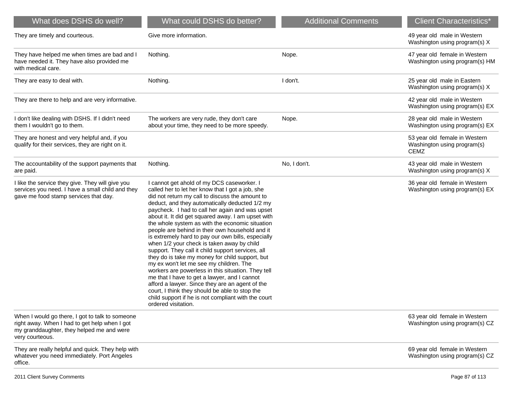| What does DSHS do well?                                                                                                                                          | What could DSHS do better?                                                                                                                                                                                                                                                                                                                                                                                                                                                                                                                                                                                                                                                                                                                                                                                                                                                                                                                                         | <b>Additional Comments</b> | <b>Client Characteristics*</b>                                              |
|------------------------------------------------------------------------------------------------------------------------------------------------------------------|--------------------------------------------------------------------------------------------------------------------------------------------------------------------------------------------------------------------------------------------------------------------------------------------------------------------------------------------------------------------------------------------------------------------------------------------------------------------------------------------------------------------------------------------------------------------------------------------------------------------------------------------------------------------------------------------------------------------------------------------------------------------------------------------------------------------------------------------------------------------------------------------------------------------------------------------------------------------|----------------------------|-----------------------------------------------------------------------------|
| They are timely and courteous.                                                                                                                                   | Give more information.                                                                                                                                                                                                                                                                                                                                                                                                                                                                                                                                                                                                                                                                                                                                                                                                                                                                                                                                             |                            | 49 year old male in Western<br>Washington using program(s) X                |
| They have helped me when times are bad and I<br>have needed it. They have also provided me<br>with medical care.                                                 | Nothing.                                                                                                                                                                                                                                                                                                                                                                                                                                                                                                                                                                                                                                                                                                                                                                                                                                                                                                                                                           | Nope.                      | 47 year old female in Western<br>Washington using program(s) HM             |
| They are easy to deal with.                                                                                                                                      | Nothing.                                                                                                                                                                                                                                                                                                                                                                                                                                                                                                                                                                                                                                                                                                                                                                                                                                                                                                                                                           | I don't.                   | 25 year old male in Eastern<br>Washington using program(s) X                |
| They are there to help and are very informative.                                                                                                                 |                                                                                                                                                                                                                                                                                                                                                                                                                                                                                                                                                                                                                                                                                                                                                                                                                                                                                                                                                                    |                            | 42 year old male in Western<br>Washington using program(s) EX               |
| I don't like dealing with DSHS. If I didn't need<br>them I wouldn't go to them.                                                                                  | The workers are very rude, they don't care<br>about your time, they need to be more speedy.                                                                                                                                                                                                                                                                                                                                                                                                                                                                                                                                                                                                                                                                                                                                                                                                                                                                        | Nope.                      | 28 year old male in Western<br>Washington using program(s) EX               |
| They are honest and very helpful and, if you<br>qualify for their services, they are right on it.                                                                |                                                                                                                                                                                                                                                                                                                                                                                                                                                                                                                                                                                                                                                                                                                                                                                                                                                                                                                                                                    |                            | 53 year old female in Western<br>Washington using program(s)<br><b>CEMZ</b> |
| The accountability of the support payments that<br>are paid.                                                                                                     | Nothing.                                                                                                                                                                                                                                                                                                                                                                                                                                                                                                                                                                                                                                                                                                                                                                                                                                                                                                                                                           | No, I don't.               | 43 year old male in Western<br>Washington using program(s) X                |
| I like the service they give. They will give you<br>services you need. I have a small child and they<br>gave me food stamp services that day.                    | I cannot get ahold of my DCS caseworker. I<br>called her to let her know that I got a job, she<br>did not return my call to discuss the amount to<br>deduct, and they automatically deducted 1/2 my<br>paycheck. I had to call her again and was upset<br>about it. It did get squared away. I am upset with<br>the whole system as with the economic situation<br>people are behind in their own household and it<br>is extremely hard to pay our own bills, especially<br>when 1/2 your check is taken away by child<br>support. They call it child support services, all<br>they do is take my money for child support, but<br>my ex won't let me see my children. The<br>workers are powerless in this situation. They tell<br>me that I have to get a lawyer, and I cannot<br>afford a lawyer. Since they are an agent of the<br>court, I think they should be able to stop the<br>child support if he is not compliant with the court<br>ordered visitation. |                            | 36 year old female in Western<br>Washington using program(s) EX             |
| When I would go there, I got to talk to someone<br>right away. When I had to get help when I got<br>my granddaughter, they helped me and were<br>very courteous. |                                                                                                                                                                                                                                                                                                                                                                                                                                                                                                                                                                                                                                                                                                                                                                                                                                                                                                                                                                    |                            | 63 year old female in Western<br>Washington using program(s) CZ             |
| They are really helpful and quick. They help with<br>whatever you need immediately. Port Angeles<br>office.                                                      |                                                                                                                                                                                                                                                                                                                                                                                                                                                                                                                                                                                                                                                                                                                                                                                                                                                                                                                                                                    |                            | 69 year old female in Western<br>Washington using program(s) CZ             |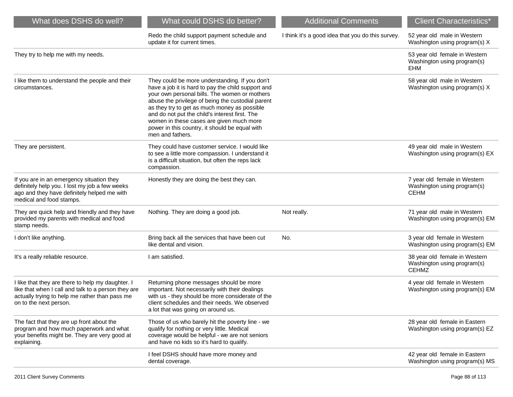| What does DSHS do well?                                                                                                                                                              | What could DSHS do better?                                                                                                                                                                                                                                                                                                                                                                                                     | <b>Additional Comments</b>                        | <b>Client Characteristics*</b>                                               |
|--------------------------------------------------------------------------------------------------------------------------------------------------------------------------------------|--------------------------------------------------------------------------------------------------------------------------------------------------------------------------------------------------------------------------------------------------------------------------------------------------------------------------------------------------------------------------------------------------------------------------------|---------------------------------------------------|------------------------------------------------------------------------------|
|                                                                                                                                                                                      | Redo the child support payment schedule and<br>update it for current times.                                                                                                                                                                                                                                                                                                                                                    | I think it's a good idea that you do this survey. | 52 year old male in Western<br>Washington using program(s) X                 |
| They try to help me with my needs.                                                                                                                                                   |                                                                                                                                                                                                                                                                                                                                                                                                                                |                                                   | 53 year old female in Western<br>Washington using program(s)<br><b>EHM</b>   |
| I like them to understand the people and their<br>circumstances.                                                                                                                     | They could be more understanding. If you don't<br>have a job it is hard to pay the child support and<br>your own personal bills. The women or mothers<br>abuse the privilege of being the custodial parent<br>as they try to get as much money as possible<br>and do not put the child's interest first. The<br>women in these cases are given much more<br>power in this country, it should be equal with<br>men and fathers. |                                                   | 58 year old male in Western<br>Washington using program(s) X                 |
| They are persistent.                                                                                                                                                                 | They could have customer service. I would like<br>to see a little more compassion. I understand it<br>is a difficult situation, but often the reps lack<br>compassion.                                                                                                                                                                                                                                                         |                                                   | 49 year old male in Western<br>Washington using program(s) EX                |
| If you are in an emergency situation they<br>definitely help you. I lost my job a few weeks<br>ago and they have definitely helped me with<br>medical and food stamps.               | Honestly they are doing the best they can.                                                                                                                                                                                                                                                                                                                                                                                     |                                                   | 7 year old female in Western<br>Washington using program(s)<br><b>CEHM</b>   |
| They are quick help and friendly and they have<br>provided my parents with medical and food<br>stamp needs.                                                                          | Nothing. They are doing a good job.                                                                                                                                                                                                                                                                                                                                                                                            | Not really.                                       | 71 year old male in Western<br>Washington using program(s) EM                |
| I don't like anything.                                                                                                                                                               | Bring back all the services that have been cut<br>like dental and vision.                                                                                                                                                                                                                                                                                                                                                      | No.                                               | 3 year old female in Western<br>Washington using program(s) EM               |
| It's a really reliable resource.                                                                                                                                                     | I am satisfied.                                                                                                                                                                                                                                                                                                                                                                                                                |                                                   | 38 year old female in Western<br>Washington using program(s)<br><b>CEHMZ</b> |
| I like that they are there to help my daughter. I<br>like that when I call and talk to a person they are<br>actually trying to help me rather than pass me<br>on to the next person. | Returning phone messages should be more<br>important. Not necessarily with their dealings<br>with us - they should be more considerate of the<br>client schedules and their needs. We observed<br>a lot that was going on around us.                                                                                                                                                                                           |                                                   | 4 year old female in Western<br>Washington using program(s) EM               |
| The fact that they are up front about the<br>program and how much paperwork and what<br>your benefits might be. They are very good at<br>explaining.                                 | Those of us who barely hit the poverty line - we<br>qualify for nothing or very little. Medical<br>coverage would be helpful - we are not seniors<br>and have no kids so it's hard to qualify.                                                                                                                                                                                                                                 |                                                   | 28 year old female in Eastern<br>Washington using program(s) EZ              |
|                                                                                                                                                                                      | I feel DSHS should have more money and<br>dental coverage.                                                                                                                                                                                                                                                                                                                                                                     |                                                   | 42 year old female in Eastern<br>Washington using program(s) MS              |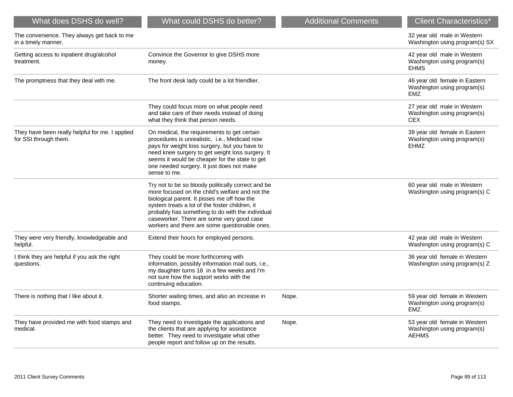| What does DSHS do well?                                                  | What could DSHS do better?                                                                                                                                                                                                                                                                                                                               | <b>Additional Comments</b> | <b>Client Characteristics*</b>                                               |
|--------------------------------------------------------------------------|----------------------------------------------------------------------------------------------------------------------------------------------------------------------------------------------------------------------------------------------------------------------------------------------------------------------------------------------------------|----------------------------|------------------------------------------------------------------------------|
| The convenience. They always get back to me<br>in a timely manner.       |                                                                                                                                                                                                                                                                                                                                                          |                            | 32 year old male in Western<br>Washington using program(s) SX                |
| Getting access to inpatient drug/alcohol<br>treatment.                   | Convince the Governor to give DSHS more<br>money.                                                                                                                                                                                                                                                                                                        |                            | 42 year old male in Western<br>Washington using program(s)<br><b>EHMS</b>    |
| The promptness that they deal with me.                                   | The front desk lady could be a lot friendlier.                                                                                                                                                                                                                                                                                                           |                            | 46 year old female in Eastern<br>Washington using program(s)<br><b>EMZ</b>   |
|                                                                          | They could focus more on what people need<br>and take care of their needs instead of doing<br>what they think that person needs.                                                                                                                                                                                                                         |                            | 27 year old male in Western<br>Washington using program(s)<br><b>CEX</b>     |
| They have been really helpful for me. I applied<br>for SSI through them. | On medical, the requirements to get certain<br>procedures is unrealistic, i.e., Medicaid now<br>pays for weight loss surgery, but you have to<br>need knee surgery to get weight loss surgery. It<br>seems it would be cheaper for the state to get<br>one needed surgery. It just does not make<br>sense to me.                                         |                            | 39 year old female in Eastern<br>Washington using program(s)<br><b>EHMZ</b>  |
|                                                                          | Try not to be so bloody politically correct and be<br>more focused on the child's welfare and not the<br>biological parent. It pisses me off how the<br>system treats a lot of the foster children, it<br>probably has something to do with the individual<br>caseworker. There are some very good case<br>workers and there are some questionable ones. |                            | 60 year old male in Western<br>Washington using program(s) C                 |
| They were very friendly, knowledgeable and<br>helpful.                   | Extend their hours for employed persons.                                                                                                                                                                                                                                                                                                                 |                            | 42 year old male in Western<br>Washington using program(s) C                 |
| I think they are helpful if you ask the right<br>questions.              | They could be more forthcoming with<br>information, possibly information mail outs, i.e.,<br>my daughter turns 18 in a few weeks and I'm<br>not sure how the support works with the<br>continuing education.                                                                                                                                             |                            | 36 year old female in Western<br>Washington using program(s) Z               |
| There is nothing that I like about it.                                   | Shorter waiting times, and also an increase in<br>food stamps.                                                                                                                                                                                                                                                                                           | Nope.                      | 59 year old female in Western<br>Washington using program(s)<br><b>EMZ</b>   |
| They have provided me with food stamps and<br>medical.                   | They need to investigate the applications and<br>the clients that are applying for assistance<br>better. They need to investigate what other<br>people report and follow up on the results.                                                                                                                                                              | Nope.                      | 53 year old female in Western<br>Washington using program(s)<br><b>AEHMS</b> |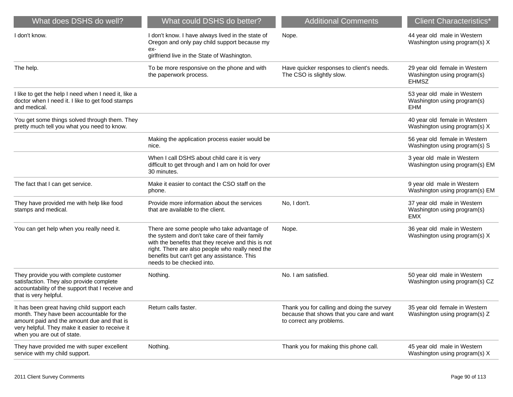| What does DSHS do well?                                                                                                                                                                                                 | What could DSHS do better?                                                                                                                                                                                                                                                           | <b>Additional Comments</b>                                                                                          | <b>Client Characteristics*</b>                                               |
|-------------------------------------------------------------------------------------------------------------------------------------------------------------------------------------------------------------------------|--------------------------------------------------------------------------------------------------------------------------------------------------------------------------------------------------------------------------------------------------------------------------------------|---------------------------------------------------------------------------------------------------------------------|------------------------------------------------------------------------------|
| I don't know.                                                                                                                                                                                                           | I don't know. I have always lived in the state of<br>Oregon and only pay child support because my<br>ex-<br>girlfriend live in the State of Washington.                                                                                                                              | Nope.                                                                                                               | 44 year old male in Western<br>Washington using program(s) X                 |
| The help.                                                                                                                                                                                                               | To be more responsive on the phone and with<br>the paperwork process.                                                                                                                                                                                                                | Have quicker responses to client's needs.<br>The CSO is slightly slow.                                              | 29 year old female in Western<br>Washington using program(s)<br><b>EHMSZ</b> |
| I like to get the help I need when I need it, like a<br>doctor when I need it. I like to get food stamps<br>and medical.                                                                                                |                                                                                                                                                                                                                                                                                      |                                                                                                                     | 53 year old male in Western<br>Washington using program(s)<br><b>EHM</b>     |
| You get some things solved through them. They<br>pretty much tell you what you need to know.                                                                                                                            |                                                                                                                                                                                                                                                                                      |                                                                                                                     | 40 year old female in Western<br>Washington using program(s) X               |
|                                                                                                                                                                                                                         | Making the application process easier would be<br>nice.                                                                                                                                                                                                                              |                                                                                                                     | 56 year old female in Western<br>Washington using program(s) S               |
|                                                                                                                                                                                                                         | When I call DSHS about child care it is very<br>difficult to get through and I am on hold for over<br>30 minutes.                                                                                                                                                                    |                                                                                                                     | 3 year old male in Western<br>Washington using program(s) EM                 |
| The fact that I can get service.                                                                                                                                                                                        | Make it easier to contact the CSO staff on the<br>phone.                                                                                                                                                                                                                             |                                                                                                                     | 9 year old male in Western<br>Washington using program(s) EM                 |
| They have provided me with help like food<br>stamps and medical.                                                                                                                                                        | Provide more information about the services<br>that are available to the client.                                                                                                                                                                                                     | No, I don't.                                                                                                        | 37 year old male in Western<br>Washington using program(s)<br><b>EMX</b>     |
| You can get help when you really need it.                                                                                                                                                                               | There are some people who take advantage of<br>the system and don't take care of their family<br>with the benefits that they receive and this is not<br>right. There are also people who really need the<br>benefits but can't get any assistance. This<br>needs to be checked into. | Nope.                                                                                                               | 36 year old male in Western<br>Washington using program(s) X                 |
| They provide you with complete customer<br>satisfaction. They also provide complete<br>accountability of the support that I receive and<br>that is very helpful.                                                        | Nothing.                                                                                                                                                                                                                                                                             | No. I am satisfied.                                                                                                 | 50 year old male in Western<br>Washington using program(s) CZ                |
| It has been great having child support each<br>month. They have been accountable for the<br>amount paid and the amount due and that is<br>very helpful. They make it easier to receive it<br>when you are out of state. | Return calls faster.                                                                                                                                                                                                                                                                 | Thank you for calling and doing the survey<br>because that shows that you care and want<br>to correct any problems. | 35 year old female in Western<br>Washington using program(s) Z               |
| They have provided me with super excellent<br>service with my child support.                                                                                                                                            | Nothing.                                                                                                                                                                                                                                                                             | Thank you for making this phone call.                                                                               | 45 year old male in Western<br>Washington using program(s) X                 |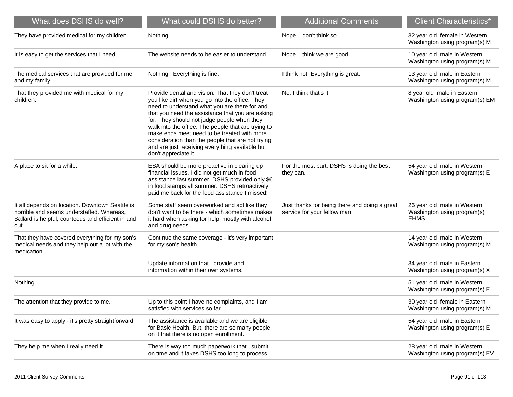| What does DSHS do well?                                                                                                                                    | What could DSHS do better?                                                                                                                                                                                                                                                                                                                                                                                                                                                                    | <b>Additional Comments</b>                                                    | <b>Client Characteristics*</b>                                            |
|------------------------------------------------------------------------------------------------------------------------------------------------------------|-----------------------------------------------------------------------------------------------------------------------------------------------------------------------------------------------------------------------------------------------------------------------------------------------------------------------------------------------------------------------------------------------------------------------------------------------------------------------------------------------|-------------------------------------------------------------------------------|---------------------------------------------------------------------------|
| They have provided medical for my children.                                                                                                                | Nothing.                                                                                                                                                                                                                                                                                                                                                                                                                                                                                      | Nope. I don't think so.                                                       | 32 year old female in Western<br>Washington using program(s) M            |
| It is easy to get the services that I need.                                                                                                                | The website needs to be easier to understand.                                                                                                                                                                                                                                                                                                                                                                                                                                                 | Nope. I think we are good.                                                    | 10 year old male in Western<br>Washington using program(s) M              |
| The medical services that are provided for me<br>and my family.                                                                                            | Nothing. Everything is fine.                                                                                                                                                                                                                                                                                                                                                                                                                                                                  | I think not. Everything is great.                                             | 13 year old male in Eastern<br>Washington using program(s) M              |
| That they provided me with medical for my<br>children.                                                                                                     | Provide dental and vision. That they don't treat<br>you like dirt when you go into the office. They<br>need to understand what you are there for and<br>that you need the assistance that you are asking<br>for. They should not judge people when they<br>walk into the office. The people that are trying to<br>make ends meet need to be treated with more<br>consideration than the people that are not trying<br>and are just receiving everything available but<br>don't appreciate it. | No, I think that's it.                                                        | 8 year old male in Eastern<br>Washington using program(s) EM              |
| A place to sit for a while.                                                                                                                                | ESA should be more proactive in clearing up<br>financial issues. I did not get much in food<br>assistance last summer. DSHS provided only \$6<br>in food stamps all summer. DSHS retroactively<br>paid me back for the food assistance I missed!                                                                                                                                                                                                                                              | For the most part, DSHS is doing the best<br>they can.                        | 54 year old male in Western<br>Washington using program(s) E              |
| It all depends on location. Downtown Seattle is<br>horrible and seems understaffed. Whereas,<br>Ballard is helpful, courteous and efficient in and<br>out. | Some staff seem overworked and act like they<br>don't want to be there - which sometimes makes<br>it hard when asking for help, mostly with alcohol<br>and drug needs.                                                                                                                                                                                                                                                                                                                        | Just thanks for being there and doing a great<br>service for your fellow man. | 26 year old male in Western<br>Washington using program(s)<br><b>EHMS</b> |
| That they have covered everything for my son's<br>medical needs and they help out a lot with the<br>medication.                                            | Continue the same coverage - it's very important<br>for my son's health.                                                                                                                                                                                                                                                                                                                                                                                                                      |                                                                               | 14 year old male in Western<br>Washington using program(s) M              |
|                                                                                                                                                            | Update information that I provide and<br>information within their own systems.                                                                                                                                                                                                                                                                                                                                                                                                                |                                                                               | 34 year old male in Eastern<br>Washington using program(s) X              |
| Nothing.                                                                                                                                                   |                                                                                                                                                                                                                                                                                                                                                                                                                                                                                               |                                                                               | 51 year old male in Western<br>Washington using program(s) E              |
| The attention that they provide to me.                                                                                                                     | Up to this point I have no complaints, and I am<br>satisfied with services so far.                                                                                                                                                                                                                                                                                                                                                                                                            |                                                                               | 30 year old female in Eastern<br>Washington using program(s) M            |
| It was easy to apply - it's pretty straightforward.                                                                                                        | The assistance is available and we are eligible<br>for Basic Health. But, there are so many people<br>on it that there is no open enrollment.                                                                                                                                                                                                                                                                                                                                                 |                                                                               | 54 year old male in Eastern<br>Washington using program(s) E              |
| They help me when I really need it.                                                                                                                        | There is way too much paperwork that I submit<br>on time and it takes DSHS too long to process.                                                                                                                                                                                                                                                                                                                                                                                               |                                                                               | 28 year old male in Western<br>Washington using program(s) EV             |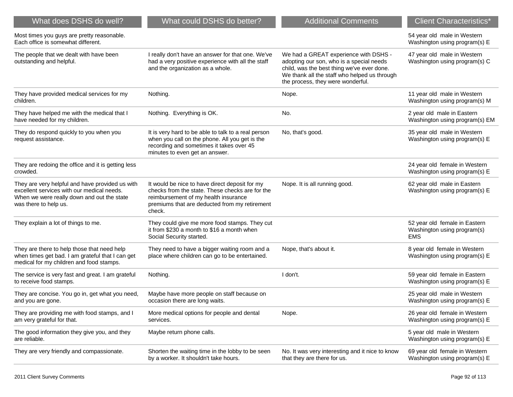| What does DSHS do well?                                                                                                                                              | What could DSHS do better?                                                                                                                                                                           | <b>Additional Comments</b>                                                                                                                                                                                           | <b>Client Characteristics*</b>                                             |
|----------------------------------------------------------------------------------------------------------------------------------------------------------------------|------------------------------------------------------------------------------------------------------------------------------------------------------------------------------------------------------|----------------------------------------------------------------------------------------------------------------------------------------------------------------------------------------------------------------------|----------------------------------------------------------------------------|
| Most times you guys are pretty reasonable.<br>Each office is somewhat different.                                                                                     |                                                                                                                                                                                                      |                                                                                                                                                                                                                      | 54 year old male in Western<br>Washington using program(s) E               |
| The people that we dealt with have been<br>outstanding and helpful.                                                                                                  | I really don't have an answer for that one. We've<br>had a very positive experience with all the staff<br>and the organization as a whole.                                                           | We had a GREAT experience with DSHS -<br>adopting our son, who is a special needs<br>child, was the best thing we've ever done.<br>We thank all the staff who helped us through<br>the process, they were wonderful. | 47 year old male in Western<br>Washington using program(s) C               |
| They have provided medical services for my<br>children.                                                                                                              | Nothing.                                                                                                                                                                                             | Nope.                                                                                                                                                                                                                | 11 year old male in Western<br>Washington using program(s) M               |
| They have helped me with the medical that I<br>have needed for my children.                                                                                          | Nothing. Everything is OK.                                                                                                                                                                           | No.                                                                                                                                                                                                                  | 2 year old male in Eastern<br>Washington using program(s) EM               |
| They do respond quickly to you when you<br>request assistance.                                                                                                       | It is very hard to be able to talk to a real person<br>when you call on the phone. All you get is the<br>recording and sometimes it takes over 45<br>minutes to even get an answer.                  | No, that's good.                                                                                                                                                                                                     | 35 year old male in Western<br>Washington using program(s) E               |
| They are redoing the office and it is getting less<br>crowded.                                                                                                       |                                                                                                                                                                                                      |                                                                                                                                                                                                                      | 24 year old female in Western<br>Washington using program(s) E             |
| They are very helpful and have provided us with<br>excellent services with our medical needs.<br>When we were really down and out the state<br>was there to help us. | It would be nice to have direct deposit for my<br>checks from the state. These checks are for the<br>reimbursement of my health insurance<br>premiums that are deducted from my retirement<br>check. | Nope. It is all running good.                                                                                                                                                                                        | 62 year old male in Eastern<br>Washington using program(s) E               |
| They explain a lot of things to me.                                                                                                                                  | They could give me more food stamps. They cut<br>it from \$230 a month to \$16 a month when<br>Social Security started.                                                                              |                                                                                                                                                                                                                      | 52 year old female in Eastern<br>Washington using program(s)<br><b>EMS</b> |
| They are there to help those that need help<br>when times get bad. I am grateful that I can get<br>medical for my children and food stamps.                          | They need to have a bigger waiting room and a<br>place where children can go to be entertained.                                                                                                      | Nope, that's about it.                                                                                                                                                                                               | 8 year old female in Western<br>Washington using program(s) E              |
| The service is very fast and great. I am grateful<br>to receive food stamps.                                                                                         | Nothing.                                                                                                                                                                                             | I don't.                                                                                                                                                                                                             | 59 year old female in Eastern<br>Washington using program(s) E             |
| They are concise. You go in, get what you need,<br>and you are gone.                                                                                                 | Maybe have more people on staff because on<br>occasion there are long waits.                                                                                                                         |                                                                                                                                                                                                                      | 25 year old male in Western<br>Washington using program(s) E               |
| They are providing me with food stamps, and I<br>am very grateful for that.                                                                                          | More medical options for people and dental<br>services.                                                                                                                                              | Nope.                                                                                                                                                                                                                | 26 year old female in Western<br>Washington using program(s) E             |
| The good information they give you, and they<br>are reliable.                                                                                                        | Maybe return phone calls.                                                                                                                                                                            |                                                                                                                                                                                                                      | 5 year old male in Western<br>Washington using program(s) E                |
| They are very friendly and compassionate.                                                                                                                            | Shorten the waiting time in the lobby to be seen<br>by a worker. It shouldn't take hours.                                                                                                            | No. It was very interesting and it nice to know<br>that they are there for us.                                                                                                                                       | 69 year old female in Western<br>Washington using program(s) E             |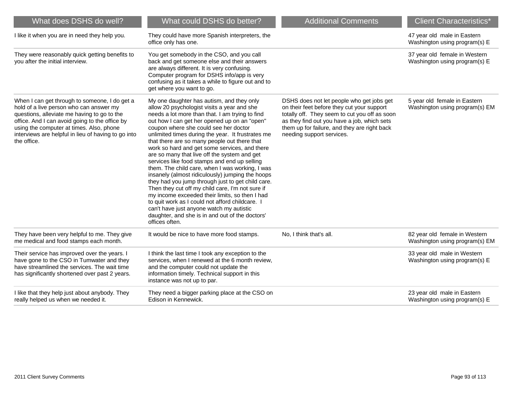| What does DSHS do well?                                                                                                                                                                                                                                                                                     | What could DSHS do better?                                                                                                                                                                                                                                                                                                                                                                                                                                                                                                                                                                                                                                                                                                                                                                                                                                                                                                       | <b>Additional Comments</b>                                                                                                                                                                                                                                           | <b>Client Characteristics*</b>                                  |
|-------------------------------------------------------------------------------------------------------------------------------------------------------------------------------------------------------------------------------------------------------------------------------------------------------------|----------------------------------------------------------------------------------------------------------------------------------------------------------------------------------------------------------------------------------------------------------------------------------------------------------------------------------------------------------------------------------------------------------------------------------------------------------------------------------------------------------------------------------------------------------------------------------------------------------------------------------------------------------------------------------------------------------------------------------------------------------------------------------------------------------------------------------------------------------------------------------------------------------------------------------|----------------------------------------------------------------------------------------------------------------------------------------------------------------------------------------------------------------------------------------------------------------------|-----------------------------------------------------------------|
| I like it when you are in need they help you.                                                                                                                                                                                                                                                               | They could have more Spanish interpreters, the<br>office only has one.                                                                                                                                                                                                                                                                                                                                                                                                                                                                                                                                                                                                                                                                                                                                                                                                                                                           |                                                                                                                                                                                                                                                                      | 47 year old male in Eastern<br>Washington using program(s) E    |
| They were reasonably quick getting benefits to<br>you after the initial interview.                                                                                                                                                                                                                          | You get somebody in the CSO, and you call<br>back and get someone else and their answers<br>are always different. It is very confusing.<br>Computer program for DSHS info/app is very<br>confusing as it takes a while to figure out and to<br>get where you want to go.                                                                                                                                                                                                                                                                                                                                                                                                                                                                                                                                                                                                                                                         |                                                                                                                                                                                                                                                                      | 37 year old female in Western<br>Washington using program(s) E  |
| When I can get through to someone, I do get a<br>hold of a live person who can answer my<br>questions, alleviate me having to go to the<br>office. And I can avoid going to the office by<br>using the computer at times. Also, phone<br>interviews are helpful in lieu of having to go into<br>the office. | My one daughter has autism, and they only<br>allow 20 psychologist visits a year and she<br>needs a lot more than that. I am trying to find<br>out how I can get her opened up on an "open"<br>coupon where she could see her doctor<br>unlimited times during the year. It frustrates me<br>that there are so many people out there that<br>work so hard and get some services, and there<br>are so many that live off the system and get<br>services like food stamps and end up selling<br>them. The child care, when I was working, I was<br>insanely (almost ridiculously) jumping the hoops<br>they had you jump through just to get child care.<br>Then they cut off my child care, I'm not sure if<br>my income exceeded their limits, so then I had<br>to quit work as I could not afford childcare. I<br>can't have just anyone watch my autistic<br>daughter, and she is in and out of the doctors'<br>offices often. | DSHS does not let people who get jobs get<br>on their feet before they cut your support<br>totally off. They seem to cut you off as soon<br>as they find out you have a job, which sets<br>them up for failure, and they are right back<br>needing support services. | 5 year old female in Eastern<br>Washington using program(s) EM  |
| They have been very helpful to me. They give<br>me medical and food stamps each month.                                                                                                                                                                                                                      | It would be nice to have more food stamps.                                                                                                                                                                                                                                                                                                                                                                                                                                                                                                                                                                                                                                                                                                                                                                                                                                                                                       | No, I think that's all.                                                                                                                                                                                                                                              | 82 year old female in Western<br>Washington using program(s) EM |
| Their service has improved over the years. I<br>have gone to the CSO in Tumwater and they<br>have streamlined the services. The wait time<br>has significantly shortened over past 2 years.                                                                                                                 | I think the last time I took any exception to the<br>services, when I renewed at the 6 month review,<br>and the computer could not update the<br>information timely. Technical support in this<br>instance was not up to par.                                                                                                                                                                                                                                                                                                                                                                                                                                                                                                                                                                                                                                                                                                    |                                                                                                                                                                                                                                                                      | 33 year old male in Western<br>Washington using program(s) E    |
| I like that they help just about anybody. They<br>really helped us when we needed it.                                                                                                                                                                                                                       | They need a bigger parking place at the CSO on<br>Edison in Kennewick.                                                                                                                                                                                                                                                                                                                                                                                                                                                                                                                                                                                                                                                                                                                                                                                                                                                           |                                                                                                                                                                                                                                                                      | 23 year old male in Eastern<br>Washington using program(s) E    |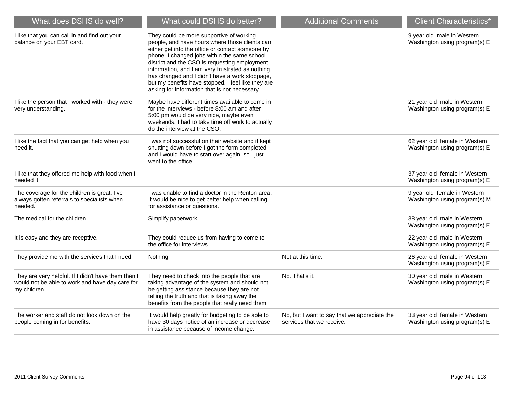| What does DSHS do well?                                                                                                | What could DSHS do better?                                                                                                                                                                                                                                                                                                                                                                                                                                   | <b>Additional Comments</b>                                                | <b>Client Characteristics*</b>                                 |
|------------------------------------------------------------------------------------------------------------------------|--------------------------------------------------------------------------------------------------------------------------------------------------------------------------------------------------------------------------------------------------------------------------------------------------------------------------------------------------------------------------------------------------------------------------------------------------------------|---------------------------------------------------------------------------|----------------------------------------------------------------|
| I like that you can call in and find out your<br>balance on your EBT card.                                             | They could be more supportive of working<br>people, and have hours where those clients can<br>either get into the office or contact someone by<br>phone. I changed jobs within the same school<br>district and the CSO is requesting employment<br>information, and I am very frustrated as nothing<br>has changed and I didn't have a work stoppage,<br>but my benefits have stopped. I feel like they are<br>asking for information that is not necessary. |                                                                           | 9 year old male in Western<br>Washington using program(s) E    |
| I like the person that I worked with - they were<br>very understanding.                                                | Maybe have different times available to come in<br>for the interviews - before 8:00 am and after<br>5:00 pm would be very nice, maybe even<br>weekends. I had to take time off work to actually<br>do the interview at the CSO.                                                                                                                                                                                                                              |                                                                           | 21 year old male in Western<br>Washington using program(s) E   |
| I like the fact that you can get help when you<br>need it.                                                             | I was not successful on their website and it kept<br>shutting down before I got the form completed<br>and I would have to start over again, so I just<br>went to the office.                                                                                                                                                                                                                                                                                 |                                                                           | 62 year old female in Western<br>Washington using program(s) E |
| I like that they offered me help with food when I<br>needed it.                                                        |                                                                                                                                                                                                                                                                                                                                                                                                                                                              |                                                                           | 37 year old female in Western<br>Washington using program(s) E |
| The coverage for the children is great. I've<br>always gotten referrals to specialists when<br>needed.                 | I was unable to find a doctor in the Renton area.<br>It would be nice to get better help when calling<br>for assistance or questions.                                                                                                                                                                                                                                                                                                                        |                                                                           | 9 year old female in Western<br>Washington using program(s) M  |
| The medical for the children.                                                                                          | Simplify paperwork.                                                                                                                                                                                                                                                                                                                                                                                                                                          |                                                                           | 38 year old male in Western<br>Washington using program(s) E   |
| It is easy and they are receptive.                                                                                     | They could reduce us from having to come to<br>the office for interviews.                                                                                                                                                                                                                                                                                                                                                                                    |                                                                           | 22 year old male in Western<br>Washington using program(s) E   |
| They provide me with the services that I need.                                                                         | Nothing.                                                                                                                                                                                                                                                                                                                                                                                                                                                     | Not at this time.                                                         | 26 year old female in Western<br>Washington using program(s) E |
| They are very helpful. If I didn't have them then I<br>would not be able to work and have day care for<br>my children. | They need to check into the people that are<br>taking advantage of the system and should not<br>be getting assistance because they are not<br>telling the truth and that is taking away the<br>benefits from the people that really need them.                                                                                                                                                                                                               | No. That's it.                                                            | 30 year old male in Western<br>Washington using program(s) E   |
| The worker and staff do not look down on the<br>people coming in for benefits.                                         | It would help greatly for budgeting to be able to<br>have 30 days notice of an increase or decrease<br>in assistance because of income change.                                                                                                                                                                                                                                                                                                               | No, but I want to say that we appreciate the<br>services that we receive. | 33 year old female in Western<br>Washington using program(s) E |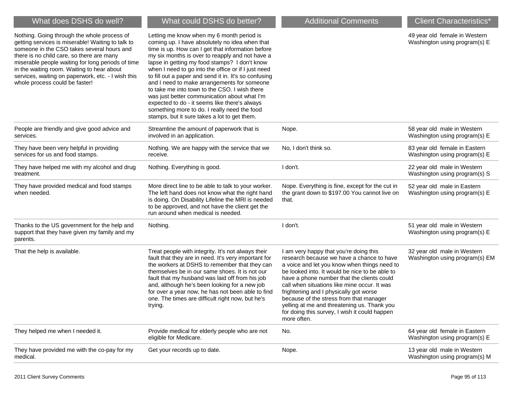| What does DSHS do well?                                                                                                                                                                                                                                                                                                                                                                | What could DSHS do better?                                                                                                                                                                                                                                                                                                                                                                                                                                                                                                                                                                                                                                            | <b>Additional Comments</b>                                                                                                                                                                                                                                                                                                                                                                                                                                                              | <b>Client Characteristics*</b>                                 |
|----------------------------------------------------------------------------------------------------------------------------------------------------------------------------------------------------------------------------------------------------------------------------------------------------------------------------------------------------------------------------------------|-----------------------------------------------------------------------------------------------------------------------------------------------------------------------------------------------------------------------------------------------------------------------------------------------------------------------------------------------------------------------------------------------------------------------------------------------------------------------------------------------------------------------------------------------------------------------------------------------------------------------------------------------------------------------|-----------------------------------------------------------------------------------------------------------------------------------------------------------------------------------------------------------------------------------------------------------------------------------------------------------------------------------------------------------------------------------------------------------------------------------------------------------------------------------------|----------------------------------------------------------------|
| Nothing. Going through the whole process of<br>getting services is miserable! Waiting to talk to<br>someone in the CSO takes several hours and<br>there is no child care, so there are many<br>miserable people waiting for long periods of time<br>in the waiting room. Waiting to hear about<br>services, waiting on paperwork, etc. - I wish this<br>whole process could be faster! | Letting me know when my 6 month period is<br>coming up. I have absolutely no idea when that<br>time is up. How can I get that information before<br>my six months is over to reapply and not have a<br>lapse in getting my food stamps? I don't know<br>when I need to go into the office or if I just need<br>to fill out a paper and send it in. It's so confusing<br>and I need to make arrangements for someone<br>to take me into town to the CSO. I wish there<br>was just better communication about what I'm<br>expected to do - it seems like there's always<br>something more to do. I really need the food<br>stamps, but it sure takes a lot to get them. |                                                                                                                                                                                                                                                                                                                                                                                                                                                                                         | 49 year old female in Western<br>Washington using program(s) E |
| People are friendly and give good advice and<br>services.                                                                                                                                                                                                                                                                                                                              | Streamline the amount of paperwork that is<br>involved in an application.                                                                                                                                                                                                                                                                                                                                                                                                                                                                                                                                                                                             | Nope.                                                                                                                                                                                                                                                                                                                                                                                                                                                                                   | 58 year old male in Western<br>Washington using program(s) E   |
| They have been very helpful in providing<br>services for us and food stamps.                                                                                                                                                                                                                                                                                                           | Nothing. We are happy with the service that we<br>receive.                                                                                                                                                                                                                                                                                                                                                                                                                                                                                                                                                                                                            | No, I don't think so.                                                                                                                                                                                                                                                                                                                                                                                                                                                                   | 83 year old female in Eastern<br>Washington using program(s) E |
| They have helped me with my alcohol and drug<br>treatment.                                                                                                                                                                                                                                                                                                                             | Nothing. Everything is good.                                                                                                                                                                                                                                                                                                                                                                                                                                                                                                                                                                                                                                          | I don't.                                                                                                                                                                                                                                                                                                                                                                                                                                                                                | 22 year old male in Western<br>Washington using program(s) S   |
| They have provided medical and food stamps<br>when needed.                                                                                                                                                                                                                                                                                                                             | More direct line to be able to talk to your worker.<br>The left hand does not know what the right hand<br>is doing. On Disability Lifeline the MRI is needed<br>to be approved, and not have the client get the<br>run around when medical is needed.                                                                                                                                                                                                                                                                                                                                                                                                                 | Nope. Everything is fine, except for the cut in<br>the grant down to \$197.00 You cannot live on<br>that.                                                                                                                                                                                                                                                                                                                                                                               | 52 year old male in Eastern<br>Washington using program(s) E   |
| Thanks to the US government for the help and<br>support that they have given my family and my<br>parents.                                                                                                                                                                                                                                                                              | Nothing.                                                                                                                                                                                                                                                                                                                                                                                                                                                                                                                                                                                                                                                              | I don't.                                                                                                                                                                                                                                                                                                                                                                                                                                                                                | 51 year old male in Western<br>Washington using program(s) E   |
| That the help is available.                                                                                                                                                                                                                                                                                                                                                            | Treat people with integrity. It's not always their<br>fault that they are in need. It's very important for<br>the workers at DSHS to remember that they can<br>themselves be in our same shoes. It is not our<br>fault that my husband was laid off from his job<br>and, although he's been looking for a new job<br>for over a year now, he has not been able to find<br>one. The times are difficult right now, but he's<br>trying.                                                                                                                                                                                                                                 | I am very happy that you're doing this<br>research because we have a chance to have<br>a voice and let you know when things need to<br>be looked into. It would be nice to be able to<br>have a phone number that the clients could<br>call when situations like mine occur. It was<br>frightening and I physically got worse<br>because of the stress from that manager<br>yelling at me and threatening us. Thank you<br>for doing this survey, I wish it could happen<br>more often. | 32 year old male in Western<br>Washington using program(s) EM  |
| They helped me when I needed it.                                                                                                                                                                                                                                                                                                                                                       | Provide medical for elderly people who are not<br>eligible for Medicare.                                                                                                                                                                                                                                                                                                                                                                                                                                                                                                                                                                                              | No.                                                                                                                                                                                                                                                                                                                                                                                                                                                                                     | 64 year old female in Eastern<br>Washington using program(s) E |
| They have provided me with the co-pay for my<br>medical.                                                                                                                                                                                                                                                                                                                               | Get your records up to date.                                                                                                                                                                                                                                                                                                                                                                                                                                                                                                                                                                                                                                          | Nope.                                                                                                                                                                                                                                                                                                                                                                                                                                                                                   | 13 year old male in Western<br>Washington using program(s) M   |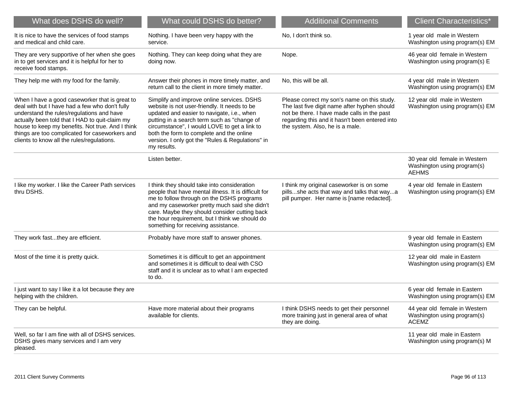| What does DSHS do well?                                                                                                                                                                                                                                                                                                                             | What could DSHS do better?                                                                                                                                                                                                                                                                                                                             | <b>Additional Comments</b>                                                                                                                                                                                                      | <b>Client Characteristics*</b>                                               |
|-----------------------------------------------------------------------------------------------------------------------------------------------------------------------------------------------------------------------------------------------------------------------------------------------------------------------------------------------------|--------------------------------------------------------------------------------------------------------------------------------------------------------------------------------------------------------------------------------------------------------------------------------------------------------------------------------------------------------|---------------------------------------------------------------------------------------------------------------------------------------------------------------------------------------------------------------------------------|------------------------------------------------------------------------------|
| It is nice to have the services of food stamps<br>and medical and child care.                                                                                                                                                                                                                                                                       | Nothing. I have been very happy with the<br>service.                                                                                                                                                                                                                                                                                                   | No, I don't think so.                                                                                                                                                                                                           | 1 year old male in Western<br>Washington using program(s) EM                 |
| They are very supportive of her when she goes<br>in to get services and it is helpful for her to<br>receive food stamps.                                                                                                                                                                                                                            | Nothing. They can keep doing what they are<br>doing now.                                                                                                                                                                                                                                                                                               | Nope.                                                                                                                                                                                                                           | 46 year old female in Western<br>Washington using program(s) E               |
| They help me with my food for the family.                                                                                                                                                                                                                                                                                                           | Answer their phones in more timely matter, and<br>return call to the client in more timely matter.                                                                                                                                                                                                                                                     | No, this will be all.                                                                                                                                                                                                           | 4 year old male in Western<br>Washington using program(s) EM                 |
| When I have a good caseworker that is great to<br>deal with but I have had a few who don't fully<br>understand the rules/regulations and have<br>actually been told that I HAD to quit-claim my<br>house to keep my benefits. Not true. And I think<br>things are too complicated for caseworkers and<br>clients to know all the rules/regulations. | Simplify and improve online services. DSHS<br>website is not user-friendly. It needs to be<br>updated and easier to navigate, i.e., when<br>putting in a search term such as "change of<br>circumstance", I would LOVE to get a link to<br>both the form to complete and the online<br>version. I only got the "Rules & Regulations" in<br>my results. | Please correct my son's name on this study.<br>The last five digit name after hyphen should<br>not be there. I have made calls in the past<br>regarding this and it hasn't been entered into<br>the system. Also, he is a male. | 12 year old male in Western<br>Washington using program(s) EM                |
|                                                                                                                                                                                                                                                                                                                                                     | Listen better.                                                                                                                                                                                                                                                                                                                                         |                                                                                                                                                                                                                                 | 30 year old female in Western<br>Washington using program(s)<br><b>AEHMS</b> |
| I like my worker. I like the Career Path services<br>thru DSHS.                                                                                                                                                                                                                                                                                     | I think they should take into consideration<br>people that have mental illness. It is difficult for<br>me to follow through on the DSHS programs<br>and my caseworker pretty much said she didn't<br>care. Maybe they should consider cutting back<br>the hour requirement, but I think we should do<br>something for receiving assistance.            | I think my original caseworker is on some<br>pillsshe acts that way and talks that waya<br>pill pumper. Her name is [name redacted].                                                                                            | 4 year old female in Eastern<br>Washington using program(s) EM               |
| They work fastthey are efficient.                                                                                                                                                                                                                                                                                                                   | Probably have more staff to answer phones.                                                                                                                                                                                                                                                                                                             |                                                                                                                                                                                                                                 | 9 year old female in Eastern<br>Washington using program(s) EM               |
| Most of the time it is pretty quick.                                                                                                                                                                                                                                                                                                                | Sometimes it is difficult to get an appointment<br>and sometimes it is difficult to deal with CSO<br>staff and it is unclear as to what I am expected<br>to do.                                                                                                                                                                                        |                                                                                                                                                                                                                                 | 12 year old male in Eastern<br>Washington using program(s) EM                |
| I just want to say I like it a lot because they are<br>helping with the children.                                                                                                                                                                                                                                                                   |                                                                                                                                                                                                                                                                                                                                                        |                                                                                                                                                                                                                                 | 6 year old female in Eastern<br>Washington using program(s) EM               |
| They can be helpful.                                                                                                                                                                                                                                                                                                                                | Have more material about their programs<br>available for clients.                                                                                                                                                                                                                                                                                      | I think DSHS needs to get their personnel<br>more training just in general area of what<br>they are doing.                                                                                                                      | 44 year old female in Western<br>Washington using program(s)<br><b>ACEMZ</b> |
| Well, so far I am fine with all of DSHS services.<br>DSHS gives many services and I am very<br>pleased.                                                                                                                                                                                                                                             |                                                                                                                                                                                                                                                                                                                                                        |                                                                                                                                                                                                                                 | 11 year old male in Eastern<br>Washington using program(s) M                 |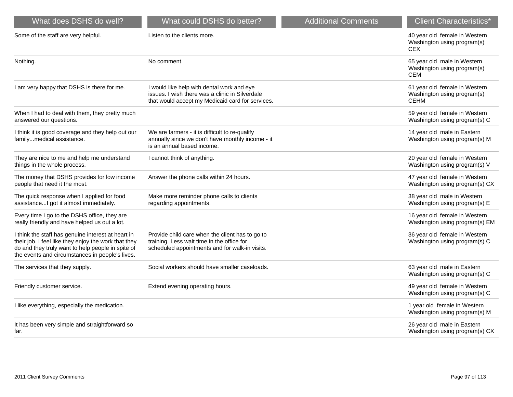| What does DSHS do well?                                                                                                                                                                                            | What could DSHS do better?                                                                                                                        | <b>Additional Comments</b> | <b>Client Characteristics*</b>                                              |
|--------------------------------------------------------------------------------------------------------------------------------------------------------------------------------------------------------------------|---------------------------------------------------------------------------------------------------------------------------------------------------|----------------------------|-----------------------------------------------------------------------------|
| Some of the staff are very helpful.                                                                                                                                                                                | Listen to the clients more.                                                                                                                       |                            | 40 year old female in Western<br>Washington using program(s)<br><b>CEX</b>  |
| Nothing.                                                                                                                                                                                                           | No comment.                                                                                                                                       |                            | 65 year old male in Western<br>Washington using program(s)<br><b>CEM</b>    |
| I am very happy that DSHS is there for me.                                                                                                                                                                         | I would like help with dental work and eye<br>issues. I wish there was a clinic in Silverdale<br>that would accept my Medicaid card for services. |                            | 61 year old female in Western<br>Washington using program(s)<br><b>CEHM</b> |
| When I had to deal with them, they pretty much<br>answered our questions.                                                                                                                                          |                                                                                                                                                   |                            | 59 year old female in Western<br>Washington using program(s) C              |
| I think it is good coverage and they help out our<br>familymedical assistance.                                                                                                                                     | We are farmers - it is difficult to re-qualify<br>annually since we don't have monthly income - it<br>is an annual based income.                  |                            | 14 year old male in Eastern<br>Washington using program(s) M                |
| They are nice to me and help me understand<br>things in the whole process.                                                                                                                                         | I cannot think of anything.                                                                                                                       |                            | 20 year old female in Western<br>Washington using program(s) V              |
| The money that DSHS provides for low income<br>people that need it the most.                                                                                                                                       | Answer the phone calls within 24 hours.                                                                                                           |                            | 47 year old female in Western<br>Washington using program(s) CX             |
| The quick response when I applied for food<br>assistance I got it almost immediately.                                                                                                                              | Make more reminder phone calls to clients<br>regarding appointments.                                                                              |                            | 38 year old male in Western<br>Washington using program(s) E                |
| Every time I go to the DSHS office, they are<br>really friendly and have helped us out a lot.                                                                                                                      |                                                                                                                                                   |                            | 16 year old female in Western<br>Washington using program(s) EM             |
| I think the staff has genuine interest at heart in<br>their job. I feel like they enjoy the work that they<br>do and they truly want to help people in spite of<br>the events and circumstances in people's lives. | Provide child care when the client has to go to<br>training. Less wait time in the office for<br>scheduled appointments and for walk-in visits.   |                            | 36 year old female in Western<br>Washington using program(s) C              |
| The services that they supply.                                                                                                                                                                                     | Social workers should have smaller caseloads.                                                                                                     |                            | 63 year old male in Eastern<br>Washington using program(s) C                |
| Friendly customer service.                                                                                                                                                                                         | Extend evening operating hours.                                                                                                                   |                            | 49 year old female in Western<br>Washington using program(s) C              |
| I like everything, especially the medication.                                                                                                                                                                      |                                                                                                                                                   |                            | 1 year old female in Western<br>Washington using program(s) M               |
| It has been very simple and straightforward so<br>far.                                                                                                                                                             |                                                                                                                                                   |                            | 26 year old male in Eastern<br>Washington using program(s) CX               |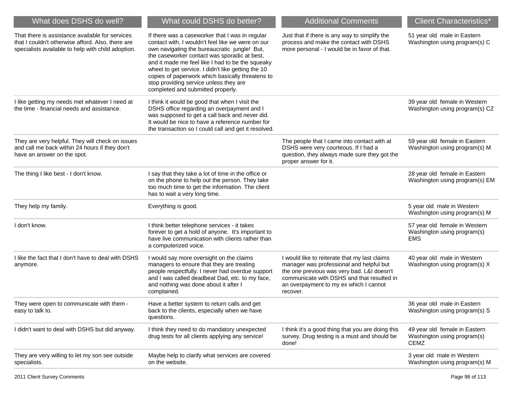| What does DSHS do well?                                                                                                                                    | What could DSHS do better?                                                                                                                                                                                                                                                                                                                                                                                                                        | <b>Additional Comments</b>                                                                                                                                                                                                                  | <b>Client Characteristics*</b>                                             |
|------------------------------------------------------------------------------------------------------------------------------------------------------------|---------------------------------------------------------------------------------------------------------------------------------------------------------------------------------------------------------------------------------------------------------------------------------------------------------------------------------------------------------------------------------------------------------------------------------------------------|---------------------------------------------------------------------------------------------------------------------------------------------------------------------------------------------------------------------------------------------|----------------------------------------------------------------------------|
| That there is assistance available for services<br>that I couldn't otherwise afford. Also, there are<br>specialists available to help with child adoption. | If there was a caseworker that I was in regular<br>contact with, I wouldn't feel like we were on our<br>own navigating the bureaucratic jungle! But,<br>the caseworker contact was sporadic at best,<br>and it made me feel like I had to be the squeaky<br>wheel to get service. I didn't like getting the 10<br>copies of paperwork which basically threatens to<br>stop providing service unless they are<br>completed and submitted properly. | Just that if there is any way to simplify the<br>process and make the contact with DSHS<br>more personal - I would be in favor of that.                                                                                                     | 51 year old male in Eastern<br>Washington using program(s) C               |
| I like getting my needs met whatever I need at<br>the time - financial needs and assistance.                                                               | I think it would be good that when I visit the<br>DSHS office regarding an overpayment and I<br>was supposed to get a call back and never did.<br>It would be nice to have a reference number for<br>the transaction so I could call and get it resolved.                                                                                                                                                                                         |                                                                                                                                                                                                                                             | 39 year old female in Western<br>Washington using program(s) CZ            |
| They are very helpful. They will check on issues<br>and call me back within 24 hours if they don't<br>have an answer on the spot.                          |                                                                                                                                                                                                                                                                                                                                                                                                                                                   | The people that I came into contact with at<br>DSHS were very courteous. If I had a<br>question, they always made sure they got the<br>proper answer for it.                                                                                | 59 year old female in Eastern<br>Washington using program(s) M             |
| The thing I like best - I don't know.                                                                                                                      | I say that they take a lot of time in the office or<br>on the phone to help out the person. They take<br>too much time to get the information. The client<br>has to wait a very long time.                                                                                                                                                                                                                                                        |                                                                                                                                                                                                                                             | 28 year old female in Eastern<br>Washington using program(s) EM            |
| They help my family.                                                                                                                                       | Everything is good.                                                                                                                                                                                                                                                                                                                                                                                                                               |                                                                                                                                                                                                                                             | 5 year old male in Western<br>Washington using program(s) M                |
| I don't know.                                                                                                                                              | I think better telephone services - it takes<br>forever to get a hold of anyone. It's important to<br>have live communication with clients rather than<br>a computerized voice.                                                                                                                                                                                                                                                                   |                                                                                                                                                                                                                                             | 57 year old female in Western<br>Washington using program(s)<br><b>EMS</b> |
| I like the fact that I don't have to deal with DSHS<br>anymore.                                                                                            | I would say more oversight on the claims<br>managers to ensure that they are treating<br>people respectfully. I never had overdue support<br>and I was called deadbeat Dad, etc. to my face,<br>and nothing was done about it after I<br>complained.                                                                                                                                                                                              | I would like to reiterate that my last claims<br>manager was professional and helpful but<br>the one previous was very bad. L&I doesn't<br>communicate with DSHS and that resulted in<br>an overpayment to my ex which I cannot<br>recover. | 40 year old male in Western<br>Washington using program(s) X               |
| They were open to communicate with them -<br>easy to talk to.                                                                                              | Have a better system to return calls and get<br>back to the clients, especially when we have<br>questions.                                                                                                                                                                                                                                                                                                                                        |                                                                                                                                                                                                                                             | 36 year old male in Eastern<br>Washington using program(s) S               |
| I didn't want to deal with DSHS but did anyway.                                                                                                            | I think they need to do mandatory unexpected<br>drug tests for all clients applying any service!                                                                                                                                                                                                                                                                                                                                                  | I think it's a good thing that you are doing this<br>survey. Drug testing is a must and should be<br>done!                                                                                                                                  | 49 year old female in Eastern<br>Washington using program(s)<br>CEMZ       |
| They are very willing to let my son see outside<br>specialists.                                                                                            | Maybe help to clarify what services are covered<br>on the website.                                                                                                                                                                                                                                                                                                                                                                                |                                                                                                                                                                                                                                             | 3 year old male in Western<br>Washington using program(s) M                |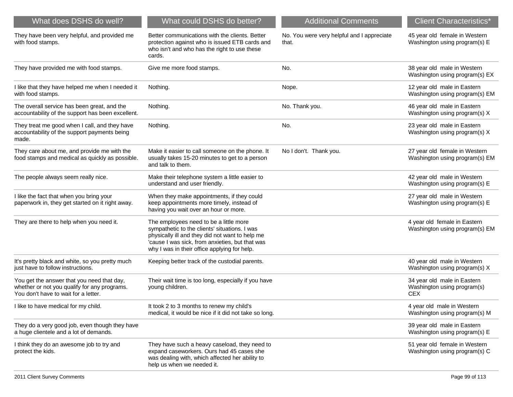| What does DSHS do well?                                                                                                            | What could DSHS do better?                                                                                                                                                                                                                    | <b>Additional Comments</b>                          | <b>Client Characteristics*</b>                                           |
|------------------------------------------------------------------------------------------------------------------------------------|-----------------------------------------------------------------------------------------------------------------------------------------------------------------------------------------------------------------------------------------------|-----------------------------------------------------|--------------------------------------------------------------------------|
| They have been very helpful, and provided me<br>with food stamps.                                                                  | Better communications with the clients. Better<br>protection against who is issued ETB cards and<br>who isn't and who has the right to use these<br>cards.                                                                                    | No. You were very helpful and I appreciate<br>that. | 45 year old female in Western<br>Washington using program(s) E           |
| They have provided me with food stamps.                                                                                            | Give me more food stamps.                                                                                                                                                                                                                     | No.                                                 | 38 year old male in Western<br>Washington using program(s) EX            |
| I like that they have helped me when I needed it<br>with food stamps.                                                              | Nothing.                                                                                                                                                                                                                                      | Nope.                                               | 12 year old male in Eastern<br>Washington using program(s) EM            |
| The overall service has been great, and the<br>accountability of the support has been excellent.                                   | Nothing.                                                                                                                                                                                                                                      | No. Thank you.                                      | 46 year old male in Eastern<br>Washington using program(s) X             |
| They treat me good when I call, and they have<br>accountability of the support payments being<br>made.                             | Nothing.                                                                                                                                                                                                                                      | No.                                                 | 23 year old male in Eastern<br>Washington using program(s) X             |
| They care about me, and provide me with the<br>food stamps and medical as quickly as possible.                                     | Make it easier to call someone on the phone. It<br>usually takes 15-20 minutes to get to a person<br>and talk to them.                                                                                                                        | No I don't. Thank you.                              | 27 year old female in Western<br>Washington using program(s) EM          |
| The people always seem really nice.                                                                                                | Make their telephone system a little easier to<br>understand and user friendly.                                                                                                                                                               |                                                     | 42 year old male in Western<br>Washington using program(s) E             |
| I like the fact that when you bring your<br>paperwork in, they get started on it right away.                                       | When they make appointments, if they could<br>keep appointments more timely, instead of<br>having you wait over an hour or more.                                                                                                              |                                                     | 27 year old male in Western<br>Washington using program(s) E             |
| They are there to help when you need it.                                                                                           | The employees need to be a little more<br>sympathetic to the clients' situations. I was<br>physically ill and they did not want to help me<br>'cause I was sick, from anxieties, but that was<br>why I was in their office applying for help. |                                                     | 4 year old female in Eastern<br>Washington using program(s) EM           |
| It's pretty black and white, so you pretty much<br>just have to follow instructions.                                               | Keeping better track of the custodial parents.                                                                                                                                                                                                |                                                     | 40 year old male in Western<br>Washington using program(s) X             |
| You get the answer that you need that day,<br>whether or not you qualify for any programs.<br>You don't have to wait for a letter. | Their wait time is too long, especially if you have<br>young children.                                                                                                                                                                        |                                                     | 34 year old male in Eastern<br>Washington using program(s)<br><b>CEX</b> |
| I like to have medical for my child.                                                                                               | It took 2 to 3 months to renew my child's<br>medical, it would be nice if it did not take so long.                                                                                                                                            |                                                     | 4 year old male in Western<br>Washington using program(s) M              |
| They do a very good job, even though they have<br>a huge clientele and a lot of demands.                                           |                                                                                                                                                                                                                                               |                                                     | 39 year old male in Eastern<br>Washington using program(s) E             |
| I think they do an awesome job to try and<br>protect the kids.                                                                     | They have such a heavy caseload, they need to<br>expand caseworkers. Ours had 45 cases she<br>was dealing with, which affected her ability to<br>help us when we needed it.                                                                   |                                                     | 51 year old female in Western<br>Washington using program(s) C           |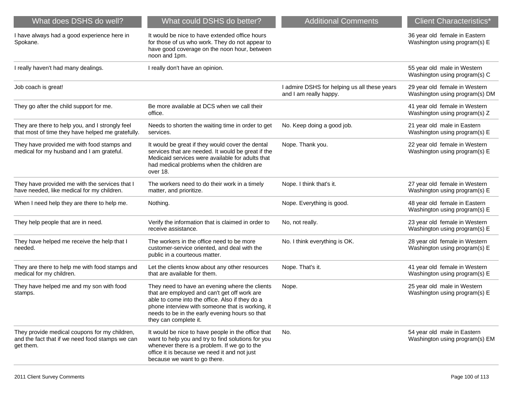| What does DSHS do well?                                                                                       | What could DSHS do better?                                                                                                                                                                                                                                                       | <b>Additional Comments</b>                                           | <b>Client Characteristics*</b>                                  |
|---------------------------------------------------------------------------------------------------------------|----------------------------------------------------------------------------------------------------------------------------------------------------------------------------------------------------------------------------------------------------------------------------------|----------------------------------------------------------------------|-----------------------------------------------------------------|
| I have always had a good experience here in<br>Spokane.                                                       | It would be nice to have extended office hours<br>for those of us who work. They do not appear to<br>have good coverage on the noon hour, between<br>noon and 1pm.                                                                                                               |                                                                      | 36 year old female in Eastern<br>Washington using program(s) E  |
| I really haven't had many dealings.                                                                           | I really don't have an opinion.                                                                                                                                                                                                                                                  |                                                                      | 55 year old male in Western<br>Washington using program(s) C    |
| Job coach is great!                                                                                           |                                                                                                                                                                                                                                                                                  | admire DSHS for helping us all these years<br>and I am really happy. | 29 year old female in Western<br>Washington using program(s) DM |
| They go after the child support for me.                                                                       | Be more available at DCS when we call their<br>office.                                                                                                                                                                                                                           |                                                                      | 41 year old female in Western<br>Washington using program(s) Z  |
| They are there to help you, and I strongly feel<br>that most of time they have helped me gratefully.          | Needs to shorten the waiting time in order to get<br>services.                                                                                                                                                                                                                   | No. Keep doing a good job.                                           | 21 year old male in Eastern<br>Washington using program(s) E    |
| They have provided me with food stamps and<br>medical for my husband and I am grateful.                       | It would be great if they would cover the dental<br>services that are needed. It would be great if the<br>Medicaid services were available for adults that<br>had medical problems when the children are<br>over 18.                                                             | Nope. Thank you.                                                     | 22 year old female in Western<br>Washington using program(s) E  |
| They have provided me with the services that I<br>have needed, like medical for my children.                  | The workers need to do their work in a timely<br>matter, and prioritize.                                                                                                                                                                                                         | Nope. I think that's it.                                             | 27 year old female in Western<br>Washington using program(s) E  |
| When I need help they are there to help me.                                                                   | Nothing.                                                                                                                                                                                                                                                                         | Nope. Everything is good.                                            | 48 year old female in Eastern<br>Washington using program(s) E  |
| They help people that are in need.                                                                            | Verify the information that is claimed in order to<br>receive assistance.                                                                                                                                                                                                        | No, not really.                                                      | 23 year old female in Western<br>Washington using program(s) E  |
| They have helped me receive the help that I<br>needed.                                                        | The workers in the office need to be more<br>customer-service oriented, and deal with the<br>public in a courteous matter.                                                                                                                                                       | No. I think everything is OK.                                        | 28 year old female in Western<br>Washington using program(s) E  |
| They are there to help me with food stamps and<br>medical for my children.                                    | Let the clients know about any other resources<br>that are available for them.                                                                                                                                                                                                   | Nope. That's it.                                                     | 41 year old female in Western<br>Washington using program(s) E  |
| They have helped me and my son with food<br>stamps.                                                           | They need to have an evening where the clients<br>that are employed and can't get off work are<br>able to come into the office. Also if they do a<br>phone interview with someone that is working, it<br>needs to be in the early evening hours so that<br>they can complete it. | Nope.                                                                | 25 year old male in Western<br>Washington using program(s) E    |
| They provide medical coupons for my children,<br>and the fact that if we need food stamps we can<br>get them. | It would be nice to have people in the office that<br>want to help you and try to find solutions for you<br>whenever there is a problem. If we go to the<br>office it is because we need it and not just<br>because we want to go there.                                         | No.                                                                  | 54 year old male in Eastern<br>Washington using program(s) EM   |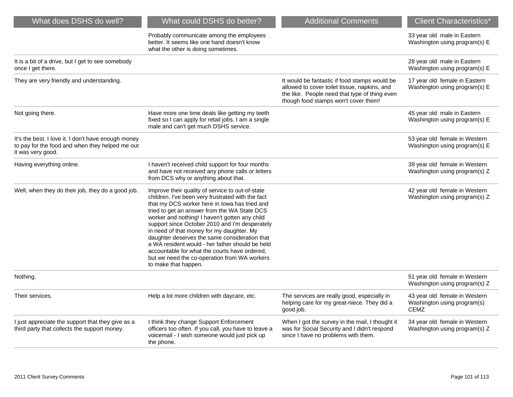| What does DSHS do well?                                                                                                     | What could DSHS do better?                                                                                                                                                                                                                                                                                                                                                                                                                                                                                                                                                           | <b>Additional Comments</b>                                                                                                                                                             | <b>Client Characteristics*</b>                                              |
|-----------------------------------------------------------------------------------------------------------------------------|--------------------------------------------------------------------------------------------------------------------------------------------------------------------------------------------------------------------------------------------------------------------------------------------------------------------------------------------------------------------------------------------------------------------------------------------------------------------------------------------------------------------------------------------------------------------------------------|----------------------------------------------------------------------------------------------------------------------------------------------------------------------------------------|-----------------------------------------------------------------------------|
|                                                                                                                             | Probably communicate among the employees<br>better. It seems like one hand doesn't know<br>what the other is doing sometimes.                                                                                                                                                                                                                                                                                                                                                                                                                                                        |                                                                                                                                                                                        | 33 year old male in Eastern<br>Washington using program(s) E                |
| It is a bit of a drive, but I get to see somebody<br>once I get there.                                                      |                                                                                                                                                                                                                                                                                                                                                                                                                                                                                                                                                                                      |                                                                                                                                                                                        | 28 year old male in Eastern<br>Washington using program(s) E                |
| They are very friendly and understanding.                                                                                   |                                                                                                                                                                                                                                                                                                                                                                                                                                                                                                                                                                                      | It would be fantastic if food stamps would be<br>allowed to cover toilet tissue, napkins, and<br>the like. People need that type of thing even<br>though food stamps won't cover them! | 17 year old female in Eastern<br>Washington using program(s) E              |
| Not going there.                                                                                                            | Have more one time deals like getting my teeth<br>fixed so I can apply for retail jobs. I am a single<br>male and can't get much DSHS service.                                                                                                                                                                                                                                                                                                                                                                                                                                       |                                                                                                                                                                                        | 45 year old male in Eastern<br>Washington using program(s) E                |
| It's the best. I love it. I don't have enough money<br>to pay for the food and when they helped me out<br>it was very good. |                                                                                                                                                                                                                                                                                                                                                                                                                                                                                                                                                                                      |                                                                                                                                                                                        | 53 year old female in Western<br>Washington using program(s) E              |
| Having everything online.                                                                                                   | I haven't received child support for four months<br>and have not received any phone calls or letters<br>from DCS why or anything about that.                                                                                                                                                                                                                                                                                                                                                                                                                                         |                                                                                                                                                                                        | 39 year old female in Western<br>Washington using program(s) Z              |
| Well, when they do their job, they do a good job.                                                                           | Improve their quality of service to out-of-state<br>children. I've been very frustrated with the fact<br>that my DCS worker here in lowa has tried and<br>tried to get an answer from the WA State DCS<br>worker and nothing! I haven't gotten any child<br>support since October 2010 and I'm desperately<br>in need of that money for my daughter. My<br>daughter deserves the same consideration that<br>a WA resident would - her father should be held<br>accountable for what the courts have ordered,<br>but we need the co-operation from WA workers<br>to make that happen. |                                                                                                                                                                                        | 42 year old female in Western<br>Washington using program(s) Z              |
| Nothing.                                                                                                                    |                                                                                                                                                                                                                                                                                                                                                                                                                                                                                                                                                                                      |                                                                                                                                                                                        | 51 year old female in Western<br>Washington using program(s) Z              |
| Their services.                                                                                                             | Help a lot more children with daycare, etc.                                                                                                                                                                                                                                                                                                                                                                                                                                                                                                                                          | The services are really good, especially in<br>helping care for my great-niece. They did a<br>good job.                                                                                | 43 year old female in Western<br>Washington using program(s)<br><b>CEMZ</b> |
| I just appreciate the support that they give as a<br>third party that collects the support money.                           | I think they change Support Enforcement<br>officers too often. If you call, you have to leave a<br>voicemail - I wish someone would just pick up<br>the phone.                                                                                                                                                                                                                                                                                                                                                                                                                       | When I got the survey in the mail, I thought it<br>was for Social Security and I didn't respond<br>since I have no problems with them.                                                 | 34 year old female in Western<br>Washington using program(s) Z              |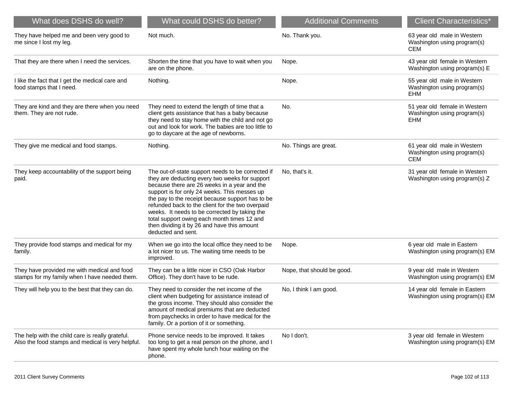| What does DSHS do well?                                                                               | What could DSHS do better?                                                                                                                                                                                                                                                                                                                                                                                                                                                       | <b>Additional Comments</b> | <b>Client Characteristics*</b>                                             |
|-------------------------------------------------------------------------------------------------------|----------------------------------------------------------------------------------------------------------------------------------------------------------------------------------------------------------------------------------------------------------------------------------------------------------------------------------------------------------------------------------------------------------------------------------------------------------------------------------|----------------------------|----------------------------------------------------------------------------|
| They have helped me and been very good to<br>me since I lost my leg.                                  | Not much.                                                                                                                                                                                                                                                                                                                                                                                                                                                                        | No. Thank you.             | 63 year old male in Western<br>Washington using program(s)<br><b>CEM</b>   |
| That they are there when I need the services.                                                         | Shorten the time that you have to wait when you<br>are on the phone.                                                                                                                                                                                                                                                                                                                                                                                                             | Nope.                      | 43 year old female in Western<br>Washington using program(s) E             |
| I like the fact that I get the medical care and<br>food stamps that I need.                           | Nothing.                                                                                                                                                                                                                                                                                                                                                                                                                                                                         | Nope.                      | 55 year old male in Western<br>Washington using program(s)<br>EHM          |
| They are kind and they are there when you need<br>them. They are not rude.                            | They need to extend the length of time that a<br>client gets assistance that has a baby because<br>they need to stay home with the child and not go<br>out and look for work. The babies are too little to<br>go to daycare at the age of newborns.                                                                                                                                                                                                                              | No.                        | 51 year old female in Western<br>Washington using program(s)<br><b>EHM</b> |
| They give me medical and food stamps.                                                                 | Nothing.                                                                                                                                                                                                                                                                                                                                                                                                                                                                         | No. Things are great.      | 61 year old male in Western<br>Washington using program(s)<br><b>CEM</b>   |
| They keep accountability of the support being<br>paid.                                                | The out-of-state support needs to be corrected if<br>they are deducting every two weeks for support<br>because there are 26 weeks in a year and the<br>support is for only 24 weeks. This messes up<br>the pay to the receipt because support has to be<br>refunded back to the client for the two overpaid<br>weeks. It needs to be corrected by taking the<br>total support owing each month times 12 and<br>then dividing it by 26 and have this amount<br>deducted and sent. | No, that's it.             | 31 year old female in Western<br>Washington using program(s) Z             |
| They provide food stamps and medical for my<br>family.                                                | When we go into the local office they need to be<br>a lot nicer to us. The waiting time needs to be<br>improved.                                                                                                                                                                                                                                                                                                                                                                 | Nope.                      | 6 year old male in Eastern<br>Washington using program(s) EM               |
| They have provided me with medical and food<br>stamps for my family when I have needed them.          | They can be a little nicer in CSO (Oak Harbor<br>Office). They don't have to be rude.                                                                                                                                                                                                                                                                                                                                                                                            | Nope, that should be good. | 9 year old male in Western<br>Washington using program(s) EM               |
| They will help you to the best that they can do.                                                      | They need to consider the net income of the<br>client when budgeting for assistance instead of<br>the gross income. They should also consider the<br>amount of medical premiums that are deducted<br>from paychecks in order to have medical for the<br>family. Or a portion of it or something.                                                                                                                                                                                 | No, I think I am good.     | 14 year old female in Eastern<br>Washington using program(s) EM            |
| The help with the child care is really grateful.<br>Also the food stamps and medical is very helpful. | Phone service needs to be improved. It takes<br>too long to get a real person on the phone, and I<br>have spent my whole lunch hour waiting on the<br>phone.                                                                                                                                                                                                                                                                                                                     | No I don't.                | 3 year old female in Western<br>Washington using program(s) EM             |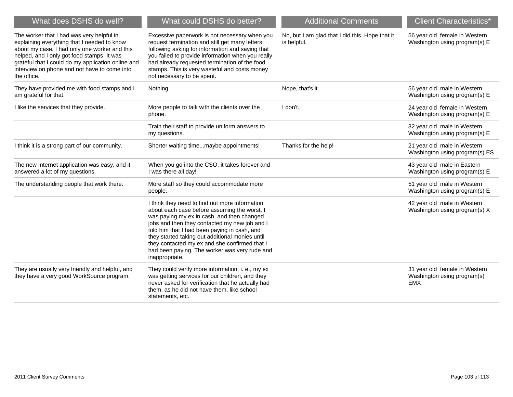| What does DSHS do well?                                                                                                                                                                                                                                                                                      | What could DSHS do better?                                                                                                                                                                                                                                                                                                                                                                                           | <b>Additional Comments</b>                                     | <b>Client Characteristics*</b>                                             |
|--------------------------------------------------------------------------------------------------------------------------------------------------------------------------------------------------------------------------------------------------------------------------------------------------------------|----------------------------------------------------------------------------------------------------------------------------------------------------------------------------------------------------------------------------------------------------------------------------------------------------------------------------------------------------------------------------------------------------------------------|----------------------------------------------------------------|----------------------------------------------------------------------------|
| The worker that I had was very helpful in<br>explaining everything that I needed to know<br>about my case. I had only one worker and this<br>helped, and I only got food stamps. It was<br>grateful that I could do my application online and<br>interview on phone and not have to come into<br>the office. | Excessive paperwork is not necessary when you<br>request termination and still get many letters<br>following asking for information and saying that<br>you failed to provide information when you really<br>had already requested termination of the food<br>stamps. This is very wasteful and costs money<br>not necessary to be spent.                                                                             | No, but I am glad that I did this. Hope that it<br>is helpful. | 56 year old female in Western<br>Washington using program(s) E             |
| They have provided me with food stamps and I<br>am grateful for that.                                                                                                                                                                                                                                        | Nothing.                                                                                                                                                                                                                                                                                                                                                                                                             | Nope, that's it.                                               | 56 year old male in Western<br>Washington using program(s) E               |
| I like the services that they provide.                                                                                                                                                                                                                                                                       | More people to talk with the clients over the<br>phone.                                                                                                                                                                                                                                                                                                                                                              | I don't.                                                       | 24 year old female in Western<br>Washington using program(s) E             |
|                                                                                                                                                                                                                                                                                                              | Train their staff to provide uniform answers to<br>my questions.                                                                                                                                                                                                                                                                                                                                                     |                                                                | 32 year old male in Western<br>Washington using program(s) E               |
| I think it is a strong part of our community.                                                                                                                                                                                                                                                                | Shorter waiting timemaybe appointments!                                                                                                                                                                                                                                                                                                                                                                              | Thanks for the help!                                           | 21 year old male in Western<br>Washington using program(s) ES              |
| The new Internet application was easy, and it<br>answered a lot of my questions.                                                                                                                                                                                                                             | When you go into the CSO, it takes forever and<br>I was there all day!                                                                                                                                                                                                                                                                                                                                               |                                                                | 43 year old male in Eastern<br>Washington using program(s) E               |
| The understanding people that work there.                                                                                                                                                                                                                                                                    | More staff so they could accommodate more<br>people.                                                                                                                                                                                                                                                                                                                                                                 |                                                                | 51 year old male in Western<br>Washington using program(s) E               |
|                                                                                                                                                                                                                                                                                                              | I think they need to find out more information<br>about each case before assuming the worst. I<br>was paying my ex in cash, and then changed<br>jobs and then they contacted my new job and I<br>told him that I had been paying in cash, and<br>they started taking out additional monies until<br>they contacted my ex and she confirmed that I<br>had been paying. The worker was very rude and<br>inappropriate. |                                                                | 42 year old male in Western<br>Washington using program(s) X               |
| They are usually very friendly and helpful, and<br>they have a very good WorkSource program.                                                                                                                                                                                                                 | They could verify more information, i. e., my ex<br>was getting services for our children, and they<br>never asked for verification that he actually had<br>them, as he did not have them, like school<br>statements, etc.                                                                                                                                                                                           |                                                                | 31 year old female in Western<br>Washington using program(s)<br><b>EMX</b> |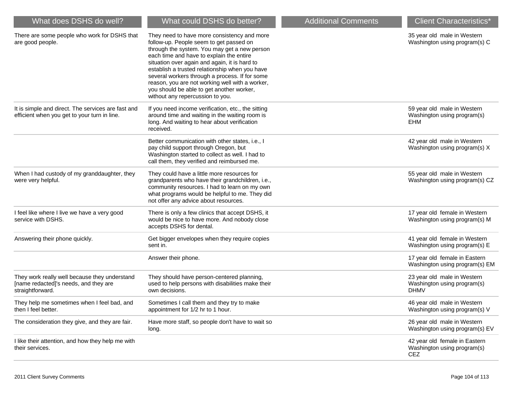| What does DSHS do well?                                                                                    | What could DSHS do better?                                                                                                                                                                                                                                                                                                                                                                                                                                                  | <b>Additional Comments</b> | <b>Client Characteristics*</b>                                             |
|------------------------------------------------------------------------------------------------------------|-----------------------------------------------------------------------------------------------------------------------------------------------------------------------------------------------------------------------------------------------------------------------------------------------------------------------------------------------------------------------------------------------------------------------------------------------------------------------------|----------------------------|----------------------------------------------------------------------------|
| There are some people who work for DSHS that<br>are good people.                                           | They need to have more consistency and more<br>follow-up. People seem to get passed on<br>through the system. You may get a new person<br>each time and have to explain the entire<br>situation over again and again, it is hard to<br>establish a trusted relationship when you have<br>several workers through a process. If for some<br>reason, you are not working well with a worker,<br>you should be able to get another worker,<br>without any repercussion to you. |                            | 35 year old male in Western<br>Washington using program(s) C               |
| It is simple and direct. The services are fast and<br>efficient when you get to your turn in line.         | If you need income verification, etc., the sitting<br>around time and waiting in the waiting room is<br>long. And waiting to hear about verification<br>received.                                                                                                                                                                                                                                                                                                           |                            | 59 year old male in Western<br>Washington using program(s)<br>EHM          |
|                                                                                                            | Better communication with other states, i.e., I<br>pay child support through Oregon, but<br>Washington started to collect as well. I had to<br>call them, they verified and reimbursed me.                                                                                                                                                                                                                                                                                  |                            | 42 year old male in Western<br>Washington using program(s) X               |
| When I had custody of my granddaughter, they<br>were very helpful.                                         | They could have a little more resources for<br>grandparents who have their grandchildren, i.e.,<br>community resources. I had to learn on my own<br>what programs would be helpful to me. They did<br>not offer any advice about resources.                                                                                                                                                                                                                                 |                            | 55 year old male in Western<br>Washington using program(s) CZ              |
| I feel like where I live we have a very good<br>service with DSHS.                                         | There is only a few clinics that accept DSHS, it<br>would be nice to have more. And nobody close<br>accepts DSHS for dental.                                                                                                                                                                                                                                                                                                                                                |                            | 17 year old female in Western<br>Washington using program(s) M             |
| Answering their phone quickly.                                                                             | Get bigger envelopes when they require copies<br>sent in.                                                                                                                                                                                                                                                                                                                                                                                                                   |                            | 41 year old female in Western<br>Washington using program(s) E             |
|                                                                                                            | Answer their phone.                                                                                                                                                                                                                                                                                                                                                                                                                                                         |                            | 17 year old female in Eastern<br>Washington using program(s) EM            |
| They work really well because they understand<br>[name redacted]'s needs, and they are<br>straightforward. | They should have person-centered planning,<br>used to help persons with disabilities make their<br>own decisions.                                                                                                                                                                                                                                                                                                                                                           |                            | 23 year old male in Western<br>Washington using program(s)<br><b>DHMV</b>  |
| They help me sometimes when I feel bad, and<br>then I feel better.                                         | Sometimes I call them and they try to make<br>appointment for 1/2 hr to 1 hour.                                                                                                                                                                                                                                                                                                                                                                                             |                            | 46 year old male in Western<br>Washington using program(s) V               |
| The consideration they give, and they are fair.                                                            | Have more staff, so people don't have to wait so<br>long.                                                                                                                                                                                                                                                                                                                                                                                                                   |                            | 26 year old male in Western<br>Washington using program(s) EV              |
| I like their attention, and how they help me with<br>their services.                                       |                                                                                                                                                                                                                                                                                                                                                                                                                                                                             |                            | 42 year old female in Eastern<br>Washington using program(s)<br><b>CEZ</b> |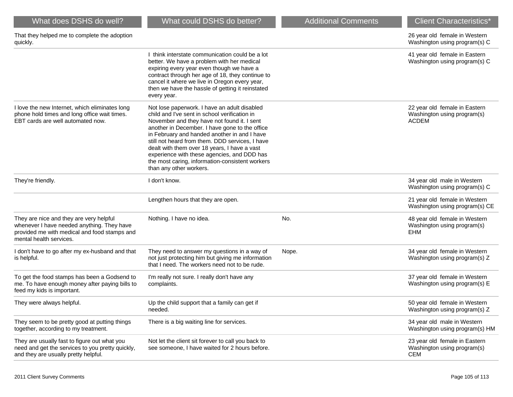| What does DSHS do well?                                                                                                                                          | What could DSHS do better?                                                                                                                                                                                                                                                                                                                                                                                                                                                     | <b>Additional Comments</b> | <b>Client Characteristics*</b>                                               |
|------------------------------------------------------------------------------------------------------------------------------------------------------------------|--------------------------------------------------------------------------------------------------------------------------------------------------------------------------------------------------------------------------------------------------------------------------------------------------------------------------------------------------------------------------------------------------------------------------------------------------------------------------------|----------------------------|------------------------------------------------------------------------------|
| That they helped me to complete the adoption<br>quickly.                                                                                                         |                                                                                                                                                                                                                                                                                                                                                                                                                                                                                |                            | 26 year old female in Western<br>Washington using program(s) C               |
|                                                                                                                                                                  | I think interstate communication could be a lot<br>better. We have a problem with her medical<br>expiring every year even though we have a<br>contract through her age of 18, they continue to<br>cancel it where we live in Oregon every year,<br>then we have the hassle of getting it reinstated<br>every year.                                                                                                                                                             |                            | 41 year old female in Eastern<br>Washington using program(s) C               |
| I love the new Internet, which eliminates long<br>phone hold times and long office wait times.<br>EBT cards are well automated now.                              | Not lose paperwork. I have an adult disabled<br>child and I've sent in school verification in<br>November and they have not found it. I sent<br>another in December. I have gone to the office<br>in February and handed another in and I have<br>still not heard from them. DDD services, I have<br>dealt with them over 18 years, I have a vast<br>experience with these agencies, and DDD has<br>the most caring, information-consistent workers<br>than any other workers. |                            | 22 year old female in Eastern<br>Washington using program(s)<br><b>ACDEM</b> |
| They're friendly.                                                                                                                                                | I don't know.                                                                                                                                                                                                                                                                                                                                                                                                                                                                  |                            | 34 year old male in Western<br>Washington using program(s) C                 |
|                                                                                                                                                                  | Lengthen hours that they are open.                                                                                                                                                                                                                                                                                                                                                                                                                                             |                            | 21 year old female in Western<br>Washington using program(s) CE              |
| They are nice and they are very helpful<br>whenever I have needed anything. They have<br>provided me with medical and food stamps and<br>mental health services. | Nothing. I have no idea.                                                                                                                                                                                                                                                                                                                                                                                                                                                       | No.                        | 48 year old female in Western<br>Washington using program(s)<br>EHM          |
| I don't have to go after my ex-husband and that<br>is helpful.                                                                                                   | They need to answer my questions in a way of<br>not just protecting him but giving me information<br>that I need. The workers need not to be rude.                                                                                                                                                                                                                                                                                                                             | Nope.                      | 34 year old female in Western<br>Washington using program(s) Z               |
| To get the food stamps has been a Godsend to<br>me. To have enough money after paying bills to<br>feed my kids is important.                                     | I'm really not sure. I really don't have any<br>complaints.                                                                                                                                                                                                                                                                                                                                                                                                                    |                            | 37 year old female in Western<br>Washington using program(s) E               |
| They were always helpful.                                                                                                                                        | Up the child support that a family can get if<br>needed.                                                                                                                                                                                                                                                                                                                                                                                                                       |                            | 50 year old female in Western<br>Washington using program(s) Z               |
| They seem to be pretty good at putting things<br>together, according to my treatment.                                                                            | There is a big waiting line for services.                                                                                                                                                                                                                                                                                                                                                                                                                                      |                            | 34 year old male in Western<br>Washington using program(s) HM                |
| They are usually fast to figure out what you<br>need and get the services to you pretty quickly,<br>and they are usually pretty helpful.                         | Not let the client sit forever to call you back to<br>see someone, I have waited for 2 hours before.                                                                                                                                                                                                                                                                                                                                                                           |                            | 23 year old female in Eastern<br>Washington using program(s)<br><b>CEM</b>   |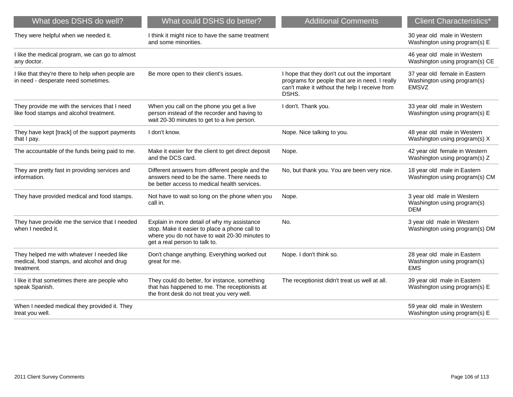| What does DSHS do well?                                                                                | What could DSHS do better?                                                                                                                                                      | <b>Additional Comments</b>                                                                                                                               | <b>Client Characteristics*</b>                                               |
|--------------------------------------------------------------------------------------------------------|---------------------------------------------------------------------------------------------------------------------------------------------------------------------------------|----------------------------------------------------------------------------------------------------------------------------------------------------------|------------------------------------------------------------------------------|
| They were helpful when we needed it.                                                                   | I think it might nice to have the same treatment<br>and some minorities.                                                                                                        |                                                                                                                                                          | 30 year old male in Western<br>Washington using program(s) E                 |
| I like the medical program, we can go to almost<br>any doctor.                                         |                                                                                                                                                                                 |                                                                                                                                                          | 46 year old male in Western<br>Washington using program(s) CE                |
| I like that they're there to help when people are<br>in need - desperate need sometimes.               | Be more open to their client's issues.                                                                                                                                          | I hope that they don't cut out the important<br>programs for people that are in need. I really<br>can't make it without the help I receive from<br>DSHS. | 37 year old female in Eastern<br>Washington using program(s)<br><b>EMSVZ</b> |
| They provide me with the services that I need<br>like food stamps and alcohol treatment.               | When you call on the phone you get a live<br>person instead of the recorder and having to<br>wait 20-30 minutes to get to a live person.                                        | I don't. Thank you.                                                                                                                                      | 33 year old male in Western<br>Washington using program(s) E                 |
| They have kept [track] of the support payments<br>that I pay.                                          | I don't know.                                                                                                                                                                   | Nope. Nice talking to you.                                                                                                                               | 48 year old male in Western<br>Washington using program(s) X                 |
| The accountable of the funds being paid to me.                                                         | Make it easier for the client to get direct deposit<br>and the DCS card.                                                                                                        | Nope.                                                                                                                                                    | 42 year old female in Western<br>Washington using program(s) Z               |
| They are pretty fast in providing services and<br>information.                                         | Different answers from different people and the<br>answers need to be the same. There needs to<br>be better access to medical health services.                                  | No, but thank you. You are been very nice.                                                                                                               | 18 year old male in Eastern<br>Washington using program(s) CM                |
| They have provided medical and food stamps.                                                            | Not have to wait so long on the phone when you<br>call in.                                                                                                                      | Nope.                                                                                                                                                    | 3 year old male in Western<br>Washington using program(s)<br><b>DEM</b>      |
| They have provide me the service that I needed<br>when I needed it.                                    | Explain in more detail of why my assistance<br>stop. Make it easier to place a phone call to<br>where you do not have to wait 20-30 minutes to<br>get a real person to talk to. | No.                                                                                                                                                      | 3 year old male in Western<br>Washington using program(s) DM                 |
| They helped me with whatever I needed like<br>medical, food stamps, and alcohol and drug<br>treatment. | Don't change anything. Everything worked out<br>great for me.                                                                                                                   | Nope. I don't think so.                                                                                                                                  | 28 year old male in Eastern<br>Washington using program(s)<br><b>EMS</b>     |
| I like it that sometimes there are people who<br>speak Spanish.                                        | They could do better, for instance, something<br>that has happened to me. The receptionists at<br>the front desk do not treat you very well.                                    | The receptionist didn't treat us well at all.                                                                                                            | 39 year old male in Eastern<br>Washington using program(s) E                 |
| When I needed medical they provided it. They<br>treat you well.                                        |                                                                                                                                                                                 |                                                                                                                                                          | 59 year old male in Western<br>Washington using program(s) E                 |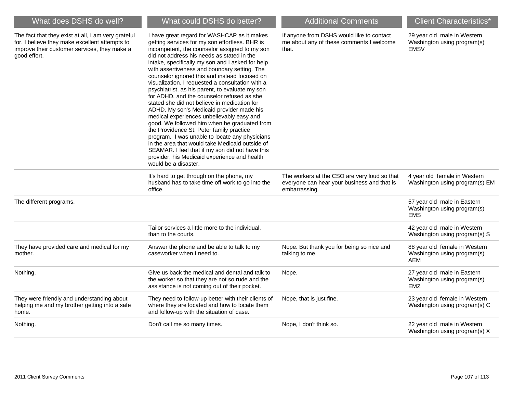| What does DSHS do well?                                                                                                                                               | What could DSHS do better?                                                                                                                                                                                                                                                                                                                                                                                                                                                                                                                                                                                                                                                                                                                                                                                                                                                                                                                                                   | <b>Additional Comments</b>                                                                                   | <b>Client Characteristics*</b>                                            |
|-----------------------------------------------------------------------------------------------------------------------------------------------------------------------|------------------------------------------------------------------------------------------------------------------------------------------------------------------------------------------------------------------------------------------------------------------------------------------------------------------------------------------------------------------------------------------------------------------------------------------------------------------------------------------------------------------------------------------------------------------------------------------------------------------------------------------------------------------------------------------------------------------------------------------------------------------------------------------------------------------------------------------------------------------------------------------------------------------------------------------------------------------------------|--------------------------------------------------------------------------------------------------------------|---------------------------------------------------------------------------|
| The fact that they exist at all, I am very grateful<br>for. I believe they make excellent attempts to<br>improve their customer services, they make a<br>good effort. | I have great regard for WASHCAP as it makes<br>getting services for my son effortless. BHR is<br>incompetent, the counselor assigned to my son<br>did not address his needs as stated in the<br>intake, specifically my son and I asked for help<br>with assertiveness and boundary setting. The<br>counselor ignored this and instead focused on<br>visualization. I requested a consultation with a<br>psychiatrist, as his parent, to evaluate my son<br>for ADHD, and the counselor refused as she<br>stated she did not believe in medication for<br>ADHD. My son's Medicaid provider made his<br>medical experiences unbelievably easy and<br>good. We followed him when he graduated from<br>the Providence St. Peter family practice<br>program. I was unable to locate any physicians<br>in the area that would take Medicaid outside of<br>SEAMAR. I feel that if my son did not have this<br>provider, his Medicaid experience and health<br>would be a disaster. | If anyone from DSHS would like to contact<br>me about any of these comments I welcome<br>that.               | 29 year old male in Western<br>Washington using program(s)<br><b>EMSV</b> |
|                                                                                                                                                                       | It's hard to get through on the phone, my<br>husband has to take time off work to go into the<br>office.                                                                                                                                                                                                                                                                                                                                                                                                                                                                                                                                                                                                                                                                                                                                                                                                                                                                     | The workers at the CSO are very loud so that<br>everyone can hear your business and that is<br>embarrassing. | 4 year old female in Western<br>Washington using program(s) EM            |
| The different programs.                                                                                                                                               |                                                                                                                                                                                                                                                                                                                                                                                                                                                                                                                                                                                                                                                                                                                                                                                                                                                                                                                                                                              |                                                                                                              | 57 year old male in Eastern<br>Washington using program(s)<br><b>EMS</b>  |
|                                                                                                                                                                       | Tailor services a little more to the individual,<br>than to the courts.                                                                                                                                                                                                                                                                                                                                                                                                                                                                                                                                                                                                                                                                                                                                                                                                                                                                                                      |                                                                                                              | 42 year old male in Western<br>Washington using program(s) S              |
| They have provided care and medical for my<br>mother.                                                                                                                 | Answer the phone and be able to talk to my<br>caseworker when I need to.                                                                                                                                                                                                                                                                                                                                                                                                                                                                                                                                                                                                                                                                                                                                                                                                                                                                                                     | Nope. But thank you for being so nice and<br>talking to me.                                                  | 88 year old female in Western<br>Washington using program(s)<br>AEM       |
| Nothing.                                                                                                                                                              | Give us back the medical and dental and talk to<br>the worker so that they are not so rude and the<br>assistance is not coming out of their pocket.                                                                                                                                                                                                                                                                                                                                                                                                                                                                                                                                                                                                                                                                                                                                                                                                                          | Nope.                                                                                                        | 27 year old male in Eastern<br>Washington using program(s)<br><b>EMZ</b>  |
| They were friendly and understanding about<br>helping me and my brother getting into a safe<br>home.                                                                  | They need to follow-up better with their clients of<br>where they are located and how to locate them<br>and follow-up with the situation of case.                                                                                                                                                                                                                                                                                                                                                                                                                                                                                                                                                                                                                                                                                                                                                                                                                            | Nope, that is just fine.                                                                                     | 23 year old female in Western<br>Washington using program(s) C            |
| Nothing.                                                                                                                                                              | Don't call me so many times.                                                                                                                                                                                                                                                                                                                                                                                                                                                                                                                                                                                                                                                                                                                                                                                                                                                                                                                                                 | Nope, I don't think so.                                                                                      | 22 year old male in Western<br>Washington using program(s) X              |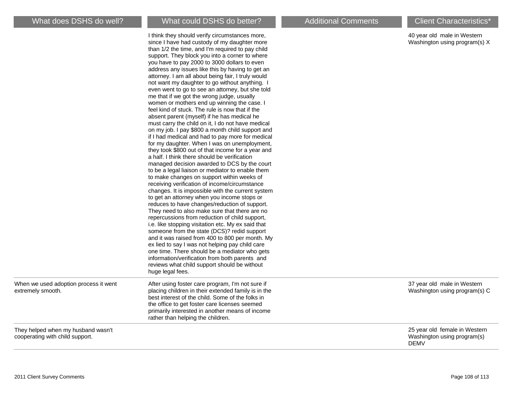I think they should verify circumstances more, since I have had custody of my daughter more than 1/2 the time, and I'm required to pay child

## 40 year old male in Western Washington using program(s) X

|                                                                       | support. They block you into a corner to where<br>you have to pay 2000 to 3000 dollars to even<br>address any issues like this by having to get an<br>attorney. I am all about being fair, I truly would<br>not want my daughter to go without anything. I<br>even went to go to see an attorney, but she told<br>me that if we got the wrong judge, usually<br>women or mothers end up winning the case. I<br>feel kind of stuck. The rule is now that if the<br>absent parent (myself) if he has medical he<br>must carry the child on it, I do not have medical<br>on my job. I pay \$800 a month child support and<br>if I had medical and had to pay more for medical<br>for my daughter. When I was on unemployment,<br>they took \$800 out of that income for a year and<br>a half. I think there should be verification<br>managed decision awarded to DCS by the court<br>to be a legal liaison or mediator to enable them<br>to make changes on support within weeks of<br>receiving verification of income/circumstance<br>changes. It is impossible with the current system<br>to get an attorney when you income stops or<br>reduces to have changes/reduction of support.<br>They need to also make sure that there are no<br>repercussions from reduction of child support,<br>i.e. like stopping visitation etc. My ex said that |                                                                             |
|-----------------------------------------------------------------------|--------------------------------------------------------------------------------------------------------------------------------------------------------------------------------------------------------------------------------------------------------------------------------------------------------------------------------------------------------------------------------------------------------------------------------------------------------------------------------------------------------------------------------------------------------------------------------------------------------------------------------------------------------------------------------------------------------------------------------------------------------------------------------------------------------------------------------------------------------------------------------------------------------------------------------------------------------------------------------------------------------------------------------------------------------------------------------------------------------------------------------------------------------------------------------------------------------------------------------------------------------------------------------------------------------------------------------------------------|-----------------------------------------------------------------------------|
|                                                                       | someone from the state (DCS)? redid support<br>and it was raised from 400 to 800 per month. My<br>ex lied to say I was not helping pay child care<br>one time. There should be a mediator who gets<br>information/verification from both parents and<br>reviews what child support should be without<br>huge legal fees.                                                                                                                                                                                                                                                                                                                                                                                                                                                                                                                                                                                                                                                                                                                                                                                                                                                                                                                                                                                                                         |                                                                             |
| When we used adoption process it went<br>extremely smooth.            | After using foster care program, I'm not sure if<br>placing children in their extended family is in the<br>best interest of the child. Some of the folks in<br>the office to get foster care licenses seemed<br>primarily interested in another means of income<br>rather than helping the children.                                                                                                                                                                                                                                                                                                                                                                                                                                                                                                                                                                                                                                                                                                                                                                                                                                                                                                                                                                                                                                             | 37 year old male in Western<br>Washington using program(s) C                |
| They helped when my husband wasn't<br>cooperating with child support. |                                                                                                                                                                                                                                                                                                                                                                                                                                                                                                                                                                                                                                                                                                                                                                                                                                                                                                                                                                                                                                                                                                                                                                                                                                                                                                                                                  | 25 year old female in Western<br>Washington using program(s)<br><b>DEMV</b> |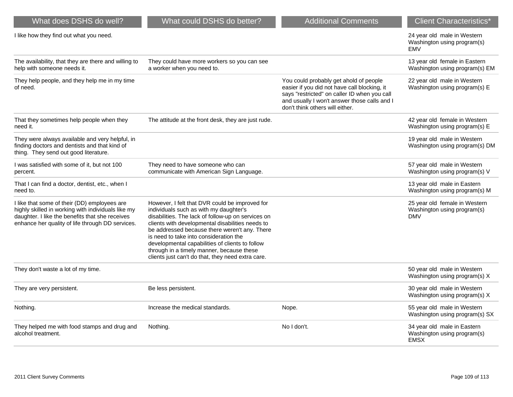| What does DSHS do well?                                                                                                                                                                                   | What could DSHS do better?                                                                                                                                                                                                                                                                                                                                                                                                                         | <b>Additional Comments</b>                                                                                                                                                                                                | <b>Client Characteristics*</b>                                             |
|-----------------------------------------------------------------------------------------------------------------------------------------------------------------------------------------------------------|----------------------------------------------------------------------------------------------------------------------------------------------------------------------------------------------------------------------------------------------------------------------------------------------------------------------------------------------------------------------------------------------------------------------------------------------------|---------------------------------------------------------------------------------------------------------------------------------------------------------------------------------------------------------------------------|----------------------------------------------------------------------------|
| I like how they find out what you need.                                                                                                                                                                   |                                                                                                                                                                                                                                                                                                                                                                                                                                                    |                                                                                                                                                                                                                           | 24 year old male in Western<br>Washington using program(s)<br><b>EMV</b>   |
| The availability, that they are there and willing to<br>help with someone needs it.                                                                                                                       | They could have more workers so you can see<br>a worker when you need to.                                                                                                                                                                                                                                                                                                                                                                          |                                                                                                                                                                                                                           | 13 year old female in Eastern<br>Washington using program(s) EM            |
| They help people, and they help me in my time<br>of need.                                                                                                                                                 |                                                                                                                                                                                                                                                                                                                                                                                                                                                    | You could probably get ahold of people<br>easier if you did not have call blocking, it<br>says "restricted" on caller ID when you call<br>and usually I won't answer those calls and I<br>don't think others will either. | 22 year old male in Western<br>Washington using program(s) E               |
| That they sometimes help people when they<br>need it.                                                                                                                                                     | The attitude at the front desk, they are just rude.                                                                                                                                                                                                                                                                                                                                                                                                |                                                                                                                                                                                                                           | 42 year old female in Western<br>Washington using program(s) E             |
| They were always available and very helpful, in<br>finding doctors and dentists and that kind of<br>thing. They send out good literature.                                                                 |                                                                                                                                                                                                                                                                                                                                                                                                                                                    |                                                                                                                                                                                                                           | 19 year old male in Western<br>Washington using program(s) DM              |
| I was satisfied with some of it, but not 100<br>percent.                                                                                                                                                  | They need to have someone who can<br>communicate with American Sign Language.                                                                                                                                                                                                                                                                                                                                                                      |                                                                                                                                                                                                                           | 57 year old male in Western<br>Washington using program(s) V               |
| That I can find a doctor, dentist, etc., when I<br>need to.                                                                                                                                               |                                                                                                                                                                                                                                                                                                                                                                                                                                                    |                                                                                                                                                                                                                           | 13 year old male in Eastern<br>Washington using program(s) M               |
| I like that some of their (DD) employees are<br>highly skilled in working with individuals like my<br>daughter. I like the benefits that she receives<br>enhance her quality of life through DD services. | However, I felt that DVR could be improved for<br>individuals such as with my daughter's<br>disabilities. The lack of follow-up on services on<br>clients with developmental disabilities needs to<br>be addressed because there weren't any. There<br>is need to take into consideration the<br>developmental capabilities of clients to follow<br>through in a timely manner, because these<br>clients just can't do that, they need extra care. |                                                                                                                                                                                                                           | 25 year old female in Western<br>Washington using program(s)<br><b>DMV</b> |
| They don't waste a lot of my time.                                                                                                                                                                        |                                                                                                                                                                                                                                                                                                                                                                                                                                                    |                                                                                                                                                                                                                           | 50 year old male in Western<br>Washington using program(s) X               |
| They are very persistent.                                                                                                                                                                                 | Be less persistent.                                                                                                                                                                                                                                                                                                                                                                                                                                |                                                                                                                                                                                                                           | 30 year old male in Western<br>Washington using program(s) X               |
| Nothing.                                                                                                                                                                                                  | Increase the medical standards.                                                                                                                                                                                                                                                                                                                                                                                                                    | Nope.                                                                                                                                                                                                                     | 55 year old male in Western<br>Washington using program(s) SX              |
| They helped me with food stamps and drug and<br>alcohol treatment.                                                                                                                                        | Nothing.                                                                                                                                                                                                                                                                                                                                                                                                                                           | No I don't.                                                                                                                                                                                                               | 34 year old male in Eastern<br>Washington using program(s)<br><b>EMSX</b>  |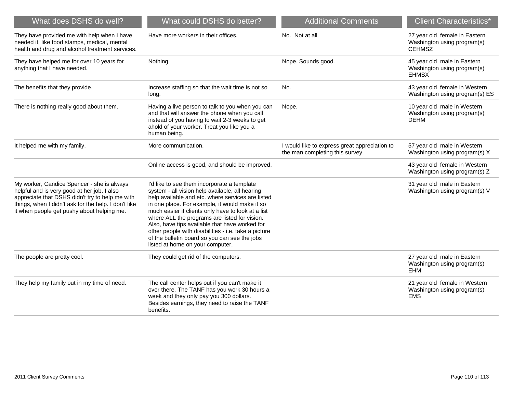| What does DSHS do well?                                                                                                                                                                                                                            | What could DSHS do better?                                                                                                                                                                                                                                                                                                                                                                                                                                                                                  | <b>Additional Comments</b>                                                       | <b>Client Characteristics*</b>                                                |
|----------------------------------------------------------------------------------------------------------------------------------------------------------------------------------------------------------------------------------------------------|-------------------------------------------------------------------------------------------------------------------------------------------------------------------------------------------------------------------------------------------------------------------------------------------------------------------------------------------------------------------------------------------------------------------------------------------------------------------------------------------------------------|----------------------------------------------------------------------------------|-------------------------------------------------------------------------------|
| They have provided me with help when I have<br>needed it, like food stamps, medical, mental<br>health and drug and alcohol treatment services.                                                                                                     | Have more workers in their offices.                                                                                                                                                                                                                                                                                                                                                                                                                                                                         | No. Not at all.                                                                  | 27 year old female in Eastern<br>Washington using program(s)<br><b>CEHMSZ</b> |
| They have helped me for over 10 years for<br>anything that I have needed.                                                                                                                                                                          | Nothing.                                                                                                                                                                                                                                                                                                                                                                                                                                                                                                    | Nope. Sounds good.                                                               | 45 year old male in Eastern<br>Washington using program(s)<br><b>EHMSX</b>    |
| The benefits that they provide.                                                                                                                                                                                                                    | Increase staffing so that the wait time is not so<br>long.                                                                                                                                                                                                                                                                                                                                                                                                                                                  | No.                                                                              | 43 year old female in Western<br>Washington using program(s) ES               |
| There is nothing really good about them.                                                                                                                                                                                                           | Having a live person to talk to you when you can<br>and that will answer the phone when you call<br>instead of you having to wait 2-3 weeks to get<br>ahold of your worker. Treat you like you a<br>human being.                                                                                                                                                                                                                                                                                            | Nope.                                                                            | 10 year old male in Western<br>Washington using program(s)<br><b>DEHM</b>     |
| It helped me with my family.                                                                                                                                                                                                                       | More communication.                                                                                                                                                                                                                                                                                                                                                                                                                                                                                         | I would like to express great appreciation to<br>the man completing this survey. | 57 year old male in Western<br>Washington using program(s) X                  |
|                                                                                                                                                                                                                                                    | Online access is good, and should be improved.                                                                                                                                                                                                                                                                                                                                                                                                                                                              |                                                                                  | 43 year old female in Western<br>Washington using program(s) Z                |
| My worker, Candice Spencer - she is always<br>helpful and is very good at her job. I also<br>appreciate that DSHS didn't try to help me with<br>things, when I didn't ask for the help. I don't like<br>it when people get pushy about helping me. | I'd like to see them incorporate a template<br>system - all vision help available, all hearing<br>help available and etc. where services are listed<br>in one place. For example, it would make it so<br>much easier if clients only have to look at a list<br>where ALL the programs are listed for vision.<br>Also, have tips available that have worked for<br>other people with disabilities - i.e. take a picture<br>of the bulletin board so you can see the jobs<br>listed at home on your computer. |                                                                                  | 31 year old male in Eastern<br>Washington using program(s) V                  |
| The people are pretty cool.                                                                                                                                                                                                                        | They could get rid of the computers.                                                                                                                                                                                                                                                                                                                                                                                                                                                                        |                                                                                  | 27 year old male in Eastern<br>Washington using program(s)<br>EHM             |
| They help my family out in my time of need.                                                                                                                                                                                                        | The call center helps out if you can't make it<br>over there. The TANF has you work 30 hours a<br>week and they only pay you 300 dollars.<br>Besides earnings, they need to raise the TANF<br>benefits.                                                                                                                                                                                                                                                                                                     |                                                                                  | 21 year old female in Western<br>Washington using program(s)<br><b>EMS</b>    |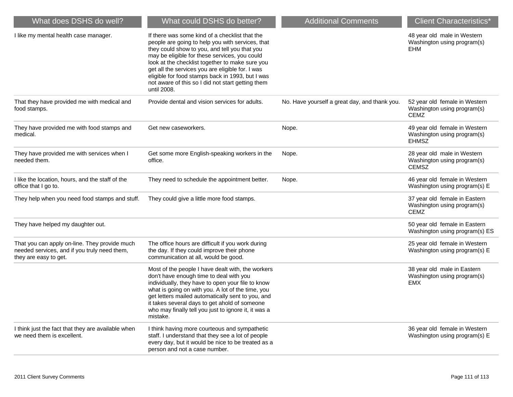| What does DSHS do well?                                                                                                | What could DSHS do better?                                                                                                                                                                                                                                                                                                                                                                                                          | <b>Additional Comments</b>                    | <b>Client Characteristics*</b>                                               |
|------------------------------------------------------------------------------------------------------------------------|-------------------------------------------------------------------------------------------------------------------------------------------------------------------------------------------------------------------------------------------------------------------------------------------------------------------------------------------------------------------------------------------------------------------------------------|-----------------------------------------------|------------------------------------------------------------------------------|
| I like my mental health case manager.                                                                                  | If there was some kind of a checklist that the<br>people are going to help you with services, that<br>they could show to you, and tell you that you<br>may be eligible for these services, you could<br>look at the checklist together to make sure you<br>get all the services you are eligible for. I was<br>eligible for food stamps back in 1993, but I was<br>not aware of this so I did not start getting them<br>until 2008. |                                               | 48 year old male in Western<br>Washington using program(s)<br><b>EHM</b>     |
| That they have provided me with medical and<br>food stamps.                                                            | Provide dental and vision services for adults.                                                                                                                                                                                                                                                                                                                                                                                      | No. Have yourself a great day, and thank you. | 52 year old female in Western<br>Washington using program(s)<br>CEMZ         |
| They have provided me with food stamps and<br>medical.                                                                 | Get new caseworkers.                                                                                                                                                                                                                                                                                                                                                                                                                | Nope.                                         | 49 year old female in Western<br>Washington using program(s)<br><b>EHMSZ</b> |
| They have provided me with services when I<br>needed them.                                                             | Get some more English-speaking workers in the<br>office.                                                                                                                                                                                                                                                                                                                                                                            | Nope.                                         | 28 year old male in Western<br>Washington using program(s)<br><b>CEMSZ</b>   |
| I like the location, hours, and the staff of the<br>office that I go to.                                               | They need to schedule the appointment better.                                                                                                                                                                                                                                                                                                                                                                                       | Nope.                                         | 46 year old female in Western<br>Washington using program(s) E               |
| They help when you need food stamps and stuff.                                                                         | They could give a little more food stamps.                                                                                                                                                                                                                                                                                                                                                                                          |                                               | 37 year old female in Eastern<br>Washington using program(s)<br>CEMZ         |
| They have helped my daughter out.                                                                                      |                                                                                                                                                                                                                                                                                                                                                                                                                                     |                                               | 50 year old female in Eastern<br>Washington using program(s) ES              |
| That you can apply on-line. They provide much<br>needed services, and if you truly need them,<br>they are easy to get. | The office hours are difficult if you work during<br>the day. If they could improve their phone<br>communication at all, would be good.                                                                                                                                                                                                                                                                                             |                                               | 25 year old female in Western<br>Washington using program(s) E               |
|                                                                                                                        | Most of the people I have dealt with, the workers<br>don't have enough time to deal with you<br>individually, they have to open your file to know<br>what is going on with you. A lot of the time, you<br>get letters mailed automatically sent to you, and<br>it takes several days to get ahold of someone<br>who may finally tell you just to ignore it, it was a<br>mistake.                                                    |                                               | 38 year old male in Eastern<br>Washington using program(s)<br><b>EMX</b>     |
| I think just the fact that they are available when<br>we need them is excellent.                                       | I think having more courteous and sympathetic<br>staff. I understand that they see a lot of people<br>every day, but it would be nice to be treated as a<br>person and not a case number.                                                                                                                                                                                                                                           |                                               | 36 year old female in Western<br>Washington using program(s) E               |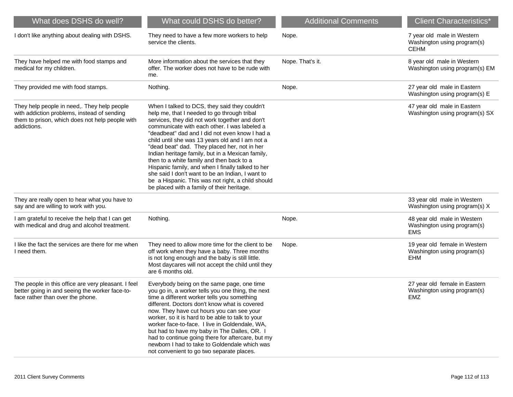| What does DSHS do well?                                                                                                                                      | What could DSHS do better?                                                                                                                                                                                                                                                                                                                                                                                                                                                                                                                                                                                                                                       | <b>Additional Comments</b> | <b>Client Characteristics*</b>                                             |
|--------------------------------------------------------------------------------------------------------------------------------------------------------------|------------------------------------------------------------------------------------------------------------------------------------------------------------------------------------------------------------------------------------------------------------------------------------------------------------------------------------------------------------------------------------------------------------------------------------------------------------------------------------------------------------------------------------------------------------------------------------------------------------------------------------------------------------------|----------------------------|----------------------------------------------------------------------------|
| I don't like anything about dealing with DSHS.                                                                                                               | They need to have a few more workers to help<br>service the clients.                                                                                                                                                                                                                                                                                                                                                                                                                                                                                                                                                                                             | Nope.                      | 7 year old male in Western<br>Washington using program(s)<br>CEHM          |
| They have helped me with food stamps and<br>medical for my children.                                                                                         | More information about the services that they<br>offer. The worker does not have to be rude with<br>me.                                                                                                                                                                                                                                                                                                                                                                                                                                                                                                                                                          | Nope. That's it.           | 8 year old male in Western<br>Washington using program(s) EM               |
| They provided me with food stamps.                                                                                                                           | Nothing.                                                                                                                                                                                                                                                                                                                                                                                                                                                                                                                                                                                                                                                         | Nope.                      | 27 year old male in Eastern<br>Washington using program(s) E               |
| They help people in need,. They help people<br>with addiction problems, instead of sending<br>them to prison, which does not help people with<br>addictions. | When I talked to DCS, they said they couldn't<br>help me, that I needed to go through tribal<br>services, they did not work together and don't<br>communicate with each other. I was labeled a<br>"deadbeat" dad and I did not even know I had a<br>child until she was 13 years old and I am not a<br>"dead beat" dad. They placed her, not in her<br>Indian heritage family, but in a Mexican family,<br>then to a white family and then back to a<br>Hispanic family, and when I finally talked to her<br>she said I don't want to be an Indian, I want to<br>be a Hispanic. This was not right, a child should<br>be placed with a family of their heritage. |                            | 47 year old male in Eastern<br>Washington using program(s) SX              |
| They are really open to hear what you have to<br>say and are willing to work with you.                                                                       |                                                                                                                                                                                                                                                                                                                                                                                                                                                                                                                                                                                                                                                                  |                            | 33 year old male in Western<br>Washington using program(s) X               |
| I am grateful to receive the help that I can get<br>with medical and drug and alcohol treatment.                                                             | Nothing.                                                                                                                                                                                                                                                                                                                                                                                                                                                                                                                                                                                                                                                         | Nope.                      | 48 year old male in Western<br>Washington using program(s)<br><b>EMS</b>   |
| I like the fact the services are there for me when<br>I need them.                                                                                           | They need to allow more time for the client to be<br>off work when they have a baby. Three months<br>is not long enough and the baby is still little.<br>Most daycares will not accept the child until they<br>are 6 months old.                                                                                                                                                                                                                                                                                                                                                                                                                                 | Nope.                      | 19 year old female in Western<br>Washington using program(s)<br><b>EHM</b> |
| The people in this office are very pleasant. I feel<br>better going in and seeing the worker face-to-<br>face rather than over the phone.                    | Everybody being on the same page, one time<br>you go in, a worker tells you one thing, the next<br>time a different worker tells you something<br>different. Doctors don't know what is covered<br>now. They have cut hours you can see your<br>worker, so it is hard to be able to talk to your<br>worker face-to-face. I live in Goldendale, WA,<br>but had to have my baby in The Dalles, OR. I<br>had to continue going there for aftercare, but my<br>newborn I had to take to Goldendale which was<br>not convenient to go two separate places.                                                                                                            |                            | 27 year old female in Eastern<br>Washington using program(s)<br><b>EMZ</b> |